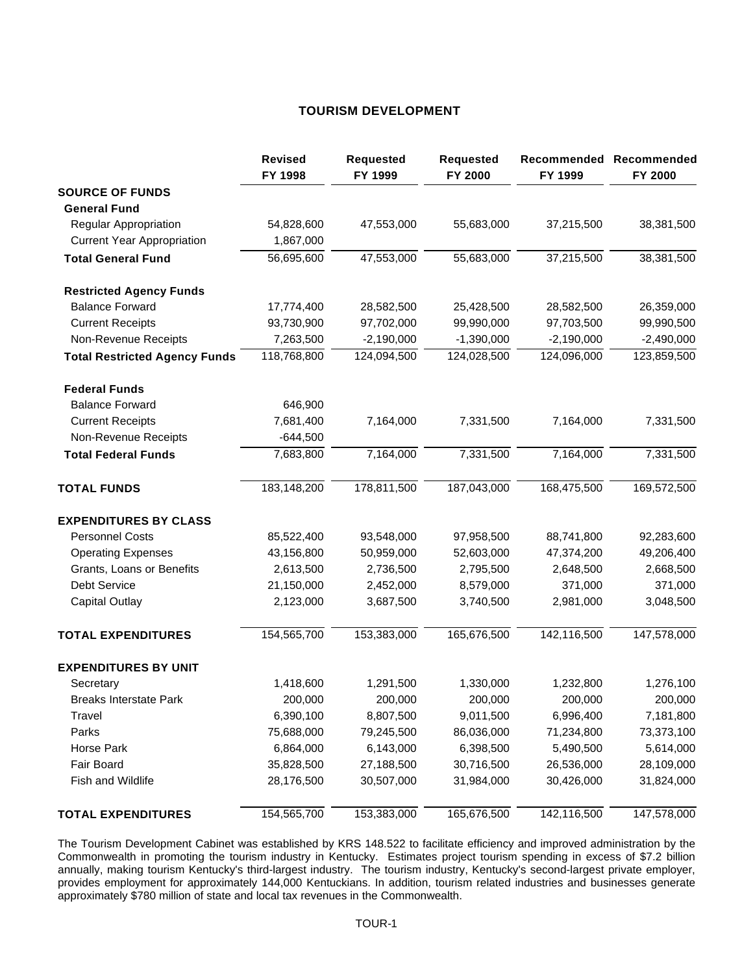## **TOURISM DEVELOPMENT**

|                                      | <b>Revised</b><br>FY 1998 | <b>Requested</b><br>FY 1999 | <b>Requested</b><br>FY 2000 | FY 1999      | Recommended Recommended<br>FY 2000 |
|--------------------------------------|---------------------------|-----------------------------|-----------------------------|--------------|------------------------------------|
| <b>SOURCE OF FUNDS</b>               |                           |                             |                             |              |                                    |
| <b>General Fund</b>                  |                           |                             |                             |              |                                    |
| <b>Regular Appropriation</b>         | 54,828,600                | 47,553,000                  | 55,683,000                  | 37,215,500   | 38,381,500                         |
| <b>Current Year Appropriation</b>    | 1,867,000                 |                             |                             |              |                                    |
| <b>Total General Fund</b>            | 56,695,600                | 47,553,000                  | 55,683,000                  | 37,215,500   | 38,381,500                         |
| <b>Restricted Agency Funds</b>       |                           |                             |                             |              |                                    |
| <b>Balance Forward</b>               | 17,774,400                | 28,582,500                  | 25,428,500                  | 28,582,500   | 26,359,000                         |
| <b>Current Receipts</b>              | 93,730,900                | 97,702,000                  | 99,990,000                  | 97,703,500   | 99,990,500                         |
| Non-Revenue Receipts                 | 7,263,500                 | $-2,190,000$                | $-1,390,000$                | $-2,190,000$ | $-2,490,000$                       |
| <b>Total Restricted Agency Funds</b> | 118,768,800               | 124,094,500                 | 124,028,500                 | 124,096,000  | 123,859,500                        |
| <b>Federal Funds</b>                 |                           |                             |                             |              |                                    |
| <b>Balance Forward</b>               | 646,900                   |                             |                             |              |                                    |
| <b>Current Receipts</b>              | 7,681,400                 | 7,164,000                   | 7,331,500                   | 7,164,000    | 7,331,500                          |
| Non-Revenue Receipts                 | $-644,500$                |                             |                             |              |                                    |
| <b>Total Federal Funds</b>           | 7,683,800                 | 7,164,000                   | 7,331,500                   | 7,164,000    | 7,331,500                          |
| <b>TOTAL FUNDS</b>                   | 183,148,200               | 178,811,500                 | 187,043,000                 | 168,475,500  | 169,572,500                        |
| <b>EXPENDITURES BY CLASS</b>         |                           |                             |                             |              |                                    |
| <b>Personnel Costs</b>               | 85,522,400                | 93,548,000                  | 97,958,500                  | 88,741,800   | 92,283,600                         |
| <b>Operating Expenses</b>            | 43,156,800                | 50,959,000                  | 52,603,000                  | 47,374,200   | 49,206,400                         |
| Grants, Loans or Benefits            | 2,613,500                 | 2,736,500                   | 2,795,500                   | 2,648,500    | 2,668,500                          |
| Debt Service                         | 21,150,000                | 2,452,000                   | 8,579,000                   | 371,000      | 371,000                            |
| <b>Capital Outlay</b>                | 2,123,000                 | 3,687,500                   | 3,740,500                   | 2,981,000    | 3,048,500                          |
| <b>TOTAL EXPENDITURES</b>            | 154,565,700               | 153,383,000                 | 165,676,500                 | 142,116,500  | 147,578,000                        |
| <b>EXPENDITURES BY UNIT</b>          |                           |                             |                             |              |                                    |
| Secretary                            | 1,418,600                 | 1,291,500                   | 1,330,000                   | 1,232,800    | 1,276,100                          |
| <b>Breaks Interstate Park</b>        | 200,000                   | 200,000                     | 200,000                     | 200,000      | 200,000                            |
| Travel                               | 6,390,100                 | 8,807,500                   | 9,011,500                   | 6,996,400    | 7,181,800                          |
| Parks                                | 75,688,000                | 79,245,500                  | 86,036,000                  | 71,234,800   | 73,373,100                         |
| Horse Park                           | 6,864,000                 | 6,143,000                   | 6,398,500                   | 5,490,500    | 5,614,000                          |
| Fair Board                           | 35,828,500                | 27,188,500                  | 30,716,500                  | 26,536,000   | 28,109,000                         |
| Fish and Wildlife                    | 28,176,500                | 30,507,000                  | 31,984,000                  | 30,426,000   | 31,824,000                         |
| <b>TOTAL EXPENDITURES</b>            | 154,565,700               | 153,383,000                 | 165,676,500                 | 142,116,500  | 147,578,000                        |

The Tourism Development Cabinet was established by KRS 148.522 to facilitate efficiency and improved administration by the Commonwealth in promoting the tourism industry in Kentucky. Estimates project tourism spending in excess of \$7.2 billion annually, making tourism Kentucky's third-largest industry. The tourism industry, Kentucky's second-largest private employer, provides employment for approximately 144,000 Kentuckians. In addition, tourism related industries and businesses generate approximately \$780 million of state and local tax revenues in the Commonwealth.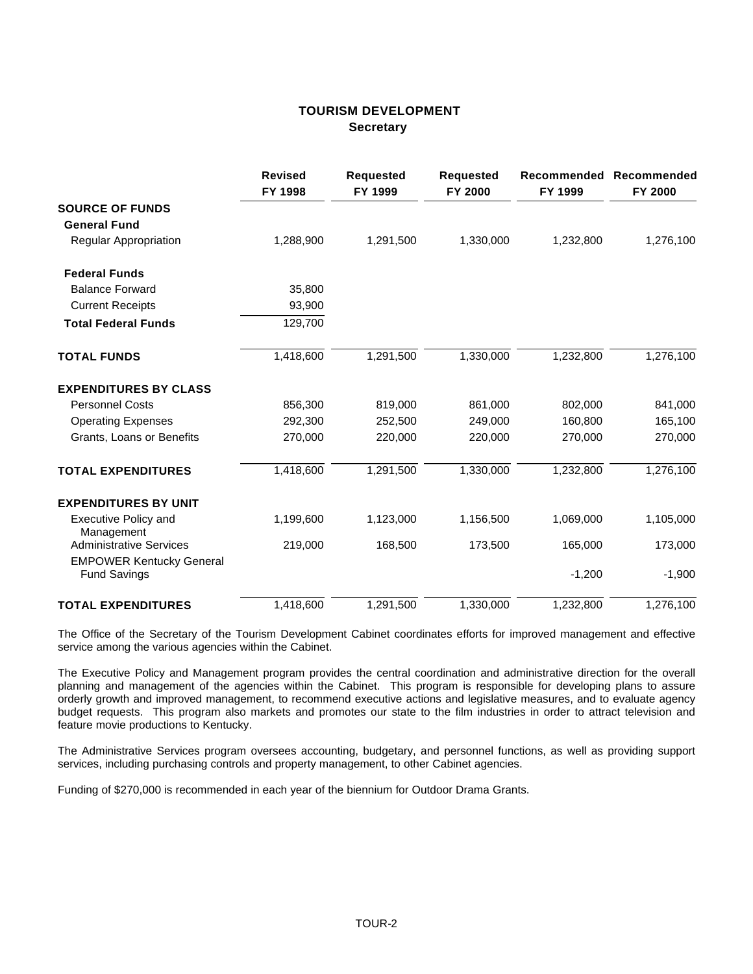## **TOURISM DEVELOPMENT Secretary**

|                                                        | <b>Revised</b><br>FY 1998 | <b>Requested</b><br>FY 1999 | <b>Requested</b><br>FY 2000 | FY 1999   | Recommended Recommended<br>FY 2000 |
|--------------------------------------------------------|---------------------------|-----------------------------|-----------------------------|-----------|------------------------------------|
| <b>SOURCE OF FUNDS</b>                                 |                           |                             |                             |           |                                    |
| <b>General Fund</b>                                    |                           |                             |                             |           |                                    |
| <b>Regular Appropriation</b>                           | 1,288,900                 | 1,291,500                   | 1,330,000                   | 1,232,800 | 1,276,100                          |
| <b>Federal Funds</b>                                   |                           |                             |                             |           |                                    |
| <b>Balance Forward</b>                                 | 35,800                    |                             |                             |           |                                    |
| <b>Current Receipts</b>                                | 93,900                    |                             |                             |           |                                    |
| <b>Total Federal Funds</b>                             | 129,700                   |                             |                             |           |                                    |
| <b>TOTAL FUNDS</b>                                     | 1,418,600                 | 1,291,500                   | 1,330,000                   | 1,232,800 | 1,276,100                          |
| <b>EXPENDITURES BY CLASS</b>                           |                           |                             |                             |           |                                    |
| <b>Personnel Costs</b>                                 | 856,300                   | 819,000                     | 861,000                     | 802,000   | 841,000                            |
| <b>Operating Expenses</b>                              | 292,300                   | 252,500                     | 249,000                     | 160,800   | 165,100                            |
| Grants, Loans or Benefits                              | 270,000                   | 220,000                     | 220,000                     | 270,000   | 270,000                            |
| <b>TOTAL EXPENDITURES</b>                              | 1,418,600                 | 1,291,500                   | 1,330,000                   | 1,232,800 | 1,276,100                          |
| <b>EXPENDITURES BY UNIT</b>                            |                           |                             |                             |           |                                    |
| <b>Executive Policy and</b><br>Management              | 1,199,600                 | 1,123,000                   | 1,156,500                   | 1,069,000 | 1,105,000                          |
| <b>Administrative Services</b>                         | 219,000                   | 168,500                     | 173,500                     | 165,000   | 173,000                            |
| <b>EMPOWER Kentucky General</b><br><b>Fund Savings</b> |                           |                             |                             | $-1,200$  | $-1,900$                           |
| <b>TOTAL EXPENDITURES</b>                              | 1,418,600                 | 1,291,500                   | 1,330,000                   | 1,232,800 | 1,276,100                          |

The Office of the Secretary of the Tourism Development Cabinet coordinates efforts for improved management and effective service among the various agencies within the Cabinet.

The Executive Policy and Management program provides the central coordination and administrative direction for the overall planning and management of the agencies within the Cabinet. This program is responsible for developing plans to assure orderly growth and improved management, to recommend executive actions and legislative measures, and to evaluate agency budget requests. This program also markets and promotes our state to the film industries in order to attract television and feature movie productions to Kentucky.

The Administrative Services program oversees accounting, budgetary, and personnel functions, as well as providing support services, including purchasing controls and property management, to other Cabinet agencies.

Funding of \$270,000 is recommended in each year of the biennium for Outdoor Drama Grants.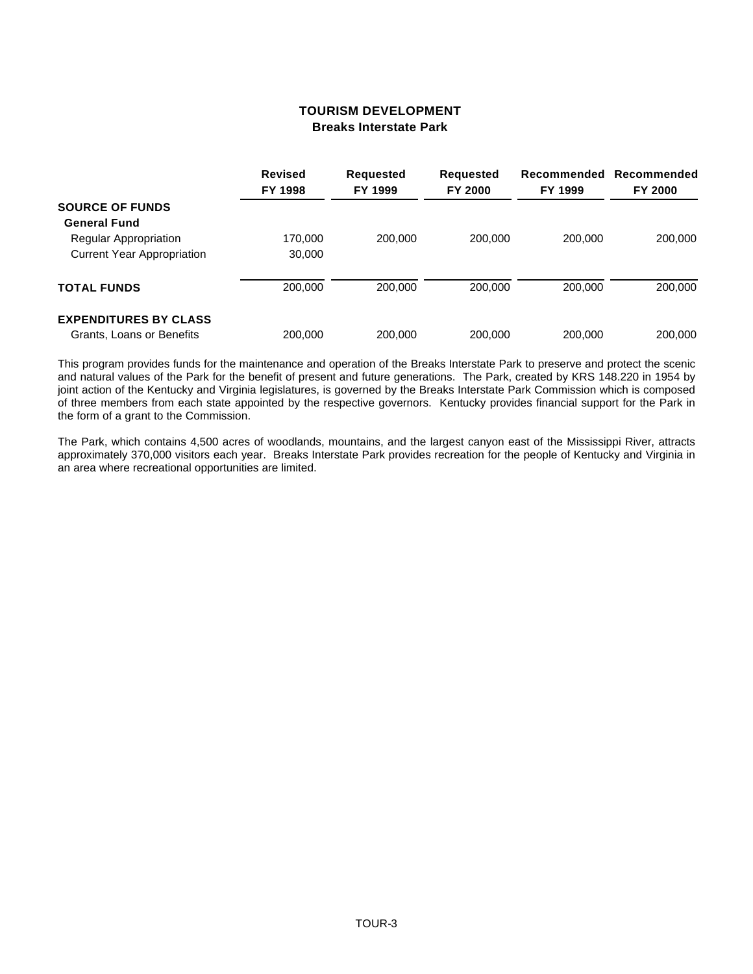## **TOURISM DEVELOPMENT Breaks Interstate Park**

|                                   | <b>Revised</b><br>FY 1998 | <b>Requested</b><br>FY 1999 | <b>Requested</b><br>FY 2000 | Recommended<br>FY 1999 | Recommended<br><b>FY 2000</b> |
|-----------------------------------|---------------------------|-----------------------------|-----------------------------|------------------------|-------------------------------|
| <b>SOURCE OF FUNDS</b>            |                           |                             |                             |                        |                               |
| <b>General Fund</b>               |                           |                             |                             |                        |                               |
| <b>Regular Appropriation</b>      | 170.000                   | 200.000                     | 200,000                     | 200,000                | 200,000                       |
| <b>Current Year Appropriation</b> | 30,000                    |                             |                             |                        |                               |
| <b>TOTAL FUNDS</b>                | 200,000                   | 200.000                     | 200,000                     | 200,000                | 200,000                       |
| <b>EXPENDITURES BY CLASS</b>      |                           |                             |                             |                        |                               |
| Grants, Loans or Benefits         | 200.000                   | 200,000                     | 200,000                     | 200,000                | 200,000                       |

This program provides funds for the maintenance and operation of the Breaks Interstate Park to preserve and protect the scenic and natural values of the Park for the benefit of present and future generations. The Park, created by KRS 148.220 in 1954 by joint action of the Kentucky and Virginia legislatures, is governed by the Breaks Interstate Park Commission which is composed of three members from each state appointed by the respective governors. Kentucky provides financial support for the Park in the form of a grant to the Commission.

The Park, which contains 4,500 acres of woodlands, mountains, and the largest canyon east of the Mississippi River, attracts approximately 370,000 visitors each year. Breaks Interstate Park provides recreation for the people of Kentucky and Virginia in an area where recreational opportunities are limited.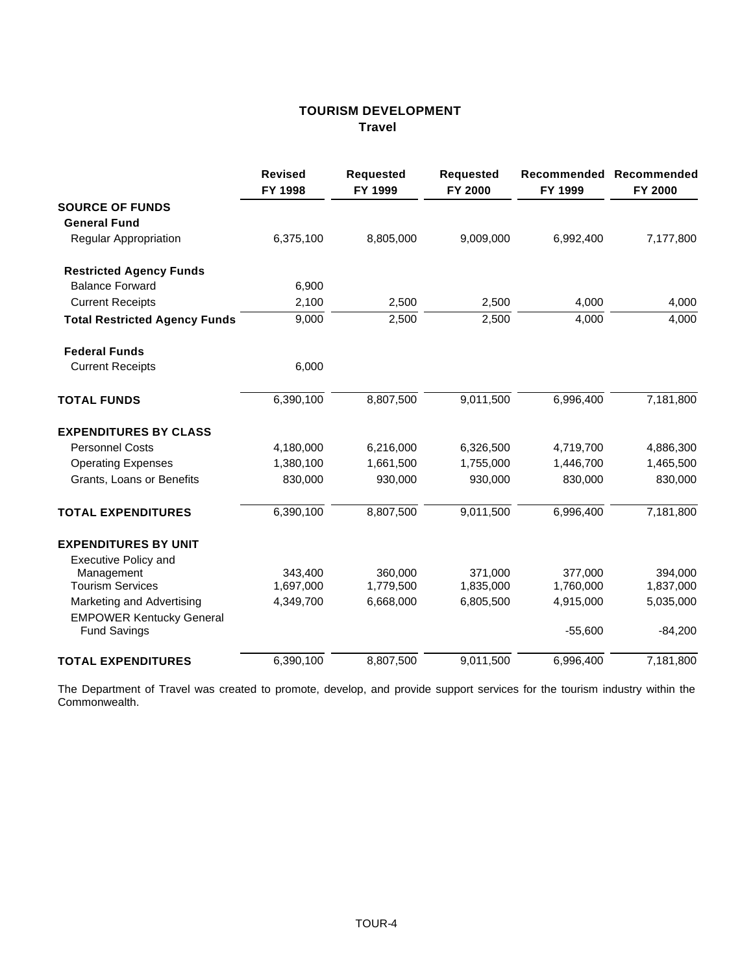# **TOURISM DEVELOPMENT Travel**

|                                                        | <b>Revised</b><br>FY 1998 | <b>Requested</b><br>FY 1999 | <b>Requested</b><br>FY 2000 | Recommended<br>FY 1999 | Recommended<br>FY 2000 |
|--------------------------------------------------------|---------------------------|-----------------------------|-----------------------------|------------------------|------------------------|
| <b>SOURCE OF FUNDS</b>                                 |                           |                             |                             |                        |                        |
| <b>General Fund</b>                                    |                           |                             |                             |                        |                        |
| <b>Regular Appropriation</b>                           | 6,375,100                 | 8,805,000                   | 9,009,000                   | 6,992,400              | 7,177,800              |
| <b>Restricted Agency Funds</b>                         |                           |                             |                             |                        |                        |
| <b>Balance Forward</b>                                 | 6,900                     |                             |                             |                        |                        |
| <b>Current Receipts</b>                                | 2,100                     | 2,500                       | 2,500                       | 4,000                  | 4,000                  |
| <b>Total Restricted Agency Funds</b>                   | 9,000                     | 2,500                       | 2,500                       | 4,000                  | 4,000                  |
| <b>Federal Funds</b>                                   |                           |                             |                             |                        |                        |
| <b>Current Receipts</b>                                | 6,000                     |                             |                             |                        |                        |
| <b>TOTAL FUNDS</b>                                     | 6,390,100                 | 8,807,500                   | 9,011,500                   | 6,996,400              | 7,181,800              |
| <b>EXPENDITURES BY CLASS</b>                           |                           |                             |                             |                        |                        |
| <b>Personnel Costs</b>                                 | 4,180,000                 | 6,216,000                   | 6,326,500                   | 4,719,700              | 4,886,300              |
| <b>Operating Expenses</b>                              | 1,380,100                 | 1,661,500                   | 1,755,000                   | 1,446,700              | 1,465,500              |
| Grants, Loans or Benefits                              | 830,000                   | 930,000                     | 930,000                     | 830,000                | 830,000                |
| <b>TOTAL EXPENDITURES</b>                              | 6,390,100                 | 8,807,500                   | 9,011,500                   | 6,996,400              | 7,181,800              |
| <b>EXPENDITURES BY UNIT</b>                            |                           |                             |                             |                        |                        |
| <b>Executive Policy and</b>                            |                           |                             |                             |                        |                        |
| Management                                             | 343,400                   | 360,000                     | 371,000                     | 377,000                | 394,000                |
| <b>Tourism Services</b>                                | 1,697,000                 | 1,779,500                   | 1,835,000                   | 1,760,000              | 1,837,000              |
| Marketing and Advertising                              | 4,349,700                 | 6,668,000                   | 6,805,500                   | 4,915,000              | 5,035,000              |
| <b>EMPOWER Kentucky General</b><br><b>Fund Savings</b> |                           |                             |                             | $-55,600$              | $-84,200$              |
| <b>TOTAL EXPENDITURES</b>                              | 6,390,100                 | 8,807,500                   | 9,011,500                   | 6,996,400              | 7,181,800              |

The Department of Travel was created to promote, develop, and provide support services for the tourism industry within the Commonwealth.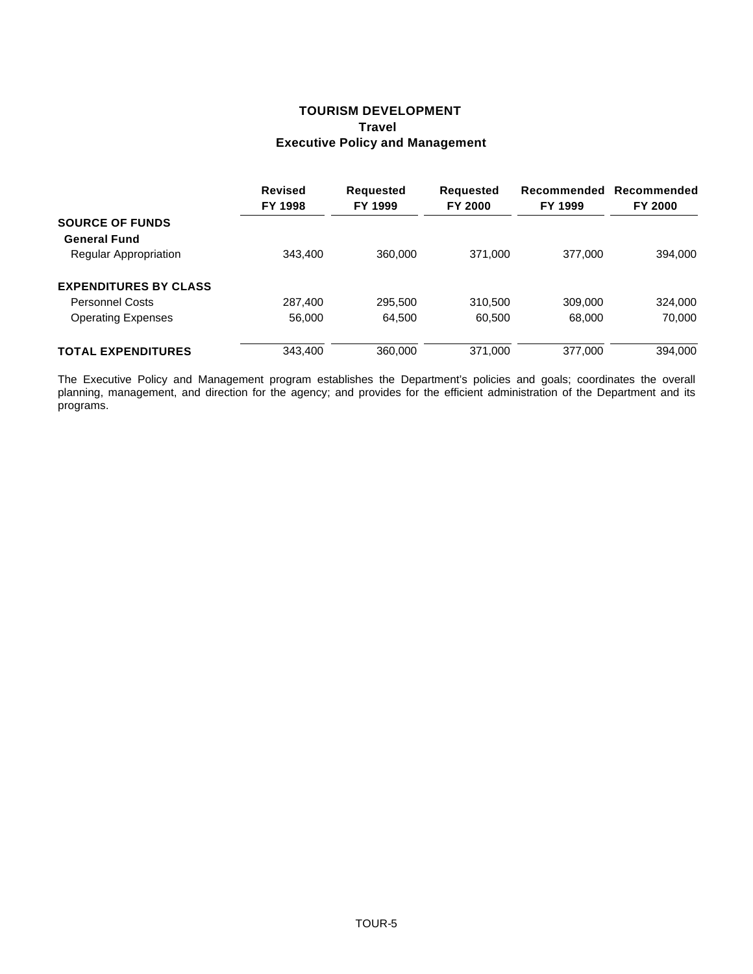# **TOURISM DEVELOPMENT Travel Executive Policy and Management**

|                              | <b>Revised</b><br>FY 1998 | <b>Requested</b><br>FY 1999 | <b>Requested</b><br><b>FY 2000</b> | Recommended<br>FY 1999 | Recommended<br><b>FY 2000</b> |
|------------------------------|---------------------------|-----------------------------|------------------------------------|------------------------|-------------------------------|
| <b>SOURCE OF FUNDS</b>       |                           |                             |                                    |                        |                               |
| <b>General Fund</b>          |                           |                             |                                    |                        |                               |
| <b>Regular Appropriation</b> | 343.400                   | 360,000                     | 371.000                            | 377,000                | 394,000                       |
| <b>EXPENDITURES BY CLASS</b> |                           |                             |                                    |                        |                               |
| <b>Personnel Costs</b>       | 287,400                   | 295.500                     | 310.500                            | 309,000                | 324,000                       |
| <b>Operating Expenses</b>    | 56,000                    | 64.500                      | 60.500                             | 68,000                 | 70,000                        |
| <b>TOTAL EXPENDITURES</b>    | 343,400                   | 360,000                     | 371,000                            | 377,000                | 394,000                       |

The Executive Policy and Management program establishes the Department's policies and goals; coordinates the overall planning, management, and direction for the agency; and provides for the efficient administration of the Department and its programs.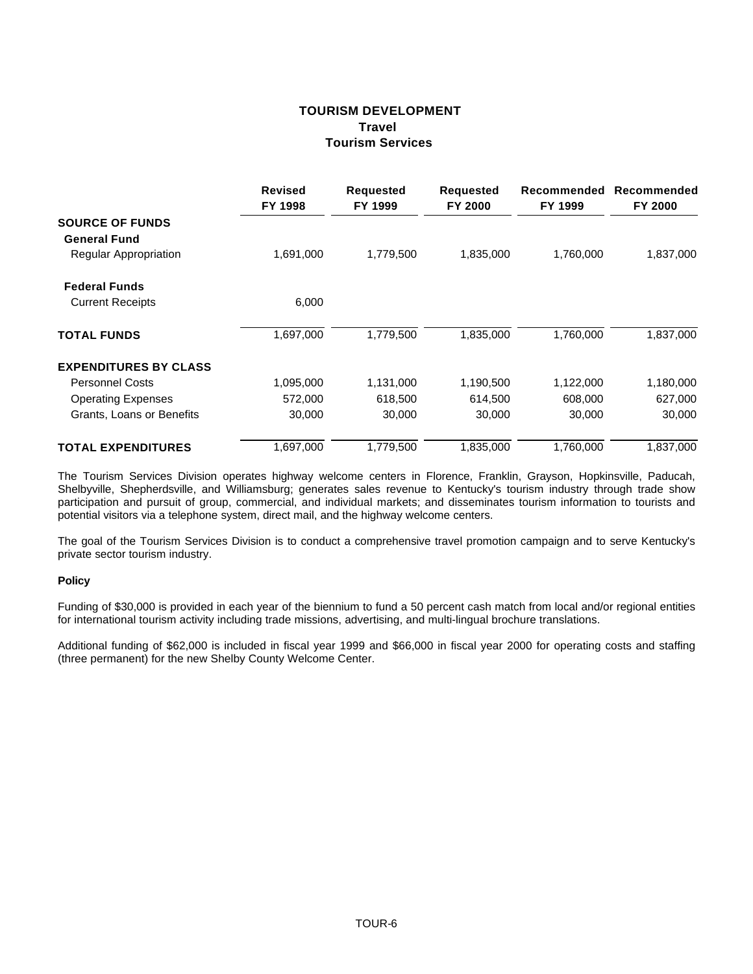# **TOURISM DEVELOPMENT Travel Tourism Services**

|                              | <b>Revised</b><br>FY 1998 | <b>Requested</b><br>FY 1999 | <b>Requested</b><br><b>FY 2000</b> | Recommended<br>FY 1999 | Recommended<br>FY 2000 |
|------------------------------|---------------------------|-----------------------------|------------------------------------|------------------------|------------------------|
| <b>SOURCE OF FUNDS</b>       |                           |                             |                                    |                        |                        |
| <b>General Fund</b>          |                           |                             |                                    |                        |                        |
| <b>Regular Appropriation</b> | 1,691,000                 | 1,779,500                   | 1,835,000                          | 1,760,000              | 1,837,000              |
| <b>Federal Funds</b>         |                           |                             |                                    |                        |                        |
| <b>Current Receipts</b>      | 6,000                     |                             |                                    |                        |                        |
| <b>TOTAL FUNDS</b>           | 1,697,000                 | 1,779,500                   | 1,835,000                          | 1,760,000              | 1,837,000              |
| <b>EXPENDITURES BY CLASS</b> |                           |                             |                                    |                        |                        |
| <b>Personnel Costs</b>       | 1,095,000                 | 1,131,000                   | 1,190,500                          | 1,122,000              | 1,180,000              |
| <b>Operating Expenses</b>    | 572,000                   | 618,500                     | 614,500                            | 608,000                | 627,000                |
| Grants, Loans or Benefits    | 30,000                    | 30,000                      | 30,000                             | 30,000                 | 30,000                 |
| <b>TOTAL EXPENDITURES</b>    | 1,697,000                 | 1,779,500                   | 1,835,000                          | 1,760,000              | 1,837,000              |

The Tourism Services Division operates highway welcome centers in Florence, Franklin, Grayson, Hopkinsville, Paducah, Shelbyville, Shepherdsville, and Williamsburg; generates sales revenue to Kentucky's tourism industry through trade show participation and pursuit of group, commercial, and individual markets; and disseminates tourism information to tourists and potential visitors via a telephone system, direct mail, and the highway welcome centers.

The goal of the Tourism Services Division is to conduct a comprehensive travel promotion campaign and to serve Kentucky's private sector tourism industry.

## **Policy**

Funding of \$30,000 is provided in each year of the biennium to fund a 50 percent cash match from local and/or regional entities for international tourism activity including trade missions, advertising, and multi-lingual brochure translations.

Additional funding of \$62,000 is included in fiscal year 1999 and \$66,000 in fiscal year 2000 for operating costs and staffing (three permanent) for the new Shelby County Welcome Center.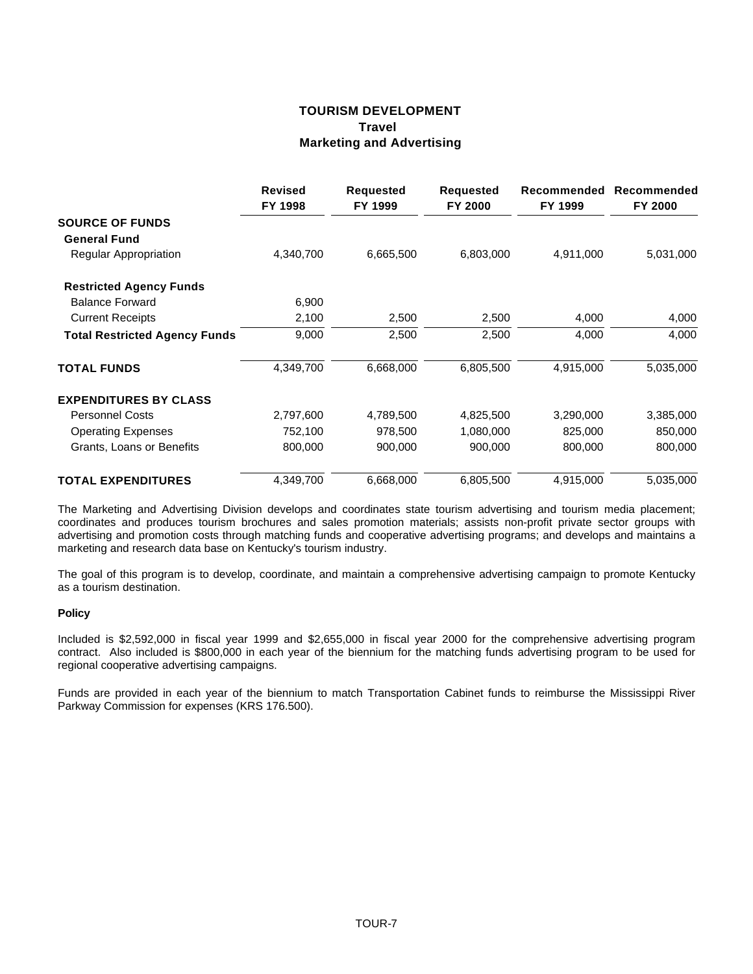## **TOURISM DEVELOPMENT Travel Marketing and Advertising**

|                                      | <b>Revised</b><br>FY 1998 | <b>Requested</b><br>FY 1999 | <b>Requested</b><br>FY 2000 | Recommended<br>FY 1999 | Recommended<br>FY 2000 |
|--------------------------------------|---------------------------|-----------------------------|-----------------------------|------------------------|------------------------|
| <b>SOURCE OF FUNDS</b>               |                           |                             |                             |                        |                        |
| <b>General Fund</b>                  |                           |                             |                             |                        |                        |
| Regular Appropriation                | 4,340,700                 | 6,665,500                   | 6,803,000                   | 4,911,000              | 5,031,000              |
| <b>Restricted Agency Funds</b>       |                           |                             |                             |                        |                        |
| <b>Balance Forward</b>               | 6,900                     |                             |                             |                        |                        |
| <b>Current Receipts</b>              | 2,100                     | 2,500                       | 2,500                       | 4,000                  | 4,000                  |
| <b>Total Restricted Agency Funds</b> | 9,000                     | 2,500                       | 2,500                       | 4,000                  | 4,000                  |
| <b>TOTAL FUNDS</b>                   | 4,349,700                 | 6,668,000                   | 6,805,500                   | 4,915,000              | 5,035,000              |
| <b>EXPENDITURES BY CLASS</b>         |                           |                             |                             |                        |                        |
| <b>Personnel Costs</b>               | 2,797,600                 | 4,789,500                   | 4,825,500                   | 3,290,000              | 3,385,000              |
| <b>Operating Expenses</b>            | 752,100                   | 978,500                     | 1,080,000                   | 825,000                | 850,000                |
| Grants, Loans or Benefits            | 800,000                   | 900,000                     | 900,000                     | 800,000                | 800,000                |
| <b>TOTAL EXPENDITURES</b>            | 4,349,700                 | 6,668,000                   | 6,805,500                   | 4,915,000              | 5,035,000              |

The Marketing and Advertising Division develops and coordinates state tourism advertising and tourism media placement; coordinates and produces tourism brochures and sales promotion materials; assists non-profit private sector groups with advertising and promotion costs through matching funds and cooperative advertising programs; and develops and maintains a marketing and research data base on Kentucky's tourism industry.

The goal of this program is to develop, coordinate, and maintain a comprehensive advertising campaign to promote Kentucky as a tourism destination.

## **Policy**

Included is \$2,592,000 in fiscal year 1999 and \$2,655,000 in fiscal year 2000 for the comprehensive advertising program contract. Also included is \$800,000 in each year of the biennium for the matching funds advertising program to be used for regional cooperative advertising campaigns.

Funds are provided in each year of the biennium to match Transportation Cabinet funds to reimburse the Mississippi River Parkway Commission for expenses (KRS 176.500).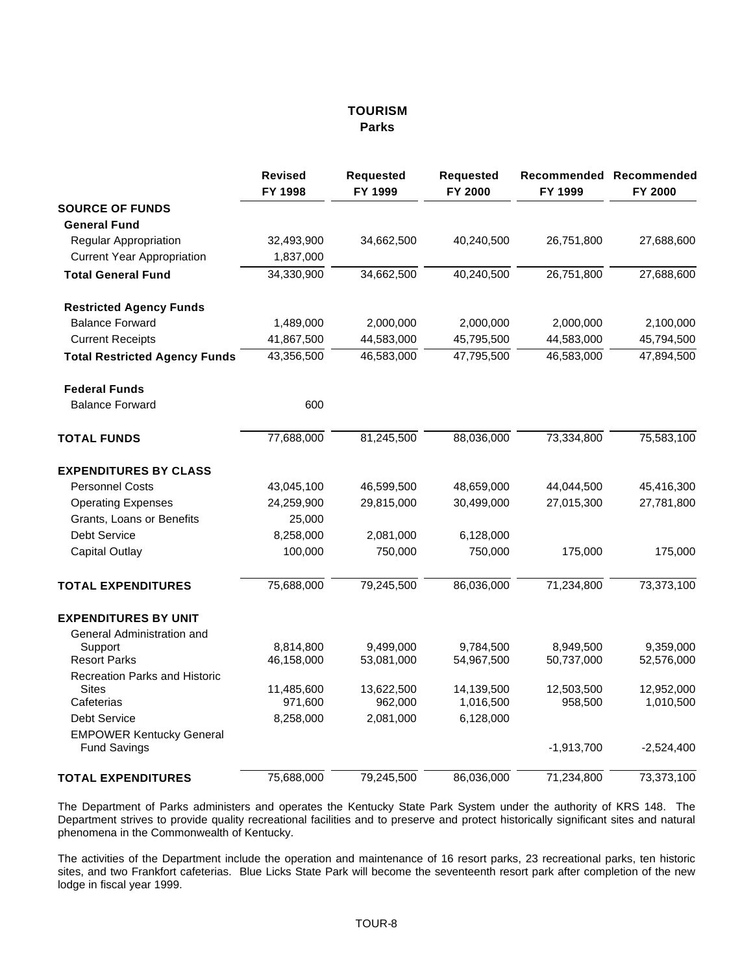## **TOURISM Parks**

|                                                      | <b>Revised</b><br>FY 1998 | <b>Requested</b><br>FY 1999 | <b>Requested</b><br>FY 2000 | FY 1999      | Recommended Recommended<br>FY 2000 |
|------------------------------------------------------|---------------------------|-----------------------------|-----------------------------|--------------|------------------------------------|
| <b>SOURCE OF FUNDS</b>                               |                           |                             |                             |              |                                    |
| <b>General Fund</b>                                  |                           |                             |                             |              |                                    |
| <b>Regular Appropriation</b>                         | 32,493,900                | 34,662,500                  | 40,240,500                  | 26,751,800   | 27,688,600                         |
| <b>Current Year Appropriation</b>                    | 1,837,000                 |                             |                             |              |                                    |
| <b>Total General Fund</b>                            | 34,330,900                | 34,662,500                  | 40,240,500                  | 26,751,800   | 27,688,600                         |
| <b>Restricted Agency Funds</b>                       |                           |                             |                             |              |                                    |
| <b>Balance Forward</b>                               | 1,489,000                 | 2,000,000                   | 2,000,000                   | 2,000,000    | 2,100,000                          |
| <b>Current Receipts</b>                              | 41,867,500                | 44,583,000                  | 45,795,500                  | 44,583,000   | 45,794,500                         |
| <b>Total Restricted Agency Funds</b>                 | 43,356,500                | 46,583,000                  | 47,795,500                  | 46,583,000   | 47,894,500                         |
| <b>Federal Funds</b>                                 |                           |                             |                             |              |                                    |
| <b>Balance Forward</b>                               | 600                       |                             |                             |              |                                    |
| <b>TOTAL FUNDS</b>                                   | 77,688,000                | 81,245,500                  | 88,036,000                  | 73,334,800   | 75,583,100                         |
| <b>EXPENDITURES BY CLASS</b>                         |                           |                             |                             |              |                                    |
| <b>Personnel Costs</b>                               | 43,045,100                | 46,599,500                  | 48,659,000                  | 44,044,500   | 45,416,300                         |
| <b>Operating Expenses</b>                            | 24,259,900                | 29,815,000                  | 30,499,000                  | 27,015,300   | 27,781,800                         |
| Grants, Loans or Benefits                            | 25,000                    |                             |                             |              |                                    |
| Debt Service                                         | 8,258,000                 | 2,081,000                   | 6,128,000                   |              |                                    |
| <b>Capital Outlay</b>                                | 100,000                   | 750,000                     | 750,000                     | 175,000      | 175,000                            |
| <b>TOTAL EXPENDITURES</b>                            | 75,688,000                | 79,245,500                  | 86,036,000                  | 71,234,800   | 73,373,100                         |
| <b>EXPENDITURES BY UNIT</b>                          |                           |                             |                             |              |                                    |
| General Administration and                           |                           |                             |                             |              |                                    |
| Support                                              | 8,814,800                 | 9,499,000                   | 9,784,500                   | 8,949,500    | 9,359,000                          |
| <b>Resort Parks</b>                                  | 46,158,000                | 53,081,000                  | 54,967,500                  | 50,737,000   | 52,576,000                         |
| <b>Recreation Parks and Historic</b><br><b>Sites</b> | 11,485,600                | 13,622,500                  | 14,139,500                  | 12,503,500   | 12,952,000                         |
| Cafeterias                                           | 971,600                   | 962,000                     | 1,016,500                   | 958,500      | 1,010,500                          |
| <b>Debt Service</b>                                  | 8,258,000                 | 2,081,000                   | 6,128,000                   |              |                                    |
| <b>EMPOWER Kentucky General</b>                      |                           |                             |                             |              |                                    |
| <b>Fund Savings</b>                                  |                           |                             |                             | $-1,913,700$ | $-2,524,400$                       |
| <b>TOTAL EXPENDITURES</b>                            | 75,688,000                | 79,245,500                  | 86,036,000                  | 71,234,800   | 73,373,100                         |

The Department of Parks administers and operates the Kentucky State Park System under the authority of KRS 148. The Department strives to provide quality recreational facilities and to preserve and protect historically significant sites and natural phenomena in the Commonwealth of Kentucky.

The activities of the Department include the operation and maintenance of 16 resort parks, 23 recreational parks, ten historic sites, and two Frankfort cafeterias. Blue Licks State Park will become the seventeenth resort park after completion of the new lodge in fiscal year 1999.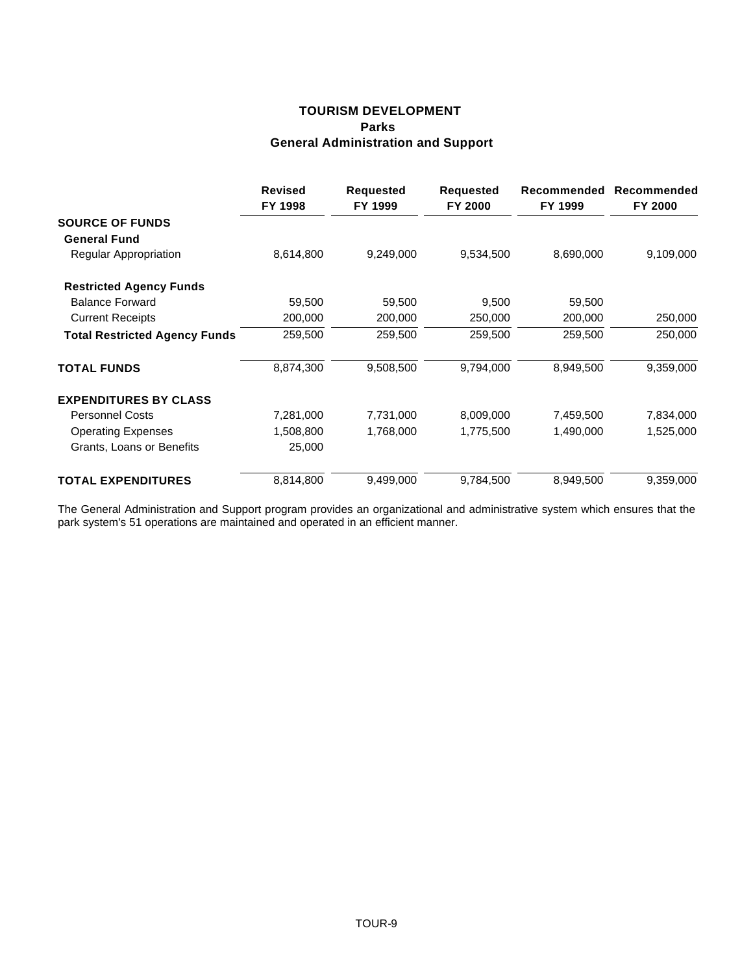# **TOURISM DEVELOPMENT Parks General Administration and Support**

|                                      | <b>Revised</b><br>FY 1998 | <b>Requested</b><br>FY 1999 | <b>Requested</b><br>FY 2000 | Recommended<br>FY 1999 | Recommended<br>FY 2000 |
|--------------------------------------|---------------------------|-----------------------------|-----------------------------|------------------------|------------------------|
| <b>SOURCE OF FUNDS</b>               |                           |                             |                             |                        |                        |
| <b>General Fund</b>                  |                           |                             |                             |                        |                        |
| Regular Appropriation                | 8,614,800                 | 9,249,000                   | 9,534,500                   | 8,690,000              | 9,109,000              |
| <b>Restricted Agency Funds</b>       |                           |                             |                             |                        |                        |
| <b>Balance Forward</b>               | 59,500                    | 59,500                      | 9,500                       | 59,500                 |                        |
| <b>Current Receipts</b>              | 200,000                   | 200,000                     | 250,000                     | 200,000                | 250,000                |
| <b>Total Restricted Agency Funds</b> | 259,500                   | 259,500                     | 259,500                     | 259,500                | 250,000                |
| <b>TOTAL FUNDS</b>                   | 8,874,300                 | 9,508,500                   | 9,794,000                   | 8,949,500              | 9,359,000              |
| <b>EXPENDITURES BY CLASS</b>         |                           |                             |                             |                        |                        |
| <b>Personnel Costs</b>               | 7,281,000                 | 7,731,000                   | 8,009,000                   | 7,459,500              | 7,834,000              |
| <b>Operating Expenses</b>            | 1,508,800                 | 1,768,000                   | 1,775,500                   | 1,490,000              | 1,525,000              |
| Grants, Loans or Benefits            | 25,000                    |                             |                             |                        |                        |
| <b>TOTAL EXPENDITURES</b>            | 8,814,800                 | 9,499,000                   | 9,784,500                   | 8,949,500              | 9,359,000              |

The General Administration and Support program provides an organizational and administrative system which ensures that the park system's 51 operations are maintained and operated in an efficient manner.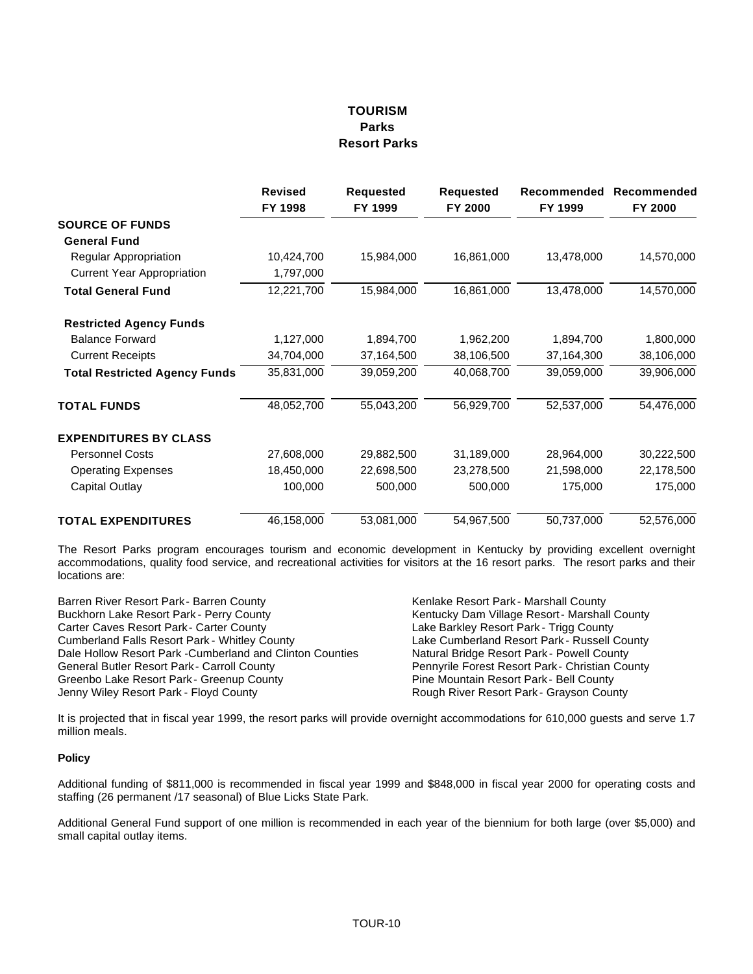# **TOURISM Parks Resort Parks**

|                                      | <b>Revised</b><br>FY 1998 | <b>Requested</b><br>FY 1999 | <b>Requested</b><br>FY 2000 | FY 1999    | Recommended Recommended<br>FY 2000 |
|--------------------------------------|---------------------------|-----------------------------|-----------------------------|------------|------------------------------------|
| <b>SOURCE OF FUNDS</b>               |                           |                             |                             |            |                                    |
| <b>General Fund</b>                  |                           |                             |                             |            |                                    |
| Regular Appropriation                | 10,424,700                | 15,984,000                  | 16,861,000                  | 13,478,000 | 14,570,000                         |
| <b>Current Year Appropriation</b>    | 1,797,000                 |                             |                             |            |                                    |
| <b>Total General Fund</b>            | 12,221,700                | 15,984,000                  | 16,861,000                  | 13,478,000 | 14,570,000                         |
| <b>Restricted Agency Funds</b>       |                           |                             |                             |            |                                    |
| <b>Balance Forward</b>               | 1,127,000                 | 1,894,700                   | 1,962,200                   | 1,894,700  | 1,800,000                          |
| <b>Current Receipts</b>              | 34,704,000                | 37,164,500                  | 38,106,500                  | 37,164,300 | 38,106,000                         |
| <b>Total Restricted Agency Funds</b> | 35,831,000                | 39,059,200                  | 40,068,700                  | 39,059,000 | 39,906,000                         |
| <b>TOTAL FUNDS</b>                   | 48,052,700                | 55,043,200                  | 56,929,700                  | 52,537,000 | 54,476,000                         |
| <b>EXPENDITURES BY CLASS</b>         |                           |                             |                             |            |                                    |
| <b>Personnel Costs</b>               | 27,608,000                | 29,882,500                  | 31,189,000                  | 28,964,000 | 30,222,500                         |
| <b>Operating Expenses</b>            | 18,450,000                | 22,698,500                  | 23,278,500                  | 21,598,000 | 22,178,500                         |
| Capital Outlay                       | 100,000                   | 500,000                     | 500,000                     | 175,000    | 175,000                            |
| <b>TOTAL EXPENDITURES</b>            | 46,158,000                | 53,081,000                  | 54,967,500                  | 50,737,000 | 52,576,000                         |

The Resort Parks program encourages tourism and economic development in Kentucky by providing excellent overnight accommodations, quality food service, and recreational activities for visitors at the 16 resort parks. The resort parks and their locations are:

Barren River Resort Park - Barren County **Kenlake Resort Park - Marshall County** Kenlake Resort Park - Marshall County Buckhorn Lake Resort Park - Perry County New York Channess Kentucky Dam Village Resort - Marshall County Carter Caves Resort Park - Carter County **Carter County Lake Barkley Resort Park - Trigg County**<br>Cumberland Falls Resort Park - Whitley County **Cumberland Resort Park - Russell** ( Dale Hollow Resort Park -Cumberland and Clinton Counties<br>General Butler Resort Park - Carroll County Greenbo Lake Resort Park - Greenup County<br>Jenny Wiley Resort Park - Floyd County

Lake Cumberland Resort Park - Russell County<br>Natural Bridge Resort Park - Powell County Pennyrile Forest Resort Park - Christian County<br>Pine Mountain Resort Park - Bell County Rough River Resort Park - Grayson County

It is projected that in fiscal year 1999, the resort parks will provide overnight accommodations for 610,000 guests and serve 1.7 million meals.

## **Policy**

Additional funding of \$811,000 is recommended in fiscal year 1999 and \$848,000 in fiscal year 2000 for operating costs and staffing (26 permanent /17 seasonal) of Blue Licks State Park.

Additional General Fund support of one million is recommended in each year of the biennium for both large (over \$5,000) and small capital outlay items.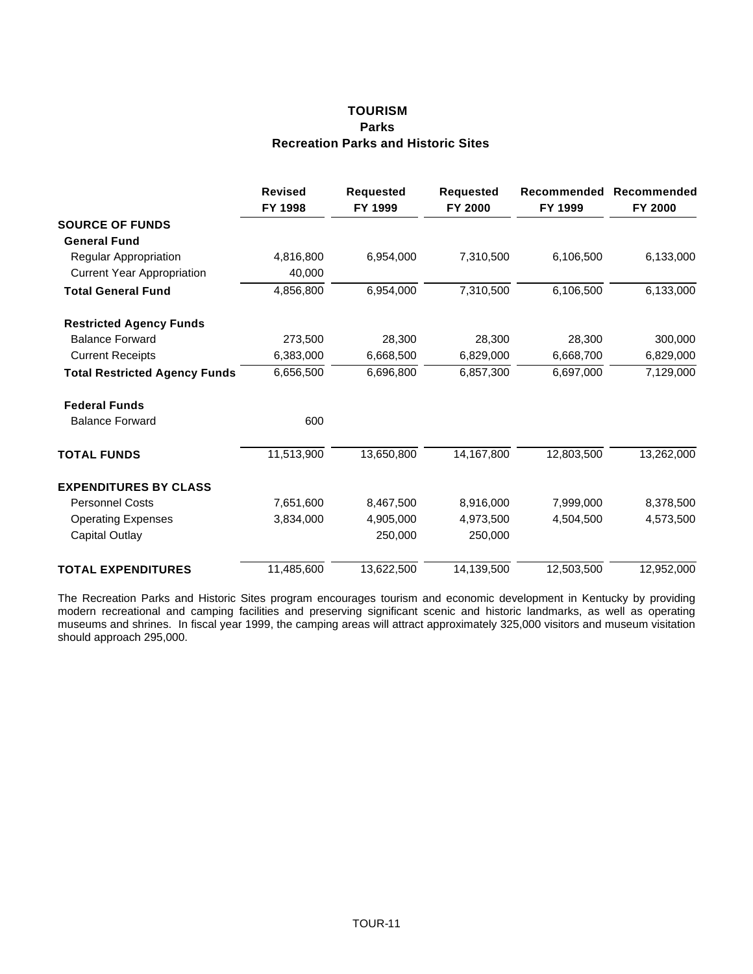## **TOURISM Parks Recreation Parks and Historic Sites**

|                                      | <b>Revised</b><br>FY 1998 | <b>Requested</b><br>FY 1999 | <b>Requested</b><br>FY 2000 | FY 1999    | Recommended Recommended<br>FY 2000 |
|--------------------------------------|---------------------------|-----------------------------|-----------------------------|------------|------------------------------------|
| <b>SOURCE OF FUNDS</b>               |                           |                             |                             |            |                                    |
| <b>General Fund</b>                  |                           |                             |                             |            |                                    |
| <b>Regular Appropriation</b>         | 4,816,800                 | 6,954,000                   | 7,310,500                   | 6,106,500  | 6,133,000                          |
| <b>Current Year Appropriation</b>    | 40,000                    |                             |                             |            |                                    |
| <b>Total General Fund</b>            | 4,856,800                 | 6,954,000                   | 7,310,500                   | 6,106,500  | 6,133,000                          |
| <b>Restricted Agency Funds</b>       |                           |                             |                             |            |                                    |
| <b>Balance Forward</b>               | 273,500                   | 28,300                      | 28,300                      | 28,300     | 300,000                            |
| <b>Current Receipts</b>              | 6,383,000                 | 6,668,500                   | 6,829,000                   | 6,668,700  | 6,829,000                          |
| <b>Total Restricted Agency Funds</b> | 6,656,500                 | 6,696,800                   | 6,857,300                   | 6,697,000  | 7,129,000                          |
| <b>Federal Funds</b>                 |                           |                             |                             |            |                                    |
| <b>Balance Forward</b>               | 600                       |                             |                             |            |                                    |
| <b>TOTAL FUNDS</b>                   | 11,513,900                | 13,650,800                  | 14,167,800                  | 12,803,500 | 13,262,000                         |
| <b>EXPENDITURES BY CLASS</b>         |                           |                             |                             |            |                                    |
| <b>Personnel Costs</b>               | 7,651,600                 | 8,467,500                   | 8,916,000                   | 7,999,000  | 8,378,500                          |
| <b>Operating Expenses</b>            | 3,834,000                 | 4,905,000                   | 4,973,500                   | 4,504,500  | 4,573,500                          |
| Capital Outlay                       |                           | 250,000                     | 250,000                     |            |                                    |
| <b>TOTAL EXPENDITURES</b>            | 11,485,600                | 13,622,500                  | 14,139,500                  | 12,503,500 | 12,952,000                         |

The Recreation Parks and Historic Sites program encourages tourism and economic development in Kentucky by providing modern recreational and camping facilities and preserving significant scenic and historic landmarks, as well as operating museums and shrines. In fiscal year 1999, the camping areas will attract approximately 325,000 visitors and museum visitation should approach 295,000.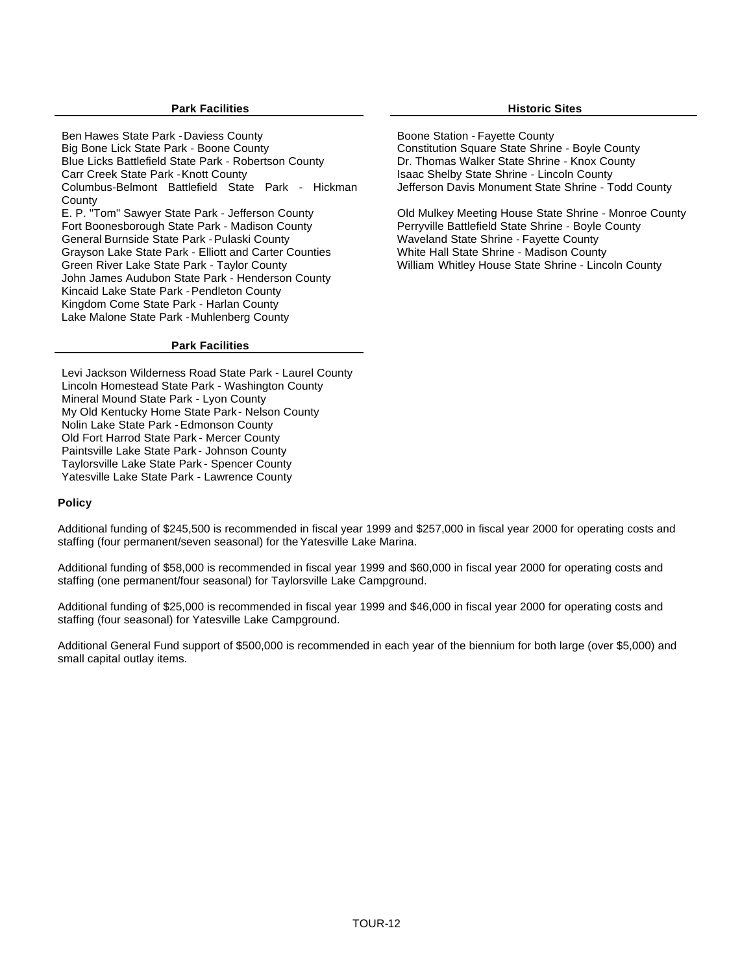Ben Hawes State Park - Daviess County<br>
Big Bone Lick State Park - Boone County<br>
Constitution Square State Shrin Blue Licks Battlefield State Park - Robertson County **Dr. Thomas Walker State Shrine - Knox County**<br>Carr Creek State Park - Knott County **Dr. Thomas Walker State Shrine - Lincoln County** Columbus-Belmont Battlefield State Park - Hickman **County** E. P. "Tom" Sawyer State Park - Jefferson County Old Mulkey Meeting House State Shrine - Monroe County Fort Boonesborough State Park - Madison County **Perryville Battlefield State Shrine - Boyle County**<br>General Burnside State Park - Pulaski County **Network State Shrine - Payette County** General Burnside State Park - Pulaski County<br>Grayson Lake State Park - Elliott and Carter Counties White Hall State Shrine - Madison County Grayson Lake State Park - Elliott and Carter Counties Green River Lake State Park - Taylor County William Whitley House State Shrine - Lincoln County John James Audubon State Park - Henderson County Kincaid Lake State Park - Pendleton County Kingdom Come State Park - Harlan County Lake Malone State Park - Muhlenberg County

# **Park Facilities**

Levi Jackson Wilderness Road State Park - Laurel County Lincoln Homestead State Park - Washington County Mineral Mound State Park - Lyon County My Old Kentucky Home State Park - Nelson County Nolin Lake State Park - Edmonson County Old Fort Harrod State Park - Mercer County Paintsville Lake State Park - Johnson County Taylorsville Lake State Park - Spencer County Yatesville Lake State Park - Lawrence County

Constitution Square State Shrine - Boyle County Isaac Shelby State Shrine - Lincoln County Jefferson Davis Monument State Shrine - Todd County

## **Policy**

Additional funding of \$245,500 is recommended in fiscal year 1999 and \$257,000 in fiscal year 2000 for operating costs and staffing (four permanent/seven seasonal) for the Yatesville Lake Marina.

Additional funding of \$58,000 is recommended in fiscal year 1999 and \$60,000 in fiscal year 2000 for operating costs and staffing (one permanent/four seasonal) for Taylorsville Lake Campground.

Additional funding of \$25,000 is recommended in fiscal year 1999 and \$46,000 in fiscal year 2000 for operating costs and staffing (four seasonal) for Yatesville Lake Campground.

Additional General Fund support of \$500,000 is recommended in each year of the biennium for both large (over \$5,000) and small capital outlay items.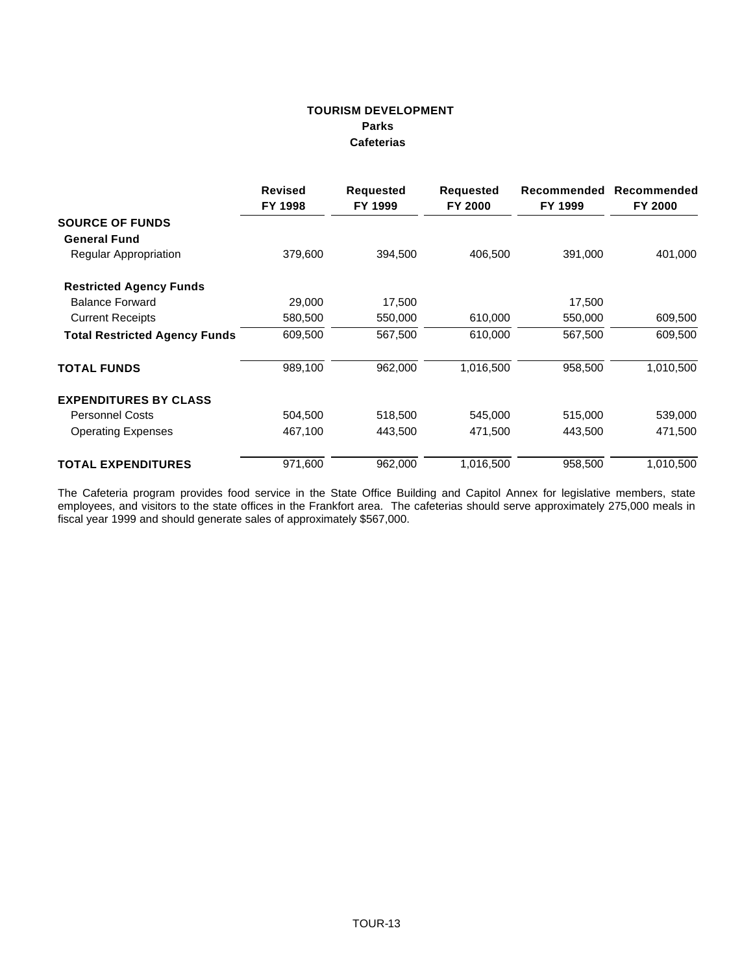# **TOURISM DEVELOPMENT Parks Cafeterias**

|                                      | <b>Revised</b><br>FY 1998 | <b>Requested</b><br>FY 1999 | <b>Requested</b><br><b>FY 2000</b> | FY 1999 | Recommended Recommended<br>FY 2000 |
|--------------------------------------|---------------------------|-----------------------------|------------------------------------|---------|------------------------------------|
| <b>SOURCE OF FUNDS</b>               |                           |                             |                                    |         |                                    |
| <b>General Fund</b>                  |                           |                             |                                    |         |                                    |
| Regular Appropriation                | 379,600                   | 394,500                     | 406,500                            | 391,000 | 401,000                            |
| <b>Restricted Agency Funds</b>       |                           |                             |                                    |         |                                    |
| <b>Balance Forward</b>               | 29,000                    | 17,500                      |                                    | 17,500  |                                    |
| <b>Current Receipts</b>              | 580,500                   | 550,000                     | 610,000                            | 550,000 | 609,500                            |
| <b>Total Restricted Agency Funds</b> | 609,500                   | 567,500                     | 610,000                            | 567,500 | 609,500                            |
| <b>TOTAL FUNDS</b>                   | 989,100                   | 962,000                     | 1,016,500                          | 958,500 | 1,010,500                          |
| <b>EXPENDITURES BY CLASS</b>         |                           |                             |                                    |         |                                    |
| <b>Personnel Costs</b>               | 504,500                   | 518,500                     | 545,000                            | 515,000 | 539,000                            |
| <b>Operating Expenses</b>            | 467,100                   | 443,500                     | 471,500                            | 443,500 | 471,500                            |
| <b>TOTAL EXPENDITURES</b>            | 971,600                   | 962,000                     | 1,016,500                          | 958,500 | 1,010,500                          |

The Cafeteria program provides food service in the State Office Building and Capitol Annex for legislative members, state employees, and visitors to the state offices in the Frankfort area. The cafeterias should serve approximately 275,000 meals in fiscal year 1999 and should generate sales of approximately \$567,000.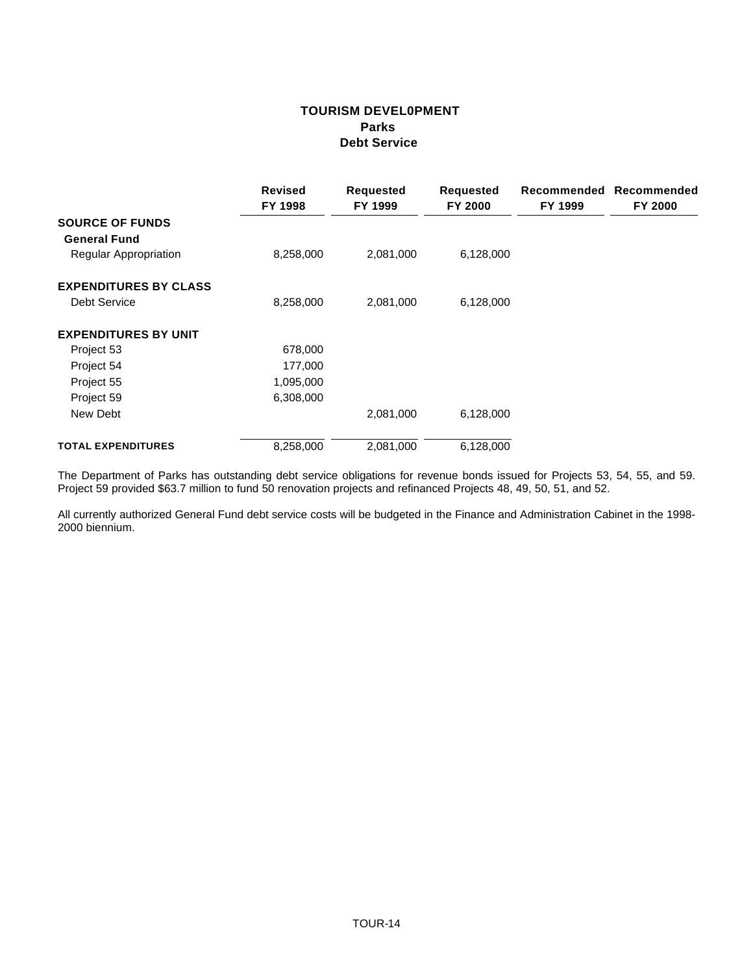# **TOURISM DEVEL0PMENT Parks Debt Service**

|                              | <b>Revised</b><br>FY 1998 | <b>Requested</b><br>FY 1999 | <b>Requested</b><br>FY 2000 | Recommended<br>FY 1999 | Recommended<br>FY 2000 |
|------------------------------|---------------------------|-----------------------------|-----------------------------|------------------------|------------------------|
| <b>SOURCE OF FUNDS</b>       |                           |                             |                             |                        |                        |
| <b>General Fund</b>          |                           |                             |                             |                        |                        |
| <b>Regular Appropriation</b> | 8,258,000                 | 2,081,000                   | 6,128,000                   |                        |                        |
| <b>EXPENDITURES BY CLASS</b> |                           |                             |                             |                        |                        |
| Debt Service                 | 8,258,000                 | 2,081,000                   | 6,128,000                   |                        |                        |
| <b>EXPENDITURES BY UNIT</b>  |                           |                             |                             |                        |                        |
| Project 53                   | 678,000                   |                             |                             |                        |                        |
| Project 54                   | 177,000                   |                             |                             |                        |                        |
| Project 55                   | 1,095,000                 |                             |                             |                        |                        |
| Project 59                   | 6,308,000                 |                             |                             |                        |                        |
| New Debt                     |                           | 2,081,000                   | 6,128,000                   |                        |                        |
| <b>TOTAL EXPENDITURES</b>    | 8,258,000                 | 2,081,000                   | 6,128,000                   |                        |                        |

The Department of Parks has outstanding debt service obligations for revenue bonds issued for Projects 53, 54, 55, and 59. Project 59 provided \$63.7 million to fund 50 renovation projects and refinanced Projects 48, 49, 50, 51, and 52.

All currently authorized General Fund debt service costs will be budgeted in the Finance and Administration Cabinet in the 1998- 2000 biennium.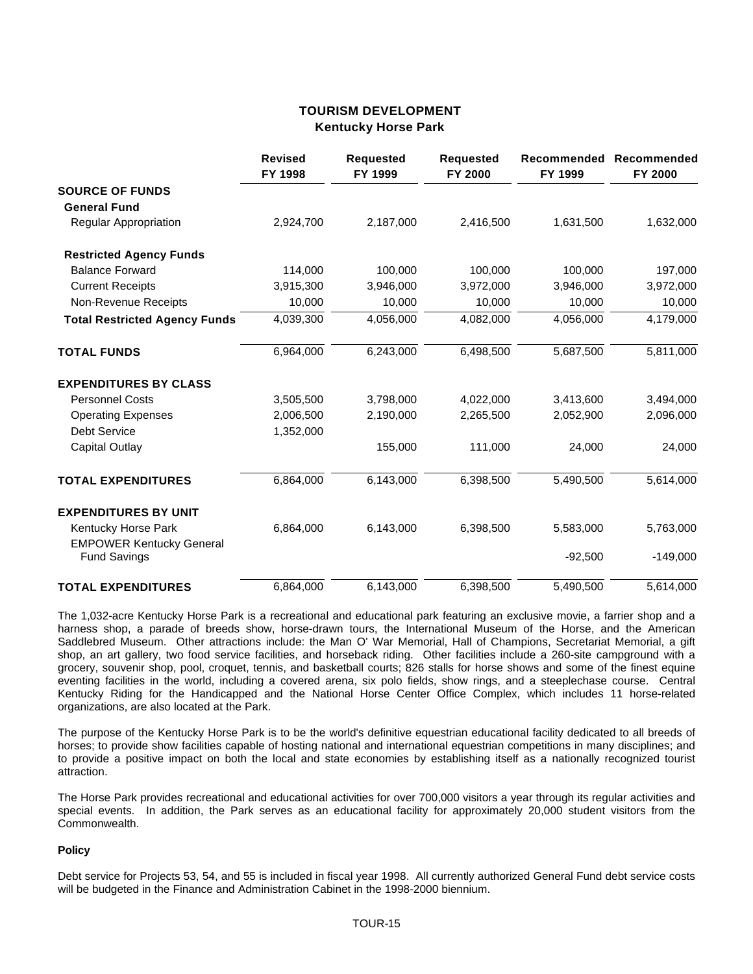## **TOURISM DEVELOPMENT Kentucky Horse Park**

|                                                        | <b>Revised</b><br>FY 1998 | <b>Requested</b><br>FY 1999 | <b>Requested</b><br>FY 2000 | Recommended<br>FY 1999 | Recommended<br>FY 2000 |
|--------------------------------------------------------|---------------------------|-----------------------------|-----------------------------|------------------------|------------------------|
| <b>SOURCE OF FUNDS</b>                                 |                           |                             |                             |                        |                        |
| <b>General Fund</b>                                    |                           |                             |                             |                        |                        |
| <b>Regular Appropriation</b>                           | 2,924,700                 | 2,187,000                   | 2,416,500                   | 1,631,500              | 1,632,000              |
| <b>Restricted Agency Funds</b>                         |                           |                             |                             |                        |                        |
| <b>Balance Forward</b>                                 | 114,000                   | 100,000                     | 100,000                     | 100,000                | 197,000                |
| <b>Current Receipts</b>                                | 3,915,300                 | 3,946,000                   | 3,972,000                   | 3,946,000              | 3,972,000              |
| Non-Revenue Receipts                                   | 10,000                    | 10,000                      | 10,000                      | 10,000                 | 10,000                 |
| <b>Total Restricted Agency Funds</b>                   | 4,039,300                 | 4,056,000                   | 4,082,000                   | 4,056,000              | 4,179,000              |
| <b>TOTAL FUNDS</b>                                     | 6,964,000                 | 6,243,000                   | 6,498,500                   | 5,687,500              | 5,811,000              |
| <b>EXPENDITURES BY CLASS</b>                           |                           |                             |                             |                        |                        |
| <b>Personnel Costs</b>                                 | 3,505,500                 | 3,798,000                   | 4,022,000                   | 3,413,600              | 3,494,000              |
| <b>Operating Expenses</b>                              | 2,006,500                 | 2,190,000                   | 2,265,500                   | 2,052,900              | 2,096,000              |
| <b>Debt Service</b>                                    | 1,352,000                 |                             |                             |                        |                        |
| <b>Capital Outlay</b>                                  |                           | 155,000                     | 111,000                     | 24,000                 | 24,000                 |
| <b>TOTAL EXPENDITURES</b>                              | 6,864,000                 | 6,143,000                   | 6,398,500                   | 5,490,500              | 5,614,000              |
| <b>EXPENDITURES BY UNIT</b>                            |                           |                             |                             |                        |                        |
| Kentucky Horse Park                                    | 6,864,000                 | 6,143,000                   | 6,398,500                   | 5,583,000              | 5,763,000              |
| <b>EMPOWER Kentucky General</b><br><b>Fund Savings</b> |                           |                             |                             | $-92,500$              | $-149,000$             |
| <b>TOTAL EXPENDITURES</b>                              | 6,864,000                 | 6,143,000                   | 6,398,500                   | 5,490,500              | 5,614,000              |

The 1,032-acre Kentucky Horse Park is a recreational and educational park featuring an exclusive movie, a farrier shop and a harness shop, a parade of breeds show, horse-drawn tours, the International Museum of the Horse, and the American Saddlebred Museum. Other attractions include: the Man O' War Memorial, Hall of Champions, Secretariat Memorial, a gift shop, an art gallery, two food service facilities, and horseback riding. Other facilities include a 260-site campground with a grocery, souvenir shop, pool, croquet, tennis, and basketball courts; 826 stalls for horse shows and some of the finest equine eventing facilities in the world, including a covered arena, six polo fields, show rings, and a steeplechase course. Central Kentucky Riding for the Handicapped and the National Horse Center Office Complex, which includes 11 horse-related organizations, are also located at the Park.

The purpose of the Kentucky Horse Park is to be the world's definitive equestrian educational facility dedicated to all breeds of horses; to provide show facilities capable of hosting national and international equestrian competitions in many disciplines; and to provide a positive impact on both the local and state economies by establishing itself as a nationally recognized tourist attraction.

The Horse Park provides recreational and educational activities for over 700,000 visitors a year through its regular activities and special events. In addition, the Park serves as an educational facility for approximately 20,000 student visitors from the Commonwealth.

## **Policy**

Debt service for Projects 53, 54, and 55 is included in fiscal year 1998. All currently authorized General Fund debt service costs will be budgeted in the Finance and Administration Cabinet in the 1998-2000 biennium.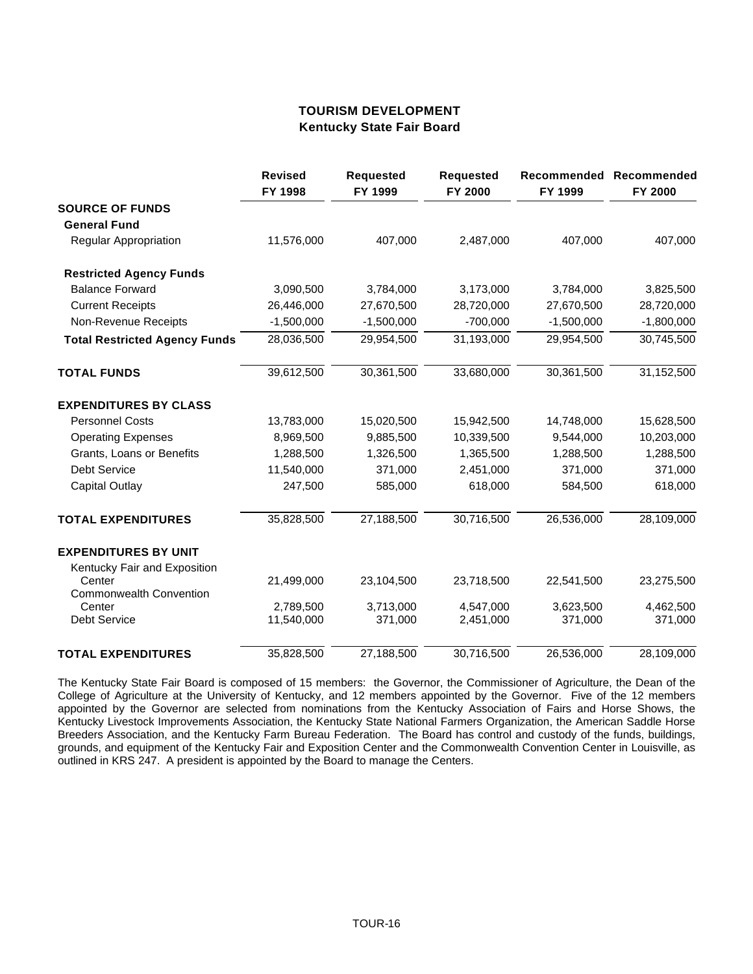# **TOURISM DEVELOPMENT Kentucky State Fair Board**

|                                      | <b>Revised</b><br>FY 1998 | <b>Requested</b><br>FY 1999 | <b>Requested</b><br>FY 2000 | FY 1999              | Recommended Recommended<br>FY 2000 |
|--------------------------------------|---------------------------|-----------------------------|-----------------------------|----------------------|------------------------------------|
| <b>SOURCE OF FUNDS</b>               |                           |                             |                             |                      |                                    |
| <b>General Fund</b>                  |                           |                             |                             |                      |                                    |
| Regular Appropriation                | 11,576,000                | 407,000                     | 2,487,000                   | 407,000              | 407,000                            |
| <b>Restricted Agency Funds</b>       |                           |                             |                             |                      |                                    |
| <b>Balance Forward</b>               | 3,090,500                 | 3,784,000                   | 3,173,000                   | 3,784,000            | 3,825,500                          |
| <b>Current Receipts</b>              | 26,446,000                | 27,670,500                  | 28,720,000                  | 27,670,500           | 28,720,000                         |
| Non-Revenue Receipts                 | $-1,500,000$              | $-1,500,000$                | $-700,000$                  | $-1,500,000$         | $-1,800,000$                       |
| <b>Total Restricted Agency Funds</b> | 28,036,500                | 29,954,500                  | 31,193,000                  | 29,954,500           | 30,745,500                         |
| <b>TOTAL FUNDS</b>                   | 39,612,500                | 30,361,500                  | 33,680,000                  | 30,361,500           | 31,152,500                         |
| <b>EXPENDITURES BY CLASS</b>         |                           |                             |                             |                      |                                    |
| <b>Personnel Costs</b>               | 13,783,000                | 15,020,500                  | 15,942,500                  | 14,748,000           | 15,628,500                         |
| <b>Operating Expenses</b>            | 8,969,500                 | 9,885,500                   | 10,339,500                  | 9,544,000            | 10,203,000                         |
| Grants, Loans or Benefits            | 1,288,500                 | 1,326,500                   | 1,365,500                   | 1,288,500            | 1,288,500                          |
| Debt Service                         | 11,540,000                | 371,000                     | 2,451,000                   | 371,000              | 371,000                            |
| <b>Capital Outlay</b>                | 247,500                   | 585,000                     | 618,000                     | 584,500              | 618,000                            |
| <b>TOTAL EXPENDITURES</b>            | 35,828,500                | 27,188,500                  | 30,716,500                  | 26,536,000           | 28,109,000                         |
| <b>EXPENDITURES BY UNIT</b>          |                           |                             |                             |                      |                                    |
| Kentucky Fair and Exposition         |                           |                             |                             |                      |                                    |
| Center                               | 21,499,000                | 23,104,500                  | 23,718,500                  | 22,541,500           | 23,275,500                         |
| <b>Commonwealth Convention</b>       |                           |                             |                             |                      |                                    |
| Center<br>Debt Service               | 2,789,500<br>11,540,000   | 3,713,000<br>371,000        | 4,547,000<br>2,451,000      | 3,623,500<br>371,000 | 4,462,500<br>371,000               |
| <b>TOTAL EXPENDITURES</b>            | 35,828,500                | 27,188,500                  | 30,716,500                  | 26,536,000           | 28,109,000                         |

The Kentucky State Fair Board is composed of 15 members: the Governor, the Commissioner of Agriculture, the Dean of the College of Agriculture at the University of Kentucky, and 12 members appointed by the Governor. Five of the 12 members appointed by the Governor are selected from nominations from the Kentucky Association of Fairs and Horse Shows, the Kentucky Livestock Improvements Association, the Kentucky State National Farmers Organization, the American Saddle Horse Breeders Association, and the Kentucky Farm Bureau Federation. The Board has control and custody of the funds, buildings, grounds, and equipment of the Kentucky Fair and Exposition Center and the Commonwealth Convention Center in Louisville, as outlined in KRS 247. A president is appointed by the Board to manage the Centers.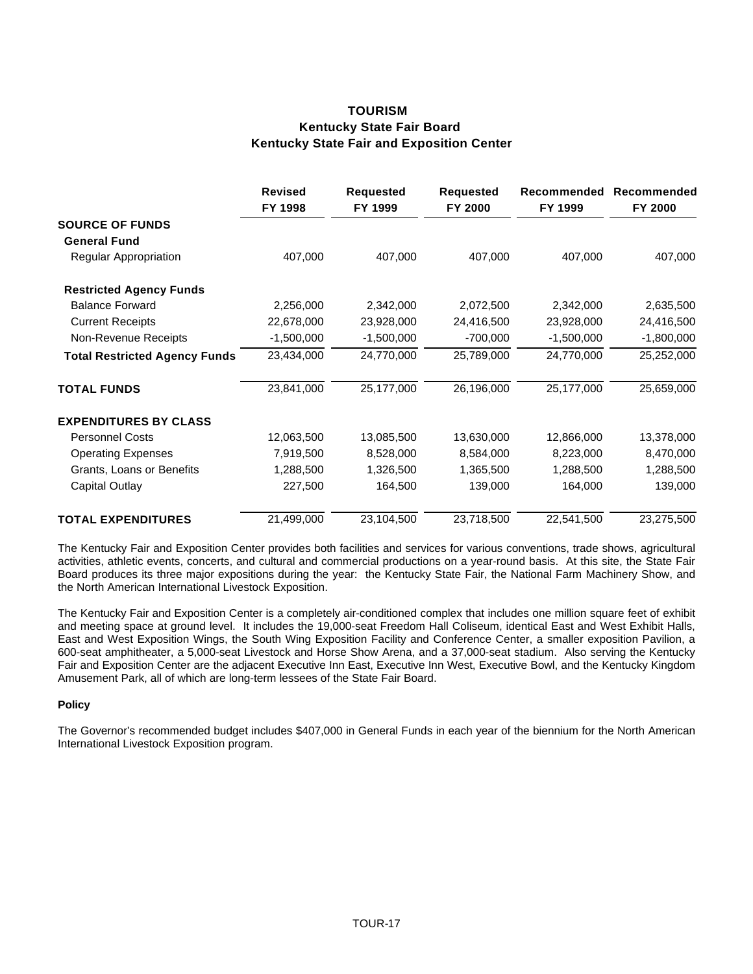## **TOURISM Kentucky State Fair Board Kentucky State Fair and Exposition Center**

|                                      | <b>Revised</b><br>FY 1998 | <b>Requested</b><br>FY 1999 | <b>Requested</b><br>FY 2000 | Recommended<br>FY 1999 | Recommended<br>FY 2000 |
|--------------------------------------|---------------------------|-----------------------------|-----------------------------|------------------------|------------------------|
| <b>SOURCE OF FUNDS</b>               |                           |                             |                             |                        |                        |
| <b>General Fund</b>                  |                           |                             |                             |                        |                        |
| Regular Appropriation                | 407,000                   | 407,000                     | 407,000                     | 407,000                | 407,000                |
| <b>Restricted Agency Funds</b>       |                           |                             |                             |                        |                        |
| <b>Balance Forward</b>               | 2,256,000                 | 2,342,000                   | 2,072,500                   | 2,342,000              | 2,635,500              |
| <b>Current Receipts</b>              | 22,678,000                | 23,928,000                  | 24,416,500                  | 23,928,000             | 24,416,500             |
| Non-Revenue Receipts                 | $-1,500,000$              | $-1,500,000$                | $-700,000$                  | $-1,500,000$           | $-1,800,000$           |
| <b>Total Restricted Agency Funds</b> | 23,434,000                | 24,770,000                  | 25,789,000                  | 24,770,000             | 25,252,000             |
| <b>TOTAL FUNDS</b>                   | 23,841,000                | 25,177,000                  | 26,196,000                  | 25,177,000             | 25,659,000             |
| <b>EXPENDITURES BY CLASS</b>         |                           |                             |                             |                        |                        |
| <b>Personnel Costs</b>               | 12,063,500                | 13,085,500                  | 13,630,000                  | 12,866,000             | 13,378,000             |
| <b>Operating Expenses</b>            | 7,919,500                 | 8,528,000                   | 8,584,000                   | 8,223,000              | 8,470,000              |
| Grants, Loans or Benefits            | 1,288,500                 | 1,326,500                   | 1,365,500                   | 1,288,500              | 1,288,500              |
| Capital Outlay                       | 227,500                   | 164,500                     | 139,000                     | 164,000                | 139,000                |
| <b>TOTAL EXPENDITURES</b>            | 21,499,000                | 23,104,500                  | 23,718,500                  | 22,541,500             | 23,275,500             |

The Kentucky Fair and Exposition Center provides both facilities and services for various conventions, trade shows, agricultural activities, athletic events, concerts, and cultural and commercial productions on a year-round basis. At this site, the State Fair Board produces its three major expositions during the year: the Kentucky State Fair, the National Farm Machinery Show, and the North American International Livestock Exposition.

The Kentucky Fair and Exposition Center is a completely air-conditioned complex that includes one million square feet of exhibit and meeting space at ground level. It includes the 19,000-seat Freedom Hall Coliseum, identical East and West Exhibit Halls, East and West Exposition Wings, the South Wing Exposition Facility and Conference Center, a smaller exposition Pavilion, a 600-seat amphitheater, a 5,000-seat Livestock and Horse Show Arena, and a 37,000-seat stadium. Also serving the Kentucky Fair and Exposition Center are the adjacent Executive Inn East, Executive Inn West, Executive Bowl, and the Kentucky Kingdom Amusement Park, all of which are long-term lessees of the State Fair Board.

## **Policy**

The Governor's recommended budget includes \$407,000 in General Funds in each year of the biennium for the North American International Livestock Exposition program.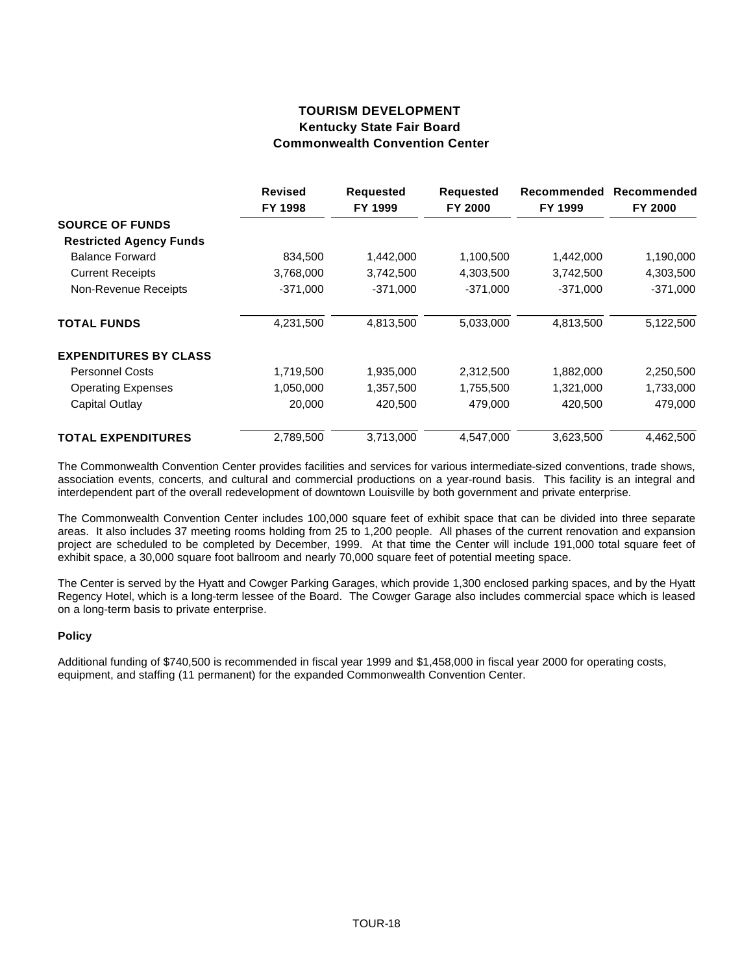# **TOURISM DEVELOPMENT Kentucky State Fair Board Commonwealth Convention Center**

|                                | <b>Revised</b> | <b>Requested</b> | <b>Requested</b> | Recommended | Recommended |
|--------------------------------|----------------|------------------|------------------|-------------|-------------|
|                                | FY 1998        | FY 1999          | FY 2000          | FY 1999     | FY 2000     |
| <b>SOURCE OF FUNDS</b>         |                |                  |                  |             |             |
| <b>Restricted Agency Funds</b> |                |                  |                  |             |             |
| <b>Balance Forward</b>         | 834,500        | 1,442,000        | 1,100,500        | 1,442,000   | 1,190,000   |
| <b>Current Receipts</b>        | 3,768,000      | 3,742,500        | 4,303,500        | 3,742,500   | 4,303,500   |
| Non-Revenue Receipts           | $-371,000$     | $-371,000$       | $-371,000$       | $-371,000$  | $-371,000$  |
| <b>TOTAL FUNDS</b>             | 4,231,500      | 4,813,500        | 5,033,000        | 4,813,500   | 5,122,500   |
| <b>EXPENDITURES BY CLASS</b>   |                |                  |                  |             |             |
| <b>Personnel Costs</b>         | 1,719,500      | 1,935,000        | 2,312,500        | 1,882,000   | 2,250,500   |
| <b>Operating Expenses</b>      | 1,050,000      | 1,357,500        | 1,755,500        | 1,321,000   | 1,733,000   |
| Capital Outlay                 | 20,000         | 420,500          | 479,000          | 420,500     | 479,000     |
| <b>TOTAL EXPENDITURES</b>      | 2,789,500      | 3,713,000        | 4,547,000        | 3,623,500   | 4,462,500   |

The Commonwealth Convention Center provides facilities and services for various intermediate-sized conventions, trade shows, association events, concerts, and cultural and commercial productions on a year-round basis. This facility is an integral and interdependent part of the overall redevelopment of downtown Louisville by both government and private enterprise.

The Commonwealth Convention Center includes 100,000 square feet of exhibit space that can be divided into three separate areas. It also includes 37 meeting rooms holding from 25 to 1,200 people. All phases of the current renovation and expansion project are scheduled to be completed by December, 1999. At that time the Center will include 191,000 total square feet of exhibit space, a 30,000 square foot ballroom and nearly 70,000 square feet of potential meeting space.

The Center is served by the Hyatt and Cowger Parking Garages, which provide 1,300 enclosed parking spaces, and by the Hyatt Regency Hotel, which is a long-term lessee of the Board. The Cowger Garage also includes commercial space which is leased on a long-term basis to private enterprise.

## **Policy**

Additional funding of \$740,500 is recommended in fiscal year 1999 and \$1,458,000 in fiscal year 2000 for operating costs, equipment, and staffing (11 permanent) for the expanded Commonwealth Convention Center.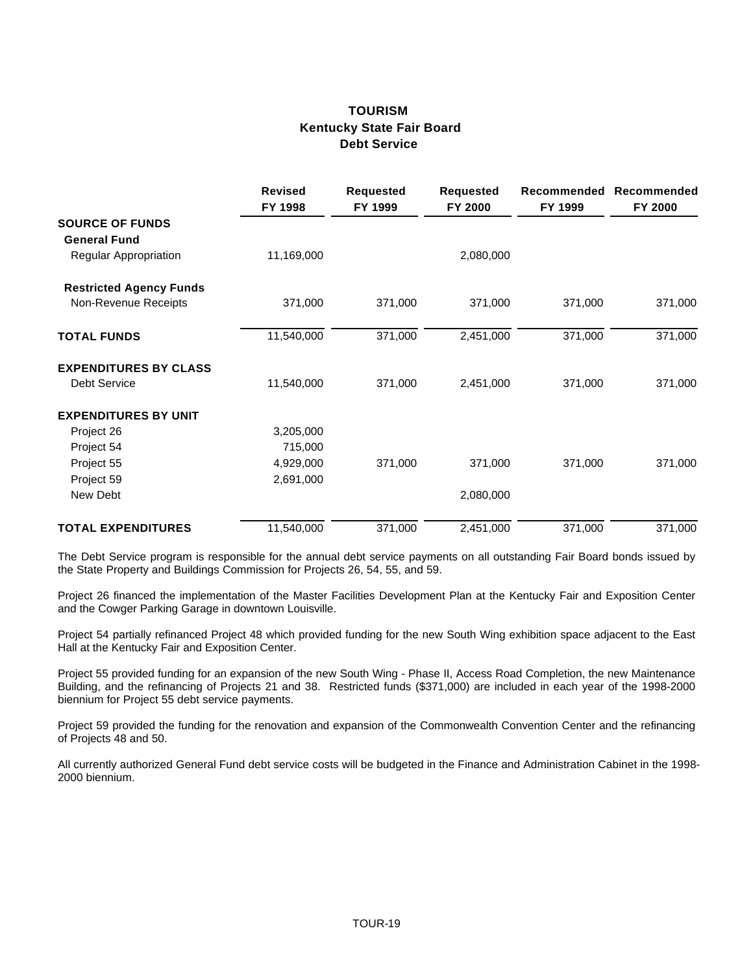# **TOURISM Kentucky State Fair Board Debt Service**

|                                | <b>Revised</b><br>FY 1998 | <b>Requested</b><br>FY 1999 | <b>Requested</b><br>FY 2000 | FY 1999 | Recommended Recommended<br>FY 2000 |
|--------------------------------|---------------------------|-----------------------------|-----------------------------|---------|------------------------------------|
| <b>SOURCE OF FUNDS</b>         |                           |                             |                             |         |                                    |
| <b>General Fund</b>            |                           |                             |                             |         |                                    |
| Regular Appropriation          | 11,169,000                |                             | 2,080,000                   |         |                                    |
| <b>Restricted Agency Funds</b> |                           |                             |                             |         |                                    |
| Non-Revenue Receipts           | 371,000                   | 371,000                     | 371,000                     | 371,000 | 371,000                            |
| <b>TOTAL FUNDS</b>             | 11,540,000                | 371,000                     | 2,451,000                   | 371,000 | 371,000                            |
| <b>EXPENDITURES BY CLASS</b>   |                           |                             |                             |         |                                    |
| <b>Debt Service</b>            | 11,540,000                | 371,000                     | 2,451,000                   | 371,000 | 371,000                            |
| <b>EXPENDITURES BY UNIT</b>    |                           |                             |                             |         |                                    |
| Project 26                     | 3,205,000                 |                             |                             |         |                                    |
| Project 54                     | 715,000                   |                             |                             |         |                                    |
| Project 55                     | 4,929,000                 | 371,000                     | 371,000                     | 371,000 | 371,000                            |
| Project 59                     | 2,691,000                 |                             |                             |         |                                    |
| New Debt                       |                           |                             | 2,080,000                   |         |                                    |
| <b>TOTAL EXPENDITURES</b>      | 11,540,000                | 371,000                     | 2,451,000                   | 371,000 | 371,000                            |

The Debt Service program is responsible for the annual debt service payments on all outstanding Fair Board bonds issued by the State Property and Buildings Commission for Projects 26, 54, 55, and 59.

Project 26 financed the implementation of the Master Facilities Development Plan at the Kentucky Fair and Exposition Center and the Cowger Parking Garage in downtown Louisville.

Project 54 partially refinanced Project 48 which provided funding for the new South Wing exhibition space adjacent to the East Hall at the Kentucky Fair and Exposition Center.

Project 55 provided funding for an expansion of the new South Wing - Phase II, Access Road Completion, the new Maintenance Building, and the refinancing of Projects 21 and 38. Restricted funds (\$371,000) are included in each year of the 1998-2000 biennium for Project 55 debt service payments.

Project 59 provided the funding for the renovation and expansion of the Commonwealth Convention Center and the refinancing of Projects 48 and 50.

All currently authorized General Fund debt service costs will be budgeted in the Finance and Administration Cabinet in the 1998- 2000 biennium.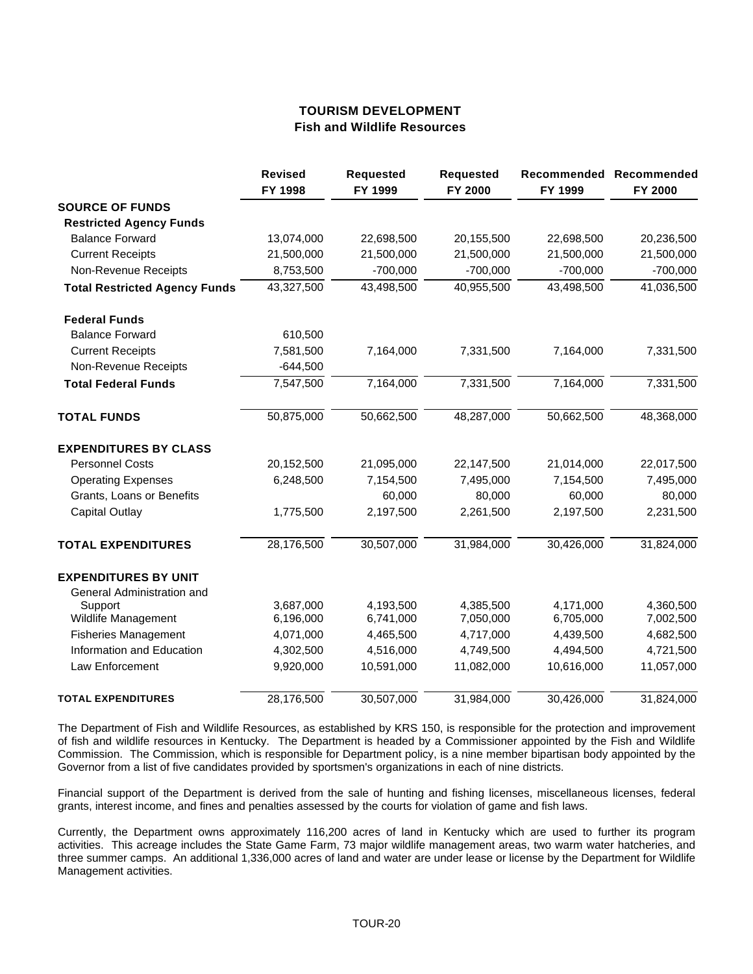## **TOURISM DEVELOPMENT Fish and Wildlife Resources**

|                                      | <b>Revised</b><br>FY 1998 | <b>Requested</b><br>FY 1999 | <b>Requested</b><br>FY 2000 | FY 1999    | Recommended Recommended<br>FY 2000 |
|--------------------------------------|---------------------------|-----------------------------|-----------------------------|------------|------------------------------------|
| <b>SOURCE OF FUNDS</b>               |                           |                             |                             |            |                                    |
| <b>Restricted Agency Funds</b>       |                           |                             |                             |            |                                    |
| <b>Balance Forward</b>               | 13,074,000                | 22,698,500                  | 20,155,500                  | 22,698,500 | 20,236,500                         |
| <b>Current Receipts</b>              | 21,500,000                | 21,500,000                  | 21,500,000                  | 21,500,000 | 21,500,000                         |
| Non-Revenue Receipts                 | 8,753,500                 | $-700,000$                  | $-700,000$                  | $-700,000$ | $-700,000$                         |
| <b>Total Restricted Agency Funds</b> | 43,327,500                | 43,498,500                  | 40,955,500                  | 43,498,500 | 41,036,500                         |
| <b>Federal Funds</b>                 |                           |                             |                             |            |                                    |
| <b>Balance Forward</b>               | 610,500                   |                             |                             |            |                                    |
| <b>Current Receipts</b>              | 7,581,500                 | 7,164,000                   | 7,331,500                   | 7,164,000  | 7,331,500                          |
| Non-Revenue Receipts                 | $-644,500$                |                             |                             |            |                                    |
| <b>Total Federal Funds</b>           | 7,547,500                 | 7,164,000                   | 7,331,500                   | 7,164,000  | 7,331,500                          |
| <b>TOTAL FUNDS</b>                   | 50,875,000                | 50,662,500                  | 48,287,000                  | 50,662,500 | 48,368,000                         |
| <b>EXPENDITURES BY CLASS</b>         |                           |                             |                             |            |                                    |
| <b>Personnel Costs</b>               | 20,152,500                | 21,095,000                  | 22,147,500                  | 21,014,000 | 22,017,500                         |
| <b>Operating Expenses</b>            | 6,248,500                 | 7,154,500                   | 7,495,000                   | 7,154,500  | 7,495,000                          |
| Grants, Loans or Benefits            |                           | 60,000                      | 80,000                      | 60,000     | 80,000                             |
| <b>Capital Outlay</b>                | 1,775,500                 | 2,197,500                   | 2,261,500                   | 2,197,500  | 2,231,500                          |
| <b>TOTAL EXPENDITURES</b>            | 28,176,500                | 30,507,000                  | 31,984,000                  | 30,426,000 | 31,824,000                         |
| <b>EXPENDITURES BY UNIT</b>          |                           |                             |                             |            |                                    |
| General Administration and           |                           |                             |                             |            |                                    |
| Support                              | 3,687,000                 | 4,193,500                   | 4,385,500                   | 4,171,000  | 4,360,500                          |
| Wildlife Management                  | 6,196,000                 | 6,741,000                   | 7,050,000                   | 6,705,000  | 7,002,500                          |
| <b>Fisheries Management</b>          | 4,071,000                 | 4,465,500                   | 4,717,000                   | 4,439,500  | 4,682,500                          |
| Information and Education            | 4,302,500                 | 4,516,000                   | 4,749,500                   | 4,494,500  | 4,721,500                          |
| Law Enforcement                      | 9,920,000                 | 10,591,000                  | 11,082,000                  | 10,616,000 | 11,057,000                         |
| <b>TOTAL EXPENDITURES</b>            | 28,176,500                | 30,507,000                  | 31,984,000                  | 30,426,000 | 31,824,000                         |

The Department of Fish and Wildlife Resources, as established by KRS 150, is responsible for the protection and improvement of fish and wildlife resources in Kentucky. The Department is headed by a Commissioner appointed by the Fish and Wildlife Commission. The Commission, which is responsible for Department policy, is a nine member bipartisan body appointed by the Governor from a list of five candidates provided by sportsmen's organizations in each of nine districts.

Financial support of the Department is derived from the sale of hunting and fishing licenses, miscellaneous licenses, federal grants, interest income, and fines and penalties assessed by the courts for violation of game and fish laws.

Currently, the Department owns approximately 116,200 acres of land in Kentucky which are used to further its program activities. This acreage includes the State Game Farm, 73 major wildlife management areas, two warm water hatcheries, and three summer camps. An additional 1,336,000 acres of land and water are under lease or license by the Department for Wildlife Management activities.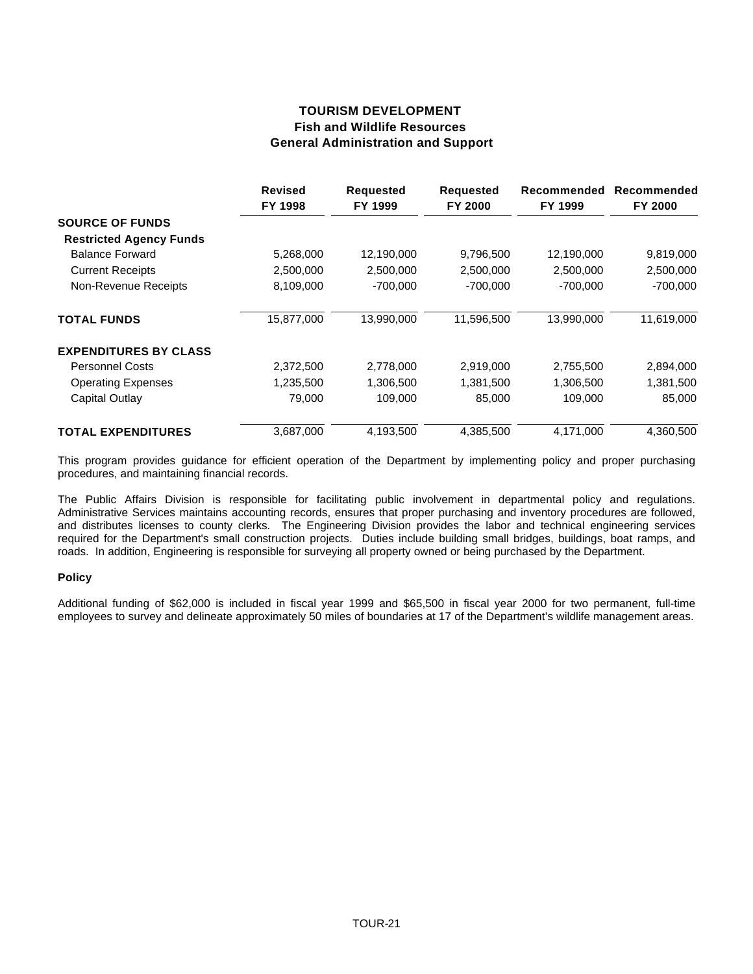# **TOURISM DEVELOPMENT Fish and Wildlife Resources General Administration and Support**

|                                | <b>Revised</b><br>FY 1998 | <b>Requested</b><br>FY 1999 | <b>Requested</b><br>FY 2000 | Recommended<br>FY 1999 | Recommended<br>FY 2000 |
|--------------------------------|---------------------------|-----------------------------|-----------------------------|------------------------|------------------------|
| <b>SOURCE OF FUNDS</b>         |                           |                             |                             |                        |                        |
| <b>Restricted Agency Funds</b> |                           |                             |                             |                        |                        |
| <b>Balance Forward</b>         | 5,268,000                 | 12,190,000                  | 9,796,500                   | 12,190,000             | 9,819,000              |
| <b>Current Receipts</b>        | 2,500,000                 | 2,500,000                   | 2,500,000                   | 2,500,000              | 2,500,000              |
| Non-Revenue Receipts           | 8,109,000                 | $-700,000$                  | $-700,000$                  | $-700,000$             | $-700,000$             |
| <b>TOTAL FUNDS</b>             | 15,877,000                | 13,990,000                  | 11,596,500                  | 13,990,000             | 11,619,000             |
| <b>EXPENDITURES BY CLASS</b>   |                           |                             |                             |                        |                        |
| <b>Personnel Costs</b>         | 2,372,500                 | 2,778,000                   | 2,919,000                   | 2,755,500              | 2,894,000              |
| <b>Operating Expenses</b>      | 1,235,500                 | 1,306,500                   | 1,381,500                   | 1,306,500              | 1,381,500              |
| Capital Outlay                 | 79,000                    | 109,000                     | 85,000                      | 109,000                | 85,000                 |
| <b>TOTAL EXPENDITURES</b>      | 3,687,000                 | 4,193,500                   | 4,385,500                   | 4,171,000              | 4,360,500              |

This program provides guidance for efficient operation of the Department by implementing policy and proper purchasing procedures, and maintaining financial records.

The Public Affairs Division is responsible for facilitating public involvement in departmental policy and regulations. Administrative Services maintains accounting records, ensures that proper purchasing and inventory procedures are followed, and distributes licenses to county clerks. The Engineering Division provides the labor and technical engineering services required for the Department's small construction projects. Duties include building small bridges, buildings, boat ramps, and roads. In addition, Engineering is responsible for surveying all property owned or being purchased by the Department.

## **Policy**

Additional funding of \$62,000 is included in fiscal year 1999 and \$65,500 in fiscal year 2000 for two permanent, full-time employees to survey and delineate approximately 50 miles of boundaries at 17 of the Department's wildlife management areas.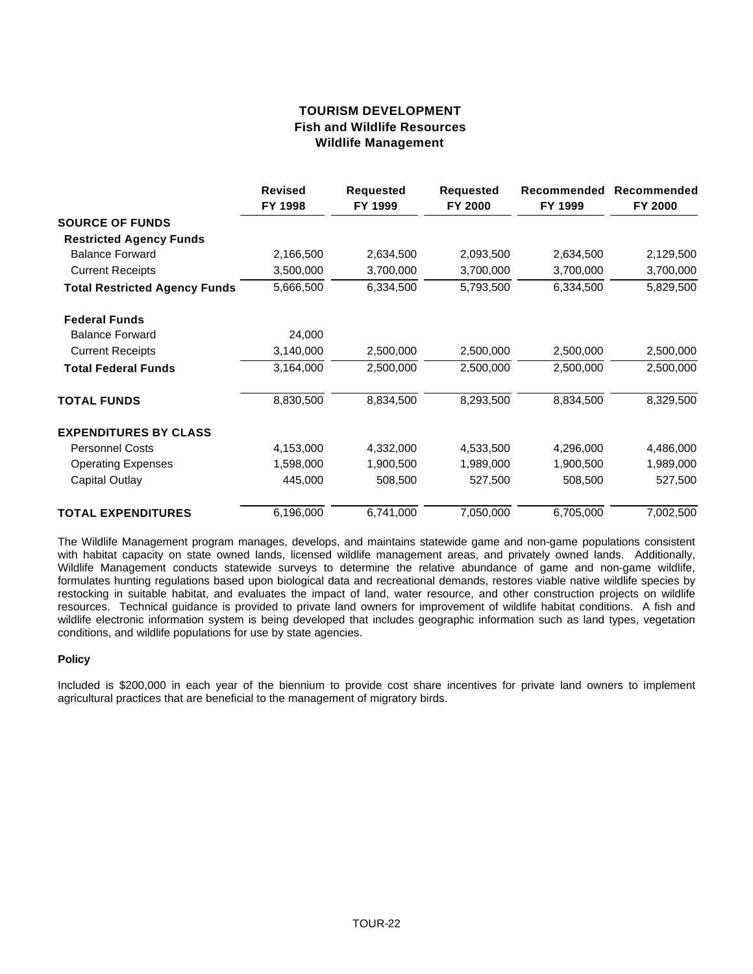# **TOURISM DEVELOPMENT Fish and Wildlife Resources Wildlife Management**

|                                      | <b>Revised</b><br>FY 1998 | <b>Requested</b><br>FY 1999 | <b>Requested</b><br>FY 2000 | Recommended<br>FY 1999 | Recommended<br>FY 2000 |
|--------------------------------------|---------------------------|-----------------------------|-----------------------------|------------------------|------------------------|
| <b>SOURCE OF FUNDS</b>               |                           |                             |                             |                        |                        |
| <b>Restricted Agency Funds</b>       |                           |                             |                             |                        |                        |
| <b>Balance Forward</b>               | 2,166,500                 | 2,634,500                   | 2,093,500                   | 2,634,500              | 2,129,500              |
| <b>Current Receipts</b>              | 3,500,000                 | 3,700,000                   | 3,700,000                   | 3,700,000              | 3,700,000              |
| <b>Total Restricted Agency Funds</b> | 5,666,500                 | 6,334,500                   | 5,793,500                   | 6,334,500              | 5,829,500              |
| <b>Federal Funds</b>                 |                           |                             |                             |                        |                        |
| <b>Balance Forward</b>               | 24,000                    |                             |                             |                        |                        |
| <b>Current Receipts</b>              | 3,140,000                 | 2,500,000                   | 2,500,000                   | 2,500,000              | 2,500,000              |
| <b>Total Federal Funds</b>           | 3,164,000                 | 2,500,000                   | 2,500,000                   | 2,500,000              | 2,500,000              |
| <b>TOTAL FUNDS</b>                   | 8,830,500                 | 8,834,500                   | 8,293,500                   | 8,834,500              | 8,329,500              |
| <b>EXPENDITURES BY CLASS</b>         |                           |                             |                             |                        |                        |
| <b>Personnel Costs</b>               | 4,153,000                 | 4,332,000                   | 4,533,500                   | 4,296,000              | 4,486,000              |
| <b>Operating Expenses</b>            | 1,598,000                 | 1,900,500                   | 1,989,000                   | 1,900,500              | 1,989,000              |
| Capital Outlay                       | 445,000                   | 508,500                     | 527,500                     | 508,500                | 527,500                |
| <b>TOTAL EXPENDITURES</b>            | 6,196,000                 | 6,741,000                   | 7,050,000                   | 6,705,000              | 7,002,500              |

The Wildlife Management program manages, develops, and maintains statewide game and non-game populations consistent with habitat capacity on state owned lands, licensed wildlife management areas, and privately owned lands. Additionally, Wildlife Management conducts statewide surveys to determine the relative abundance of game and non-game wildlife, formulates hunting regulations based upon biological data and recreational demands, restores viable native wildlife species by restocking in suitable habitat, and evaluates the impact of land, water resource, and other construction projects on wildlife resources. Technical guidance is provided to private land owners for improvement of wildlife habitat conditions. A fish and wildlife electronic information system is being developed that includes geographic information such as land types, vegetation conditions, and wildlife populations for use by state agencies.

## **Policy**

Included is \$200,000 in each year of the biennium to provide cost share incentives for private land owners to implement agricultural practices that are beneficial to the management of migratory birds.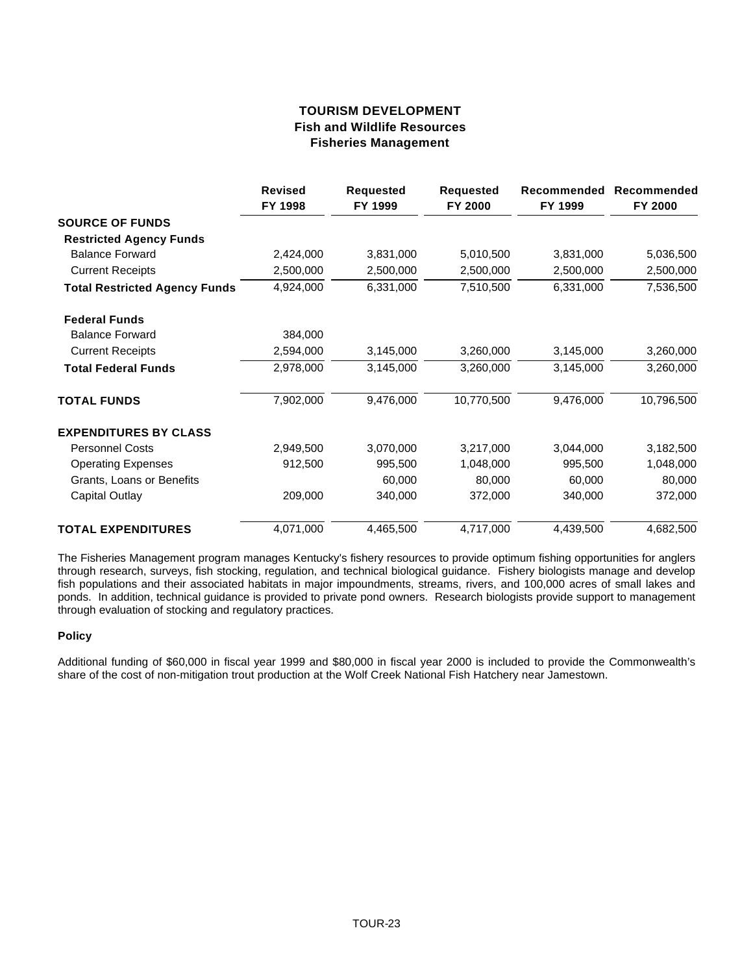# **TOURISM DEVELOPMENT Fish and Wildlife Resources Fisheries Management**

|                                      | <b>Revised</b><br>FY 1998 | <b>Requested</b><br>FY 1999 | <b>Requested</b><br>FY 2000 | Recommended<br>FY 1999 | Recommended<br>FY 2000 |
|--------------------------------------|---------------------------|-----------------------------|-----------------------------|------------------------|------------------------|
| <b>SOURCE OF FUNDS</b>               |                           |                             |                             |                        |                        |
| <b>Restricted Agency Funds</b>       |                           |                             |                             |                        |                        |
| <b>Balance Forward</b>               | 2,424,000                 | 3,831,000                   | 5,010,500                   | 3,831,000              | 5,036,500              |
| <b>Current Receipts</b>              | 2,500,000                 | 2,500,000                   | 2,500,000                   | 2,500,000              | 2,500,000              |
| <b>Total Restricted Agency Funds</b> | 4,924,000                 | 6,331,000                   | 7,510,500                   | 6,331,000              | 7,536,500              |
| <b>Federal Funds</b>                 |                           |                             |                             |                        |                        |
| <b>Balance Forward</b>               | 384,000                   |                             |                             |                        |                        |
| <b>Current Receipts</b>              | 2,594,000                 | 3,145,000                   | 3,260,000                   | 3,145,000              | 3,260,000              |
| <b>Total Federal Funds</b>           | 2,978,000                 | 3,145,000                   | 3,260,000                   | 3,145,000              | 3,260,000              |
| <b>TOTAL FUNDS</b>                   | 7,902,000                 | 9,476,000                   | 10,770,500                  | 9,476,000              | 10,796,500             |
| <b>EXPENDITURES BY CLASS</b>         |                           |                             |                             |                        |                        |
| <b>Personnel Costs</b>               | 2,949,500                 | 3,070,000                   | 3,217,000                   | 3,044,000              | 3,182,500              |
| <b>Operating Expenses</b>            | 912,500                   | 995,500                     | 1,048,000                   | 995,500                | 1,048,000              |
| Grants, Loans or Benefits            |                           | 60,000                      | 80,000                      | 60,000                 | 80,000                 |
| Capital Outlay                       | 209,000                   | 340,000                     | 372,000                     | 340,000                | 372,000                |
| <b>TOTAL EXPENDITURES</b>            | 4,071,000                 | 4,465,500                   | 4,717,000                   | 4,439,500              | 4,682,500              |

The Fisheries Management program manages Kentucky's fishery resources to provide optimum fishing opportunities for anglers through research, surveys, fish stocking, regulation, and technical biological guidance. Fishery biologists manage and develop fish populations and their associated habitats in major impoundments, streams, rivers, and 100,000 acres of small lakes and ponds. In addition, technical guidance is provided to private pond owners. Research biologists provide support to management through evaluation of stocking and regulatory practices.

## **Policy**

Additional funding of \$60,000 in fiscal year 1999 and \$80,000 in fiscal year 2000 is included to provide the Commonwealth's share of the cost of non-mitigation trout production at the Wolf Creek National Fish Hatchery near Jamestown.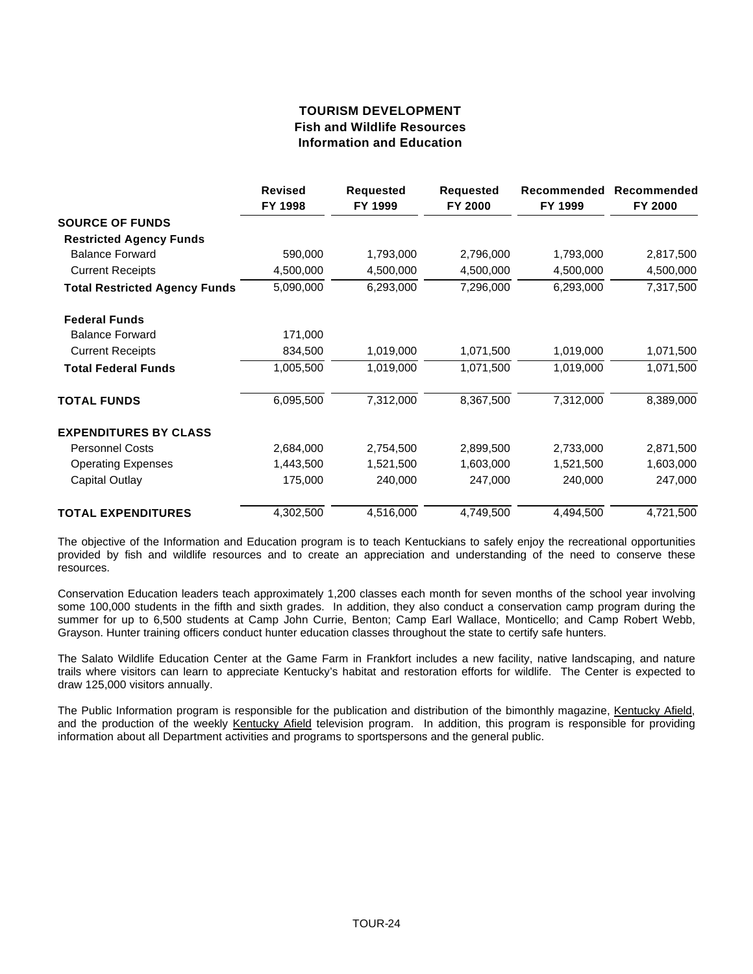# **TOURISM DEVELOPMENT Fish and Wildlife Resources Information and Education**

|                                      | <b>Revised</b><br>FY 1998 | <b>Requested</b><br>FY 1999 | <b>Requested</b><br>FY 2000 | Recommended<br>FY 1999 | Recommended<br>FY 2000 |
|--------------------------------------|---------------------------|-----------------------------|-----------------------------|------------------------|------------------------|
| <b>SOURCE OF FUNDS</b>               |                           |                             |                             |                        |                        |
| <b>Restricted Agency Funds</b>       |                           |                             |                             |                        |                        |
| <b>Balance Forward</b>               | 590,000                   | 1,793,000                   | 2,796,000                   | 1,793,000              | 2,817,500              |
| <b>Current Receipts</b>              | 4,500,000                 | 4,500,000                   | 4,500,000                   | 4,500,000              | 4,500,000              |
| <b>Total Restricted Agency Funds</b> | 5,090,000                 | 6,293,000                   | 7,296,000                   | 6,293,000              | 7,317,500              |
| <b>Federal Funds</b>                 |                           |                             |                             |                        |                        |
| <b>Balance Forward</b>               | 171,000                   |                             |                             |                        |                        |
| <b>Current Receipts</b>              | 834,500                   | 1,019,000                   | 1,071,500                   | 1,019,000              | 1,071,500              |
| <b>Total Federal Funds</b>           | 1,005,500                 | 1,019,000                   | 1,071,500                   | 1,019,000              | 1,071,500              |
| <b>TOTAL FUNDS</b>                   | 6,095,500                 | 7,312,000                   | 8,367,500                   | 7,312,000              | 8,389,000              |
| <b>EXPENDITURES BY CLASS</b>         |                           |                             |                             |                        |                        |
| <b>Personnel Costs</b>               | 2,684,000                 | 2,754,500                   | 2,899,500                   | 2,733,000              | 2,871,500              |
| <b>Operating Expenses</b>            | 1,443,500                 | 1,521,500                   | 1,603,000                   | 1,521,500              | 1,603,000              |
| Capital Outlay                       | 175,000                   | 240,000                     | 247,000                     | 240,000                | 247,000                |
| <b>TOTAL EXPENDITURES</b>            | 4,302,500                 | 4,516,000                   | 4,749,500                   | 4,494,500              | 4,721,500              |

The objective of the Information and Education program is to teach Kentuckians to safely enjoy the recreational opportunities provided by fish and wildlife resources and to create an appreciation and understanding of the need to conserve these resources.

Conservation Education leaders teach approximately 1,200 classes each month for seven months of the school year involving some 100,000 students in the fifth and sixth grades. In addition, they also conduct a conservation camp program during the summer for up to 6,500 students at Camp John Currie, Benton; Camp Earl Wallace, Monticello; and Camp Robert Webb, Grayson. Hunter training officers conduct hunter education classes throughout the state to certify safe hunters.

The Salato Wildlife Education Center at the Game Farm in Frankfort includes a new facility, native landscaping, and nature trails where visitors can learn to appreciate Kentucky's habitat and restoration efforts for wildlife. The Center is expected to draw 125,000 visitors annually.

The Public Information program is responsible for the publication and distribution of the bimonthly magazine, Kentucky Afield, and the production of the weekly Kentucky Afield television program. In addition, this program is responsible for providing information about all Department activities and programs to sportspersons and the general public.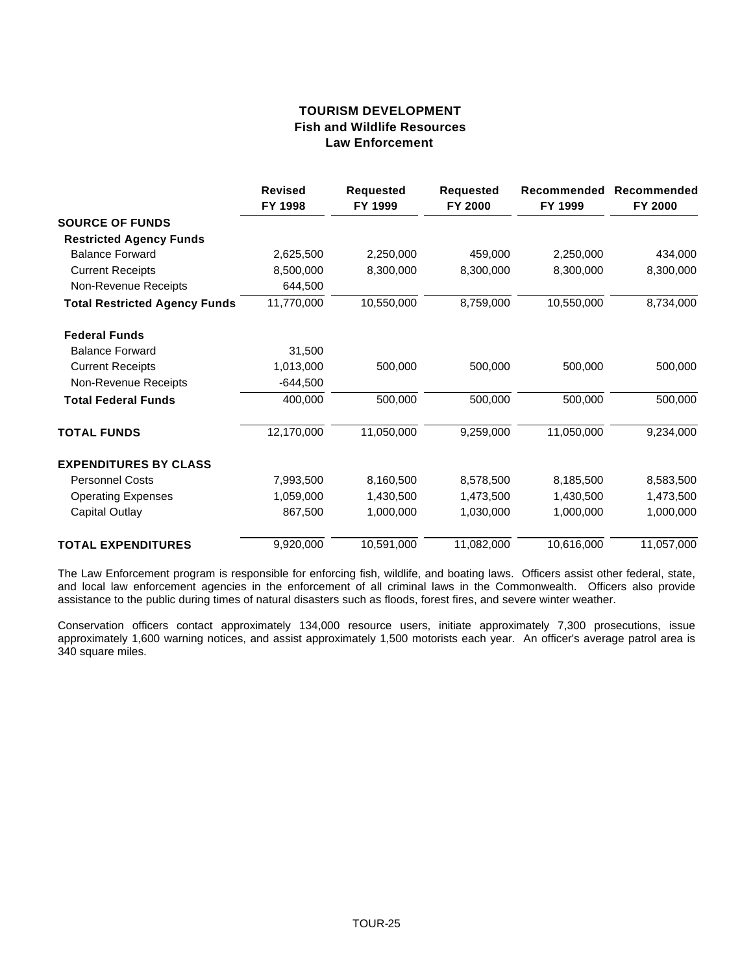# **TOURISM DEVELOPMENT Fish and Wildlife Resources Law Enforcement**

|                                      | <b>Revised</b><br>FY 1998 | <b>Requested</b><br>FY 1999 | <b>Requested</b><br>FY 2000 | Recommended<br>FY 1999 | Recommended<br>FY 2000 |
|--------------------------------------|---------------------------|-----------------------------|-----------------------------|------------------------|------------------------|
| <b>SOURCE OF FUNDS</b>               |                           |                             |                             |                        |                        |
| <b>Restricted Agency Funds</b>       |                           |                             |                             |                        |                        |
| <b>Balance Forward</b>               | 2,625,500                 | 2,250,000                   | 459,000                     | 2,250,000              | 434,000                |
| <b>Current Receipts</b>              | 8,500,000                 | 8,300,000                   | 8,300,000                   | 8,300,000              | 8,300,000              |
| Non-Revenue Receipts                 | 644,500                   |                             |                             |                        |                        |
| <b>Total Restricted Agency Funds</b> | 11,770,000                | 10,550,000                  | 8,759,000                   | 10,550,000             | 8,734,000              |
| <b>Federal Funds</b>                 |                           |                             |                             |                        |                        |
| <b>Balance Forward</b>               | 31,500                    |                             |                             |                        |                        |
| <b>Current Receipts</b>              | 1,013,000                 | 500,000                     | 500,000                     | 500,000                | 500,000                |
| Non-Revenue Receipts                 | $-644,500$                |                             |                             |                        |                        |
| <b>Total Federal Funds</b>           | 400,000                   | 500,000                     | 500,000                     | 500,000                | 500,000                |
| <b>TOTAL FUNDS</b>                   | 12,170,000                | 11,050,000                  | 9,259,000                   | 11,050,000             | 9,234,000              |
| <b>EXPENDITURES BY CLASS</b>         |                           |                             |                             |                        |                        |
| <b>Personnel Costs</b>               | 7,993,500                 | 8,160,500                   | 8,578,500                   | 8,185,500              | 8,583,500              |
| <b>Operating Expenses</b>            | 1,059,000                 | 1,430,500                   | 1,473,500                   | 1,430,500              | 1,473,500              |
| Capital Outlay                       | 867,500                   | 1,000,000                   | 1,030,000                   | 1,000,000              | 1,000,000              |
| <b>TOTAL EXPENDITURES</b>            | 9,920,000                 | 10,591,000                  | 11,082,000                  | 10,616,000             | 11,057,000             |

The Law Enforcement program is responsible for enforcing fish, wildlife, and boating laws. Officers assist other federal, state, and local law enforcement agencies in the enforcement of all criminal laws in the Commonwealth. Officers also provide assistance to the public during times of natural disasters such as floods, forest fires, and severe winter weather.

Conservation officers contact approximately 134,000 resource users, initiate approximately 7,300 prosecutions, issue approximately 1,600 warning notices, and assist approximately 1,500 motorists each year. An officer's average patrol area is 340 square miles.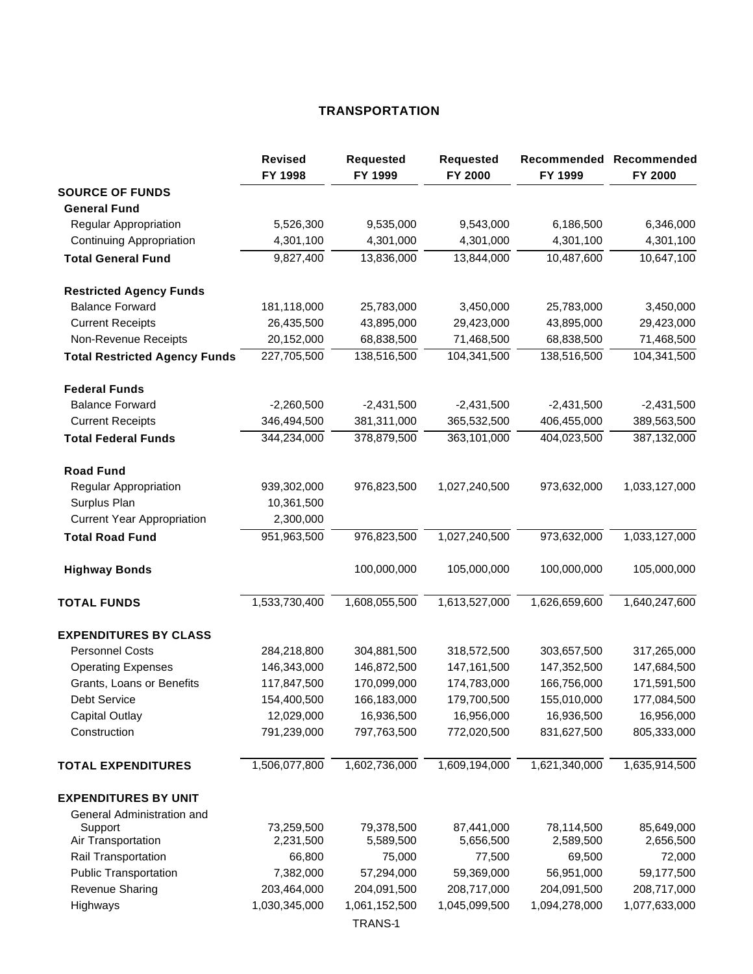# **TRANSPORTATION**

|                                      | <b>Revised</b><br>FY 1998 | <b>Requested</b><br>FY 1999 | <b>Requested</b><br>FY 2000 | FY 1999                 | Recommended Recommended<br>FY 2000 |
|--------------------------------------|---------------------------|-----------------------------|-----------------------------|-------------------------|------------------------------------|
| <b>SOURCE OF FUNDS</b>               |                           |                             |                             |                         |                                    |
| <b>General Fund</b>                  |                           |                             |                             |                         |                                    |
| Regular Appropriation                | 5,526,300                 | 9,535,000                   | 9,543,000                   | 6,186,500               | 6,346,000                          |
| <b>Continuing Appropriation</b>      | 4,301,100                 | 4,301,000                   | 4,301,000                   | 4,301,100               | 4,301,100                          |
| <b>Total General Fund</b>            | 9,827,400                 | 13,836,000                  | 13,844,000                  | 10,487,600              | 10,647,100                         |
| <b>Restricted Agency Funds</b>       |                           |                             |                             |                         |                                    |
| <b>Balance Forward</b>               | 181,118,000               | 25,783,000                  | 3,450,000                   | 25,783,000              | 3,450,000                          |
| <b>Current Receipts</b>              | 26,435,500                | 43,895,000                  | 29,423,000                  | 43,895,000              | 29,423,000                         |
| Non-Revenue Receipts                 | 20,152,000                | 68,838,500                  | 71,468,500                  | 68,838,500              | 71,468,500                         |
| <b>Total Restricted Agency Funds</b> | 227,705,500               | 138,516,500                 | 104,341,500                 | 138,516,500             | 104,341,500                        |
| <b>Federal Funds</b>                 |                           |                             |                             |                         |                                    |
| <b>Balance Forward</b>               | $-2,260,500$              | $-2,431,500$                | $-2,431,500$                | $-2,431,500$            | $-2,431,500$                       |
| <b>Current Receipts</b>              | 346,494,500               | 381,311,000                 | 365,532,500                 | 406,455,000             | 389,563,500                        |
| <b>Total Federal Funds</b>           | 344,234,000               | 378,879,500                 | 363,101,000                 | 404,023,500             | 387,132,000                        |
| <b>Road Fund</b>                     |                           |                             |                             |                         |                                    |
| Regular Appropriation                | 939,302,000               | 976,823,500                 | 1,027,240,500               | 973,632,000             | 1,033,127,000                      |
| Surplus Plan                         | 10,361,500                |                             |                             |                         |                                    |
| <b>Current Year Appropriation</b>    | 2,300,000                 |                             |                             |                         |                                    |
| <b>Total Road Fund</b>               | 951,963,500               | 976,823,500                 | 1,027,240,500               | 973,632,000             | 1,033,127,000                      |
| <b>Highway Bonds</b>                 |                           | 100,000,000                 | 105,000,000                 | 100,000,000             | 105,000,000                        |
| <b>TOTAL FUNDS</b>                   | 1,533,730,400             | 1,608,055,500               | 1,613,527,000               | 1,626,659,600           | 1,640,247,600                      |
| <b>EXPENDITURES BY CLASS</b>         |                           |                             |                             |                         |                                    |
| <b>Personnel Costs</b>               | 284,218,800               | 304,881,500                 | 318,572,500                 | 303,657,500             | 317,265,000                        |
| <b>Operating Expenses</b>            | 146,343,000               | 146,872,500                 | 147, 161, 500               | 147,352,500             | 147,684,500                        |
| Grants, Loans or Benefits            | 117,847,500               | 170,099,000                 | 174,783,000                 | 166,756,000             | 171,591,500                        |
| Debt Service                         | 154,400,500               | 166,183,000                 | 179,700,500                 | 155,010,000             | 177,084,500                        |
| <b>Capital Outlay</b>                | 12,029,000                | 16,936,500                  | 16,956,000                  | 16,936,500              | 16,956,000                         |
| Construction                         | 791,239,000               | 797,763,500                 | 772,020,500                 | 831,627,500             | 805,333,000                        |
| <b>TOTAL EXPENDITURES</b>            | 1,506,077,800             | 1,602,736,000               | 1,609,194,000               | 1,621,340,000           | 1,635,914,500                      |
| <b>EXPENDITURES BY UNIT</b>          |                           |                             |                             |                         |                                    |
| General Administration and           |                           |                             |                             |                         |                                    |
| Support<br>Air Transportation        | 73,259,500<br>2,231,500   | 79,378,500<br>5,589,500     | 87,441,000<br>5,656,500     | 78,114,500<br>2,589,500 | 85,649,000<br>2,656,500            |
| Rail Transportation                  | 66,800                    | 75,000                      | 77,500                      | 69,500                  | 72,000                             |
| <b>Public Transportation</b>         | 7,382,000                 | 57,294,000                  | 59,369,000                  | 56,951,000              | 59,177,500                         |
| <b>Revenue Sharing</b>               | 203,464,000               | 204,091,500                 | 208,717,000                 | 204,091,500             | 208,717,000                        |
| Highways                             | 1,030,345,000             | 1,061,152,500               | 1,045,099,500               | 1,094,278,000           | 1,077,633,000                      |
|                                      |                           | TRANS-1                     |                             |                         |                                    |
|                                      |                           |                             |                             |                         |                                    |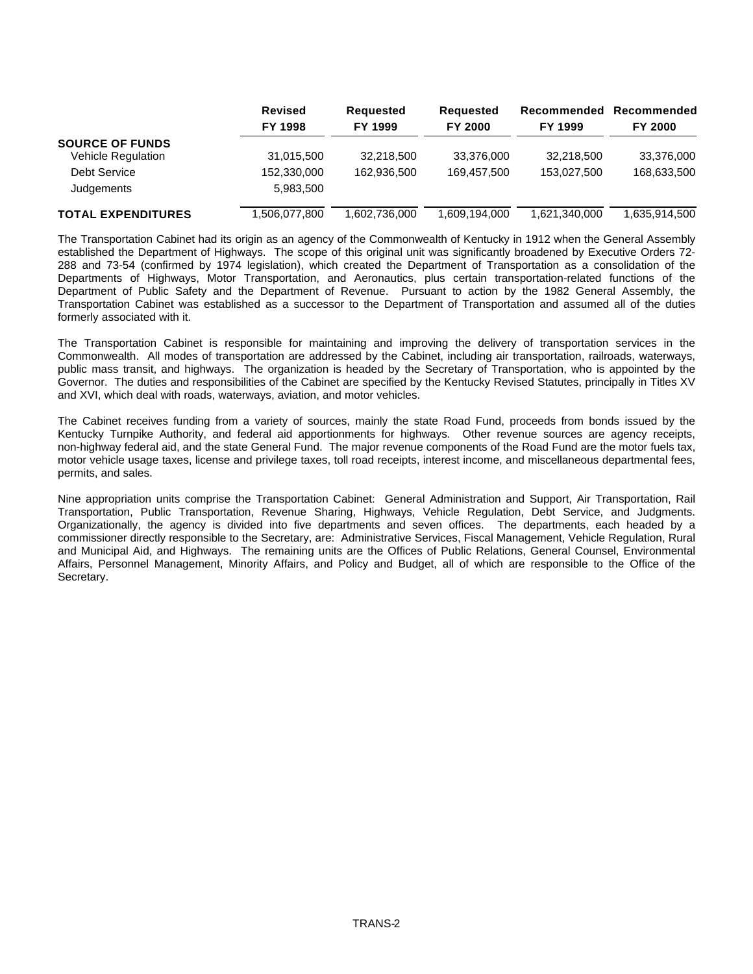|                           | <b>Revised</b> | <b>Requested</b> | <b>Requested</b> | Recommended    | Recommended    |
|---------------------------|----------------|------------------|------------------|----------------|----------------|
|                           | <b>FY 1998</b> | FY 1999          | <b>FY 2000</b>   | <b>FY 1999</b> | <b>FY 2000</b> |
| <b>SOURCE OF FUNDS</b>    |                |                  |                  |                |                |
| Vehicle Regulation        | 31,015,500     | 32.218.500       | 33,376,000       | 32.218.500     | 33,376,000     |
| Debt Service              | 152,330,000    | 162,936,500      | 169.457.500      | 153.027.500    | 168,633,500    |
| Judgements                | 5,983,500      |                  |                  |                |                |
| <b>TOTAL EXPENDITURES</b> | 1,506,077,800  | 1,602,736,000    | 1,609,194,000    | 1,621,340,000  | 1,635,914,500  |

The Transportation Cabinet had its origin as an agency of the Commonwealth of Kentucky in 1912 when the General Assembly established the Department of Highways. The scope of this original unit was significantly broadened by Executive Orders 72- 288 and 73-54 (confirmed by 1974 legislation), which created the Department of Transportation as a consolidation of the Departments of Highways, Motor Transportation, and Aeronautics, plus certain transportation-related functions of the Department of Public Safety and the Department of Revenue. Pursuant to action by the 1982 General Assembly, the Transportation Cabinet was established as a successor to the Department of Transportation and assumed all of the duties formerly associated with it.

The Transportation Cabinet is responsible for maintaining and improving the delivery of transportation services in the Commonwealth. All modes of transportation are addressed by the Cabinet, including air transportation, railroads, waterways, public mass transit, and highways. The organization is headed by the Secretary of Transportation, who is appointed by the Governor. The duties and responsibilities of the Cabinet are specified by the Kentucky Revised Statutes, principally in Titles XV and XVI, which deal with roads, waterways, aviation, and motor vehicles.

The Cabinet receives funding from a variety of sources, mainly the state Road Fund, proceeds from bonds issued by the Kentucky Turnpike Authority, and federal aid apportionments for highways. Other revenue sources are agency receipts, non-highway federal aid, and the state General Fund. The major revenue components of the Road Fund are the motor fuels tax, motor vehicle usage taxes, license and privilege taxes, toll road receipts, interest income, and miscellaneous departmental fees, permits, and sales.

Nine appropriation units comprise the Transportation Cabinet: General Administration and Support, Air Transportation, Rail Transportation, Public Transportation, Revenue Sharing, Highways, Vehicle Regulation, Debt Service, and Judgments. Organizationally, the agency is divided into five departments and seven offices. The departments, each headed by a commissioner directly responsible to the Secretary, are: Administrative Services, Fiscal Management, Vehicle Regulation, Rural and Municipal Aid, and Highways. The remaining units are the Offices of Public Relations, General Counsel, Environmental Affairs, Personnel Management, Minority Affairs, and Policy and Budget, all of which are responsible to the Office of the Secretary.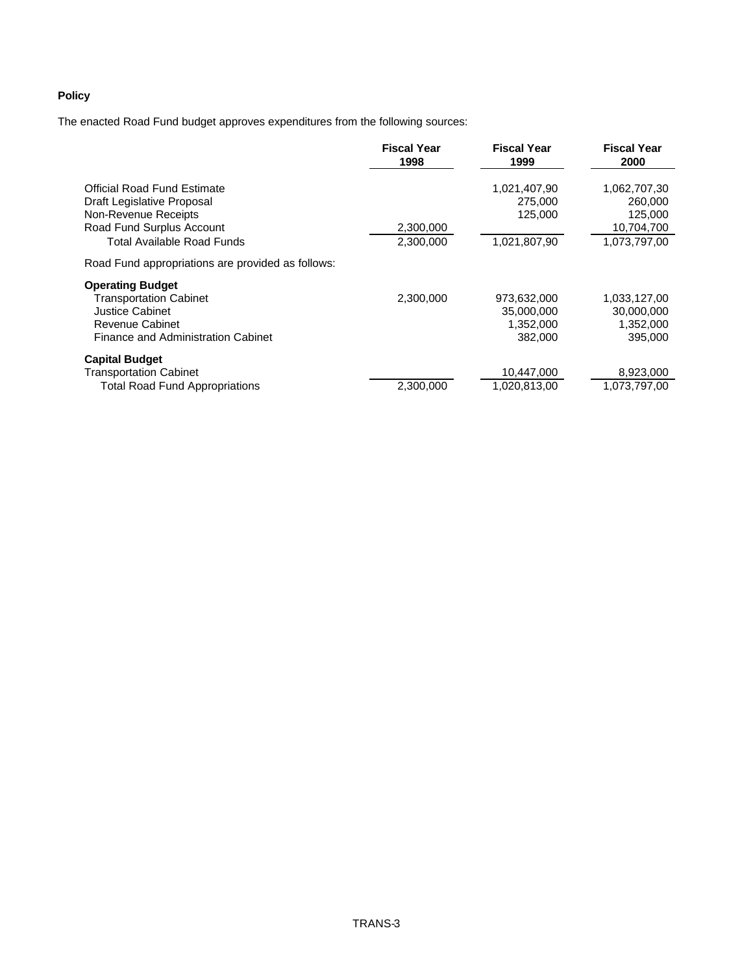## **Policy**

The enacted Road Fund budget approves expenditures from the following sources:

|                                                                                                                                                    | <b>Fiscal Year</b><br>1998 | <b>Fiscal Year</b><br>1999                         | <b>Fiscal Year</b><br>2000                                       |
|----------------------------------------------------------------------------------------------------------------------------------------------------|----------------------------|----------------------------------------------------|------------------------------------------------------------------|
| Official Road Fund Estimate<br>Draft Legislative Proposal<br>Non-Revenue Receipts<br>Road Fund Surplus Account<br>Total Available Road Funds       | 2,300,000<br>2,300,000     | 1,021,407,90<br>275,000<br>125,000<br>1,021,807,90 | 1,062,707,30<br>260,000<br>125,000<br>10,704,700<br>1,073,797,00 |
| Road Fund appropriations are provided as follows:                                                                                                  |                            |                                                    |                                                                  |
| <b>Operating Budget</b><br><b>Transportation Cabinet</b><br><b>Justice Cabinet</b><br><b>Revenue Cabinet</b><br>Finance and Administration Cabinet | 2,300,000                  | 973,632,000<br>35,000,000<br>1,352,000<br>382,000  | 1,033,127,00<br>30,000,000<br>1,352,000<br>395,000               |
| <b>Capital Budget</b><br><b>Transportation Cabinet</b><br><b>Total Road Fund Appropriations</b>                                                    | 2,300,000                  | 10,447,000<br>1,020,813,00                         | 8,923,000<br>1,073,797,00                                        |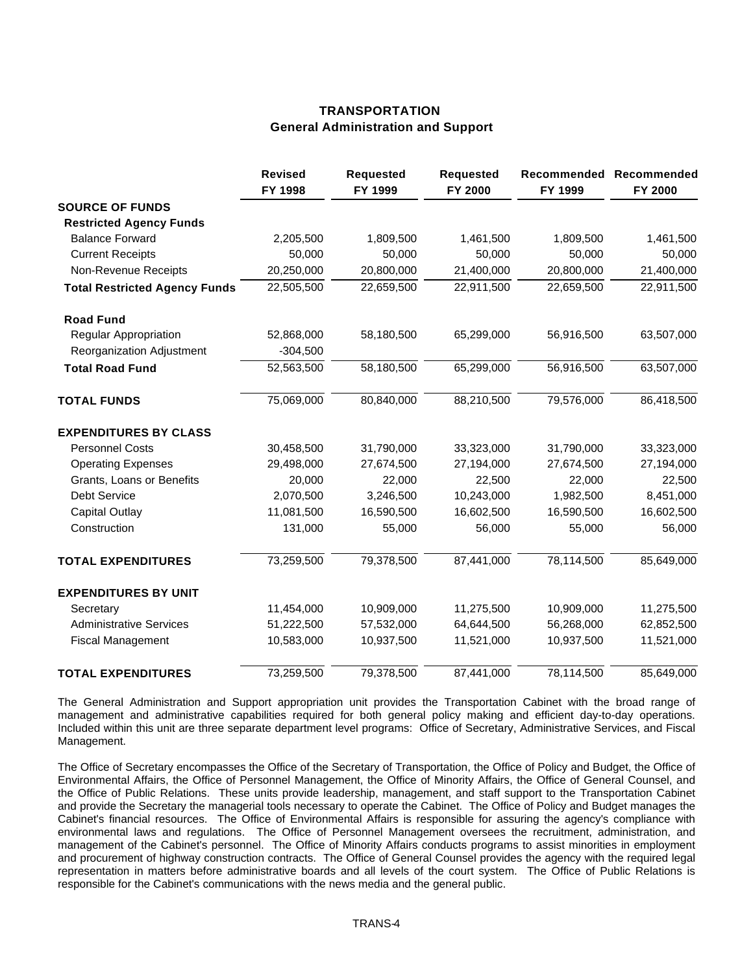# **TRANSPORTATION General Administration and Support**

|                                      | <b>Revised</b><br>FY 1998 | <b>Requested</b><br>FY 1999 | <b>Requested</b><br>FY 2000 | FY 1999    | Recommended Recommended<br>FY 2000 |
|--------------------------------------|---------------------------|-----------------------------|-----------------------------|------------|------------------------------------|
| <b>SOURCE OF FUNDS</b>               |                           |                             |                             |            |                                    |
| <b>Restricted Agency Funds</b>       |                           |                             |                             |            |                                    |
| <b>Balance Forward</b>               | 2,205,500                 | 1,809,500                   | 1,461,500                   | 1,809,500  | 1,461,500                          |
| <b>Current Receipts</b>              | 50,000                    | 50,000                      | 50,000                      | 50,000     | 50,000                             |
| Non-Revenue Receipts                 | 20,250,000                | 20,800,000                  | 21,400,000                  | 20,800,000 | 21,400,000                         |
| <b>Total Restricted Agency Funds</b> | 22,505,500                | 22,659,500                  | 22,911,500                  | 22,659,500 | 22,911,500                         |
| <b>Road Fund</b>                     |                           |                             |                             |            |                                    |
| Regular Appropriation                | 52,868,000                | 58,180,500                  | 65,299,000                  | 56,916,500 | 63,507,000                         |
| Reorganization Adjustment            | $-304,500$                |                             |                             |            |                                    |
| <b>Total Road Fund</b>               | 52,563,500                | 58,180,500                  | 65,299,000                  | 56,916,500 | 63,507,000                         |
| <b>TOTAL FUNDS</b>                   | 75,069,000                | 80,840,000                  | 88,210,500                  | 79,576,000 | 86,418,500                         |
| <b>EXPENDITURES BY CLASS</b>         |                           |                             |                             |            |                                    |
| <b>Personnel Costs</b>               | 30,458,500                | 31,790,000                  | 33,323,000                  | 31,790,000 | 33,323,000                         |
| <b>Operating Expenses</b>            | 29,498,000                | 27,674,500                  | 27,194,000                  | 27,674,500 | 27,194,000                         |
| Grants, Loans or Benefits            | 20,000                    | 22,000                      | 22,500                      | 22,000     | 22,500                             |
| Debt Service                         | 2,070,500                 | 3,246,500                   | 10,243,000                  | 1,982,500  | 8,451,000                          |
| <b>Capital Outlay</b>                | 11,081,500                | 16,590,500                  | 16,602,500                  | 16,590,500 | 16,602,500                         |
| Construction                         | 131,000                   | 55,000                      | 56,000                      | 55,000     | 56,000                             |
| <b>TOTAL EXPENDITURES</b>            | 73,259,500                | 79,378,500                  | 87,441,000                  | 78,114,500 | 85,649,000                         |
| <b>EXPENDITURES BY UNIT</b>          |                           |                             |                             |            |                                    |
| Secretary                            | 11,454,000                | 10,909,000                  | 11,275,500                  | 10,909,000 | 11,275,500                         |
| <b>Administrative Services</b>       | 51,222,500                | 57,532,000                  | 64,644,500                  | 56,268,000 | 62,852,500                         |
| <b>Fiscal Management</b>             | 10,583,000                | 10,937,500                  | 11,521,000                  | 10,937,500 | 11,521,000                         |
| <b>TOTAL EXPENDITURES</b>            | 73,259,500                | 79,378,500                  | 87,441,000                  | 78,114,500 | 85,649,000                         |

The General Administration and Support appropriation unit provides the Transportation Cabinet with the broad range of management and administrative capabilities required for both general policy making and efficient day-to-day operations. Included within this unit are three separate department level programs: Office of Secretary, Administrative Services, and Fiscal Management.

The Office of Secretary encompasses the Office of the Secretary of Transportation, the Office of Policy and Budget, the Office of Environmental Affairs, the Office of Personnel Management, the Office of Minority Affairs, the Office of General Counsel, and the Office of Public Relations. These units provide leadership, management, and staff support to the Transportation Cabinet and provide the Secretary the managerial tools necessary to operate the Cabinet. The Office of Policy and Budget manages the Cabinet's financial resources. The Office of Environmental Affairs is responsible for assuring the agency's compliance with environmental laws and regulations. The Office of Personnel Management oversees the recruitment, administration, and management of the Cabinet's personnel. The Office of Minority Affairs conducts programs to assist minorities in employment and procurement of highway construction contracts. The Office of General Counsel provides the agency with the required legal representation in matters before administrative boards and all levels of the court system. The Office of Public Relations is responsible for the Cabinet's communications with the news media and the general public.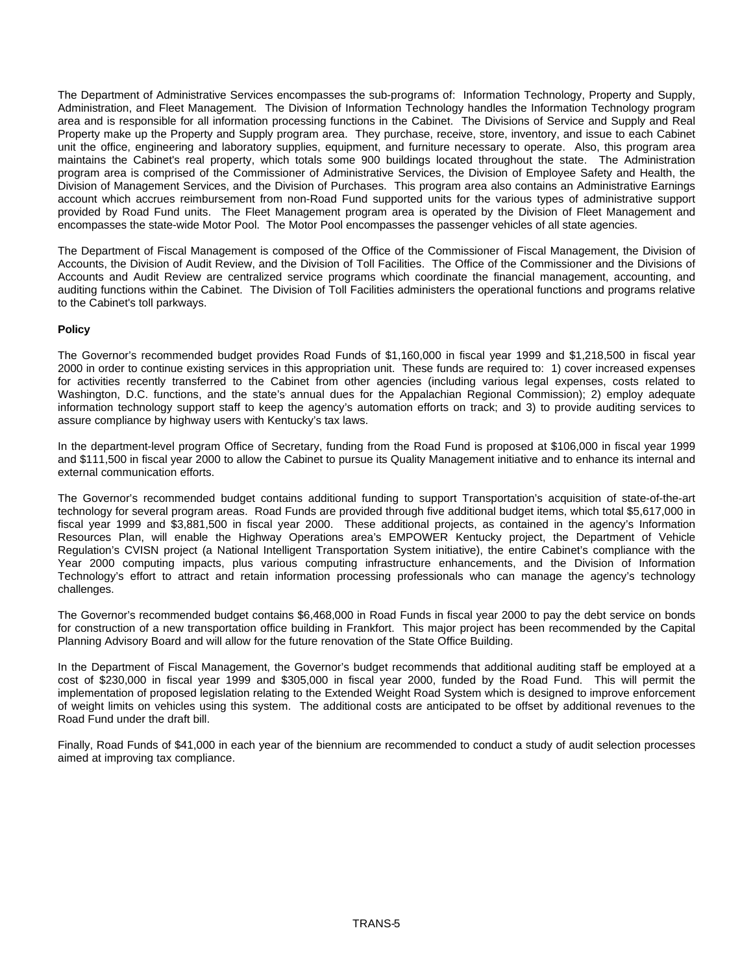The Department of Administrative Services encompasses the sub-programs of: Information Technology, Property and Supply, Administration, and Fleet Management. The Division of Information Technology handles the Information Technology program area and is responsible for all information processing functions in the Cabinet. The Divisions of Service and Supply and Real Property make up the Property and Supply program area. They purchase, receive, store, inventory, and issue to each Cabinet unit the office, engineering and laboratory supplies, equipment, and furniture necessary to operate. Also, this program area maintains the Cabinet's real property, which totals some 900 buildings located throughout the state. The Administration program area is comprised of the Commissioner of Administrative Services, the Division of Employee Safety and Health, the Division of Management Services, and the Division of Purchases. This program area also contains an Administrative Earnings account which accrues reimbursement from non-Road Fund supported units for the various types of administrative support provided by Road Fund units. The Fleet Management program area is operated by the Division of Fleet Management and encompasses the state-wide Motor Pool. The Motor Pool encompasses the passenger vehicles of all state agencies.

The Department of Fiscal Management is composed of the Office of the Commissioner of Fiscal Management, the Division of Accounts, the Division of Audit Review, and the Division of Toll Facilities. The Office of the Commissioner and the Divisions of Accounts and Audit Review are centralized service programs which coordinate the financial management, accounting, and auditing functions within the Cabinet. The Division of Toll Facilities administers the operational functions and programs relative to the Cabinet's toll parkways.

## **Policy**

The Governor's recommended budget provides Road Funds of \$1,160,000 in fiscal year 1999 and \$1,218,500 in fiscal year 2000 in order to continue existing services in this appropriation unit. These funds are required to: 1) cover increased expenses for activities recently transferred to the Cabinet from other agencies (including various legal expenses, costs related to Washington, D.C. functions, and the state's annual dues for the Appalachian Regional Commission); 2) employ adequate information technology support staff to keep the agency's automation efforts on track; and 3) to provide auditing services to assure compliance by highway users with Kentucky's tax laws.

In the department-level program Office of Secretary, funding from the Road Fund is proposed at \$106,000 in fiscal year 1999 and \$111,500 in fiscal year 2000 to allow the Cabinet to pursue its Quality Management initiative and to enhance its internal and external communication efforts.

The Governor's recommended budget contains additional funding to support Transportation's acquisition of state-of-the-art technology for several program areas. Road Funds are provided through five additional budget items, which total \$5,617,000 in fiscal year 1999 and \$3,881,500 in fiscal year 2000. These additional projects, as contained in the agency's Information Resources Plan, will enable the Highway Operations area's EMPOWER Kentucky project, the Department of Vehicle Regulation's CVISN project (a National Intelligent Transportation System initiative), the entire Cabinet's compliance with the Year 2000 computing impacts, plus various computing infrastructure enhancements, and the Division of Information Technology's effort to attract and retain information processing professionals who can manage the agency's technology challenges.

The Governor's recommended budget contains \$6,468,000 in Road Funds in fiscal year 2000 to pay the debt service on bonds for construction of a new transportation office building in Frankfort. This major project has been recommended by the Capital Planning Advisory Board and will allow for the future renovation of the State Office Building.

In the Department of Fiscal Management, the Governor's budget recommends that additional auditing staff be employed at a cost of \$230,000 in fiscal year 1999 and \$305,000 in fiscal year 2000, funded by the Road Fund. This will permit the implementation of proposed legislation relating to the Extended Weight Road System which is designed to improve enforcement of weight limits on vehicles using this system. The additional costs are anticipated to be offset by additional revenues to the Road Fund under the draft bill.

Finally, Road Funds of \$41,000 in each year of the biennium are recommended to conduct a study of audit selection processes aimed at improving tax compliance.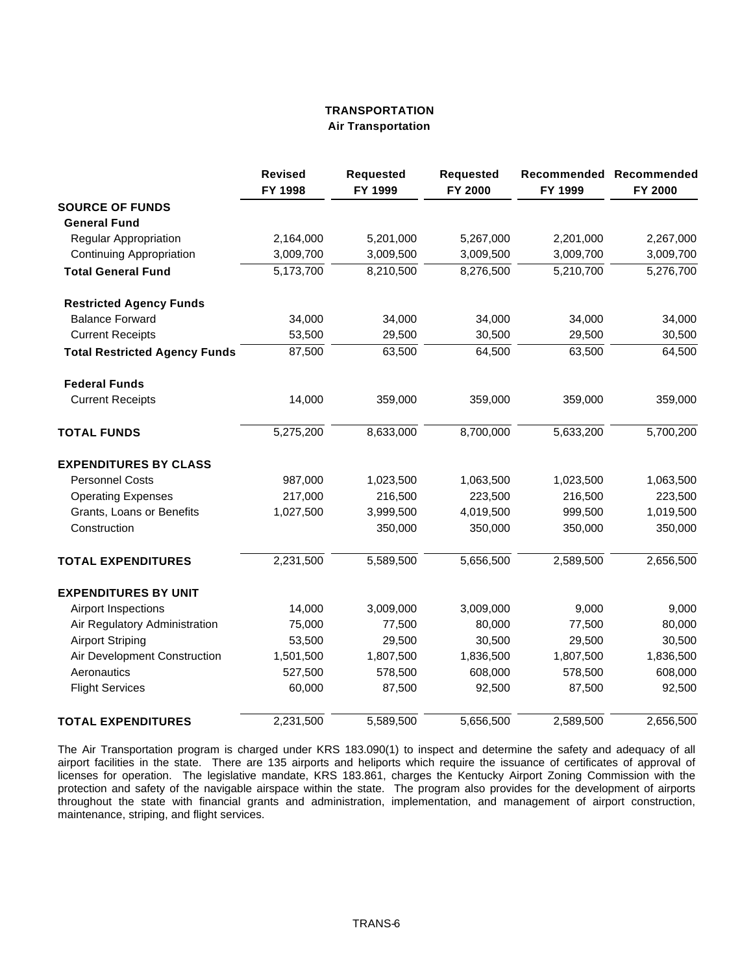## **TRANSPORTATION Air Transportation**

|                                      | <b>Revised</b><br>FY 1998 | <b>Requested</b><br>FY 1999 | <b>Requested</b><br>FY 2000 | FY 1999   | Recommended Recommended<br>FY 2000 |
|--------------------------------------|---------------------------|-----------------------------|-----------------------------|-----------|------------------------------------|
| <b>SOURCE OF FUNDS</b>               |                           |                             |                             |           |                                    |
| <b>General Fund</b>                  |                           |                             |                             |           |                                    |
| <b>Regular Appropriation</b>         | 2,164,000                 | 5,201,000                   | 5,267,000                   | 2,201,000 | 2,267,000                          |
| <b>Continuing Appropriation</b>      | 3,009,700                 | 3,009,500                   | 3,009,500                   | 3,009,700 | 3,009,700                          |
| <b>Total General Fund</b>            | 5,173,700                 | 8,210,500                   | 8,276,500                   | 5,210,700 | 5,276,700                          |
| <b>Restricted Agency Funds</b>       |                           |                             |                             |           |                                    |
| <b>Balance Forward</b>               | 34,000                    | 34,000                      | 34,000                      | 34,000    | 34,000                             |
| <b>Current Receipts</b>              | 53,500                    | 29,500                      | 30,500                      | 29,500    | 30,500                             |
| <b>Total Restricted Agency Funds</b> | 87,500                    | 63,500                      | 64,500                      | 63,500    | 64,500                             |
| <b>Federal Funds</b>                 |                           |                             |                             |           |                                    |
| <b>Current Receipts</b>              | 14,000                    | 359,000                     | 359,000                     | 359,000   | 359,000                            |
| <b>TOTAL FUNDS</b>                   | 5,275,200                 | 8,633,000                   | 8,700,000                   | 5,633,200 | 5,700,200                          |
| <b>EXPENDITURES BY CLASS</b>         |                           |                             |                             |           |                                    |
| <b>Personnel Costs</b>               | 987,000                   | 1,023,500                   | 1,063,500                   | 1,023,500 | 1,063,500                          |
| <b>Operating Expenses</b>            | 217,000                   | 216,500                     | 223,500                     | 216,500   | 223,500                            |
| Grants, Loans or Benefits            | 1,027,500                 | 3,999,500                   | 4,019,500                   | 999,500   | 1,019,500                          |
| Construction                         |                           | 350,000                     | 350,000                     | 350,000   | 350,000                            |
| <b>TOTAL EXPENDITURES</b>            | 2,231,500                 | 5,589,500                   | 5,656,500                   | 2,589,500 | 2,656,500                          |
| <b>EXPENDITURES BY UNIT</b>          |                           |                             |                             |           |                                    |
| Airport Inspections                  | 14,000                    | 3,009,000                   | 3,009,000                   | 9,000     | 9,000                              |
| Air Regulatory Administration        | 75,000                    | 77,500                      | 80,000                      | 77,500    | 80,000                             |
| <b>Airport Striping</b>              | 53,500                    | 29,500                      | 30,500                      | 29,500    | 30,500                             |
| Air Development Construction         | 1,501,500                 | 1,807,500                   | 1,836,500                   | 1,807,500 | 1,836,500                          |
| Aeronautics                          | 527,500                   | 578,500                     | 608,000                     | 578,500   | 608,000                            |
| <b>Flight Services</b>               | 60,000                    | 87,500                      | 92,500                      | 87,500    | 92,500                             |
| <b>TOTAL EXPENDITURES</b>            | 2,231,500                 | 5,589,500                   | 5,656,500                   | 2,589,500 | 2,656,500                          |

The Air Transportation program is charged under KRS 183.090(1) to inspect and determine the safety and adequacy of all airport facilities in the state. There are 135 airports and heliports which require the issuance of certificates of approval of licenses for operation. The legislative mandate, KRS 183.861, charges the Kentucky Airport Zoning Commission with the protection and safety of the navigable airspace within the state. The program also provides for the development of airports throughout the state with financial grants and administration, implementation, and management of airport construction, maintenance, striping, and flight services.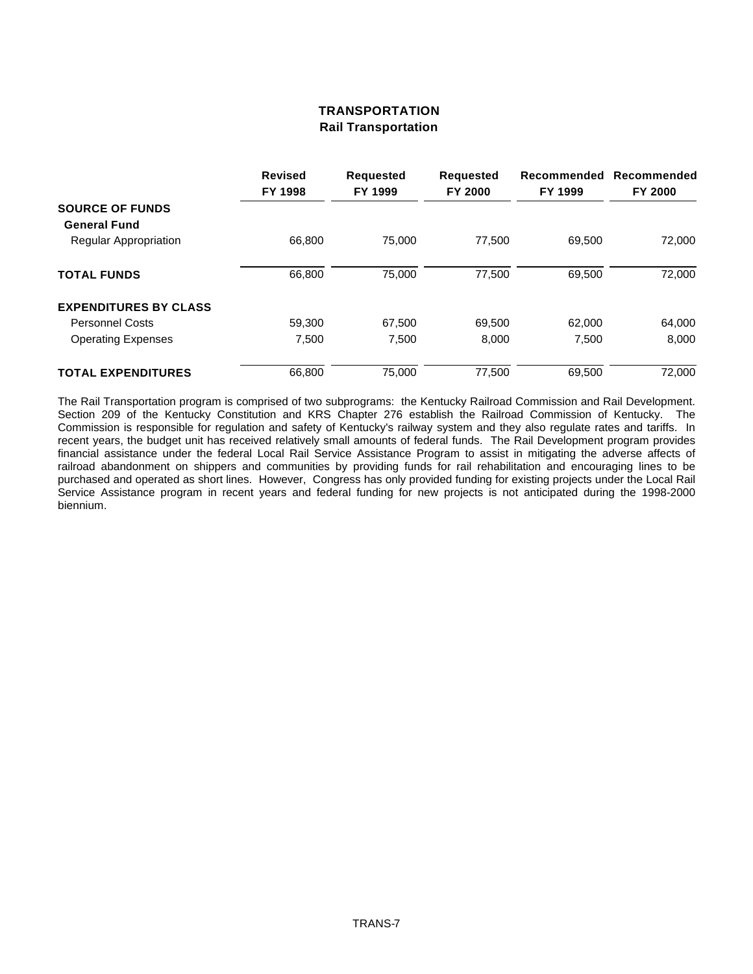# **TRANSPORTATION Rail Transportation**

|                              | <b>Revised</b><br>FY 1998 | <b>Requested</b><br>FY 1999 | <b>Requested</b><br><b>FY 2000</b> | Recommended<br>FY 1999 | Recommended<br><b>FY 2000</b> |
|------------------------------|---------------------------|-----------------------------|------------------------------------|------------------------|-------------------------------|
| <b>SOURCE OF FUNDS</b>       |                           |                             |                                    |                        |                               |
| <b>General Fund</b>          |                           |                             |                                    |                        |                               |
| Regular Appropriation        | 66,800                    | 75,000                      | 77.500                             | 69.500                 | 72,000                        |
| <b>TOTAL FUNDS</b>           | 66,800                    | 75,000                      | 77,500                             | 69,500                 | 72,000                        |
| <b>EXPENDITURES BY CLASS</b> |                           |                             |                                    |                        |                               |
| <b>Personnel Costs</b>       | 59,300                    | 67,500                      | 69,500                             | 62,000                 | 64,000                        |
| <b>Operating Expenses</b>    | 7.500                     | 7,500                       | 8.000                              | 7,500                  | 8.000                         |
| <b>TOTAL EXPENDITURES</b>    | 66,800                    | 75,000                      | 77,500                             | 69.500                 | 72.000                        |

The Rail Transportation program is comprised of two subprograms: the Kentucky Railroad Commission and Rail Development. Section 209 of the Kentucky Constitution and KRS Chapter 276 establish the Railroad Commission of Kentucky. The Commission is responsible for regulation and safety of Kentucky's railway system and they also regulate rates and tariffs. In recent years, the budget unit has received relatively small amounts of federal funds. The Rail Development program provides financial assistance under the federal Local Rail Service Assistance Program to assist in mitigating the adverse affects of railroad abandonment on shippers and communities by providing funds for rail rehabilitation and encouraging lines to be purchased and operated as short lines. However, Congress has only provided funding for existing projects under the Local Rail Service Assistance program in recent years and federal funding for new projects is not anticipated during the 1998-2000 biennium.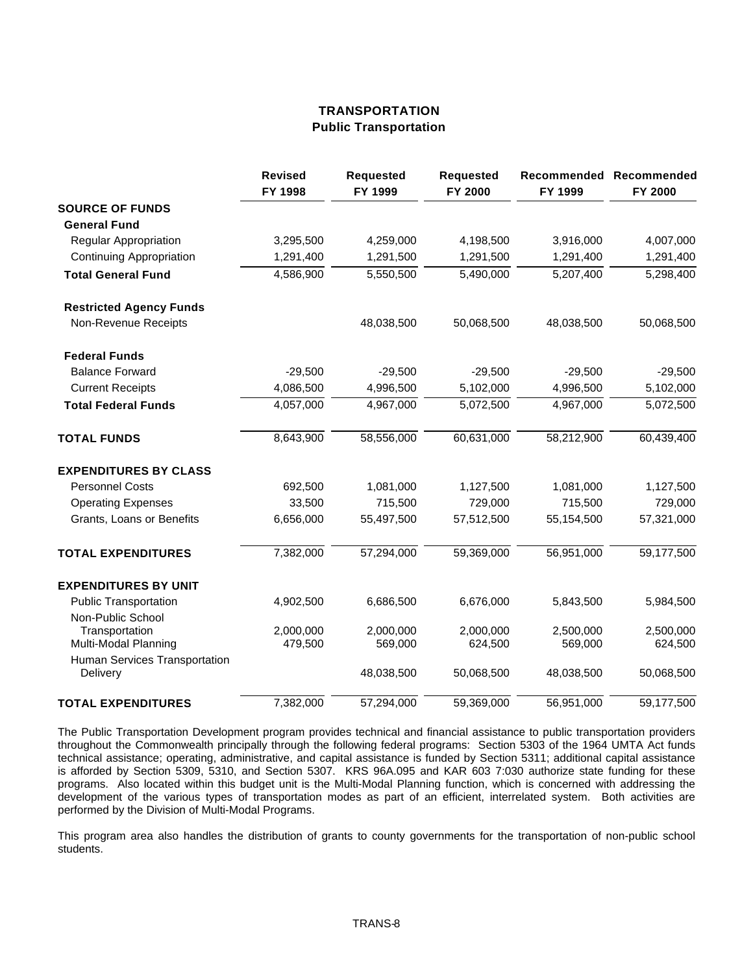# **TRANSPORTATION Public Transportation**

|                                           | <b>Revised</b><br>FY 1998 | <b>Requested</b><br>FY 1999 | <b>Requested</b><br>FY 2000 | FY 1999    | Recommended Recommended<br>FY 2000 |
|-------------------------------------------|---------------------------|-----------------------------|-----------------------------|------------|------------------------------------|
| <b>SOURCE OF FUNDS</b>                    |                           |                             |                             |            |                                    |
| <b>General Fund</b>                       |                           |                             |                             |            |                                    |
| <b>Regular Appropriation</b>              | 3,295,500                 | 4,259,000                   | 4,198,500                   | 3,916,000  | 4,007,000                          |
| <b>Continuing Appropriation</b>           | 1,291,400                 | 1,291,500                   | 1,291,500                   | 1,291,400  | 1,291,400                          |
| <b>Total General Fund</b>                 | 4,586,900                 | 5,550,500                   | 5,490,000                   | 5,207,400  | 5,298,400                          |
| <b>Restricted Agency Funds</b>            |                           |                             |                             |            |                                    |
| Non-Revenue Receipts                      |                           | 48,038,500                  | 50,068,500                  | 48,038,500 | 50,068,500                         |
| <b>Federal Funds</b>                      |                           |                             |                             |            |                                    |
| <b>Balance Forward</b>                    | $-29,500$                 | $-29,500$                   | $-29,500$                   | $-29,500$  | $-29,500$                          |
| <b>Current Receipts</b>                   | 4,086,500                 | 4,996,500                   | 5,102,000                   | 4,996,500  | 5,102,000                          |
| <b>Total Federal Funds</b>                | 4,057,000                 | 4,967,000                   | 5,072,500                   | 4,967,000  | 5,072,500                          |
| <b>TOTAL FUNDS</b>                        | 8,643,900                 | 58,556,000                  | 60,631,000                  | 58,212,900 | 60,439,400                         |
| <b>EXPENDITURES BY CLASS</b>              |                           |                             |                             |            |                                    |
| <b>Personnel Costs</b>                    | 692,500                   | 1,081,000                   | 1,127,500                   | 1,081,000  | 1,127,500                          |
| <b>Operating Expenses</b>                 | 33,500                    | 715,500                     | 729,000                     | 715,500    | 729,000                            |
| Grants, Loans or Benefits                 | 6,656,000                 | 55,497,500                  | 57,512,500                  | 55,154,500 | 57,321,000                         |
| <b>TOTAL EXPENDITURES</b>                 | 7,382,000                 | 57,294,000                  | 59,369,000                  | 56,951,000 | 59,177,500                         |
| <b>EXPENDITURES BY UNIT</b>               |                           |                             |                             |            |                                    |
| <b>Public Transportation</b>              | 4,902,500                 | 6,686,500                   | 6,676,000                   | 5,843,500  | 5,984,500                          |
| Non-Public School                         |                           |                             |                             |            |                                    |
| Transportation                            | 2,000,000                 | 2,000,000                   | 2,000,000                   | 2,500,000  | 2,500,000                          |
| Multi-Modal Planning                      | 479,500                   | 569,000                     | 624,500                     | 569,000    | 624,500                            |
| Human Services Transportation<br>Delivery |                           | 48,038,500                  | 50,068,500                  | 48,038,500 | 50,068,500                         |
| <b>TOTAL EXPENDITURES</b>                 | 7,382,000                 | 57,294,000                  | 59,369,000                  | 56,951,000 | 59,177,500                         |

The Public Transportation Development program provides technical and financial assistance to public transportation providers throughout the Commonwealth principally through the following federal programs: Section 5303 of the 1964 UMTA Act funds technical assistance; operating, administrative, and capital assistance is funded by Section 5311; additional capital assistance is afforded by Section 5309, 5310, and Section 5307. KRS 96A.095 and KAR 603 7:030 authorize state funding for these programs. Also located within this budget unit is the Multi-Modal Planning function, which is concerned with addressing the development of the various types of transportation modes as part of an efficient, interrelated system. Both activities are performed by the Division of Multi-Modal Programs.

This program area also handles the distribution of grants to county governments for the transportation of non-public school students.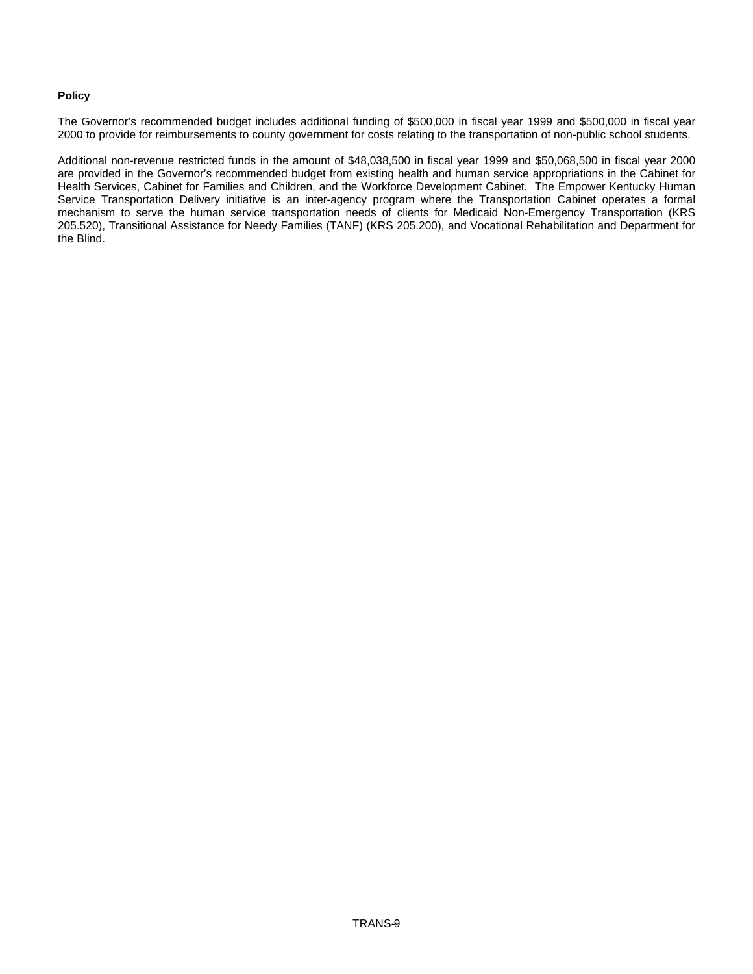## **Policy**

The Governor's recommended budget includes additional funding of \$500,000 in fiscal year 1999 and \$500,000 in fiscal year 2000 to provide for reimbursements to county government for costs relating to the transportation of non-public school students.

Additional non-revenue restricted funds in the amount of \$48,038,500 in fiscal year 1999 and \$50,068,500 in fiscal year 2000 are provided in the Governor's recommended budget from existing health and human service appropriations in the Cabinet for Health Services, Cabinet for Families and Children, and the Workforce Development Cabinet. The Empower Kentucky Human Service Transportation Delivery initiative is an inter-agency program where the Transportation Cabinet operates a formal mechanism to serve the human service transportation needs of clients for Medicaid Non-Emergency Transportation (KRS 205.520), Transitional Assistance for Needy Families (TANF) (KRS 205.200), and Vocational Rehabilitation and Department for the Blind.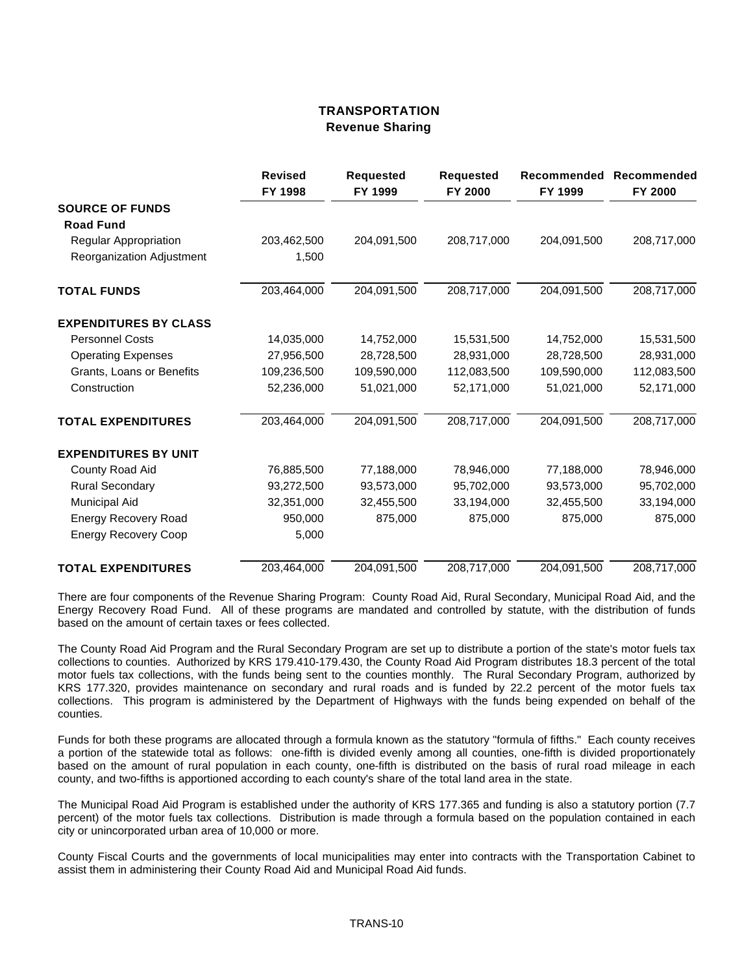## **TRANSPORTATION Revenue Sharing**

|                                            | <b>Revised</b><br>FY 1998 | <b>Requested</b><br>FY 1999 | <b>Requested</b><br>FY 2000 | Recommended<br>FY 1999 | Recommended<br>FY 2000 |
|--------------------------------------------|---------------------------|-----------------------------|-----------------------------|------------------------|------------------------|
| <b>SOURCE OF FUNDS</b><br><b>Road Fund</b> |                           |                             |                             |                        |                        |
|                                            |                           |                             |                             |                        |                        |
| Regular Appropriation                      | 203,462,500               | 204,091,500                 | 208,717,000                 | 204,091,500            | 208,717,000            |
| Reorganization Adjustment                  | 1,500                     |                             |                             |                        |                        |
| <b>TOTAL FUNDS</b>                         | 203,464,000               | 204,091,500                 | 208,717,000                 | 204,091,500            | 208,717,000            |
| <b>EXPENDITURES BY CLASS</b>               |                           |                             |                             |                        |                        |
| <b>Personnel Costs</b>                     | 14,035,000                | 14,752,000                  | 15,531,500                  | 14,752,000             | 15,531,500             |
| <b>Operating Expenses</b>                  | 27,956,500                | 28,728,500                  | 28,931,000                  | 28,728,500             | 28,931,000             |
| Grants, Loans or Benefits                  | 109,236,500               | 109,590,000                 | 112,083,500                 | 109,590,000            | 112,083,500            |
| Construction                               | 52,236,000                | 51,021,000                  | 52,171,000                  | 51,021,000             | 52,171,000             |
| <b>TOTAL EXPENDITURES</b>                  | 203,464,000               | 204,091,500                 | 208,717,000                 | 204,091,500            | 208,717,000            |
| <b>EXPENDITURES BY UNIT</b>                |                           |                             |                             |                        |                        |
| County Road Aid                            | 76,885,500                | 77,188,000                  | 78,946,000                  | 77,188,000             | 78,946,000             |
| <b>Rural Secondary</b>                     | 93,272,500                | 93,573,000                  | 95,702,000                  | 93,573,000             | 95,702,000             |
| Municipal Aid                              | 32,351,000                | 32,455,500                  | 33,194,000                  | 32,455,500             | 33,194,000             |
| <b>Energy Recovery Road</b>                | 950,000                   | 875,000                     | 875,000                     | 875,000                | 875,000                |
| <b>Energy Recovery Coop</b>                | 5,000                     |                             |                             |                        |                        |
| <b>TOTAL EXPENDITURES</b>                  | 203,464,000               | 204,091,500                 | 208,717,000                 | 204,091,500            | 208,717,000            |

There are four components of the Revenue Sharing Program: County Road Aid, Rural Secondary, Municipal Road Aid, and the Energy Recovery Road Fund. All of these programs are mandated and controlled by statute, with the distribution of funds based on the amount of certain taxes or fees collected.

The County Road Aid Program and the Rural Secondary Program are set up to distribute a portion of the state's motor fuels tax collections to counties. Authorized by KRS 179.410-179.430, the County Road Aid Program distributes 18.3 percent of the total motor fuels tax collections, with the funds being sent to the counties monthly. The Rural Secondary Program, authorized by KRS 177.320, provides maintenance on secondary and rural roads and is funded by 22.2 percent of the motor fuels tax collections. This program is administered by the Department of Highways with the funds being expended on behalf of the counties.

Funds for both these programs are allocated through a formula known as the statutory "formula of fifths." Each county receives a portion of the statewide total as follows: one-fifth is divided evenly among all counties, one-fifth is divided proportionately based on the amount of rural population in each county, one-fifth is distributed on the basis of rural road mileage in each county, and two-fifths is apportioned according to each county's share of the total land area in the state.

The Municipal Road Aid Program is established under the authority of KRS 177.365 and funding is also a statutory portion (7.7 percent) of the motor fuels tax collections. Distribution is made through a formula based on the population contained in each city or unincorporated urban area of 10,000 or more.

County Fiscal Courts and the governments of local municipalities may enter into contracts with the Transportation Cabinet to assist them in administering their County Road Aid and Municipal Road Aid funds.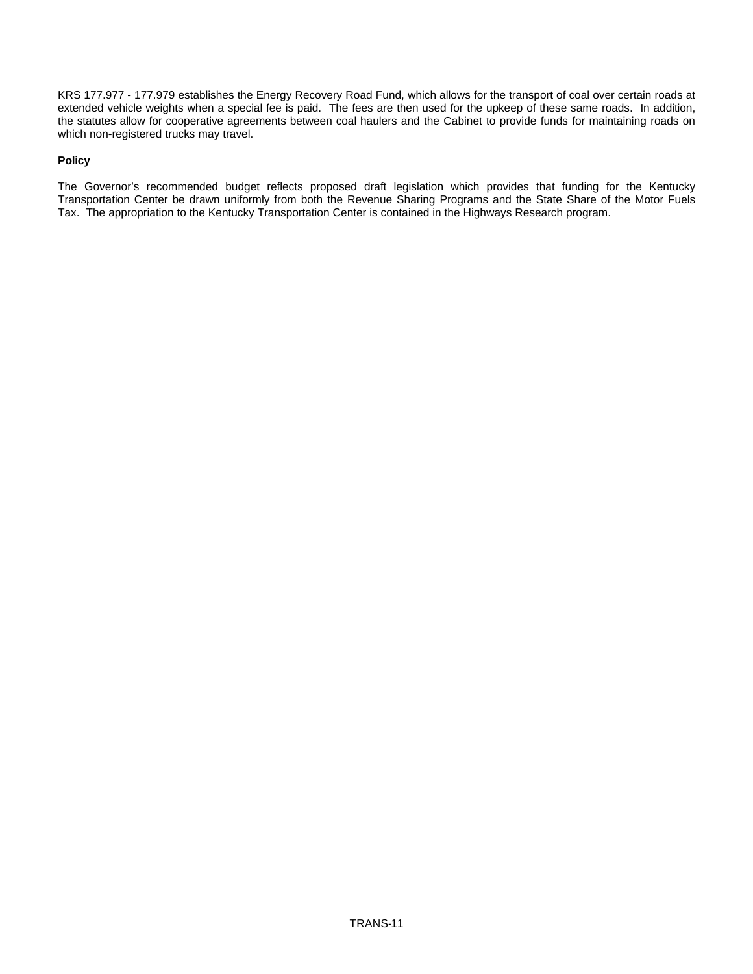KRS 177.977 - 177.979 establishes the Energy Recovery Road Fund, which allows for the transport of coal over certain roads at extended vehicle weights when a special fee is paid. The fees are then used for the upkeep of these same roads. In addition, the statutes allow for cooperative agreements between coal haulers and the Cabinet to provide funds for maintaining roads on which non-registered trucks may travel.

## **Policy**

The Governor's recommended budget reflects proposed draft legislation which provides that funding for the Kentucky Transportation Center be drawn uniformly from both the Revenue Sharing Programs and the State Share of the Motor Fuels Tax. The appropriation to the Kentucky Transportation Center is contained in the Highways Research program.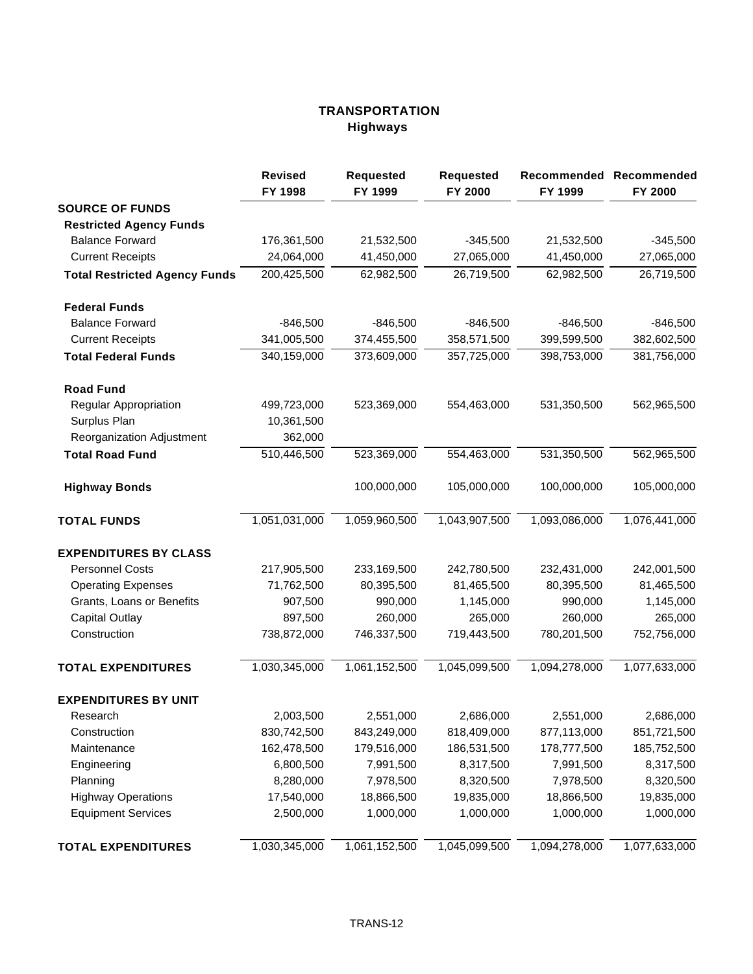# **TRANSPORTATION Highways**

|                                      | <b>Revised</b><br>FY 1998 | <b>Requested</b><br>FY 1999 | <b>Requested</b><br>FY 2000 | FY 1999       | Recommended Recommended<br>FY 2000 |
|--------------------------------------|---------------------------|-----------------------------|-----------------------------|---------------|------------------------------------|
| <b>SOURCE OF FUNDS</b>               |                           |                             |                             |               |                                    |
| <b>Restricted Agency Funds</b>       |                           |                             |                             |               |                                    |
| <b>Balance Forward</b>               | 176,361,500               | 21,532,500                  | $-345,500$                  | 21,532,500    | $-345,500$                         |
| <b>Current Receipts</b>              | 24,064,000                | 41,450,000                  | 27,065,000                  | 41,450,000    | 27,065,000                         |
| <b>Total Restricted Agency Funds</b> | 200,425,500               | 62,982,500                  | 26,719,500                  | 62,982,500    | 26,719,500                         |
| <b>Federal Funds</b>                 |                           |                             |                             |               |                                    |
| <b>Balance Forward</b>               | $-846,500$                | $-846,500$                  | $-846,500$                  | $-846,500$    | $-846,500$                         |
| <b>Current Receipts</b>              | 341,005,500               | 374,455,500                 | 358,571,500                 | 399,599,500   | 382,602,500                        |
| <b>Total Federal Funds</b>           | 340,159,000               | 373,609,000                 | 357,725,000                 | 398,753,000   | 381,756,000                        |
| <b>Road Fund</b>                     |                           |                             |                             |               |                                    |
| Regular Appropriation                | 499,723,000               | 523,369,000                 | 554,463,000                 | 531,350,500   | 562,965,500                        |
| Surplus Plan                         | 10,361,500                |                             |                             |               |                                    |
| Reorganization Adjustment            | 362,000                   |                             |                             |               |                                    |
| <b>Total Road Fund</b>               | 510,446,500               | 523,369,000                 | 554,463,000                 | 531,350,500   | 562,965,500                        |
| <b>Highway Bonds</b>                 |                           | 100,000,000                 | 105,000,000                 | 100,000,000   | 105,000,000                        |
| <b>TOTAL FUNDS</b>                   | 1,051,031,000             | 1,059,960,500               | 1,043,907,500               | 1,093,086,000 | 1,076,441,000                      |
| <b>EXPENDITURES BY CLASS</b>         |                           |                             |                             |               |                                    |
| <b>Personnel Costs</b>               | 217,905,500               | 233,169,500                 | 242,780,500                 | 232,431,000   | 242,001,500                        |
| <b>Operating Expenses</b>            | 71,762,500                | 80,395,500                  | 81,465,500                  | 80,395,500    | 81,465,500                         |
| Grants, Loans or Benefits            | 907,500                   | 990,000                     | 1,145,000                   | 990,000       | 1,145,000                          |
| <b>Capital Outlay</b>                | 897,500                   | 260,000                     | 265,000                     | 260,000       | 265,000                            |
| Construction                         | 738,872,000               | 746,337,500                 | 719,443,500                 | 780,201,500   | 752,756,000                        |
| <b>TOTAL EXPENDITURES</b>            | 1,030,345,000             | 1,061,152,500               | 1,045,099,500               | 1,094,278,000 | 1,077,633,000                      |
| <b>EXPENDITURES BY UNIT</b>          |                           |                             |                             |               |                                    |
| Research                             | 2,003,500                 | 2,551,000                   | 2,686,000                   | 2,551,000     | 2,686,000                          |
| Construction                         | 830,742,500               | 843,249,000                 | 818,409,000                 | 877,113,000   | 851,721,500                        |
| Maintenance                          | 162,478,500               | 179,516,000                 | 186,531,500                 | 178,777,500   | 185,752,500                        |
| Engineering                          | 6,800,500                 | 7,991,500                   | 8,317,500                   | 7,991,500     | 8,317,500                          |
| Planning                             | 8,280,000                 | 7,978,500                   | 8,320,500                   | 7,978,500     | 8,320,500                          |
| <b>Highway Operations</b>            | 17,540,000                | 18,866,500                  | 19,835,000                  | 18,866,500    | 19,835,000                         |
| <b>Equipment Services</b>            | 2,500,000                 | 1,000,000                   | 1,000,000                   | 1,000,000     | 1,000,000                          |
| <b>TOTAL EXPENDITURES</b>            | 1,030,345,000             | 1,061,152,500               | 1,045,099,500               | 1,094,278,000 | 1,077,633,000                      |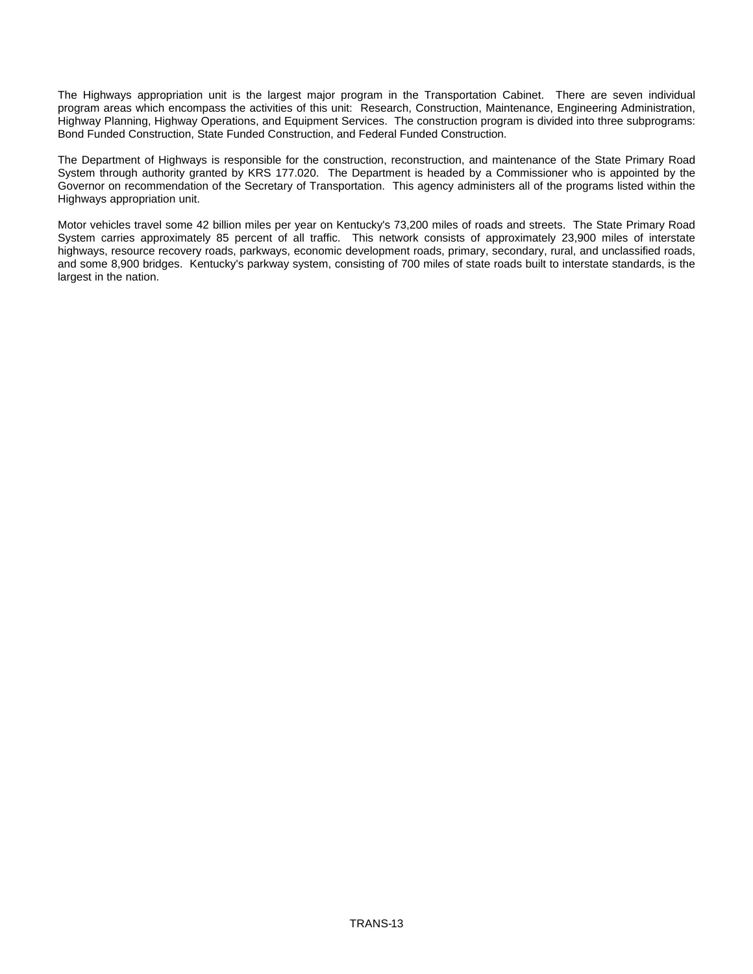The Highways appropriation unit is the largest major program in the Transportation Cabinet. There are seven individual program areas which encompass the activities of this unit: Research, Construction, Maintenance, Engineering Administration, Highway Planning, Highway Operations, and Equipment Services. The construction program is divided into three subprograms: Bond Funded Construction, State Funded Construction, and Federal Funded Construction.

The Department of Highways is responsible for the construction, reconstruction, and maintenance of the State Primary Road System through authority granted by KRS 177.020. The Department is headed by a Commissioner who is appointed by the Governor on recommendation of the Secretary of Transportation. This agency administers all of the programs listed within the Highways appropriation unit.

Motor vehicles travel some 42 billion miles per year on Kentucky's 73,200 miles of roads and streets. The State Primary Road System carries approximately 85 percent of all traffic. This network consists of approximately 23,900 miles of interstate highways, resource recovery roads, parkways, economic development roads, primary, secondary, rural, and unclassified roads, and some 8,900 bridges. Kentucky's parkway system, consisting of 700 miles of state roads built to interstate standards, is the largest in the nation.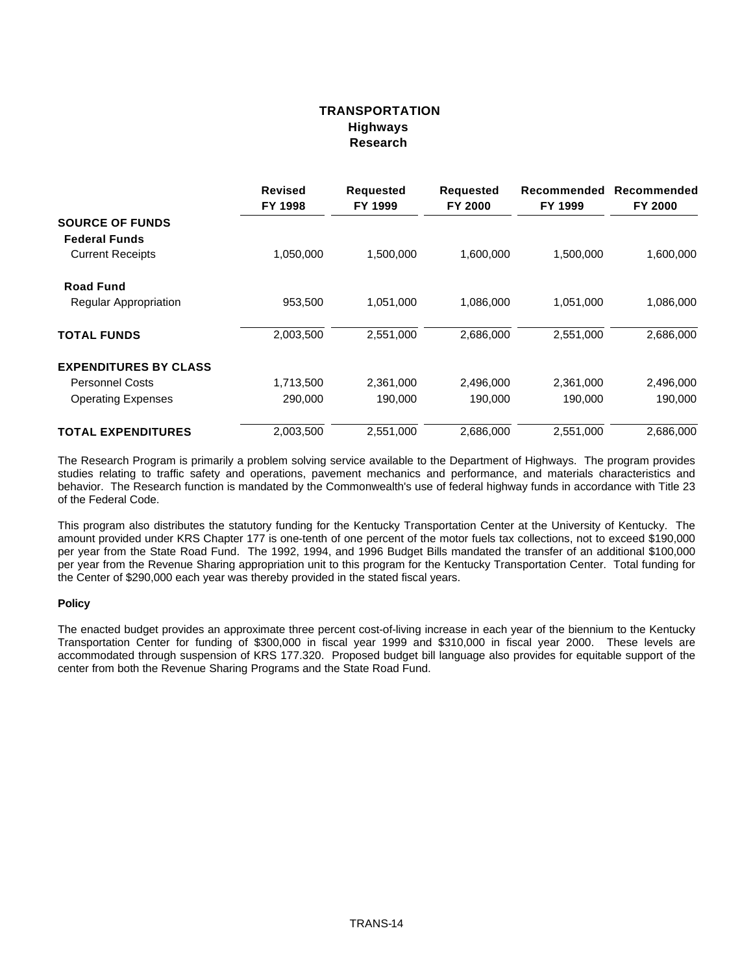## **TRANSPORTATION Highways Research**

|                              | <b>Revised</b><br>FY 1998 | <b>Requested</b><br>FY 1999 | <b>Requested</b><br>FY 2000 | Recommended<br>FY 1999 | Recommended<br>FY 2000 |
|------------------------------|---------------------------|-----------------------------|-----------------------------|------------------------|------------------------|
| <b>SOURCE OF FUNDS</b>       |                           |                             |                             |                        |                        |
| <b>Federal Funds</b>         |                           |                             |                             |                        |                        |
| <b>Current Receipts</b>      | 1,050,000                 | 1,500,000                   | 1,600,000                   | 1,500,000              | 1,600,000              |
| <b>Road Fund</b>             |                           |                             |                             |                        |                        |
| <b>Regular Appropriation</b> | 953,500                   | 1,051,000                   | 1,086,000                   | 1,051,000              | 1,086,000              |
| <b>TOTAL FUNDS</b>           | 2,003,500                 | 2,551,000                   | 2,686,000                   | 2,551,000              | 2,686,000              |
| <b>EXPENDITURES BY CLASS</b> |                           |                             |                             |                        |                        |
| <b>Personnel Costs</b>       | 1,713,500                 | 2,361,000                   | 2,496,000                   | 2,361,000              | 2,496,000              |
| <b>Operating Expenses</b>    | 290,000                   | 190,000                     | 190,000                     | 190,000                | 190,000                |
| <b>TOTAL EXPENDITURES</b>    | 2,003,500                 | 2,551,000                   | 2,686,000                   | 2,551,000              | 2,686,000              |

The Research Program is primarily a problem solving service available to the Department of Highways. The program provides studies relating to traffic safety and operations, pavement mechanics and performance, and materials characteristics and behavior. The Research function is mandated by the Commonwealth's use of federal highway funds in accordance with Title 23 of the Federal Code.

This program also distributes the statutory funding for the Kentucky Transportation Center at the University of Kentucky. The amount provided under KRS Chapter 177 is one-tenth of one percent of the motor fuels tax collections, not to exceed \$190,000 per year from the State Road Fund. The 1992, 1994, and 1996 Budget Bills mandated the transfer of an additional \$100,000 per year from the Revenue Sharing appropriation unit to this program for the Kentucky Transportation Center. Total funding for the Center of \$290,000 each year was thereby provided in the stated fiscal years.

### **Policy**

The enacted budget provides an approximate three percent cost-of-living increase in each year of the biennium to the Kentucky Transportation Center for funding of \$300,000 in fiscal year 1999 and \$310,000 in fiscal year 2000. These levels are accommodated through suspension of KRS 177.320. Proposed budget bill language also provides for equitable support of the center from both the Revenue Sharing Programs and the State Road Fund.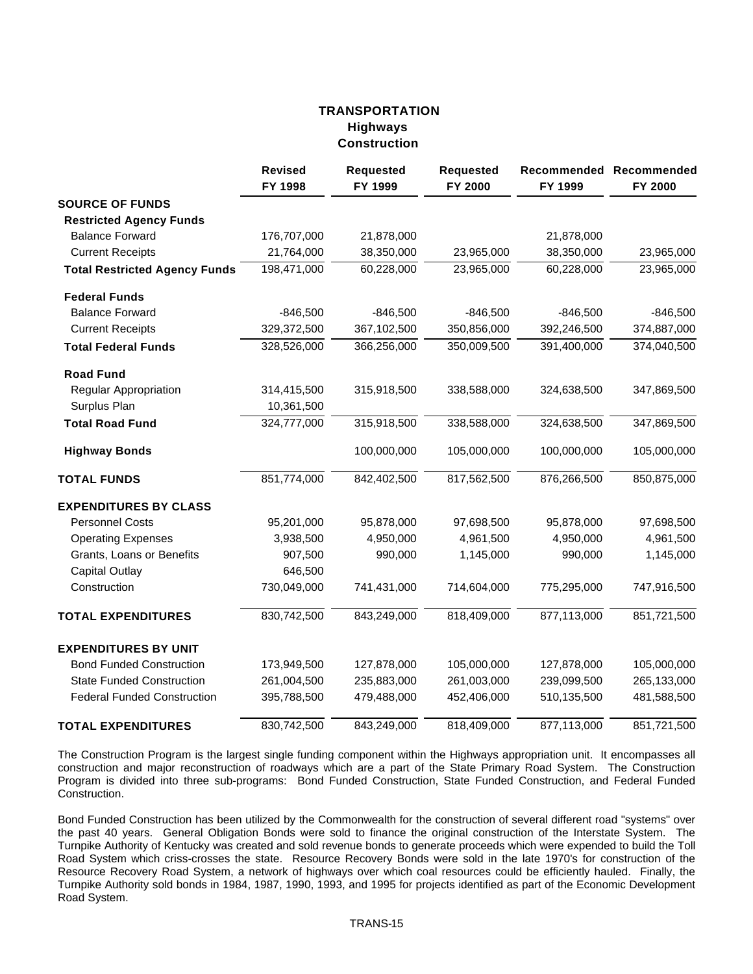## **TRANSPORTATION Highways Construction**

|                                      | <b>Revised</b><br>FY 1998 | <b>Requested</b><br>FY 1999 | <b>Requested</b><br>FY 2000 | FY 1999     | Recommended Recommended<br>FY 2000 |
|--------------------------------------|---------------------------|-----------------------------|-----------------------------|-------------|------------------------------------|
| <b>SOURCE OF FUNDS</b>               |                           |                             |                             |             |                                    |
| <b>Restricted Agency Funds</b>       |                           |                             |                             |             |                                    |
| <b>Balance Forward</b>               | 176,707,000               | 21,878,000                  |                             | 21,878,000  |                                    |
| <b>Current Receipts</b>              | 21,764,000                | 38,350,000                  | 23,965,000                  | 38,350,000  | 23,965,000                         |
| <b>Total Restricted Agency Funds</b> | 198,471,000               | 60,228,000                  | 23,965,000                  | 60,228,000  | 23,965,000                         |
| <b>Federal Funds</b>                 |                           |                             |                             |             |                                    |
| <b>Balance Forward</b>               | $-846,500$                | $-846,500$                  | $-846,500$                  | $-846,500$  | $-846,500$                         |
| <b>Current Receipts</b>              | 329,372,500               | 367,102,500                 | 350,856,000                 | 392,246,500 | 374,887,000                        |
| <b>Total Federal Funds</b>           | 328,526,000               | 366,256,000                 | 350,009,500                 | 391,400,000 | 374,040,500                        |
| <b>Road Fund</b>                     |                           |                             |                             |             |                                    |
| <b>Regular Appropriation</b>         | 314,415,500               | 315,918,500                 | 338,588,000                 | 324,638,500 | 347,869,500                        |
| Surplus Plan                         | 10,361,500                |                             |                             |             |                                    |
| <b>Total Road Fund</b>               | 324,777,000               | 315,918,500                 | 338,588,000                 | 324,638,500 | 347,869,500                        |
| <b>Highway Bonds</b>                 |                           | 100,000,000                 | 105,000,000                 | 100,000,000 | 105,000,000                        |
| <b>TOTAL FUNDS</b>                   | 851,774,000               | 842,402,500                 | 817,562,500                 | 876,266,500 | 850,875,000                        |
| <b>EXPENDITURES BY CLASS</b>         |                           |                             |                             |             |                                    |
| <b>Personnel Costs</b>               | 95,201,000                | 95,878,000                  | 97,698,500                  | 95,878,000  | 97,698,500                         |
| <b>Operating Expenses</b>            | 3,938,500                 | 4,950,000                   | 4,961,500                   | 4,950,000   | 4,961,500                          |
| Grants, Loans or Benefits            | 907,500                   | 990,000                     | 1,145,000                   | 990,000     | 1,145,000                          |
| <b>Capital Outlay</b>                | 646,500                   |                             |                             |             |                                    |
| Construction                         | 730,049,000               | 741,431,000                 | 714,604,000                 | 775,295,000 | 747,916,500                        |
| <b>TOTAL EXPENDITURES</b>            | 830,742,500               | 843,249,000                 | 818,409,000                 | 877,113,000 | 851,721,500                        |
| <b>EXPENDITURES BY UNIT</b>          |                           |                             |                             |             |                                    |
| <b>Bond Funded Construction</b>      | 173,949,500               | 127,878,000                 | 105,000,000                 | 127,878,000 | 105,000,000                        |
| <b>State Funded Construction</b>     | 261,004,500               | 235,883,000                 | 261,003,000                 | 239,099,500 | 265,133,000                        |
| <b>Federal Funded Construction</b>   | 395,788,500               | 479,488,000                 | 452,406,000                 | 510,135,500 | 481,588,500                        |
| <b>TOTAL EXPENDITURES</b>            | 830,742,500               | 843,249,000                 | 818,409,000                 | 877,113,000 | 851,721,500                        |

The Construction Program is the largest single funding component within the Highways appropriation unit. It encompasses all construction and major reconstruction of roadways which are a part of the State Primary Road System. The Construction Program is divided into three sub-programs: Bond Funded Construction, State Funded Construction, and Federal Funded Construction.

Bond Funded Construction has been utilized by the Commonwealth for the construction of several different road "systems" over the past 40 years. General Obligation Bonds were sold to finance the original construction of the Interstate System. The Turnpike Authority of Kentucky was created and sold revenue bonds to generate proceeds which were expended to build the Toll Road System which criss-crosses the state. Resource Recovery Bonds were sold in the late 1970's for construction of the Resource Recovery Road System, a network of highways over which coal resources could be efficiently hauled. Finally, the Turnpike Authority sold bonds in 1984, 1987, 1990, 1993, and 1995 for projects identified as part of the Economic Development Road System.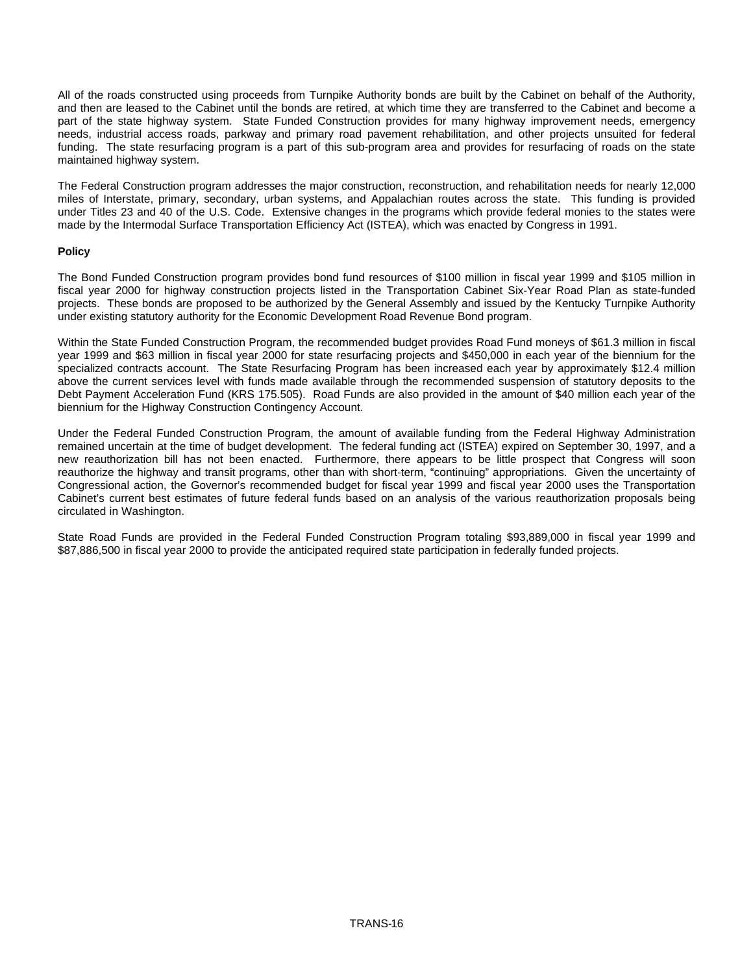All of the roads constructed using proceeds from Turnpike Authority bonds are built by the Cabinet on behalf of the Authority, and then are leased to the Cabinet until the bonds are retired, at which time they are transferred to the Cabinet and become a part of the state highway system. State Funded Construction provides for many highway improvement needs, emergency needs, industrial access roads, parkway and primary road pavement rehabilitation, and other projects unsuited for federal funding. The state resurfacing program is a part of this sub-program area and provides for resurfacing of roads on the state maintained highway system.

The Federal Construction program addresses the major construction, reconstruction, and rehabilitation needs for nearly 12,000 miles of Interstate, primary, secondary, urban systems, and Appalachian routes across the state. This funding is provided under Titles 23 and 40 of the U.S. Code. Extensive changes in the programs which provide federal monies to the states were made by the Intermodal Surface Transportation Efficiency Act (ISTEA), which was enacted by Congress in 1991.

## **Policy**

The Bond Funded Construction program provides bond fund resources of \$100 million in fiscal year 1999 and \$105 million in fiscal year 2000 for highway construction projects listed in the Transportation Cabinet Six-Year Road Plan as state-funded projects. These bonds are proposed to be authorized by the General Assembly and issued by the Kentucky Turnpike Authority under existing statutory authority for the Economic Development Road Revenue Bond program.

Within the State Funded Construction Program, the recommended budget provides Road Fund moneys of \$61.3 million in fiscal year 1999 and \$63 million in fiscal year 2000 for state resurfacing projects and \$450,000 in each year of the biennium for the specialized contracts account. The State Resurfacing Program has been increased each year by approximately \$12.4 million above the current services level with funds made available through the recommended suspension of statutory deposits to the Debt Payment Acceleration Fund (KRS 175.505). Road Funds are also provided in the amount of \$40 million each year of the biennium for the Highway Construction Contingency Account.

Under the Federal Funded Construction Program, the amount of available funding from the Federal Highway Administration remained uncertain at the time of budget development. The federal funding act (ISTEA) expired on September 30, 1997, and a new reauthorization bill has not been enacted. Furthermore, there appears to be little prospect that Congress will soon reauthorize the highway and transit programs, other than with short-term, "continuing" appropriations. Given the uncertainty of Congressional action, the Governor's recommended budget for fiscal year 1999 and fiscal year 2000 uses the Transportation Cabinet's current best estimates of future federal funds based on an analysis of the various reauthorization proposals being circulated in Washington.

State Road Funds are provided in the Federal Funded Construction Program totaling \$93,889,000 in fiscal year 1999 and \$87,886,500 in fiscal year 2000 to provide the anticipated required state participation in federally funded projects.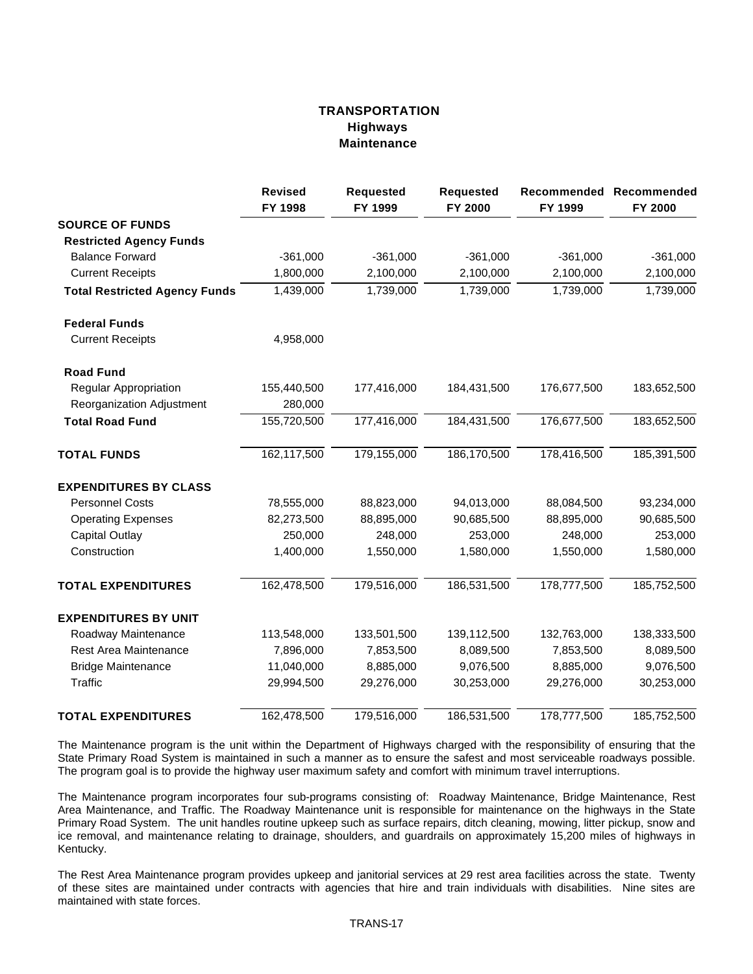## **TRANSPORTATION Highways Maintenance**

|                                      | <b>Revised</b><br>FY 1998 | <b>Requested</b><br>FY 1999 | <b>Requested</b><br>FY 2000 | FY 1999     | Recommended Recommended<br>FY 2000 |
|--------------------------------------|---------------------------|-----------------------------|-----------------------------|-------------|------------------------------------|
| <b>SOURCE OF FUNDS</b>               |                           |                             |                             |             |                                    |
| <b>Restricted Agency Funds</b>       |                           |                             |                             |             |                                    |
| <b>Balance Forward</b>               | $-361,000$                | $-361,000$                  | $-361,000$                  | $-361,000$  | $-361,000$                         |
| <b>Current Receipts</b>              | 1,800,000                 | 2,100,000                   | 2,100,000                   | 2,100,000   | 2,100,000                          |
| <b>Total Restricted Agency Funds</b> | 1,439,000                 | 1,739,000                   | 1,739,000                   | 1,739,000   | 1,739,000                          |
| <b>Federal Funds</b>                 |                           |                             |                             |             |                                    |
| <b>Current Receipts</b>              | 4,958,000                 |                             |                             |             |                                    |
| <b>Road Fund</b>                     |                           |                             |                             |             |                                    |
| <b>Regular Appropriation</b>         | 155,440,500               | 177,416,000                 | 184,431,500                 | 176,677,500 | 183,652,500                        |
| Reorganization Adjustment            | 280,000                   |                             |                             |             |                                    |
| <b>Total Road Fund</b>               | 155,720,500               | 177,416,000                 | 184,431,500                 | 176,677,500 | 183,652,500                        |
| <b>TOTAL FUNDS</b>                   | 162,117,500               | 179,155,000                 | 186,170,500                 | 178,416,500 | 185,391,500                        |
| <b>EXPENDITURES BY CLASS</b>         |                           |                             |                             |             |                                    |
| <b>Personnel Costs</b>               | 78,555,000                | 88,823,000                  | 94,013,000                  | 88,084,500  | 93,234,000                         |
| <b>Operating Expenses</b>            | 82,273,500                | 88,895,000                  | 90,685,500                  | 88,895,000  | 90,685,500                         |
| <b>Capital Outlay</b>                | 250,000                   | 248,000                     | 253,000                     | 248,000     | 253,000                            |
| Construction                         | 1,400,000                 | 1,550,000                   | 1,580,000                   | 1,550,000   | 1,580,000                          |
| <b>TOTAL EXPENDITURES</b>            | 162,478,500               | 179,516,000                 | 186,531,500                 | 178,777,500 | 185,752,500                        |
| <b>EXPENDITURES BY UNIT</b>          |                           |                             |                             |             |                                    |
| Roadway Maintenance                  | 113,548,000               | 133,501,500                 | 139,112,500                 | 132,763,000 | 138,333,500                        |
| Rest Area Maintenance                | 7,896,000                 | 7,853,500                   | 8,089,500                   | 7,853,500   | 8,089,500                          |
| <b>Bridge Maintenance</b>            | 11,040,000                | 8,885,000                   | 9,076,500                   | 8,885,000   | 9,076,500                          |
| Traffic                              | 29,994,500                | 29,276,000                  | 30,253,000                  | 29,276,000  | 30,253,000                         |
| <b>TOTAL EXPENDITURES</b>            | 162,478,500               | 179,516,000                 | 186,531,500                 | 178,777,500 | 185,752,500                        |

The Maintenance program is the unit within the Department of Highways charged with the responsibility of ensuring that the State Primary Road System is maintained in such a manner as to ensure the safest and most serviceable roadways possible. The program goal is to provide the highway user maximum safety and comfort with minimum travel interruptions.

The Maintenance program incorporates four sub-programs consisting of: Roadway Maintenance, Bridge Maintenance, Rest Area Maintenance, and Traffic. The Roadway Maintenance unit is responsible for maintenance on the highways in the State Primary Road System. The unit handles routine upkeep such as surface repairs, ditch cleaning, mowing, litter pickup, snow and ice removal, and maintenance relating to drainage, shoulders, and guardrails on approximately 15,200 miles of highways in Kentucky.

The Rest Area Maintenance program provides upkeep and janitorial services at 29 rest area facilities across the state. Twenty of these sites are maintained under contracts with agencies that hire and train individuals with disabilities. Nine sites are maintained with state forces.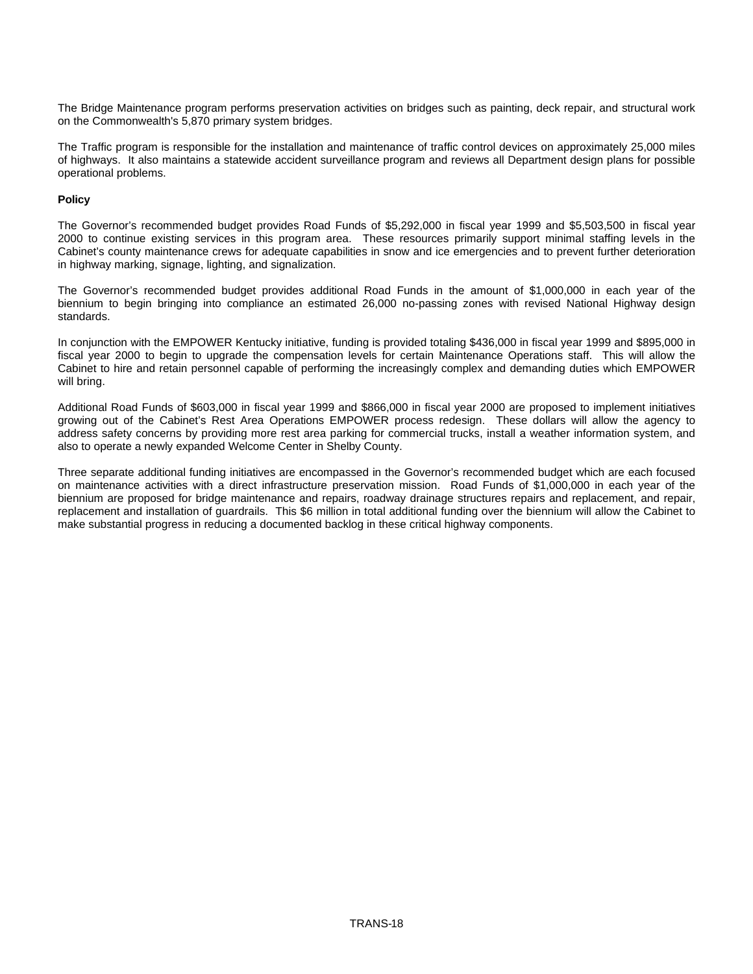The Bridge Maintenance program performs preservation activities on bridges such as painting, deck repair, and structural work on the Commonwealth's 5,870 primary system bridges.

The Traffic program is responsible for the installation and maintenance of traffic control devices on approximately 25,000 miles of highways. It also maintains a statewide accident surveillance program and reviews all Department design plans for possible operational problems.

## **Policy**

The Governor's recommended budget provides Road Funds of \$5,292,000 in fiscal year 1999 and \$5,503,500 in fiscal year 2000 to continue existing services in this program area. These resources primarily support minimal staffing levels in the Cabinet's county maintenance crews for adequate capabilities in snow and ice emergencies and to prevent further deterioration in highway marking, signage, lighting, and signalization.

The Governor's recommended budget provides additional Road Funds in the amount of \$1,000,000 in each year of the biennium to begin bringing into compliance an estimated 26,000 no-passing zones with revised National Highway design standards.

In conjunction with the EMPOWER Kentucky initiative, funding is provided totaling \$436,000 in fiscal year 1999 and \$895,000 in fiscal year 2000 to begin to upgrade the compensation levels for certain Maintenance Operations staff. This will allow the Cabinet to hire and retain personnel capable of performing the increasingly complex and demanding duties which EMPOWER will bring.

Additional Road Funds of \$603,000 in fiscal year 1999 and \$866,000 in fiscal year 2000 are proposed to implement initiatives growing out of the Cabinet's Rest Area Operations EMPOWER process redesign. These dollars will allow the agency to address safety concerns by providing more rest area parking for commercial trucks, install a weather information system, and also to operate a newly expanded Welcome Center in Shelby County.

Three separate additional funding initiatives are encompassed in the Governor's recommended budget which are each focused on maintenance activities with a direct infrastructure preservation mission. Road Funds of \$1,000,000 in each year of the biennium are proposed for bridge maintenance and repairs, roadway drainage structures repairs and replacement, and repair, replacement and installation of guardrails. This \$6 million in total additional funding over the biennium will allow the Cabinet to make substantial progress in reducing a documented backlog in these critical highway components.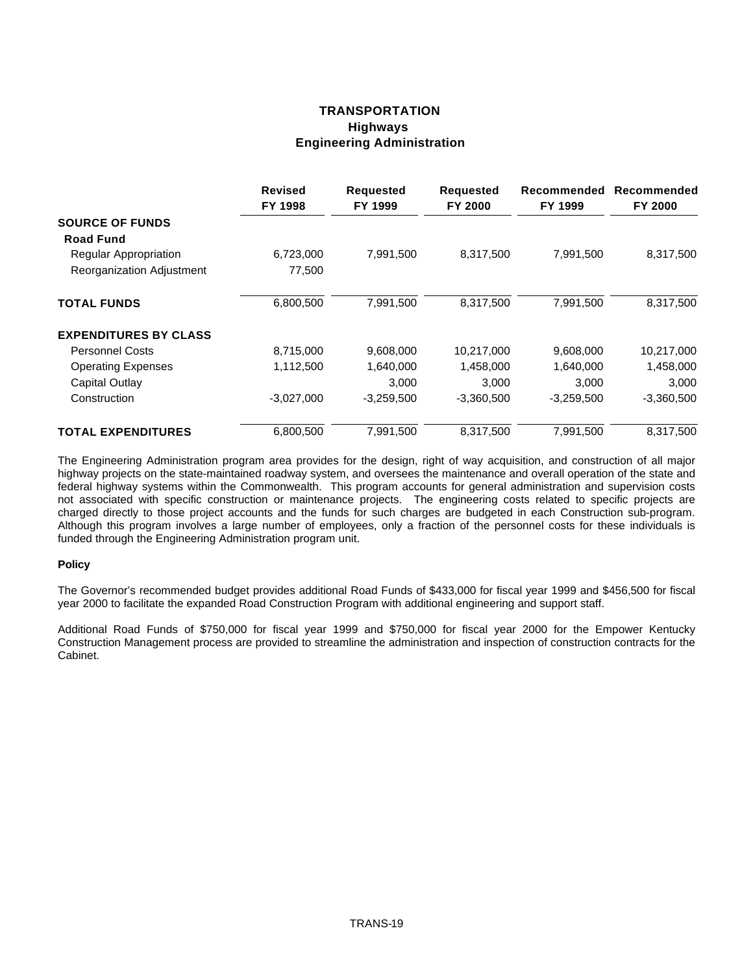## **TRANSPORTATION Highways Engineering Administration**

|                              | <b>Revised</b><br>FY 1998 | <b>Requested</b><br>FY 1999 | <b>Requested</b><br>FY 2000 | Recommended<br>FY 1999 | Recommended<br>FY 2000 |
|------------------------------|---------------------------|-----------------------------|-----------------------------|------------------------|------------------------|
| <b>SOURCE OF FUNDS</b>       |                           |                             |                             |                        |                        |
| <b>Road Fund</b>             |                           |                             |                             |                        |                        |
| Regular Appropriation        | 6,723,000                 | 7,991,500                   | 8,317,500                   | 7,991,500              | 8,317,500              |
| Reorganization Adjustment    | 77,500                    |                             |                             |                        |                        |
| <b>TOTAL FUNDS</b>           | 6,800,500                 | 7,991,500                   | 8,317,500                   | 7,991,500              | 8,317,500              |
| <b>EXPENDITURES BY CLASS</b> |                           |                             |                             |                        |                        |
| <b>Personnel Costs</b>       | 8,715,000                 | 9,608,000                   | 10,217,000                  | 9,608,000              | 10,217,000             |
| <b>Operating Expenses</b>    | 1,112,500                 | 1,640,000                   | 1,458,000                   | 1,640,000              | 1,458,000              |
| Capital Outlay               |                           | 3,000                       | 3,000                       | 3,000                  | 3,000                  |
| Construction                 | $-3,027,000$              | $-3,259,500$                | $-3,360,500$                | $-3,259,500$           | $-3,360,500$           |
| <b>TOTAL EXPENDITURES</b>    | 6,800,500                 | 7,991,500                   | 8,317,500                   | 7,991,500              | 8,317,500              |

The Engineering Administration program area provides for the design, right of way acquisition, and construction of all major highway projects on the state-maintained roadway system, and oversees the maintenance and overall operation of the state and federal highway systems within the Commonwealth. This program accounts for general administration and supervision costs not associated with specific construction or maintenance projects. The engineering costs related to specific projects are charged directly to those project accounts and the funds for such charges are budgeted in each Construction sub-program. Although this program involves a large number of employees, only a fraction of the personnel costs for these individuals is funded through the Engineering Administration program unit.

### **Policy**

The Governor's recommended budget provides additional Road Funds of \$433,000 for fiscal year 1999 and \$456,500 for fiscal year 2000 to facilitate the expanded Road Construction Program with additional engineering and support staff.

Additional Road Funds of \$750,000 for fiscal year 1999 and \$750,000 for fiscal year 2000 for the Empower Kentucky Construction Management process are provided to streamline the administration and inspection of construction contracts for the Cabinet.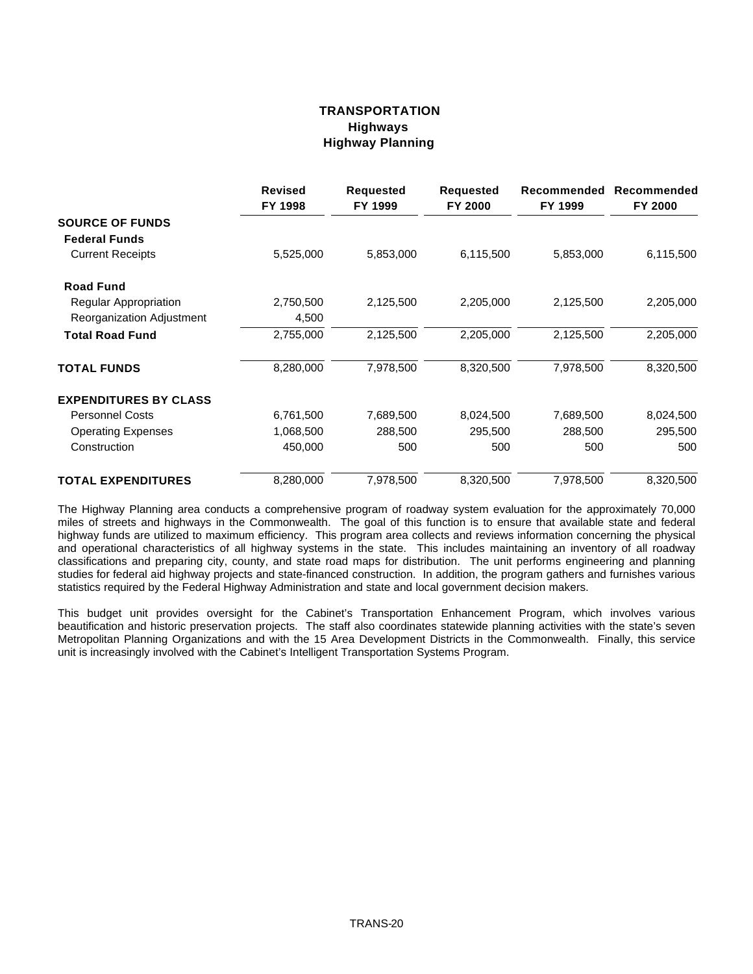# **TRANSPORTATION Highways Highway Planning**

|                              | <b>Revised</b><br>FY 1998 | <b>Requested</b><br>FY 1999 | <b>Requested</b><br>FY 2000 | FY 1999   | Recommended Recommended<br>FY 2000 |
|------------------------------|---------------------------|-----------------------------|-----------------------------|-----------|------------------------------------|
| <b>SOURCE OF FUNDS</b>       |                           |                             |                             |           |                                    |
| <b>Federal Funds</b>         |                           |                             |                             |           |                                    |
| <b>Current Receipts</b>      | 5,525,000                 | 5,853,000                   | 6,115,500                   | 5,853,000 | 6,115,500                          |
| <b>Road Fund</b>             |                           |                             |                             |           |                                    |
| Regular Appropriation        | 2,750,500                 | 2,125,500                   | 2,205,000                   | 2,125,500 | 2,205,000                          |
| Reorganization Adjustment    | 4,500                     |                             |                             |           |                                    |
| <b>Total Road Fund</b>       | 2,755,000                 | 2,125,500                   | 2,205,000                   | 2,125,500 | 2,205,000                          |
| <b>TOTAL FUNDS</b>           | 8,280,000                 | 7,978,500                   | 8,320,500                   | 7,978,500 | 8,320,500                          |
| <b>EXPENDITURES BY CLASS</b> |                           |                             |                             |           |                                    |
| <b>Personnel Costs</b>       | 6,761,500                 | 7,689,500                   | 8,024,500                   | 7,689,500 | 8,024,500                          |
| <b>Operating Expenses</b>    | 1,068,500                 | 288,500                     | 295,500                     | 288,500   | 295,500                            |
| Construction                 | 450,000                   | 500                         | 500                         | 500       | 500                                |
| <b>TOTAL EXPENDITURES</b>    | 8,280,000                 | 7,978,500                   | 8,320,500                   | 7,978,500 | 8,320,500                          |

The Highway Planning area conducts a comprehensive program of roadway system evaluation for the approximately 70,000 miles of streets and highways in the Commonwealth. The goal of this function is to ensure that available state and federal highway funds are utilized to maximum efficiency. This program area collects and reviews information concerning the physical and operational characteristics of all highway systems in the state. This includes maintaining an inventory of all roadway classifications and preparing city, county, and state road maps for distribution. The unit performs engineering and planning studies for federal aid highway projects and state-financed construction. In addition, the program gathers and furnishes various statistics required by the Federal Highway Administration and state and local government decision makers.

This budget unit provides oversight for the Cabinet's Transportation Enhancement Program, which involves various beautification and historic preservation projects. The staff also coordinates statewide planning activities with the state's seven Metropolitan Planning Organizations and with the 15 Area Development Districts in the Commonwealth. Finally, this service unit is increasingly involved with the Cabinet's Intelligent Transportation Systems Program.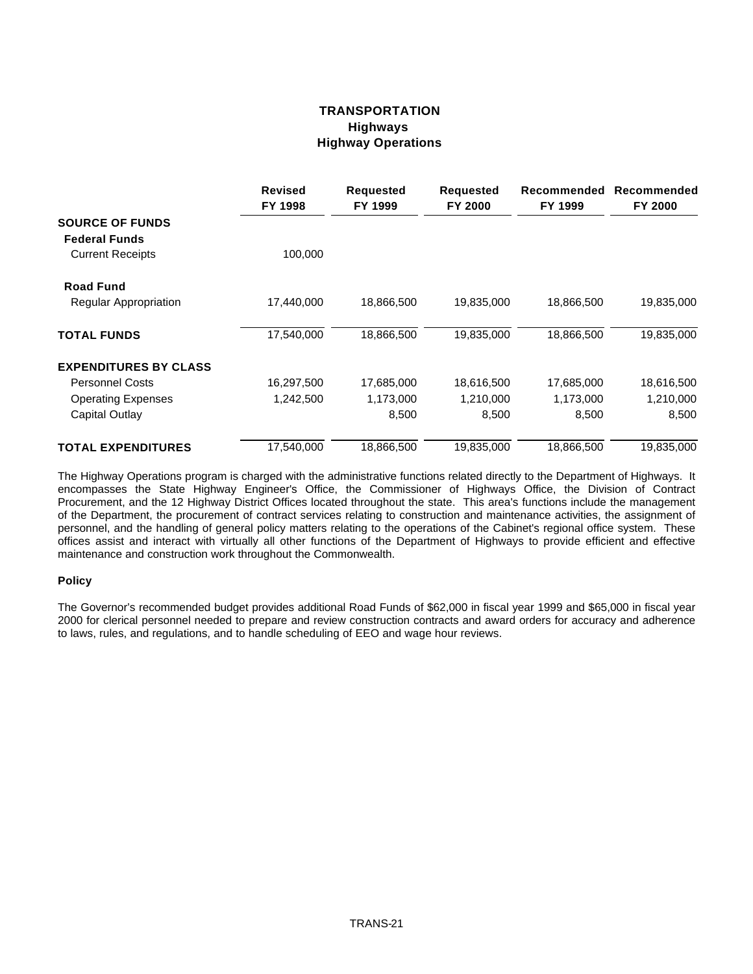# **TRANSPORTATION Highways Highway Operations**

|                              | <b>Revised</b><br>FY 1998 | <b>Requested</b><br>FY 1999 | <b>Requested</b><br><b>FY 2000</b> | Recommended<br>FY 1999 | Recommended<br>FY 2000 |
|------------------------------|---------------------------|-----------------------------|------------------------------------|------------------------|------------------------|
| <b>SOURCE OF FUNDS</b>       |                           |                             |                                    |                        |                        |
| <b>Federal Funds</b>         |                           |                             |                                    |                        |                        |
| <b>Current Receipts</b>      | 100.000                   |                             |                                    |                        |                        |
| <b>Road Fund</b>             |                           |                             |                                    |                        |                        |
| Regular Appropriation        | 17,440,000                | 18,866,500                  | 19,835,000                         | 18,866,500             | 19,835,000             |
| <b>TOTAL FUNDS</b>           | 17,540,000                | 18,866,500                  | 19,835,000                         | 18,866,500             | 19,835,000             |
| <b>EXPENDITURES BY CLASS</b> |                           |                             |                                    |                        |                        |
| <b>Personnel Costs</b>       | 16,297,500                | 17,685,000                  | 18,616,500                         | 17,685,000             | 18,616,500             |
| <b>Operating Expenses</b>    | 1,242,500                 | 1,173,000                   | 1,210,000                          | 1,173,000              | 1,210,000              |
| <b>Capital Outlay</b>        |                           | 8,500                       | 8,500                              | 8,500                  | 8,500                  |
| <b>TOTAL EXPENDITURES</b>    | 17,540,000                | 18,866,500                  | 19,835,000                         | 18,866,500             | 19,835,000             |

The Highway Operations program is charged with the administrative functions related directly to the Department of Highways. It encompasses the State Highway Engineer's Office, the Commissioner of Highways Office, the Division of Contract Procurement, and the 12 Highway District Offices located throughout the state. This area's functions include the management of the Department, the procurement of contract services relating to construction and maintenance activities, the assignment of personnel, and the handling of general policy matters relating to the operations of the Cabinet's regional office system. These offices assist and interact with virtually all other functions of the Department of Highways to provide efficient and effective maintenance and construction work throughout the Commonwealth.

### **Policy**

The Governor's recommended budget provides additional Road Funds of \$62,000 in fiscal year 1999 and \$65,000 in fiscal year 2000 for clerical personnel needed to prepare and review construction contracts and award orders for accuracy and adherence to laws, rules, and regulations, and to handle scheduling of EEO and wage hour reviews.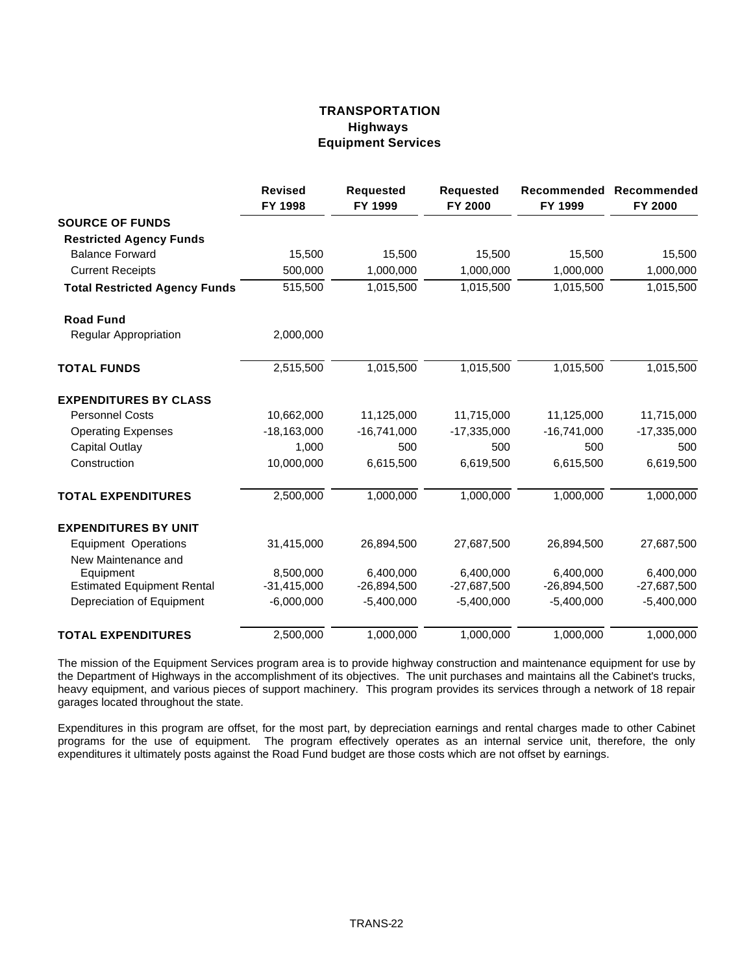## **TRANSPORTATION Highways Equipment Services**

|                                      | <b>Revised</b><br>FY 1998 | <b>Requested</b><br>FY 1999 | <b>Requested</b><br>FY 2000 | FY 1999       | Recommended Recommended<br>FY 2000 |
|--------------------------------------|---------------------------|-----------------------------|-----------------------------|---------------|------------------------------------|
| <b>SOURCE OF FUNDS</b>               |                           |                             |                             |               |                                    |
| <b>Restricted Agency Funds</b>       |                           |                             |                             |               |                                    |
| <b>Balance Forward</b>               | 15,500                    | 15,500                      | 15,500                      | 15,500        | 15,500                             |
| <b>Current Receipts</b>              | 500,000                   | 1,000,000                   | 1,000,000                   | 1,000,000     | 1,000,000                          |
| <b>Total Restricted Agency Funds</b> | 515,500                   | 1,015,500                   | 1,015,500                   | 1,015,500     | 1,015,500                          |
| <b>Road Fund</b>                     |                           |                             |                             |               |                                    |
| <b>Regular Appropriation</b>         | 2,000,000                 |                             |                             |               |                                    |
| <b>TOTAL FUNDS</b>                   | 2,515,500                 | 1,015,500                   | 1,015,500                   | 1,015,500     | 1,015,500                          |
| <b>EXPENDITURES BY CLASS</b>         |                           |                             |                             |               |                                    |
| <b>Personnel Costs</b>               | 10,662,000                | 11,125,000                  | 11,715,000                  | 11,125,000    | 11,715,000                         |
| <b>Operating Expenses</b>            | $-18,163,000$             | $-16,741,000$               | $-17,335,000$               | $-16,741,000$ | $-17,335,000$                      |
| <b>Capital Outlay</b>                | 1,000                     | 500                         | 500                         | 500           | 500                                |
| Construction                         | 10,000,000                | 6,615,500                   | 6,619,500                   | 6,615,500     | 6,619,500                          |
| <b>TOTAL EXPENDITURES</b>            | 2,500,000                 | 1,000,000                   | 1,000,000                   | 1,000,000     | 1,000,000                          |
| <b>EXPENDITURES BY UNIT</b>          |                           |                             |                             |               |                                    |
| <b>Equipment Operations</b>          | 31,415,000                | 26,894,500                  | 27,687,500                  | 26,894,500    | 27,687,500                         |
| New Maintenance and                  |                           |                             |                             |               |                                    |
| Equipment                            | 8,500,000                 | 6,400,000                   | 6,400,000                   | 6,400,000     | 6,400,000                          |
| <b>Estimated Equipment Rental</b>    | $-31,415,000$             | $-26,894,500$               | $-27,687,500$               | $-26,894,500$ | $-27,687,500$                      |
| Depreciation of Equipment            | $-6,000,000$              | $-5,400,000$                | $-5,400,000$                | $-5,400,000$  | $-5,400,000$                       |
| <b>TOTAL EXPENDITURES</b>            | 2,500,000                 | 1,000,000                   | 1,000,000                   | 1,000,000     | 1,000,000                          |

The mission of the Equipment Services program area is to provide highway construction and maintenance equipment for use by the Department of Highways in the accomplishment of its objectives. The unit purchases and maintains all the Cabinet's trucks, heavy equipment, and various pieces of support machinery. This program provides its services through a network of 18 repair garages located throughout the state.

Expenditures in this program are offset, for the most part, by depreciation earnings and rental charges made to other Cabinet programs for the use of equipment. The program effectively operates as an internal service unit, therefore, the only expenditures it ultimately posts against the Road Fund budget are those costs which are not offset by earnings.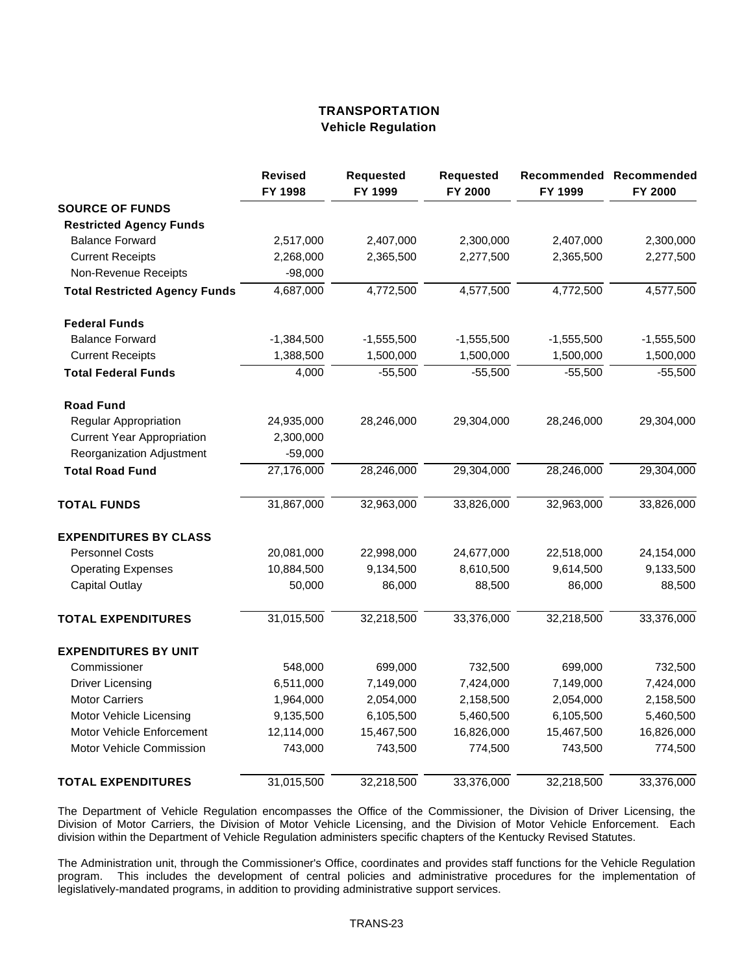# **TRANSPORTATION Vehicle Regulation**

|                                      | <b>Revised</b><br>FY 1998 | <b>Requested</b><br>FY 1999 | Requested<br>FY 2000 | FY 1999      | Recommended Recommended<br>FY 2000 |
|--------------------------------------|---------------------------|-----------------------------|----------------------|--------------|------------------------------------|
| <b>SOURCE OF FUNDS</b>               |                           |                             |                      |              |                                    |
| <b>Restricted Agency Funds</b>       |                           |                             |                      |              |                                    |
| <b>Balance Forward</b>               | 2,517,000                 | 2,407,000                   | 2,300,000            | 2,407,000    | 2,300,000                          |
| <b>Current Receipts</b>              | 2,268,000                 | 2,365,500                   | 2,277,500            | 2,365,500    | 2,277,500                          |
| Non-Revenue Receipts                 | $-98,000$                 |                             |                      |              |                                    |
| <b>Total Restricted Agency Funds</b> | 4,687,000                 | 4,772,500                   | 4,577,500            | 4,772,500    | 4,577,500                          |
| <b>Federal Funds</b>                 |                           |                             |                      |              |                                    |
| <b>Balance Forward</b>               | $-1,384,500$              | $-1,555,500$                | $-1,555,500$         | $-1,555,500$ | $-1,555,500$                       |
| <b>Current Receipts</b>              | 1,388,500                 | 1,500,000                   | 1,500,000            | 1,500,000    | 1,500,000                          |
| <b>Total Federal Funds</b>           | 4,000                     | $-55,500$                   | $-55,500$            | $-55,500$    | $-55,500$                          |
| <b>Road Fund</b>                     |                           |                             |                      |              |                                    |
| <b>Regular Appropriation</b>         | 24,935,000                | 28,246,000                  | 29,304,000           | 28,246,000   | 29,304,000                         |
| <b>Current Year Appropriation</b>    | 2,300,000                 |                             |                      |              |                                    |
| Reorganization Adjustment            | $-59,000$                 |                             |                      |              |                                    |
| <b>Total Road Fund</b>               | 27,176,000                | 28,246,000                  | 29,304,000           | 28,246,000   | 29,304,000                         |
| <b>TOTAL FUNDS</b>                   | 31,867,000                | 32,963,000                  | 33,826,000           | 32,963,000   | 33,826,000                         |
| <b>EXPENDITURES BY CLASS</b>         |                           |                             |                      |              |                                    |
| <b>Personnel Costs</b>               | 20,081,000                | 22,998,000                  | 24,677,000           | 22,518,000   | 24,154,000                         |
| <b>Operating Expenses</b>            | 10,884,500                | 9,134,500                   | 8,610,500            | 9,614,500    | 9,133,500                          |
| <b>Capital Outlay</b>                | 50,000                    | 86,000                      | 88,500               | 86,000       | 88,500                             |
| <b>TOTAL EXPENDITURES</b>            | 31,015,500                | 32,218,500                  | 33,376,000           | 32,218,500   | 33,376,000                         |
| <b>EXPENDITURES BY UNIT</b>          |                           |                             |                      |              |                                    |
| Commissioner                         | 548,000                   | 699,000                     | 732,500              | 699,000      | 732,500                            |
| <b>Driver Licensing</b>              | 6,511,000                 | 7,149,000                   | 7,424,000            | 7,149,000    | 7,424,000                          |
| <b>Motor Carriers</b>                | 1,964,000                 | 2,054,000                   | 2,158,500            | 2,054,000    | 2,158,500                          |
| Motor Vehicle Licensing              | 9,135,500                 | 6,105,500                   | 5,460,500            | 6,105,500    | 5,460,500                          |
| Motor Vehicle Enforcement            | 12,114,000                | 15,467,500                  | 16,826,000           | 15,467,500   | 16,826,000                         |
| Motor Vehicle Commission             | 743,000                   | 743,500                     | 774,500              | 743,500      | 774,500                            |
| <b>TOTAL EXPENDITURES</b>            | 31,015,500                | 32,218,500                  | 33,376,000           | 32,218,500   | 33,376,000                         |

The Department of Vehicle Regulation encompasses the Office of the Commissioner, the Division of Driver Licensing, the Division of Motor Carriers, the Division of Motor Vehicle Licensing, and the Division of Motor Vehicle Enforcement. Each division within the Department of Vehicle Regulation administers specific chapters of the Kentucky Revised Statutes.

The Administration unit, through the Commissioner's Office, coordinates and provides staff functions for the Vehicle Regulation program. This includes the development of central policies and administrative procedures for the implementation of legislatively-mandated programs, in addition to providing administrative support services.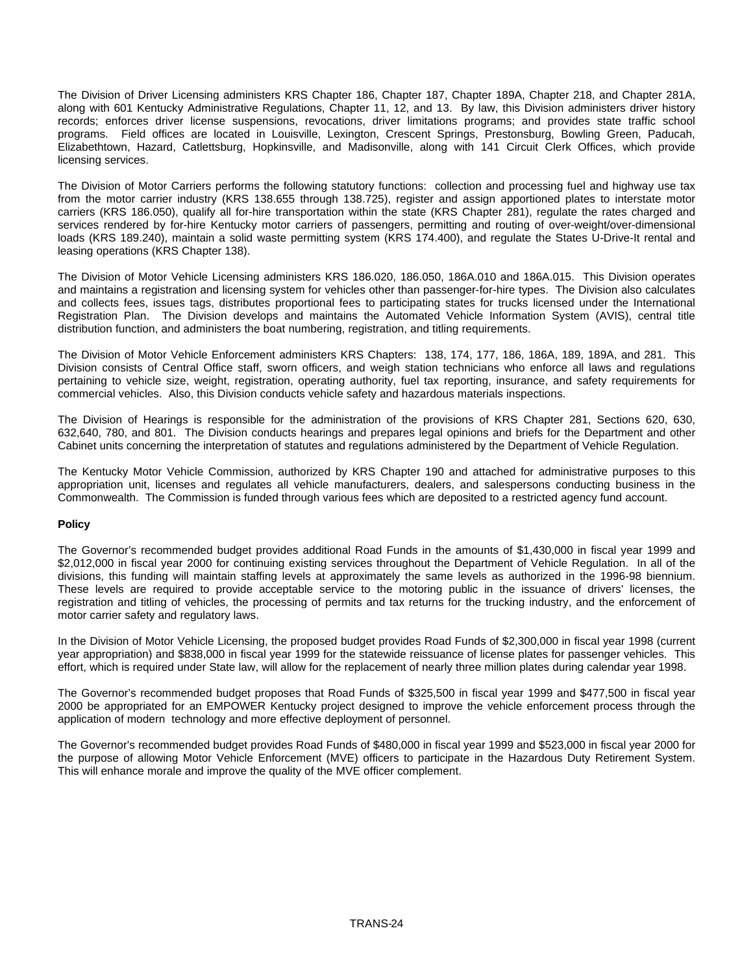The Division of Driver Licensing administers KRS Chapter 186, Chapter 187, Chapter 189A, Chapter 218, and Chapter 281A, along with 601 Kentucky Administrative Regulations, Chapter 11, 12, and 13. By law, this Division administers driver history records; enforces driver license suspensions, revocations, driver limitations programs; and provides state traffic school programs. Field offices are located in Louisville, Lexington, Crescent Springs, Prestonsburg, Bowling Green, Paducah, Elizabethtown, Hazard, Catlettsburg, Hopkinsville, and Madisonville, along with 141 Circuit Clerk Offices, which provide licensing services.

The Division of Motor Carriers performs the following statutory functions: collection and processing fuel and highway use tax from the motor carrier industry (KRS 138.655 through 138.725), register and assign apportioned plates to interstate motor carriers (KRS 186.050), qualify all for-hire transportation within the state (KRS Chapter 281), regulate the rates charged and services rendered by for-hire Kentucky motor carriers of passengers, permitting and routing of over-weight/over-dimensional loads (KRS 189.240), maintain a solid waste permitting system (KRS 174.400), and regulate the States U-Drive-It rental and leasing operations (KRS Chapter 138).

The Division of Motor Vehicle Licensing administers KRS 186.020, 186.050, 186A.010 and 186A.015. This Division operates and maintains a registration and licensing system for vehicles other than passenger-for-hire types. The Division also calculates and collects fees, issues tags, distributes proportional fees to participating states for trucks licensed under the International Registration Plan. The Division develops and maintains the Automated Vehicle Information System (AVIS), central title distribution function, and administers the boat numbering, registration, and titling requirements.

The Division of Motor Vehicle Enforcement administers KRS Chapters: 138, 174, 177, 186, 186A, 189, 189A, and 281. This Division consists of Central Office staff, sworn officers, and weigh station technicians who enforce all laws and regulations pertaining to vehicle size, weight, registration, operating authority, fuel tax reporting, insurance, and safety requirements for commercial vehicles. Also, this Division conducts vehicle safety and hazardous materials inspections.

The Division of Hearings is responsible for the administration of the provisions of KRS Chapter 281, Sections 620, 630, 632,640, 780, and 801. The Division conducts hearings and prepares legal opinions and briefs for the Department and other Cabinet units concerning the interpretation of statutes and regulations administered by the Department of Vehicle Regulation.

The Kentucky Motor Vehicle Commission, authorized by KRS Chapter 190 and attached for administrative purposes to this appropriation unit, licenses and regulates all vehicle manufacturers, dealers, and salespersons conducting business in the Commonwealth. The Commission is funded through various fees which are deposited to a restricted agency fund account.

## **Policy**

The Governor's recommended budget provides additional Road Funds in the amounts of \$1,430,000 in fiscal year 1999 and \$2,012,000 in fiscal year 2000 for continuing existing services throughout the Department of Vehicle Regulation. In all of the divisions, this funding will maintain staffing levels at approximately the same levels as authorized in the 1996-98 biennium. These levels are required to provide acceptable service to the motoring public in the issuance of drivers' licenses, the registration and titling of vehicles, the processing of permits and tax returns for the trucking industry, and the enforcement of motor carrier safety and regulatory laws.

In the Division of Motor Vehicle Licensing, the proposed budget provides Road Funds of \$2,300,000 in fiscal year 1998 (current year appropriation) and \$838,000 in fiscal year 1999 for the statewide reissuance of license plates for passenger vehicles. This effort, which is required under State law, will allow for the replacement of nearly three million plates during calendar year 1998.

The Governor's recommended budget proposes that Road Funds of \$325,500 in fiscal year 1999 and \$477,500 in fiscal year 2000 be appropriated for an EMPOWER Kentucky project designed to improve the vehicle enforcement process through the application of modern technology and more effective deployment of personnel.

The Governor's recommended budget provides Road Funds of \$480,000 in fiscal year 1999 and \$523,000 in fiscal year 2000 for the purpose of allowing Motor Vehicle Enforcement (MVE) officers to participate in the Hazardous Duty Retirement System. This will enhance morale and improve the quality of the MVE officer complement.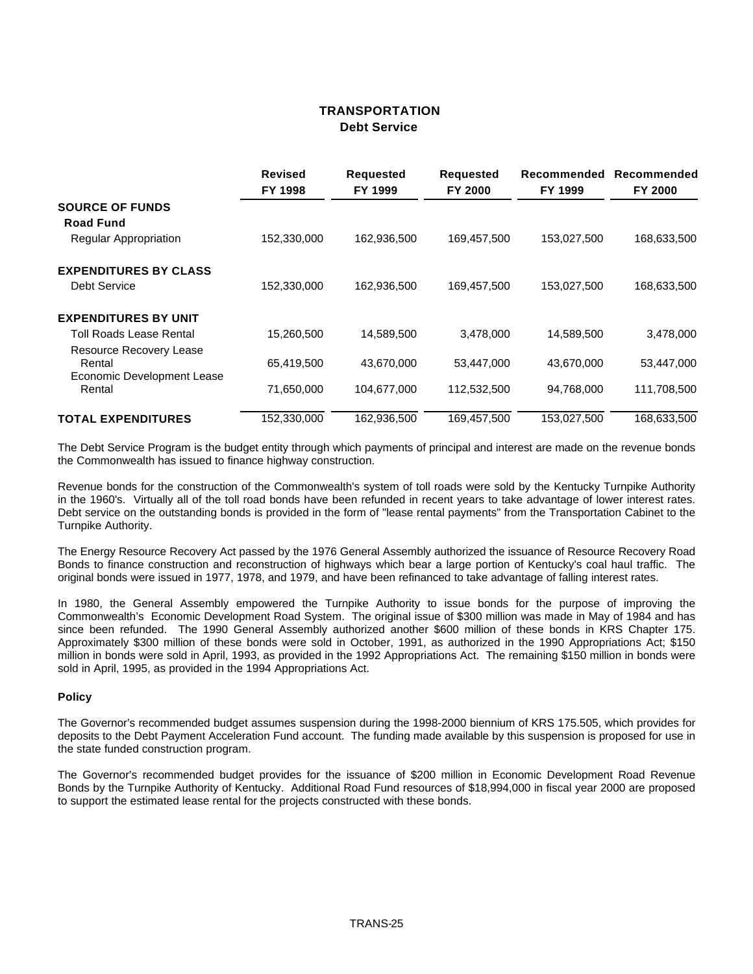## **TRANSPORTATION Debt Service**

|                              | <b>Revised</b><br>FY 1998 | <b>Requested</b><br>FY 1999 | <b>Requested</b><br>FY 2000 | Recommended<br>FY 1999 | Recommended<br>FY 2000 |
|------------------------------|---------------------------|-----------------------------|-----------------------------|------------------------|------------------------|
| <b>SOURCE OF FUNDS</b>       |                           |                             |                             |                        |                        |
| <b>Road Fund</b>             |                           |                             |                             |                        |                        |
| <b>Regular Appropriation</b> | 152,330,000               | 162,936,500                 | 169,457,500                 | 153,027,500            | 168,633,500            |
| <b>EXPENDITURES BY CLASS</b> |                           |                             |                             |                        |                        |
| Debt Service                 | 152,330,000               | 162,936,500                 | 169,457,500                 | 153,027,500            | 168,633,500            |
| <b>EXPENDITURES BY UNIT</b>  |                           |                             |                             |                        |                        |
| Toll Roads Lease Rental      | 15,260,500                | 14,589,500                  | 3,478,000                   | 14,589,500             | 3,478,000              |
| Resource Recovery Lease      |                           |                             |                             |                        |                        |
| Rental                       | 65,419,500                | 43,670,000                  | 53,447,000                  | 43,670,000             | 53,447,000             |
| Economic Development Lease   |                           |                             |                             |                        |                        |
| Rental                       | 71,650,000                | 104,677,000                 | 112,532,500                 | 94,768,000             | 111,708,500            |
| <b>TOTAL EXPENDITURES</b>    | 152,330,000               | 162,936,500                 | 169,457,500                 | 153,027,500            | 168,633,500            |

The Debt Service Program is the budget entity through which payments of principal and interest are made on the revenue bonds the Commonwealth has issued to finance highway construction.

Revenue bonds for the construction of the Commonwealth's system of toll roads were sold by the Kentucky Turnpike Authority in the 1960's. Virtually all of the toll road bonds have been refunded in recent years to take advantage of lower interest rates. Debt service on the outstanding bonds is provided in the form of "lease rental payments" from the Transportation Cabinet to the Turnpike Authority.

The Energy Resource Recovery Act passed by the 1976 General Assembly authorized the issuance of Resource Recovery Road Bonds to finance construction and reconstruction of highways which bear a large portion of Kentucky's coal haul traffic. The original bonds were issued in 1977, 1978, and 1979, and have been refinanced to take advantage of falling interest rates.

In 1980, the General Assembly empowered the Turnpike Authority to issue bonds for the purpose of improving the Commonwealth's Economic Development Road System. The original issue of \$300 million was made in May of 1984 and has since been refunded. The 1990 General Assembly authorized another \$600 million of these bonds in KRS Chapter 175. Approximately \$300 million of these bonds were sold in October, 1991, as authorized in the 1990 Appropriations Act; \$150 million in bonds were sold in April, 1993, as provided in the 1992 Appropriations Act. The remaining \$150 million in bonds were sold in April, 1995, as provided in the 1994 Appropriations Act.

### **Policy**

The Governor's recommended budget assumes suspension during the 1998-2000 biennium of KRS 175.505, which provides for deposits to the Debt Payment Acceleration Fund account. The funding made available by this suspension is proposed for use in the state funded construction program.

The Governor's recommended budget provides for the issuance of \$200 million in Economic Development Road Revenue Bonds by the Turnpike Authority of Kentucky. Additional Road Fund resources of \$18,994,000 in fiscal year 2000 are proposed to support the estimated lease rental for the projects constructed with these bonds.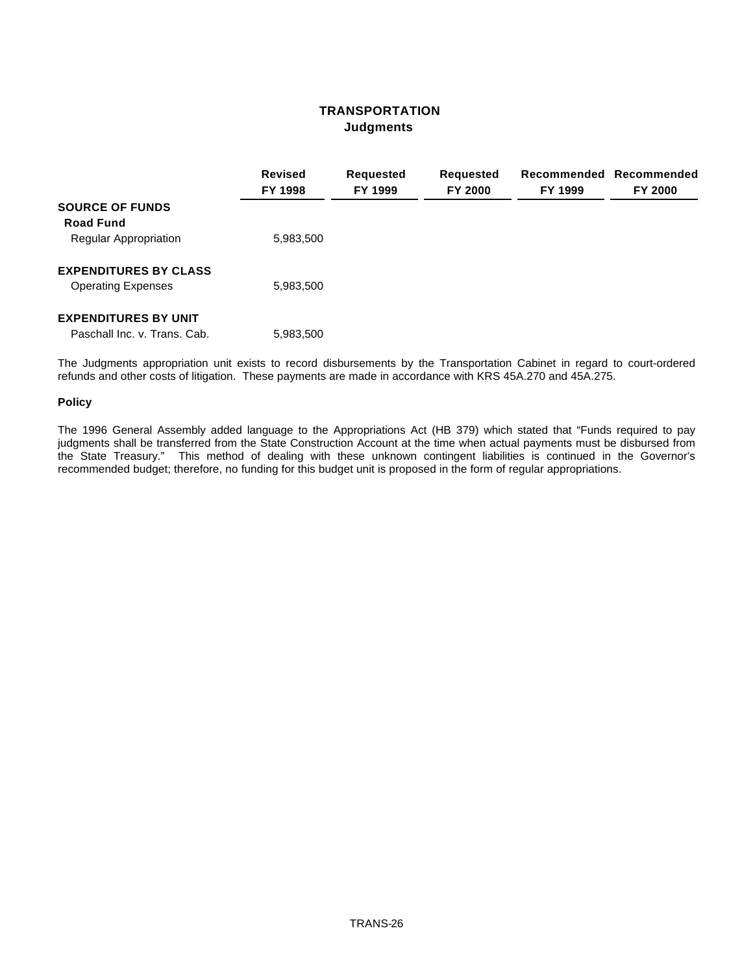## **TRANSPORTATION Judgments**

|                                            | <b>Revised</b><br>FY 1998 | <b>Requested</b><br>FY 1999 | Requested<br>FY 2000 | FY 1999 | Recommended Recommended<br><b>FY 2000</b> |
|--------------------------------------------|---------------------------|-----------------------------|----------------------|---------|-------------------------------------------|
| <b>SOURCE OF FUNDS</b><br><b>Road Fund</b> |                           |                             |                      |         |                                           |
| <b>Regular Appropriation</b>               | 5,983,500                 |                             |                      |         |                                           |
| <b>EXPENDITURES BY CLASS</b>               |                           |                             |                      |         |                                           |
| <b>Operating Expenses</b>                  | 5,983,500                 |                             |                      |         |                                           |
| <b>EXPENDITURES BY UNIT</b>                |                           |                             |                      |         |                                           |
| Paschall Inc. v. Trans. Cab.               | 5,983,500                 |                             |                      |         |                                           |

The Judgments appropriation unit exists to record disbursements by the Transportation Cabinet in regard to court-ordered refunds and other costs of litigation. These payments are made in accordance with KRS 45A.270 and 45A.275.

### **Policy**

The 1996 General Assembly added language to the Appropriations Act (HB 379) which stated that "Funds required to pay judgments shall be transferred from the State Construction Account at the time when actual payments must be disbursed from the State Treasury." This method of dealing with these unknown contingent liabilities is continued in the Governor's recommended budget; therefore, no funding for this budget unit is proposed in the form of regular appropriations.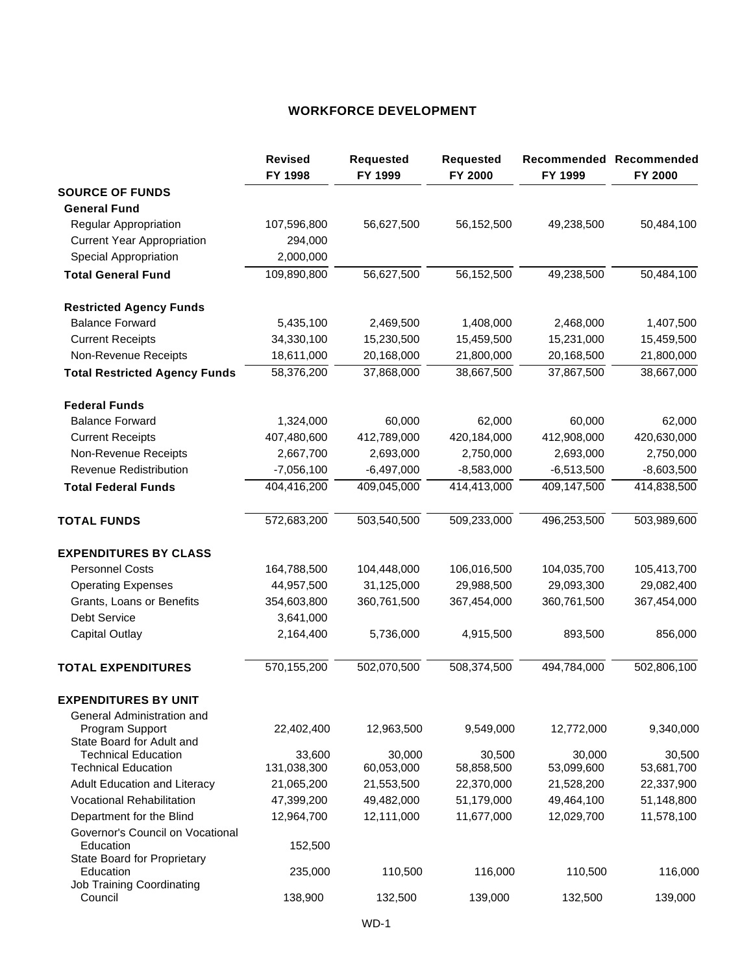# **WORKFORCE DEVELOPMENT**

|                                                                              | <b>Revised</b><br>FY 1998 | <b>Requested</b><br>FY 1999 | <b>Requested</b><br>FY 2000 | FY 1999      | Recommended Recommended<br>FY 2000 |
|------------------------------------------------------------------------------|---------------------------|-----------------------------|-----------------------------|--------------|------------------------------------|
| <b>SOURCE OF FUNDS</b>                                                       |                           |                             |                             |              |                                    |
| <b>General Fund</b>                                                          |                           |                             |                             |              |                                    |
| Regular Appropriation                                                        | 107,596,800               | 56,627,500                  | 56,152,500                  | 49,238,500   | 50,484,100                         |
| <b>Current Year Appropriation</b>                                            | 294,000                   |                             |                             |              |                                    |
| Special Appropriation                                                        | 2,000,000                 |                             |                             |              |                                    |
| <b>Total General Fund</b>                                                    | 109,890,800               | 56,627,500                  | 56,152,500                  | 49,238,500   | 50,484,100                         |
| <b>Restricted Agency Funds</b>                                               |                           |                             |                             |              |                                    |
| <b>Balance Forward</b>                                                       | 5,435,100                 | 2,469,500                   | 1,408,000                   | 2,468,000    | 1,407,500                          |
| <b>Current Receipts</b>                                                      | 34,330,100                | 15,230,500                  | 15,459,500                  | 15,231,000   | 15,459,500                         |
| Non-Revenue Receipts                                                         | 18,611,000                | 20,168,000                  | 21,800,000                  | 20,168,500   | 21,800,000                         |
| <b>Total Restricted Agency Funds</b>                                         | 58,376,200                | 37,868,000                  | 38,667,500                  | 37,867,500   | 38,667,000                         |
| <b>Federal Funds</b>                                                         |                           |                             |                             |              |                                    |
| <b>Balance Forward</b>                                                       | 1,324,000                 | 60,000                      | 62,000                      | 60,000       | 62,000                             |
| <b>Current Receipts</b>                                                      | 407,480,600               | 412,789,000                 | 420,184,000                 | 412,908,000  | 420,630,000                        |
| Non-Revenue Receipts                                                         | 2,667,700                 | 2,693,000                   | 2,750,000                   | 2,693,000    | 2,750,000                          |
| Revenue Redistribution                                                       | $-7,056,100$              | $-6,497,000$                | $-8,583,000$                | $-6,513,500$ | $-8,603,500$                       |
| <b>Total Federal Funds</b>                                                   | 404,416,200               | 409,045,000                 | 414,413,000                 | 409,147,500  | 414,838,500                        |
| <b>TOTAL FUNDS</b>                                                           | 572,683,200               | 503,540,500                 | 509,233,000                 | 496,253,500  | 503,989,600                        |
| <b>EXPENDITURES BY CLASS</b>                                                 |                           |                             |                             |              |                                    |
| <b>Personnel Costs</b>                                                       | 164,788,500               | 104,448,000                 | 106,016,500                 | 104,035,700  | 105,413,700                        |
| <b>Operating Expenses</b>                                                    | 44,957,500                | 31,125,000                  | 29,988,500                  | 29,093,300   | 29,082,400                         |
| Grants, Loans or Benefits                                                    | 354,603,800               | 360,761,500                 | 367,454,000                 | 360,761,500  | 367,454,000                        |
| Debt Service                                                                 | 3,641,000                 |                             |                             |              |                                    |
| <b>Capital Outlay</b>                                                        | 2,164,400                 | 5,736,000                   | 4,915,500                   | 893,500      | 856,000                            |
| <b>TOTAL EXPENDITURES</b>                                                    | 570,155,200               | 502,070,500                 | 508,374,500                 | 494,784,000  | 502,806,100                        |
| <b>EXPENDITURES BY UNIT</b>                                                  |                           |                             |                             |              |                                    |
| General Administration and                                                   |                           |                             |                             |              |                                    |
| Program Support<br>State Board for Adult and                                 | 22,402,400                | 12,963,500                  | 9,549,000                   | 12,772,000   | 9,340,000                          |
| <b>Technical Education</b><br><b>Technical Education</b>                     | 33,600                    | 30,000                      | 30,500                      | 30,000       | 30,500                             |
| Adult Education and Literacy                                                 | 131,038,300               | 60,053,000<br>21,553,500    | 58,858,500                  | 53,099,600   | 53,681,700                         |
| Vocational Rehabilitation                                                    | 21,065,200                | 49,482,000                  | 22,370,000                  | 21,528,200   | 22,337,900                         |
|                                                                              | 47,399,200                |                             | 51,179,000                  | 49,464,100   | 51,148,800                         |
| Department for the Blind                                                     | 12,964,700                | 12,111,000                  | 11,677,000                  | 12,029,700   | 11,578,100                         |
| Governor's Council on Vocational<br>Education<br>State Board for Proprietary | 152,500                   |                             |                             |              |                                    |
| Education                                                                    | 235,000                   | 110,500                     | 116,000                     | 110,500      | 116,000                            |
| <b>Job Training Coordinating</b><br>Council                                  | 138,900                   | 132,500                     | 139,000                     | 132,500      | 139,000                            |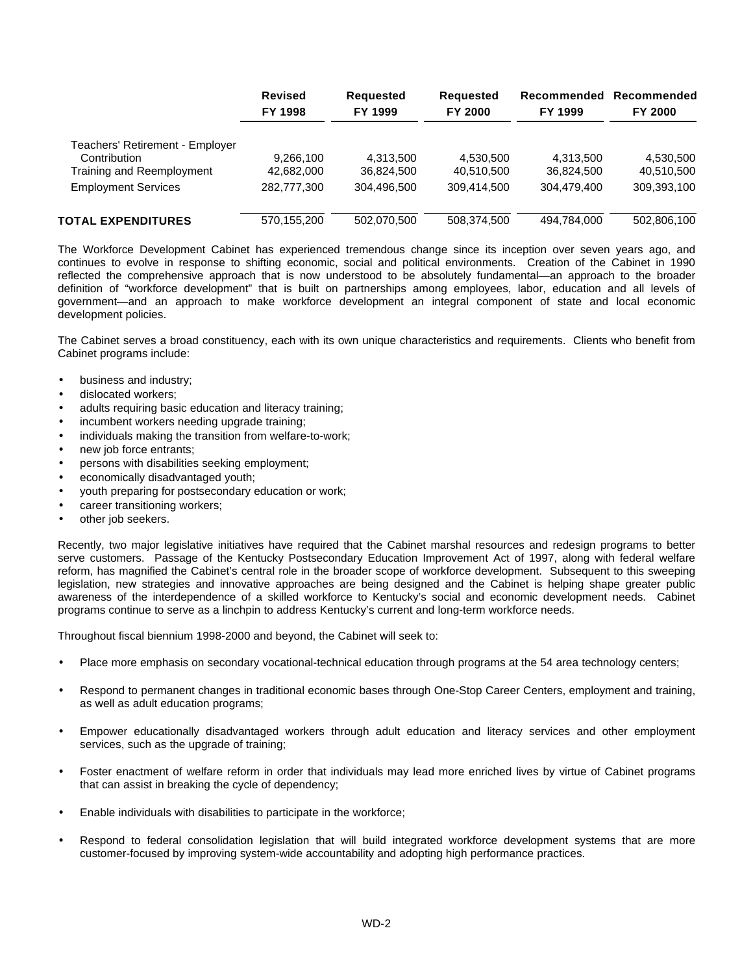|                                                                              | <b>Revised</b><br>FY 1998 | <b>Requested</b><br>FY 1999 | <b>Requested</b><br><b>FY 2000</b> | Recommended<br>FY 1999  | Recommended<br><b>FY 2000</b> |
|------------------------------------------------------------------------------|---------------------------|-----------------------------|------------------------------------|-------------------------|-------------------------------|
| Teachers' Retirement - Employer<br>Contribution<br>Training and Reemployment | 9,266,100<br>42,682,000   | 4.313.500<br>36,824,500     | 4,530,500<br>40,510,500            | 4,313,500<br>36,824,500 | 4,530,500<br>40,510,500       |
| <b>Employment Services</b>                                                   | 282.777.300               | 304.496.500                 | 309.414.500                        | 304.479.400             | 309,393,100                   |
| <b>TOTAL EXPENDITURES</b>                                                    | 570,155,200               | 502,070,500                 | 508,374,500                        | 494,784,000             | 502,806,100                   |

The Workforce Development Cabinet has experienced tremendous change since its inception over seven years ago, and continues to evolve in response to shifting economic, social and political environments. Creation of the Cabinet in 1990 reflected the comprehensive approach that is now understood to be absolutely fundamental—an approach to the broader definition of "workforce development" that is built on partnerships among employees, labor, education and all levels of government—and an approach to make workforce development an integral component of state and local economic development policies.

The Cabinet serves a broad constituency, each with its own unique characteristics and requirements. Clients who benefit from Cabinet programs include:

- business and industry;
- dislocated workers;
- adults requiring basic education and literacy training;
- incumbent workers needing upgrade training;
- individuals making the transition from welfare-to-work;
- new job force entrants:
- persons with disabilities seeking employment;
- economically disadvantaged youth;
- youth preparing for postsecondary education or work;
- career transitioning workers;
- other job seekers.

Recently, two major legislative initiatives have required that the Cabinet marshal resources and redesign programs to better serve customers. Passage of the Kentucky Postsecondary Education Improvement Act of 1997, along with federal welfare reform, has magnified the Cabinet's central role in the broader scope of workforce development. Subsequent to this sweeping legislation, new strategies and innovative approaches are being designed and the Cabinet is helping shape greater public awareness of the interdependence of a skilled workforce to Kentucky's social and economic development needs. Cabinet programs continue to serve as a linchpin to address Kentucky's current and long-term workforce needs.

Throughout fiscal biennium 1998-2000 and beyond, the Cabinet will seek to:

- Place more emphasis on secondary vocational-technical education through programs at the 54 area technology centers;
- Respond to permanent changes in traditional economic bases through One-Stop Career Centers, employment and training, as well as adult education programs;
- Empower educationally disadvantaged workers through adult education and literacy services and other employment services, such as the upgrade of training;
- Foster enactment of welfare reform in order that individuals may lead more enriched lives by virtue of Cabinet programs that can assist in breaking the cycle of dependency;
- Enable individuals with disabilities to participate in the workforce;
- Respond to federal consolidation legislation that will build integrated workforce development systems that are more customer-focused by improving system-wide accountability and adopting high performance practices.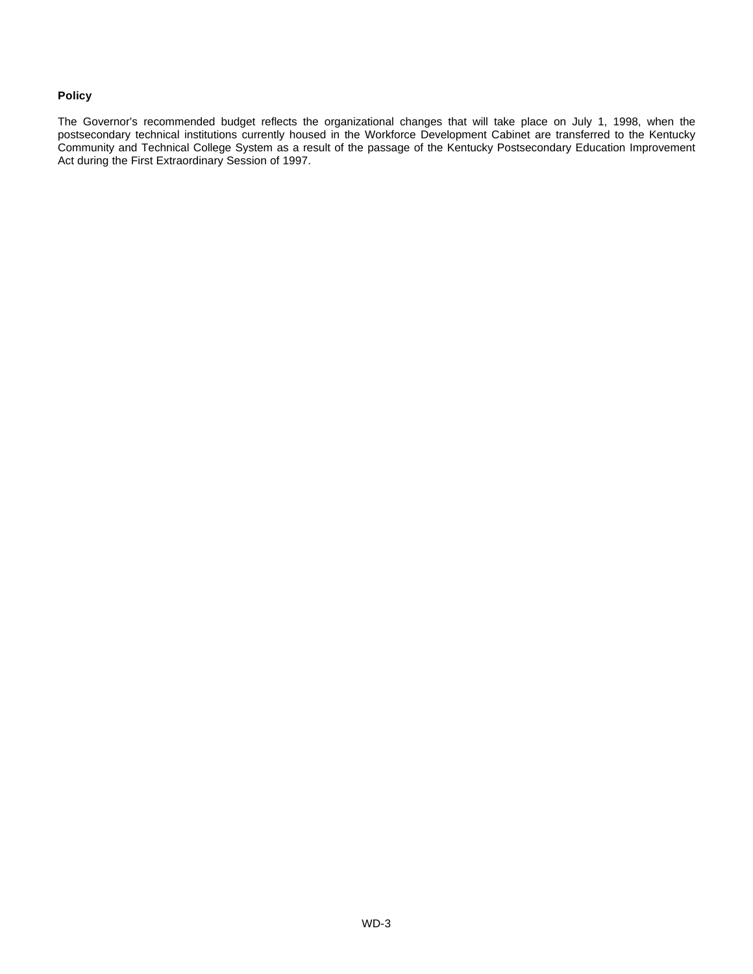## **Policy**

The Governor's recommended budget reflects the organizational changes that will take place on July 1, 1998, when the postsecondary technical institutions currently housed in the Workforce Development Cabinet are transferred to the Kentucky Community and Technical College System as a result of the passage of the Kentucky Postsecondary Education Improvement Act during the First Extraordinary Session of 1997.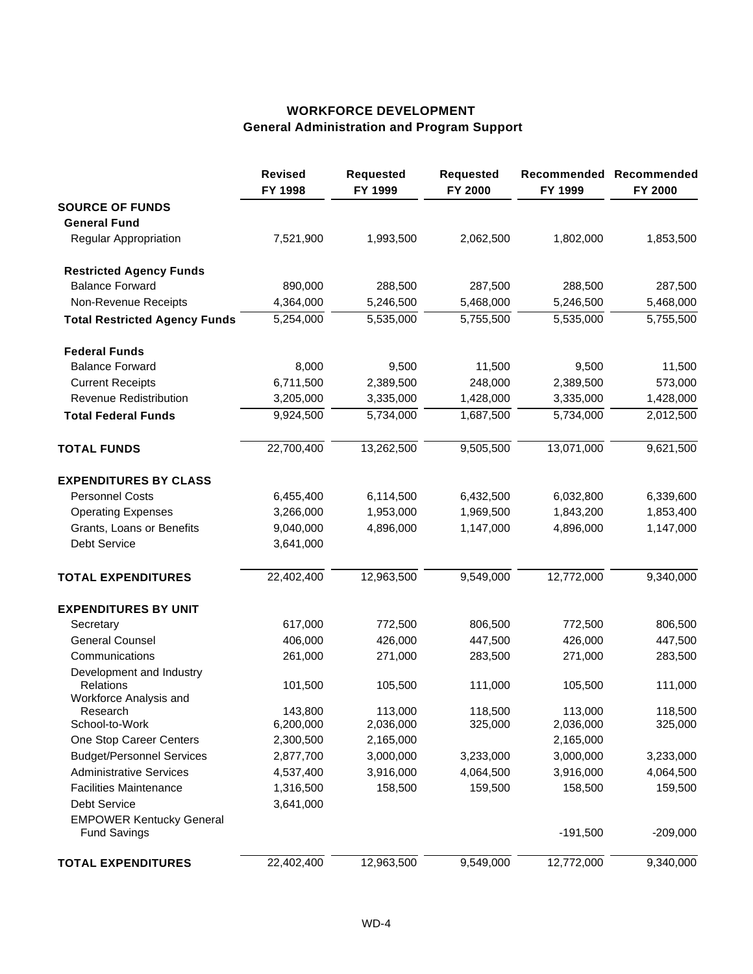# **WORKFORCE DEVELOPMENT General Administration and Program Support**

|                                                        | <b>Revised</b><br>FY 1998 | <b>Requested</b><br>FY 1999 | <b>Requested</b><br>FY 2000 | FY 1999    | Recommended Recommended<br>FY 2000 |
|--------------------------------------------------------|---------------------------|-----------------------------|-----------------------------|------------|------------------------------------|
| <b>SOURCE OF FUNDS</b>                                 |                           |                             |                             |            |                                    |
| <b>General Fund</b>                                    |                           |                             |                             |            |                                    |
| <b>Regular Appropriation</b>                           | 7,521,900                 | 1,993,500                   | 2,062,500                   | 1,802,000  | 1,853,500                          |
| <b>Restricted Agency Funds</b>                         |                           |                             |                             |            |                                    |
| <b>Balance Forward</b>                                 | 890,000                   | 288,500                     | 287,500                     | 288,500    | 287,500                            |
| Non-Revenue Receipts                                   | 4,364,000                 | 5,246,500                   | 5,468,000                   | 5,246,500  | 5,468,000                          |
| <b>Total Restricted Agency Funds</b>                   | 5,254,000                 | 5,535,000                   | 5,755,500                   | 5,535,000  | 5,755,500                          |
| <b>Federal Funds</b>                                   |                           |                             |                             |            |                                    |
| <b>Balance Forward</b>                                 | 8,000                     | 9,500                       | 11,500                      | 9,500      | 11,500                             |
| <b>Current Receipts</b>                                | 6,711,500                 | 2,389,500                   | 248,000                     | 2,389,500  | 573,000                            |
| <b>Revenue Redistribution</b>                          | 3,205,000                 | 3,335,000                   | 1,428,000                   | 3,335,000  | 1,428,000                          |
| <b>Total Federal Funds</b>                             | 9,924,500                 | 5,734,000                   | 1,687,500                   | 5,734,000  | 2,012,500                          |
| <b>TOTAL FUNDS</b>                                     | 22,700,400                | 13,262,500                  | 9,505,500                   | 13,071,000 | 9,621,500                          |
| <b>EXPENDITURES BY CLASS</b>                           |                           |                             |                             |            |                                    |
| <b>Personnel Costs</b>                                 | 6,455,400                 | 6,114,500                   | 6,432,500                   | 6,032,800  | 6,339,600                          |
| <b>Operating Expenses</b>                              | 3,266,000                 | 1,953,000                   | 1,969,500                   | 1,843,200  | 1,853,400                          |
| Grants, Loans or Benefits                              | 9,040,000                 | 4,896,000                   | 1,147,000                   | 4,896,000  | 1,147,000                          |
| <b>Debt Service</b>                                    | 3,641,000                 |                             |                             |            |                                    |
| <b>TOTAL EXPENDITURES</b>                              | 22,402,400                | 12,963,500                  | 9,549,000                   | 12,772,000 | 9,340,000                          |
| <b>EXPENDITURES BY UNIT</b>                            |                           |                             |                             |            |                                    |
| Secretary                                              | 617,000                   | 772,500                     | 806,500                     | 772,500    | 806,500                            |
| <b>General Counsel</b>                                 | 406,000                   | 426,000                     | 447,500                     | 426,000    | 447,500                            |
| Communications                                         | 261,000                   | 271,000                     | 283,500                     | 271,000    | 283,500                            |
| Development and Industry<br>Relations                  | 101,500                   | 105,500                     | 111,000                     | 105,500    | 111,000                            |
| Workforce Analysis and<br>Research                     | 143,800                   | 113,000                     | 118,500                     | 113,000    | 118,500                            |
| School-to-Work                                         | 6,200,000                 | 2,036,000                   | 325,000                     | 2,036,000  | 325,000                            |
| One Stop Career Centers                                | 2,300,500                 | 2,165,000                   |                             | 2,165,000  |                                    |
| <b>Budget/Personnel Services</b>                       | 2,877,700                 | 3,000,000                   | 3,233,000                   | 3,000,000  | 3,233,000                          |
| <b>Administrative Services</b>                         | 4,537,400                 | 3,916,000                   | 4,064,500                   | 3,916,000  | 4,064,500                          |
| <b>Facilities Maintenance</b>                          | 1,316,500                 | 158,500                     | 159,500                     | 158,500    | 159,500                            |
| Debt Service                                           | 3,641,000                 |                             |                             |            |                                    |
| <b>EMPOWER Kentucky General</b><br><b>Fund Savings</b> |                           |                             |                             | $-191,500$ | $-209,000$                         |
| <b>TOTAL EXPENDITURES</b>                              | 22,402,400                | 12,963,500                  | 9,549,000                   | 12,772,000 | 9,340,000                          |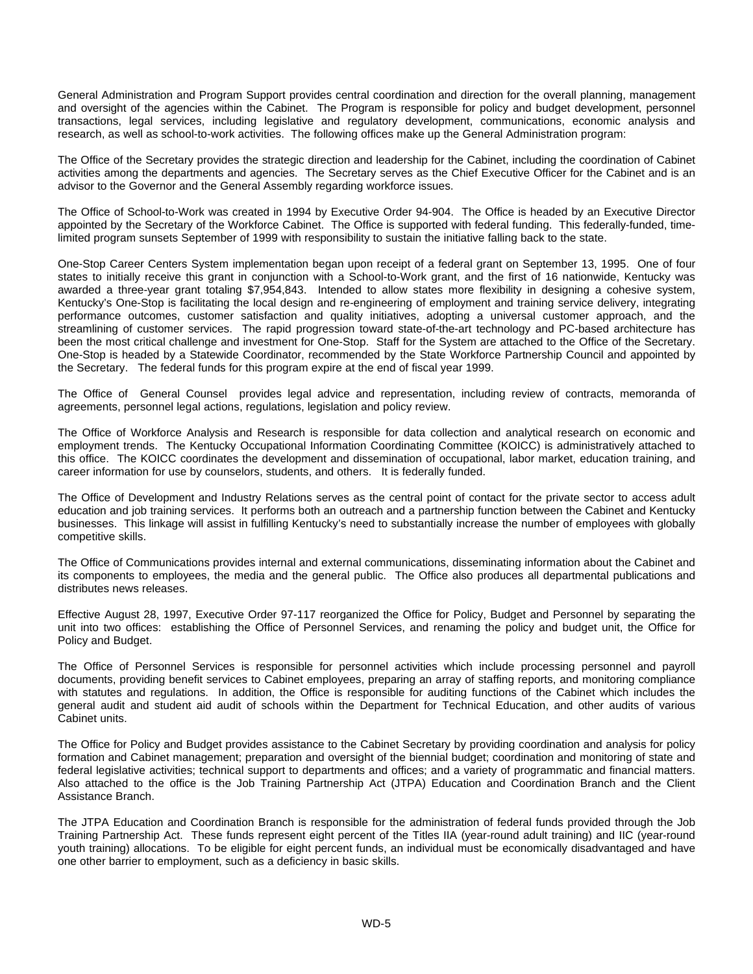General Administration and Program Support provides central coordination and direction for the overall planning, management and oversight of the agencies within the Cabinet. The Program is responsible for policy and budget development, personnel transactions, legal services, including legislative and regulatory development, communications, economic analysis and research, as well as school-to-work activities. The following offices make up the General Administration program:

The Office of the Secretary provides the strategic direction and leadership for the Cabinet, including the coordination of Cabinet activities among the departments and agencies. The Secretary serves as the Chief Executive Officer for the Cabinet and is an advisor to the Governor and the General Assembly regarding workforce issues.

The Office of School-to-Work was created in 1994 by Executive Order 94-904. The Office is headed by an Executive Director appointed by the Secretary of the Workforce Cabinet. The Office is supported with federal funding. This federally-funded, timelimited program sunsets September of 1999 with responsibility to sustain the initiative falling back to the state.

One-Stop Career Centers System implementation began upon receipt of a federal grant on September 13, 1995. One of four states to initially receive this grant in conjunction with a School-to-Work grant, and the first of 16 nationwide, Kentucky was awarded a three-year grant totaling \$7,954,843. Intended to allow states more flexibility in designing a cohesive system, Kentucky's One-Stop is facilitating the local design and re-engineering of employment and training service delivery, integrating performance outcomes, customer satisfaction and quality initiatives, adopting a universal customer approach, and the streamlining of customer services. The rapid progression toward state-of-the-art technology and PC-based architecture has been the most critical challenge and investment for One-Stop. Staff for the System are attached to the Office of the Secretary. One-Stop is headed by a Statewide Coordinator, recommended by the State Workforce Partnership Council and appointed by the Secretary. The federal funds for this program expire at the end of fiscal year 1999.

The Office of General Counsel provides legal advice and representation, including review of contracts, memoranda of agreements, personnel legal actions, regulations, legislation and policy review.

The Office of Workforce Analysis and Research is responsible for data collection and analytical research on economic and employment trends. The Kentucky Occupational Information Coordinating Committee (KOICC) is administratively attached to this office. The KOICC coordinates the development and dissemination of occupational, labor market, education training, and career information for use by counselors, students, and others. It is federally funded.

The Office of Development and Industry Relations serves as the central point of contact for the private sector to access adult education and job training services. It performs both an outreach and a partnership function between the Cabinet and Kentucky businesses. This linkage will assist in fulfilling Kentucky's need to substantially increase the number of employees with globally competitive skills.

The Office of Communications provides internal and external communications, disseminating information about the Cabinet and its components to employees, the media and the general public. The Office also produces all departmental publications and distributes news releases.

Effective August 28, 1997, Executive Order 97-117 reorganized the Office for Policy, Budget and Personnel by separating the unit into two offices: establishing the Office of Personnel Services, and renaming the policy and budget unit, the Office for Policy and Budget.

The Office of Personnel Services is responsible for personnel activities which include processing personnel and payroll documents, providing benefit services to Cabinet employees, preparing an array of staffing reports, and monitoring compliance with statutes and regulations. In addition, the Office is responsible for auditing functions of the Cabinet which includes the general audit and student aid audit of schools within the Department for Technical Education, and other audits of various Cabinet units.

The Office for Policy and Budget provides assistance to the Cabinet Secretary by providing coordination and analysis for policy formation and Cabinet management; preparation and oversight of the biennial budget; coordination and monitoring of state and federal legislative activities; technical support to departments and offices; and a variety of programmatic and financial matters. Also attached to the office is the Job Training Partnership Act (JTPA) Education and Coordination Branch and the Client Assistance Branch.

The JTPA Education and Coordination Branch is responsible for the administration of federal funds provided through the Job Training Partnership Act. These funds represent eight percent of the Titles IIA (year-round adult training) and IIC (year-round youth training) allocations. To be eligible for eight percent funds, an individual must be economically disadvantaged and have one other barrier to employment, such as a deficiency in basic skills.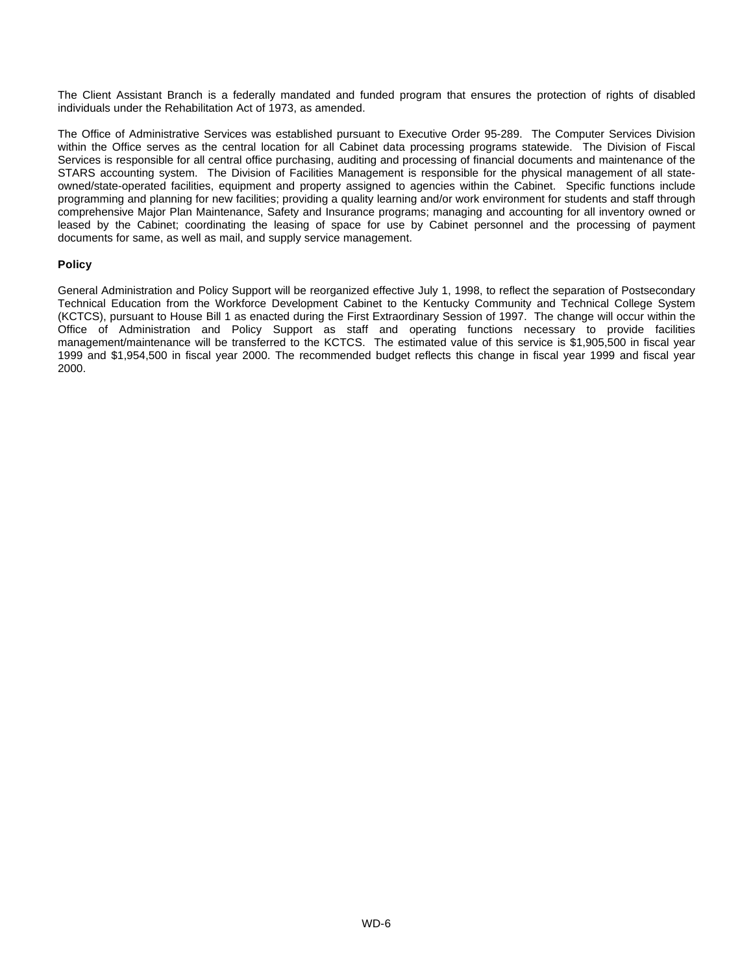The Client Assistant Branch is a federally mandated and funded program that ensures the protection of rights of disabled individuals under the Rehabilitation Act of 1973, as amended.

The Office of Administrative Services was established pursuant to Executive Order 95-289. The Computer Services Division within the Office serves as the central location for all Cabinet data processing programs statewide. The Division of Fiscal Services is responsible for all central office purchasing, auditing and processing of financial documents and maintenance of the STARS accounting system. The Division of Facilities Management is responsible for the physical management of all stateowned/state-operated facilities, equipment and property assigned to agencies within the Cabinet. Specific functions include programming and planning for new facilities; providing a quality learning and/or work environment for students and staff through comprehensive Major Plan Maintenance, Safety and Insurance programs; managing and accounting for all inventory owned or leased by the Cabinet; coordinating the leasing of space for use by Cabinet personnel and the processing of payment documents for same, as well as mail, and supply service management.

## **Policy**

General Administration and Policy Support will be reorganized effective July 1, 1998, to reflect the separation of Postsecondary Technical Education from the Workforce Development Cabinet to the Kentucky Community and Technical College System (KCTCS), pursuant to House Bill 1 as enacted during the First Extraordinary Session of 1997. The change will occur within the Office of Administration and Policy Support as staff and operating functions necessary to provide facilities management/maintenance will be transferred to the KCTCS. The estimated value of this service is \$1,905,500 in fiscal year 1999 and \$1,954,500 in fiscal year 2000. The recommended budget reflects this change in fiscal year 1999 and fiscal year 2000.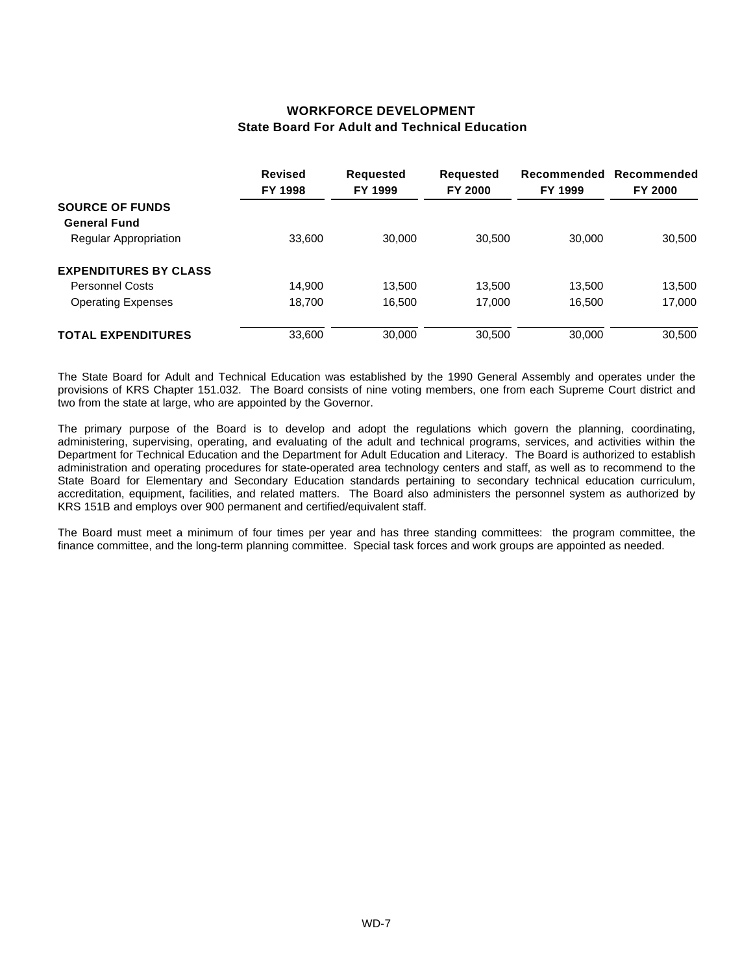# **WORKFORCE DEVELOPMENT State Board For Adult and Technical Education**

|                              | <b>Revised</b><br>FY 1998 | <b>Requested</b><br>FY 1999 | Requested<br>FY 2000 | Recommended<br>FY 1999 | Recommended<br>FY 2000 |
|------------------------------|---------------------------|-----------------------------|----------------------|------------------------|------------------------|
| <b>SOURCE OF FUNDS</b>       |                           |                             |                      |                        |                        |
| <b>General Fund</b>          |                           |                             |                      |                        |                        |
| <b>Regular Appropriation</b> | 33.600                    | 30,000                      | 30.500               | 30,000                 | 30,500                 |
| <b>EXPENDITURES BY CLASS</b> |                           |                             |                      |                        |                        |
| <b>Personnel Costs</b>       | 14.900                    | 13,500                      | 13,500               | 13,500                 | 13,500                 |
| <b>Operating Expenses</b>    | 18.700                    | 16,500                      | 17.000               | 16,500                 | 17,000                 |
| <b>TOTAL EXPENDITURES</b>    | 33,600                    | 30.000                      | 30.500               | 30,000                 | 30,500                 |

The State Board for Adult and Technical Education was established by the 1990 General Assembly and operates under the provisions of KRS Chapter 151.032. The Board consists of nine voting members, one from each Supreme Court district and two from the state at large, who are appointed by the Governor.

The primary purpose of the Board is to develop and adopt the regulations which govern the planning, coordinating, administering, supervising, operating, and evaluating of the adult and technical programs, services, and activities within the Department for Technical Education and the Department for Adult Education and Literacy. The Board is authorized to establish administration and operating procedures for state-operated area technology centers and staff, as well as to recommend to the State Board for Elementary and Secondary Education standards pertaining to secondary technical education curriculum, accreditation, equipment, facilities, and related matters. The Board also administers the personnel system as authorized by KRS 151B and employs over 900 permanent and certified/equivalent staff.

The Board must meet a minimum of four times per year and has three standing committees: the program committee, the finance committee, and the long-term planning committee. Special task forces and work groups are appointed as needed.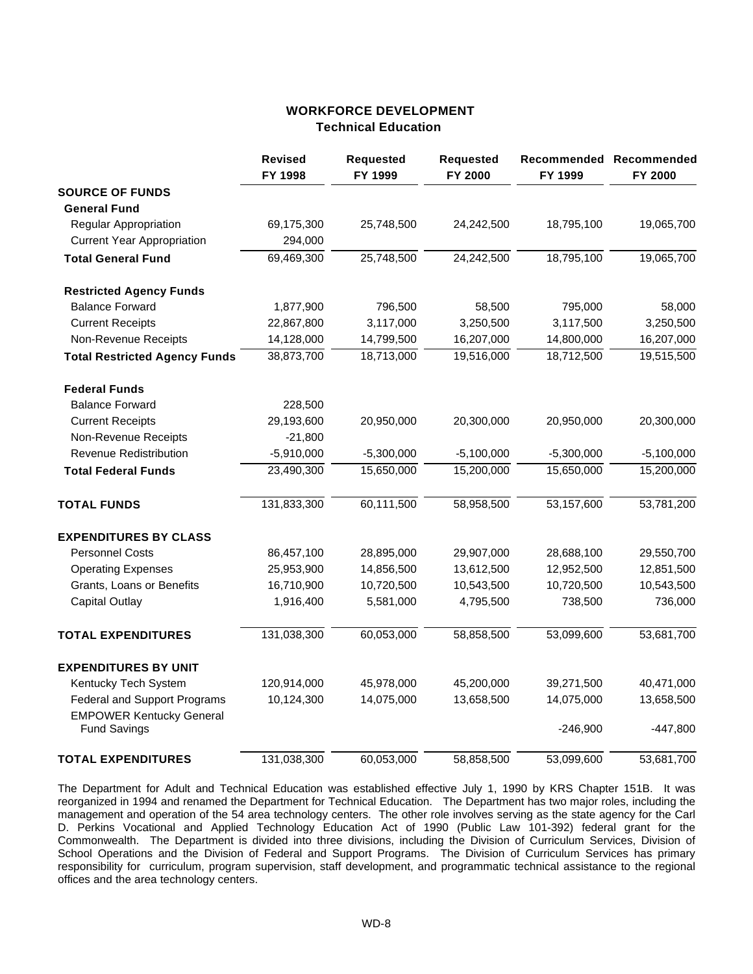## **WORKFORCE DEVELOPMENT Technical Education**

|                                                        | <b>Revised</b><br>FY 1998 | <b>Requested</b><br>FY 1999 | <b>Requested</b><br>FY 2000 | FY 1999      | Recommended Recommended<br>FY 2000 |
|--------------------------------------------------------|---------------------------|-----------------------------|-----------------------------|--------------|------------------------------------|
| <b>SOURCE OF FUNDS</b>                                 |                           |                             |                             |              |                                    |
| <b>General Fund</b>                                    |                           |                             |                             |              |                                    |
| Regular Appropriation                                  | 69,175,300                | 25,748,500                  | 24,242,500                  | 18,795,100   | 19,065,700                         |
| <b>Current Year Appropriation</b>                      | 294,000                   |                             |                             |              |                                    |
| <b>Total General Fund</b>                              | 69,469,300                | 25,748,500                  | 24,242,500                  | 18,795,100   | 19,065,700                         |
| <b>Restricted Agency Funds</b>                         |                           |                             |                             |              |                                    |
| <b>Balance Forward</b>                                 | 1,877,900                 | 796,500                     | 58,500                      | 795,000      | 58,000                             |
| <b>Current Receipts</b>                                | 22,867,800                | 3,117,000                   | 3,250,500                   | 3,117,500    | 3,250,500                          |
| Non-Revenue Receipts                                   | 14,128,000                | 14,799,500                  | 16,207,000                  | 14,800,000   | 16,207,000                         |
| <b>Total Restricted Agency Funds</b>                   | 38,873,700                | 18,713,000                  | 19,516,000                  | 18,712,500   | 19,515,500                         |
| <b>Federal Funds</b>                                   |                           |                             |                             |              |                                    |
| <b>Balance Forward</b>                                 | 228,500                   |                             |                             |              |                                    |
| <b>Current Receipts</b>                                | 29,193,600                | 20,950,000                  | 20,300,000                  | 20,950,000   | 20,300,000                         |
| Non-Revenue Receipts                                   | $-21,800$                 |                             |                             |              |                                    |
| <b>Revenue Redistribution</b>                          | $-5,910,000$              | $-5,300,000$                | $-5,100,000$                | $-5,300,000$ | $-5,100,000$                       |
| <b>Total Federal Funds</b>                             | 23,490,300                | 15,650,000                  | 15,200,000                  | 15,650,000   | 15,200,000                         |
| <b>TOTAL FUNDS</b>                                     | 131,833,300               | 60,111,500                  | 58,958,500                  | 53,157,600   | 53,781,200                         |
| <b>EXPENDITURES BY CLASS</b>                           |                           |                             |                             |              |                                    |
| <b>Personnel Costs</b>                                 | 86,457,100                | 28,895,000                  | 29,907,000                  | 28,688,100   | 29,550,700                         |
| <b>Operating Expenses</b>                              | 25,953,900                | 14,856,500                  | 13,612,500                  | 12,952,500   | 12,851,500                         |
| Grants, Loans or Benefits                              | 16,710,900                | 10,720,500                  | 10,543,500                  | 10,720,500   | 10,543,500                         |
| <b>Capital Outlay</b>                                  | 1,916,400                 | 5,581,000                   | 4,795,500                   | 738,500      | 736,000                            |
| <b>TOTAL EXPENDITURES</b>                              | 131,038,300               | 60,053,000                  | 58,858,500                  | 53,099,600   | 53,681,700                         |
| <b>EXPENDITURES BY UNIT</b>                            |                           |                             |                             |              |                                    |
| Kentucky Tech System                                   | 120,914,000               | 45,978,000                  | 45,200,000                  | 39,271,500   | 40,471,000                         |
| <b>Federal and Support Programs</b>                    | 10,124,300                | 14,075,000                  | 13,658,500                  | 14,075,000   | 13,658,500                         |
| <b>EMPOWER Kentucky General</b><br><b>Fund Savings</b> |                           |                             |                             | $-246,900$   | $-447,800$                         |
| <b>TOTAL EXPENDITURES</b>                              | 131,038,300               | 60,053,000                  | 58,858,500                  | 53,099,600   | 53,681,700                         |

The Department for Adult and Technical Education was established effective July 1, 1990 by KRS Chapter 151B. It was reorganized in 1994 and renamed the Department for Technical Education. The Department has two major roles, including the management and operation of the 54 area technology centers. The other role involves serving as the state agency for the Carl D. Perkins Vocational and Applied Technology Education Act of 1990 (Public Law 101-392) federal grant for the Commonwealth. The Department is divided into three divisions, including the Division of Curriculum Services, Division of School Operations and the Division of Federal and Support Programs. The Division of Curriculum Services has primary responsibility for curriculum, program supervision, staff development, and programmatic technical assistance to the regional offices and the area technology centers.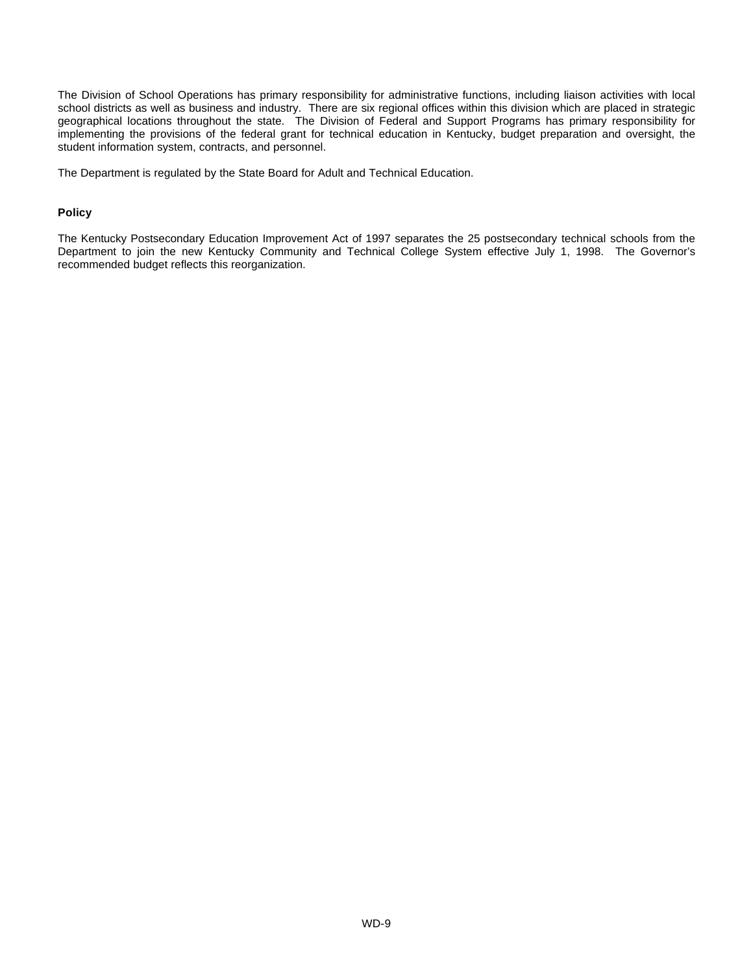The Division of School Operations has primary responsibility for administrative functions, including liaison activities with local school districts as well as business and industry. There are six regional offices within this division which are placed in strategic geographical locations throughout the state. The Division of Federal and Support Programs has primary responsibility for implementing the provisions of the federal grant for technical education in Kentucky, budget preparation and oversight, the student information system, contracts, and personnel.

The Department is regulated by the State Board for Adult and Technical Education.

### **Policy**

The Kentucky Postsecondary Education Improvement Act of 1997 separates the 25 postsecondary technical schools from the Department to join the new Kentucky Community and Technical College System effective July 1, 1998. The Governor's recommended budget reflects this reorganization.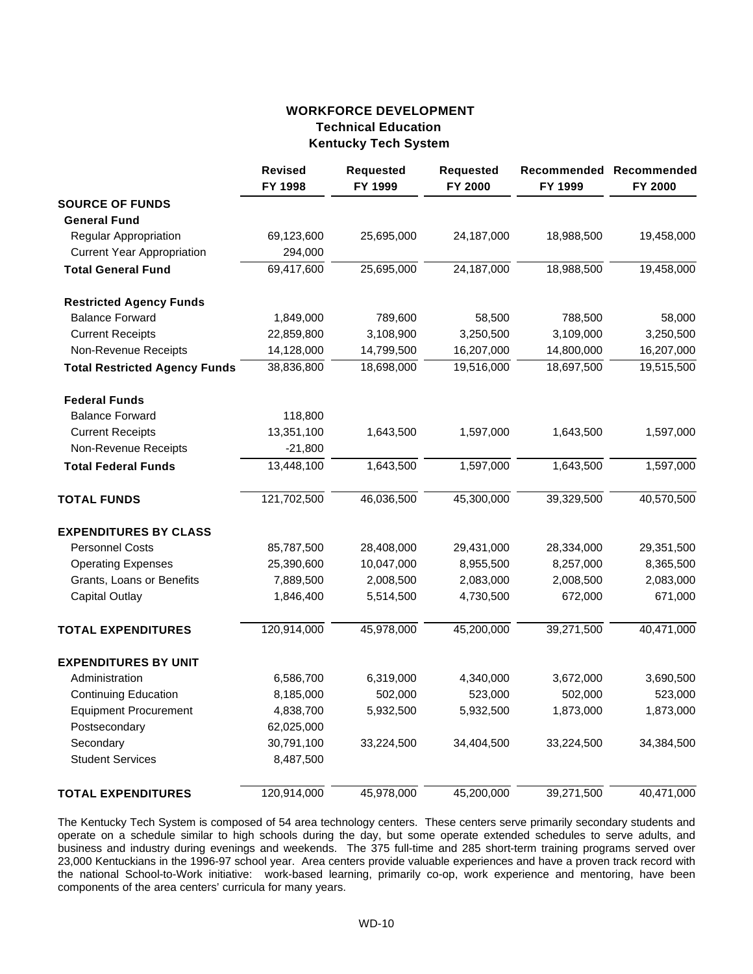## **WORKFORCE DEVELOPMENT Technical Education Kentucky Tech System**

|                                      | <b>Revised</b><br>FY 1998 | <b>Requested</b><br>FY 1999 | <b>Requested</b><br>FY 2000 | FY 1999    | Recommended Recommended<br>FY 2000 |
|--------------------------------------|---------------------------|-----------------------------|-----------------------------|------------|------------------------------------|
| <b>SOURCE OF FUNDS</b>               |                           |                             |                             |            |                                    |
| <b>General Fund</b>                  |                           |                             |                             |            |                                    |
| Regular Appropriation                | 69,123,600                | 25,695,000                  | 24,187,000                  | 18,988,500 | 19,458,000                         |
| <b>Current Year Appropriation</b>    | 294,000                   |                             |                             |            |                                    |
| <b>Total General Fund</b>            | 69,417,600                | 25,695,000                  | 24,187,000                  | 18,988,500 | 19,458,000                         |
| <b>Restricted Agency Funds</b>       |                           |                             |                             |            |                                    |
| <b>Balance Forward</b>               | 1,849,000                 | 789,600                     | 58,500                      | 788,500    | 58,000                             |
| <b>Current Receipts</b>              | 22,859,800                | 3,108,900                   | 3,250,500                   | 3,109,000  | 3,250,500                          |
| Non-Revenue Receipts                 | 14,128,000                | 14,799,500                  | 16,207,000                  | 14,800,000 | 16,207,000                         |
| <b>Total Restricted Agency Funds</b> | 38,836,800                | 18,698,000                  | 19,516,000                  | 18,697,500 | 19,515,500                         |
| <b>Federal Funds</b>                 |                           |                             |                             |            |                                    |
| <b>Balance Forward</b>               | 118,800                   |                             |                             |            |                                    |
| <b>Current Receipts</b>              | 13,351,100                | 1,643,500                   | 1,597,000                   | 1,643,500  | 1,597,000                          |
| Non-Revenue Receipts                 | $-21,800$                 |                             |                             |            |                                    |
| <b>Total Federal Funds</b>           | 13,448,100                | 1,643,500                   | 1,597,000                   | 1,643,500  | 1,597,000                          |
| <b>TOTAL FUNDS</b>                   | 121,702,500               | 46,036,500                  | 45,300,000                  | 39,329,500 | 40,570,500                         |
| <b>EXPENDITURES BY CLASS</b>         |                           |                             |                             |            |                                    |
| <b>Personnel Costs</b>               | 85,787,500                | 28,408,000                  | 29,431,000                  | 28,334,000 | 29,351,500                         |
| <b>Operating Expenses</b>            | 25,390,600                | 10,047,000                  | 8,955,500                   | 8,257,000  | 8,365,500                          |
| Grants, Loans or Benefits            | 7,889,500                 | 2,008,500                   | 2,083,000                   | 2,008,500  | 2,083,000                          |
| <b>Capital Outlay</b>                | 1,846,400                 | 5,514,500                   | 4,730,500                   | 672,000    | 671,000                            |
| <b>TOTAL EXPENDITURES</b>            | 120,914,000               | 45,978,000                  | 45,200,000                  | 39,271,500 | 40,471,000                         |
| <b>EXPENDITURES BY UNIT</b>          |                           |                             |                             |            |                                    |
| Administration                       | 6,586,700                 | 6,319,000                   | 4,340,000                   | 3,672,000  | 3,690,500                          |
| <b>Continuing Education</b>          | 8,185,000                 | 502,000                     | 523,000                     | 502,000    | 523,000                            |
| <b>Equipment Procurement</b>         | 4,838,700                 | 5,932,500                   | 5,932,500                   | 1,873,000  | 1,873,000                          |
| Postsecondary                        | 62,025,000                |                             |                             |            |                                    |
| Secondary                            | 30,791,100                | 33,224,500                  | 34,404,500                  | 33,224,500 | 34,384,500                         |
| <b>Student Services</b>              | 8,487,500                 |                             |                             |            |                                    |
| <b>TOTAL EXPENDITURES</b>            | 120,914,000               | 45,978,000                  | 45,200,000                  | 39,271,500 | 40,471,000                         |

The Kentucky Tech System is composed of 54 area technology centers. These centers serve primarily secondary students and operate on a schedule similar to high schools during the day, but some operate extended schedules to serve adults, and business and industry during evenings and weekends. The 375 full-time and 285 short-term training programs served over 23,000 Kentuckians in the 1996-97 school year. Area centers provide valuable experiences and have a proven track record with the national School-to-Work initiative: work-based learning, primarily co-op, work experience and mentoring, have been components of the area centers' curricula for many years.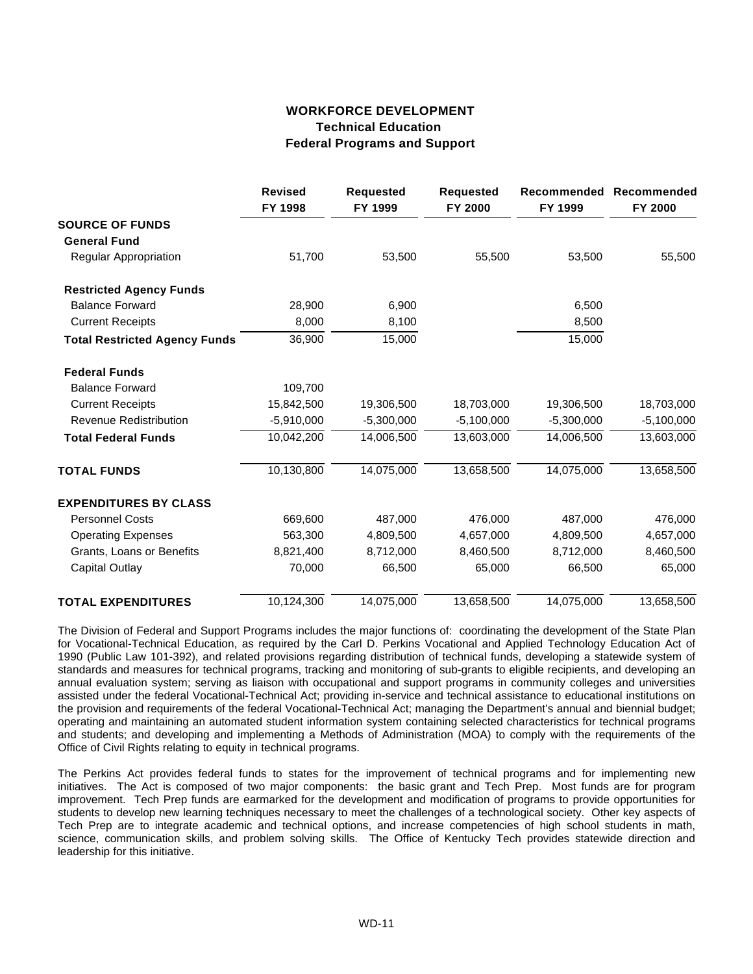# **WORKFORCE DEVELOPMENT Technical Education Federal Programs and Support**

|                                      | <b>Revised</b><br>FY 1998 | <b>Requested</b><br>FY 1999 | <b>Requested</b><br>FY 2000 | FY 1999      | Recommended Recommended<br>FY 2000 |
|--------------------------------------|---------------------------|-----------------------------|-----------------------------|--------------|------------------------------------|
| <b>SOURCE OF FUNDS</b>               |                           |                             |                             |              |                                    |
| <b>General Fund</b>                  |                           |                             |                             |              |                                    |
| <b>Regular Appropriation</b>         | 51,700                    | 53,500                      | 55,500                      | 53,500       | 55,500                             |
| <b>Restricted Agency Funds</b>       |                           |                             |                             |              |                                    |
| <b>Balance Forward</b>               | 28,900                    | 6,900                       |                             | 6,500        |                                    |
| <b>Current Receipts</b>              | 8,000                     | 8,100                       |                             | 8,500        |                                    |
| <b>Total Restricted Agency Funds</b> | 36,900                    | 15,000                      |                             | 15,000       |                                    |
| <b>Federal Funds</b>                 |                           |                             |                             |              |                                    |
| <b>Balance Forward</b>               | 109,700                   |                             |                             |              |                                    |
| <b>Current Receipts</b>              | 15,842,500                | 19,306,500                  | 18,703,000                  | 19,306,500   | 18,703,000                         |
| <b>Revenue Redistribution</b>        | $-5,910,000$              | $-5,300,000$                | $-5,100,000$                | $-5,300,000$ | $-5,100,000$                       |
| <b>Total Federal Funds</b>           | 10,042,200                | 14,006,500                  | 13,603,000                  | 14,006,500   | 13,603,000                         |
| <b>TOTAL FUNDS</b>                   | 10,130,800                | 14,075,000                  | 13,658,500                  | 14,075,000   | 13,658,500                         |
| <b>EXPENDITURES BY CLASS</b>         |                           |                             |                             |              |                                    |
| <b>Personnel Costs</b>               | 669,600                   | 487,000                     | 476,000                     | 487,000      | 476,000                            |
| <b>Operating Expenses</b>            | 563,300                   | 4,809,500                   | 4,657,000                   | 4,809,500    | 4,657,000                          |
| Grants, Loans or Benefits            | 8,821,400                 | 8,712,000                   | 8,460,500                   | 8,712,000    | 8,460,500                          |
| Capital Outlay                       | 70,000                    | 66,500                      | 65,000                      | 66,500       | 65,000                             |
| <b>TOTAL EXPENDITURES</b>            | 10,124,300                | 14,075,000                  | 13,658,500                  | 14,075,000   | 13,658,500                         |

The Division of Federal and Support Programs includes the major functions of: coordinating the development of the State Plan for Vocational-Technical Education, as required by the Carl D. Perkins Vocational and Applied Technology Education Act of 1990 (Public Law 101-392), and related provisions regarding distribution of technical funds, developing a statewide system of standards and measures for technical programs, tracking and monitoring of sub-grants to eligible recipients, and developing an annual evaluation system; serving as liaison with occupational and support programs in community colleges and universities assisted under the federal Vocational-Technical Act; providing in-service and technical assistance to educational institutions on the provision and requirements of the federal Vocational-Technical Act; managing the Department's annual and biennial budget; operating and maintaining an automated student information system containing selected characteristics for technical programs and students; and developing and implementing a Methods of Administration (MOA) to comply with the requirements of the Office of Civil Rights relating to equity in technical programs.

The Perkins Act provides federal funds to states for the improvement of technical programs and for implementing new initiatives. The Act is composed of two major components: the basic grant and Tech Prep. Most funds are for program improvement. Tech Prep funds are earmarked for the development and modification of programs to provide opportunities for students to develop new learning techniques necessary to meet the challenges of a technological society. Other key aspects of Tech Prep are to integrate academic and technical options, and increase competencies of high school students in math, science, communication skills, and problem solving skills. The Office of Kentucky Tech provides statewide direction and leadership for this initiative.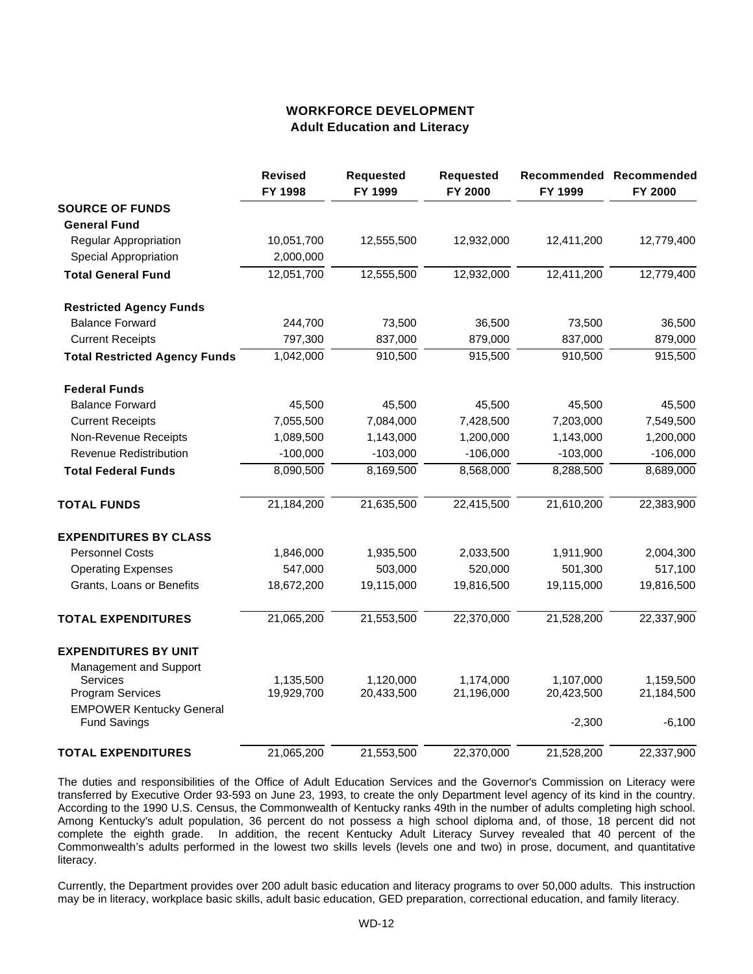# **WORKFORCE DEVELOPMENT Adult Education and Literacy**

|                                                        | <b>Revised</b><br>FY 1998 | <b>Requested</b><br>FY 1999 | <b>Requested</b><br>FY 2000 | FY 1999    | Recommended Recommended<br>FY 2000 |
|--------------------------------------------------------|---------------------------|-----------------------------|-----------------------------|------------|------------------------------------|
| <b>SOURCE OF FUNDS</b>                                 |                           |                             |                             |            |                                    |
| <b>General Fund</b>                                    |                           |                             |                             |            |                                    |
| <b>Regular Appropriation</b>                           | 10,051,700                | 12,555,500                  | 12,932,000                  | 12,411,200 | 12,779,400                         |
| <b>Special Appropriation</b>                           | 2,000,000                 |                             |                             |            |                                    |
| <b>Total General Fund</b>                              | 12,051,700                | 12,555,500                  | 12,932,000                  | 12,411,200 | 12,779,400                         |
| <b>Restricted Agency Funds</b>                         |                           |                             |                             |            |                                    |
| <b>Balance Forward</b>                                 | 244,700                   | 73,500                      | 36,500                      | 73,500     | 36,500                             |
| <b>Current Receipts</b>                                | 797,300                   | 837,000                     | 879,000                     | 837,000    | 879,000                            |
| <b>Total Restricted Agency Funds</b>                   | 1,042,000                 | 910,500                     | 915,500                     | 910,500    | 915,500                            |
| <b>Federal Funds</b>                                   |                           |                             |                             |            |                                    |
| <b>Balance Forward</b>                                 | 45,500                    | 45,500                      | 45,500                      | 45,500     | 45,500                             |
| <b>Current Receipts</b>                                | 7,055,500                 | 7,084,000                   | 7,428,500                   | 7,203,000  | 7,549,500                          |
| Non-Revenue Receipts                                   | 1,089,500                 | 1,143,000                   | 1,200,000                   | 1,143,000  | 1,200,000                          |
| Revenue Redistribution                                 | $-100,000$                | $-103,000$                  | $-106,000$                  | $-103,000$ | $-106,000$                         |
| <b>Total Federal Funds</b>                             | 8,090,500                 | 8,169,500                   | 8,568,000                   | 8,288,500  | 8,689,000                          |
| <b>TOTAL FUNDS</b>                                     | 21,184,200                | 21,635,500                  | 22,415,500                  | 21,610,200 | 22,383,900                         |
| <b>EXPENDITURES BY CLASS</b>                           |                           |                             |                             |            |                                    |
| <b>Personnel Costs</b>                                 | 1,846,000                 | 1,935,500                   | 2,033,500                   | 1,911,900  | 2,004,300                          |
| <b>Operating Expenses</b>                              | 547,000                   | 503,000                     | 520,000                     | 501,300    | 517,100                            |
| Grants, Loans or Benefits                              | 18,672,200                | 19,115,000                  | 19,816,500                  | 19,115,000 | 19,816,500                         |
| <b>TOTAL EXPENDITURES</b>                              | 21,065,200                | 21,553,500                  | 22,370,000                  | 21,528,200 | 22,337,900                         |
| <b>EXPENDITURES BY UNIT</b>                            |                           |                             |                             |            |                                    |
| Management and Support                                 |                           |                             |                             |            |                                    |
| <b>Services</b>                                        | 1,135,500                 | 1,120,000                   | 1,174,000                   | 1,107,000  | 1,159,500                          |
| <b>Program Services</b>                                | 19,929,700                | 20,433,500                  | 21,196,000                  | 20,423,500 | 21,184,500                         |
| <b>EMPOWER Kentucky General</b><br><b>Fund Savings</b> |                           |                             |                             | $-2,300$   | $-6,100$                           |
| <b>TOTAL EXPENDITURES</b>                              | 21,065,200                | 21,553,500                  | 22,370,000                  | 21,528,200 | 22,337,900                         |

The duties and responsibilities of the Office of Adult Education Services and the Governor's Commission on Literacy were transferred by Executive Order 93-593 on June 23, 1993, to create the only Department level agency of its kind in the country. According to the 1990 U.S. Census, the Commonwealth of Kentucky ranks 49th in the number of adults completing high school. Among Kentucky's adult population, 36 percent do not possess a high school diploma and, of those, 18 percent did not complete the eighth grade. In addition, the recent Kentucky Adult Literacy Survey revealed that 40 percent of the Commonwealth's adults performed in the lowest two skills levels (levels one and two) in prose, document, and quantitative literacy.

Currently, the Department provides over 200 adult basic education and literacy programs to over 50,000 adults. This instruction may be in literacy, workplace basic skills, adult basic education, GED preparation, correctional education, and family literacy.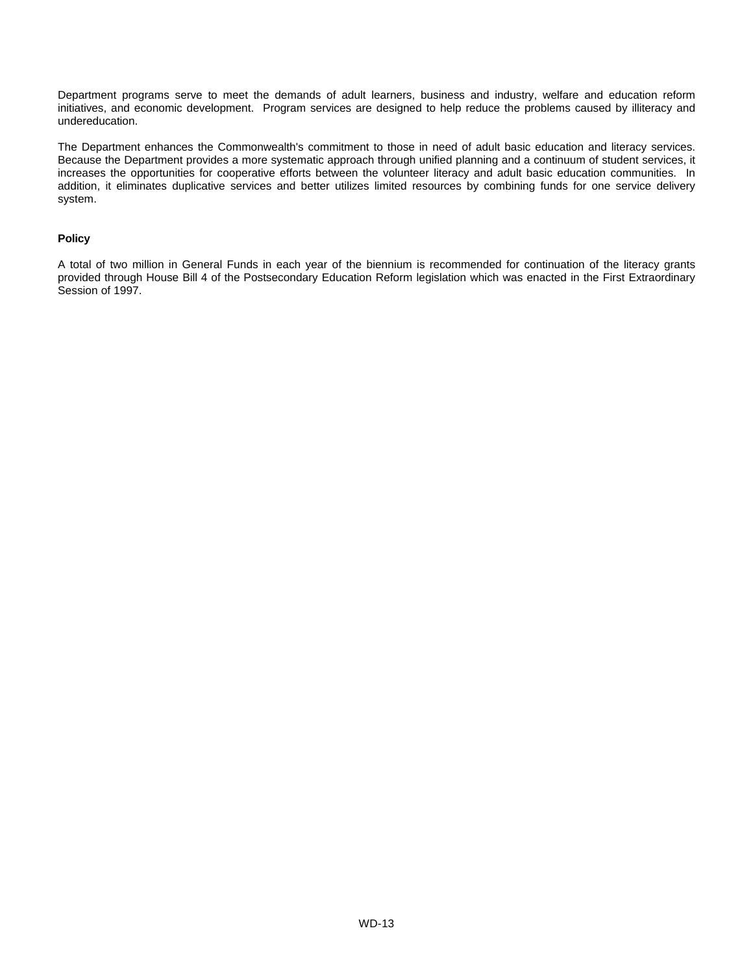Department programs serve to meet the demands of adult learners, business and industry, welfare and education reform initiatives, and economic development. Program services are designed to help reduce the problems caused by illiteracy and undereducation.

The Department enhances the Commonwealth's commitment to those in need of adult basic education and literacy services. Because the Department provides a more systematic approach through unified planning and a continuum of student services, it increases the opportunities for cooperative efforts between the volunteer literacy and adult basic education communities. In addition, it eliminates duplicative services and better utilizes limited resources by combining funds for one service delivery system.

### **Policy**

A total of two million in General Funds in each year of the biennium is recommended for continuation of the literacy grants provided through House Bill 4 of the Postsecondary Education Reform legislation which was enacted in the First Extraordinary Session of 1997.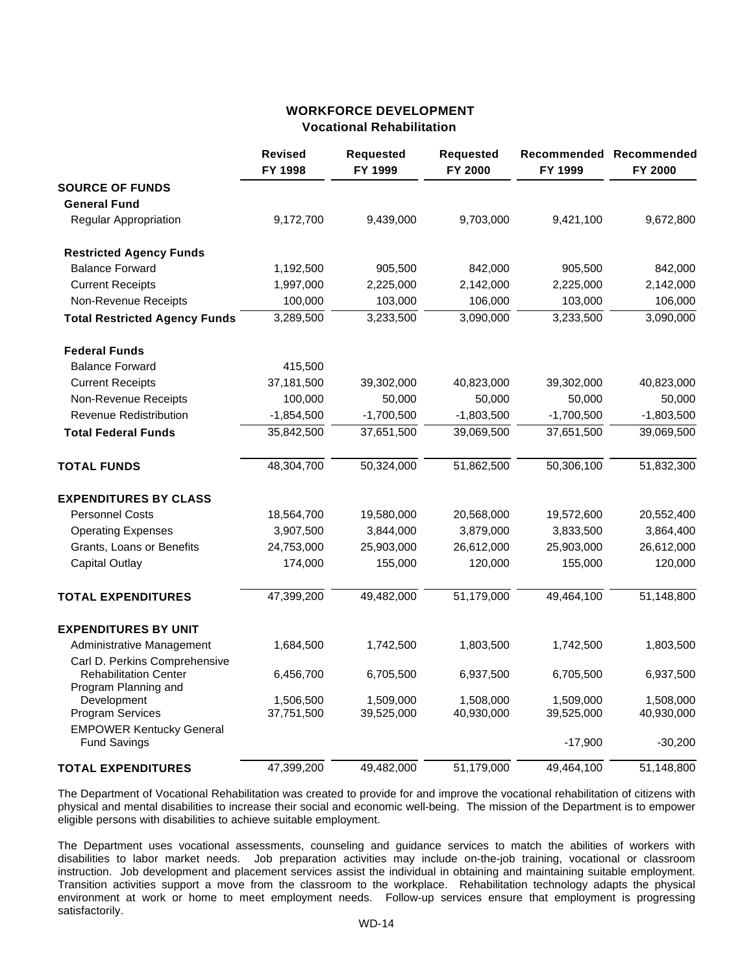## **WORKFORCE DEVELOPMENT Vocational Rehabilitation**

|                                                        | <b>Revised</b><br>FY 1998 | <b>Requested</b><br>FY 1999 | <b>Requested</b><br>FY 2000 | FY 1999      | Recommended Recommended<br>FY 2000 |
|--------------------------------------------------------|---------------------------|-----------------------------|-----------------------------|--------------|------------------------------------|
| <b>SOURCE OF FUNDS</b>                                 |                           |                             |                             |              |                                    |
| <b>General Fund</b>                                    |                           |                             |                             |              |                                    |
| <b>Regular Appropriation</b>                           | 9,172,700                 | 9,439,000                   | 9,703,000                   | 9,421,100    | 9,672,800                          |
| <b>Restricted Agency Funds</b>                         |                           |                             |                             |              |                                    |
| <b>Balance Forward</b>                                 | 1,192,500                 | 905,500                     | 842,000                     | 905,500      | 842,000                            |
| <b>Current Receipts</b>                                | 1,997,000                 | 2,225,000                   | 2,142,000                   | 2,225,000    | 2,142,000                          |
| Non-Revenue Receipts                                   | 100,000                   | 103,000                     | 106,000                     | 103,000      | 106,000                            |
| <b>Total Restricted Agency Funds</b>                   | 3,289,500                 | 3,233,500                   | 3,090,000                   | 3,233,500    | 3,090,000                          |
| <b>Federal Funds</b>                                   |                           |                             |                             |              |                                    |
| <b>Balance Forward</b>                                 | 415,500                   |                             |                             |              |                                    |
| <b>Current Receipts</b>                                | 37,181,500                | 39,302,000                  | 40,823,000                  | 39,302,000   | 40,823,000                         |
| Non-Revenue Receipts                                   | 100,000                   | 50,000                      | 50,000                      | 50,000       | 50,000                             |
| <b>Revenue Redistribution</b>                          | $-1,854,500$              | $-1,700,500$                | $-1,803,500$                | $-1,700,500$ | $-1,803,500$                       |
| <b>Total Federal Funds</b>                             | 35,842,500                | 37,651,500                  | 39,069,500                  | 37,651,500   | 39,069,500                         |
| <b>TOTAL FUNDS</b>                                     | 48,304,700                | 50,324,000                  | 51,862,500                  | 50,306,100   | 51,832,300                         |
| <b>EXPENDITURES BY CLASS</b>                           |                           |                             |                             |              |                                    |
| <b>Personnel Costs</b>                                 | 18,564,700                | 19,580,000                  | 20,568,000                  | 19,572,600   | 20,552,400                         |
| <b>Operating Expenses</b>                              | 3,907,500                 | 3,844,000                   | 3,879,000                   | 3,833,500    | 3,864,400                          |
| Grants, Loans or Benefits                              | 24,753,000                | 25,903,000                  | 26,612,000                  | 25,903,000   | 26,612,000                         |
| <b>Capital Outlay</b>                                  | 174,000                   | 155,000                     | 120,000                     | 155,000      | 120,000                            |
| <b>TOTAL EXPENDITURES</b>                              | 47,399,200                | 49,482,000                  | 51,179,000                  | 49,464,100   | 51,148,800                         |
| <b>EXPENDITURES BY UNIT</b>                            |                           |                             |                             |              |                                    |
| Administrative Management                              | 1,684,500                 | 1,742,500                   | 1,803,500                   | 1,742,500    | 1,803,500                          |
| Carl D. Perkins Comprehensive                          |                           |                             |                             |              |                                    |
| <b>Rehabilitation Center</b><br>Program Planning and   | 6,456,700                 | 6,705,500                   | 6,937,500                   | 6,705,500    | 6,937,500                          |
| Development                                            | 1,506,500                 | 1,509,000                   | 1,508,000                   | 1,509,000    | 1,508,000                          |
| <b>Program Services</b>                                | 37,751,500                | 39,525,000                  | 40,930,000                  | 39,525,000   | 40,930,000                         |
| <b>EMPOWER Kentucky General</b><br><b>Fund Savings</b> |                           |                             |                             | $-17,900$    | $-30,200$                          |
| <b>TOTAL EXPENDITURES</b>                              | 47,399,200                | 49,482,000                  | 51,179,000                  | 49,464,100   | 51,148,800                         |

The Department of Vocational Rehabilitation was created to provide for and improve the vocational rehabilitation of citizens with physical and mental disabilities to increase their social and economic well-being. The mission of the Department is to empower eligible persons with disabilities to achieve suitable employment.

The Department uses vocational assessments, counseling and guidance services to match the abilities of workers with disabilities to labor market needs. Job preparation activities may include on-the-job training, vocational or classroom instruction. Job development and placement services assist the individual in obtaining and maintaining suitable employment. Transition activities support a move from the classroom to the workplace. Rehabilitation technology adapts the physical environment at work or home to meet employment needs. Follow-up services ensure that employment is progressing satisfactorily.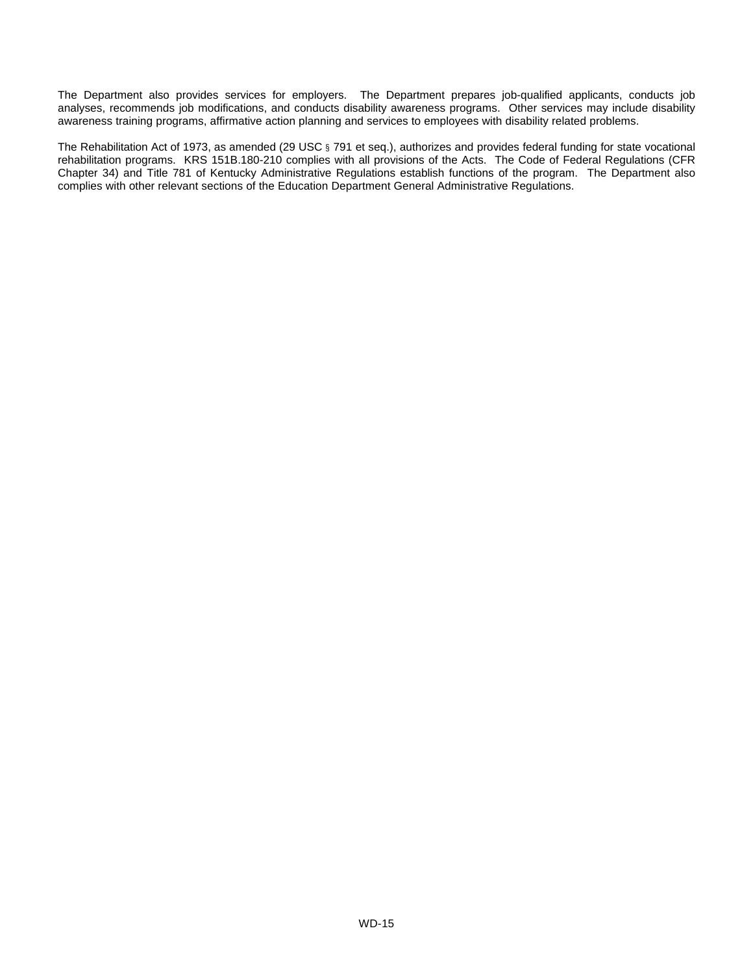The Department also provides services for employers. The Department prepares job-qualified applicants, conducts job analyses, recommends job modifications, and conducts disability awareness programs. Other services may include disability awareness training programs, affirmative action planning and services to employees with disability related problems.

The Rehabilitation Act of 1973, as amended (29 USC § 791 et seq.), authorizes and provides federal funding for state vocational rehabilitation programs. KRS 151B.180-210 complies with all provisions of the Acts. The Code of Federal Regulations (CFR Chapter 34) and Title 781 of Kentucky Administrative Regulations establish functions of the program. The Department also complies with other relevant sections of the Education Department General Administrative Regulations.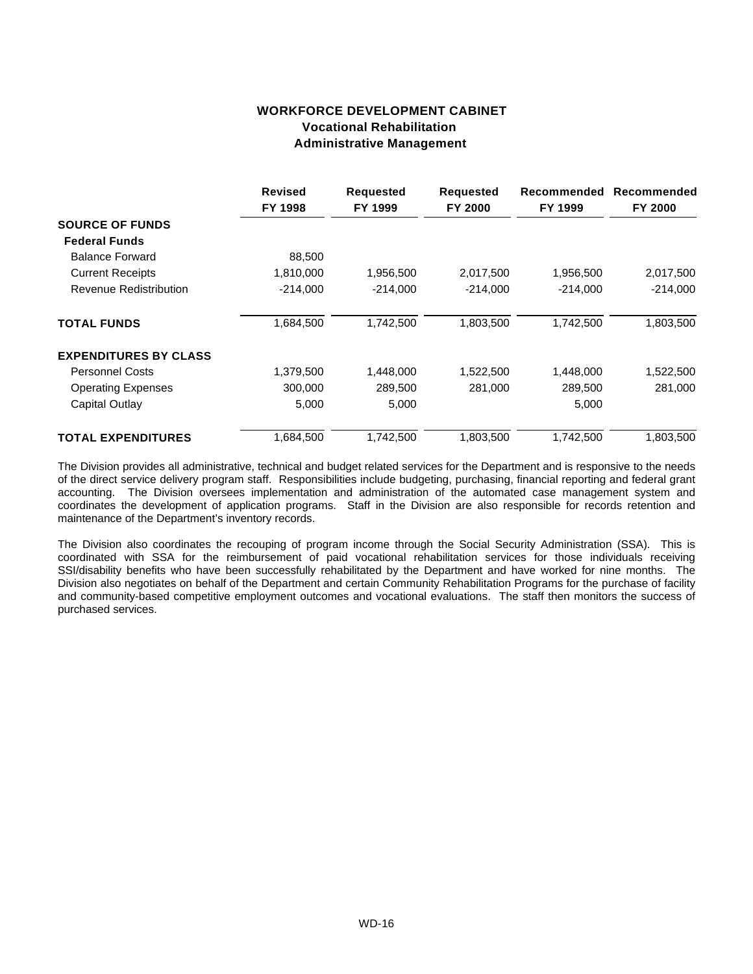# **WORKFORCE DEVELOPMENT CABINET Vocational Rehabilitation Administrative Management**

|                              | <b>Revised</b><br>FY 1998 | <b>Requested</b><br>FY 1999 | <b>Requested</b><br>FY 2000 | Recommended<br>FY 1999 | Recommended<br>FY 2000 |
|------------------------------|---------------------------|-----------------------------|-----------------------------|------------------------|------------------------|
| <b>SOURCE OF FUNDS</b>       |                           |                             |                             |                        |                        |
| <b>Federal Funds</b>         |                           |                             |                             |                        |                        |
| <b>Balance Forward</b>       | 88,500                    |                             |                             |                        |                        |
| <b>Current Receipts</b>      | 1,810,000                 | 1,956,500                   | 2,017,500                   | 1,956,500              | 2,017,500              |
| Revenue Redistribution       | $-214,000$                | $-214.000$                  | $-214,000$                  | $-214.000$             | $-214,000$             |
| <b>TOTAL FUNDS</b>           | 1,684,500                 | 1,742,500                   | 1,803,500                   | 1,742,500              | 1,803,500              |
| <b>EXPENDITURES BY CLASS</b> |                           |                             |                             |                        |                        |
| <b>Personnel Costs</b>       | 1,379,500                 | 1,448,000                   | 1,522,500                   | 1,448,000              | 1,522,500              |
| <b>Operating Expenses</b>    | 300,000                   | 289,500                     | 281,000                     | 289,500                | 281,000                |
| Capital Outlay               | 5,000                     | 5,000                       |                             | 5,000                  |                        |
| <b>TOTAL EXPENDITURES</b>    | 1,684,500                 | 1,742,500                   | 1,803,500                   | 1,742,500              | 1,803,500              |

The Division provides all administrative, technical and budget related services for the Department and is responsive to the needs of the direct service delivery program staff. Responsibilities include budgeting, purchasing, financial reporting and federal grant accounting. The Division oversees implementation and administration of the automated case management system and coordinates the development of application programs. Staff in the Division are also responsible for records retention and maintenance of the Department's inventory records.

The Division also coordinates the recouping of program income through the Social Security Administration (SSA). This is coordinated with SSA for the reimbursement of paid vocational rehabilitation services for those individuals receiving SSI/disability benefits who have been successfully rehabilitated by the Department and have worked for nine months. The Division also negotiates on behalf of the Department and certain Community Rehabilitation Programs for the purchase of facility and community-based competitive employment outcomes and vocational evaluations. The staff then monitors the success of purchased services.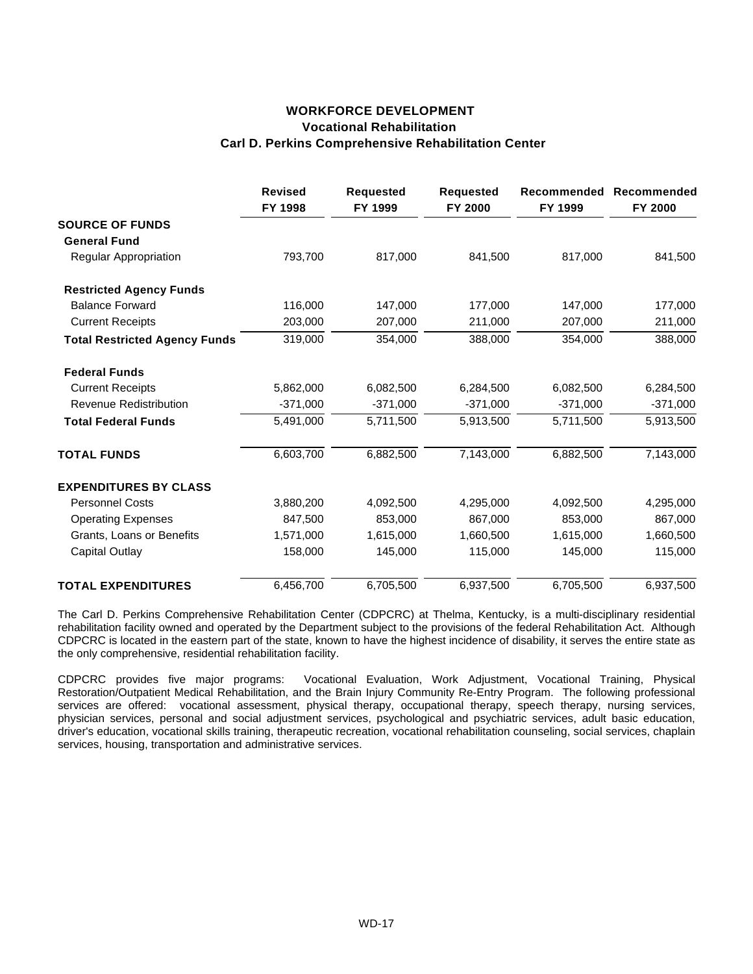# **WORKFORCE DEVELOPMENT Vocational Rehabilitation Carl D. Perkins Comprehensive Rehabilitation Center**

|                                      | <b>Revised</b><br>FY 1998 | <b>Requested</b><br>FY 1999 | <b>Requested</b><br>FY 2000 | Recommended<br>FY 1999 | Recommended<br>FY 2000 |
|--------------------------------------|---------------------------|-----------------------------|-----------------------------|------------------------|------------------------|
| <b>SOURCE OF FUNDS</b>               |                           |                             |                             |                        |                        |
| <b>General Fund</b>                  |                           |                             |                             |                        |                        |
| Regular Appropriation                | 793,700                   | 817,000                     | 841,500                     | 817,000                | 841,500                |
| <b>Restricted Agency Funds</b>       |                           |                             |                             |                        |                        |
| <b>Balance Forward</b>               | 116,000                   | 147,000                     | 177,000                     | 147,000                | 177,000                |
| <b>Current Receipts</b>              | 203,000                   | 207,000                     | 211,000                     | 207,000                | 211,000                |
| <b>Total Restricted Agency Funds</b> | 319,000                   | 354,000                     | 388,000                     | 354,000                | 388,000                |
| <b>Federal Funds</b>                 |                           |                             |                             |                        |                        |
| <b>Current Receipts</b>              | 5,862,000                 | 6,082,500                   | 6,284,500                   | 6,082,500              | 6,284,500              |
| Revenue Redistribution               | $-371,000$                | $-371,000$                  | $-371,000$                  | $-371,000$             | $-371,000$             |
| <b>Total Federal Funds</b>           | 5,491,000                 | 5,711,500                   | 5,913,500                   | 5,711,500              | 5,913,500              |
| <b>TOTAL FUNDS</b>                   | 6,603,700                 | 6,882,500                   | 7,143,000                   | 6,882,500              | 7,143,000              |
| <b>EXPENDITURES BY CLASS</b>         |                           |                             |                             |                        |                        |
| <b>Personnel Costs</b>               | 3,880,200                 | 4,092,500                   | 4,295,000                   | 4,092,500              | 4,295,000              |
| <b>Operating Expenses</b>            | 847,500                   | 853,000                     | 867,000                     | 853,000                | 867,000                |
| Grants, Loans or Benefits            | 1,571,000                 | 1,615,000                   | 1,660,500                   | 1,615,000              | 1,660,500              |
| Capital Outlay                       | 158,000                   | 145,000                     | 115,000                     | 145,000                | 115,000                |
| <b>TOTAL EXPENDITURES</b>            | 6,456,700                 | 6,705,500                   | 6,937,500                   | 6,705,500              | 6,937,500              |

The Carl D. Perkins Comprehensive Rehabilitation Center (CDPCRC) at Thelma, Kentucky, is a multi-disciplinary residential rehabilitation facility owned and operated by the Department subject to the provisions of the federal Rehabilitation Act. Although CDPCRC is located in the eastern part of the state, known to have the highest incidence of disability, it serves the entire state as the only comprehensive, residential rehabilitation facility.

CDPCRC provides five major programs: Vocational Evaluation, Work Adjustment, Vocational Training, Physical Restoration/Outpatient Medical Rehabilitation, and the Brain Injury Community Re-Entry Program. The following professional services are offered: vocational assessment, physical therapy, occupational therapy, speech therapy, nursing services, physician services, personal and social adjustment services, psychological and psychiatric services, adult basic education, driver's education, vocational skills training, therapeutic recreation, vocational rehabilitation counseling, social services, chaplain services, housing, transportation and administrative services.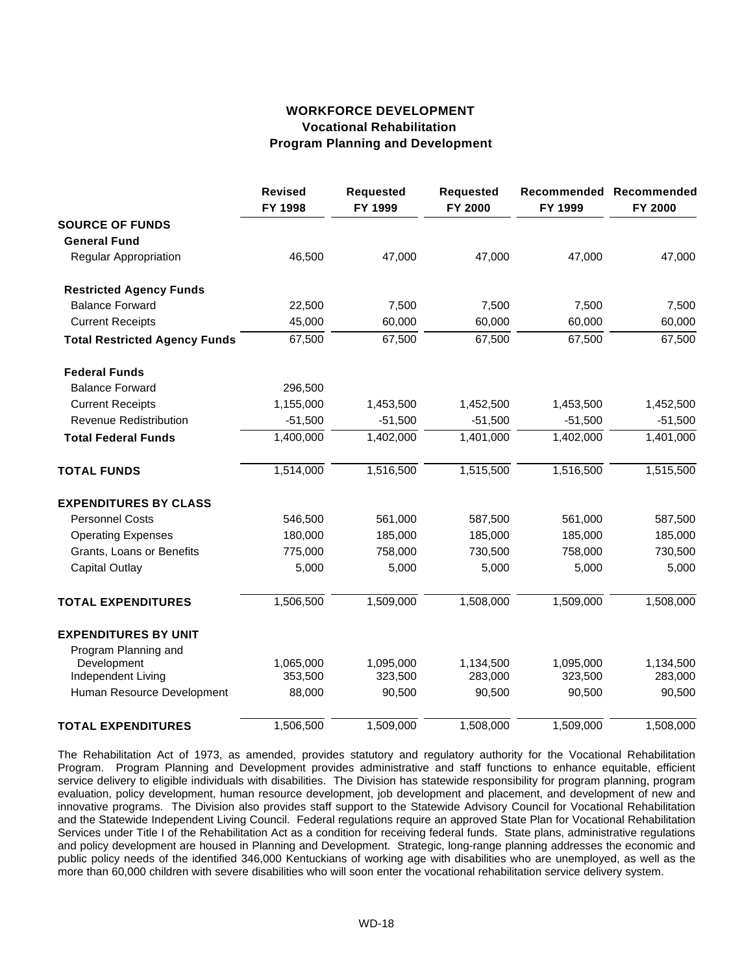# **WORKFORCE DEVELOPMENT Vocational Rehabilitation Program Planning and Development**

|                                      | <b>Revised</b><br>FY 1998 | <b>Requested</b><br>FY 1999 | <b>Requested</b><br>FY 2000 | FY 1999   | Recommended Recommended<br>FY 2000 |
|--------------------------------------|---------------------------|-----------------------------|-----------------------------|-----------|------------------------------------|
| <b>SOURCE OF FUNDS</b>               |                           |                             |                             |           |                                    |
| <b>General Fund</b>                  |                           |                             |                             |           |                                    |
| Regular Appropriation                | 46,500                    | 47,000                      | 47,000                      | 47,000    | 47,000                             |
| <b>Restricted Agency Funds</b>       |                           |                             |                             |           |                                    |
| <b>Balance Forward</b>               | 22,500                    | 7,500                       | 7,500                       | 7,500     | 7,500                              |
| <b>Current Receipts</b>              | 45,000                    | 60,000                      | 60,000                      | 60,000    | 60,000                             |
| <b>Total Restricted Agency Funds</b> | 67,500                    | 67,500                      | 67,500                      | 67,500    | 67,500                             |
| <b>Federal Funds</b>                 |                           |                             |                             |           |                                    |
| <b>Balance Forward</b>               | 296,500                   |                             |                             |           |                                    |
| <b>Current Receipts</b>              | 1,155,000                 | 1,453,500                   | 1,452,500                   | 1,453,500 | 1,452,500                          |
| Revenue Redistribution               | $-51,500$                 | $-51,500$                   | $-51,500$                   | $-51,500$ | $-51,500$                          |
| <b>Total Federal Funds</b>           | 1,400,000                 | 1,402,000                   | 1,401,000                   | 1,402,000 | 1,401,000                          |
| <b>TOTAL FUNDS</b>                   | 1,514,000                 | 1,516,500                   | 1,515,500                   | 1,516,500 | 1,515,500                          |
| <b>EXPENDITURES BY CLASS</b>         |                           |                             |                             |           |                                    |
| <b>Personnel Costs</b>               | 546,500                   | 561,000                     | 587,500                     | 561,000   | 587,500                            |
| <b>Operating Expenses</b>            | 180,000                   | 185,000                     | 185,000                     | 185,000   | 185,000                            |
| Grants, Loans or Benefits            | 775,000                   | 758,000                     | 730,500                     | 758,000   | 730,500                            |
| <b>Capital Outlay</b>                | 5,000                     | 5,000                       | 5,000                       | 5,000     | 5,000                              |
| <b>TOTAL EXPENDITURES</b>            | 1,506,500                 | 1,509,000                   | 1,508,000                   | 1,509,000 | 1,508,000                          |
| <b>EXPENDITURES BY UNIT</b>          |                           |                             |                             |           |                                    |
| Program Planning and                 |                           |                             |                             |           |                                    |
| Development                          | 1,065,000                 | 1,095,000                   | 1,134,500                   | 1,095,000 | 1,134,500                          |
| Independent Living                   | 353,500                   | 323,500                     | 283,000                     | 323,500   | 283,000                            |
| Human Resource Development           | 88,000                    | 90,500                      | 90,500                      | 90,500    | 90,500                             |
| <b>TOTAL EXPENDITURES</b>            | 1,506,500                 | 1,509,000                   | 1,508,000                   | 1,509,000 | 1,508,000                          |

The Rehabilitation Act of 1973, as amended, provides statutory and regulatory authority for the Vocational Rehabilitation Program. Program Planning and Development provides administrative and staff functions to enhance equitable, efficient service delivery to eligible individuals with disabilities. The Division has statewide responsibility for program planning, program evaluation, policy development, human resource development, job development and placement, and development of new and innovative programs. The Division also provides staff support to the Statewide Advisory Council for Vocational Rehabilitation and the Statewide Independent Living Council. Federal regulations require an approved State Plan for Vocational Rehabilitation Services under Title I of the Rehabilitation Act as a condition for receiving federal funds. State plans, administrative regulations and policy development are housed in Planning and Development. Strategic, long-range planning addresses the economic and public policy needs of the identified 346,000 Kentuckians of working age with disabilities who are unemployed, as well as the more than 60,000 children with severe disabilities who will soon enter the vocational rehabilitation service delivery system.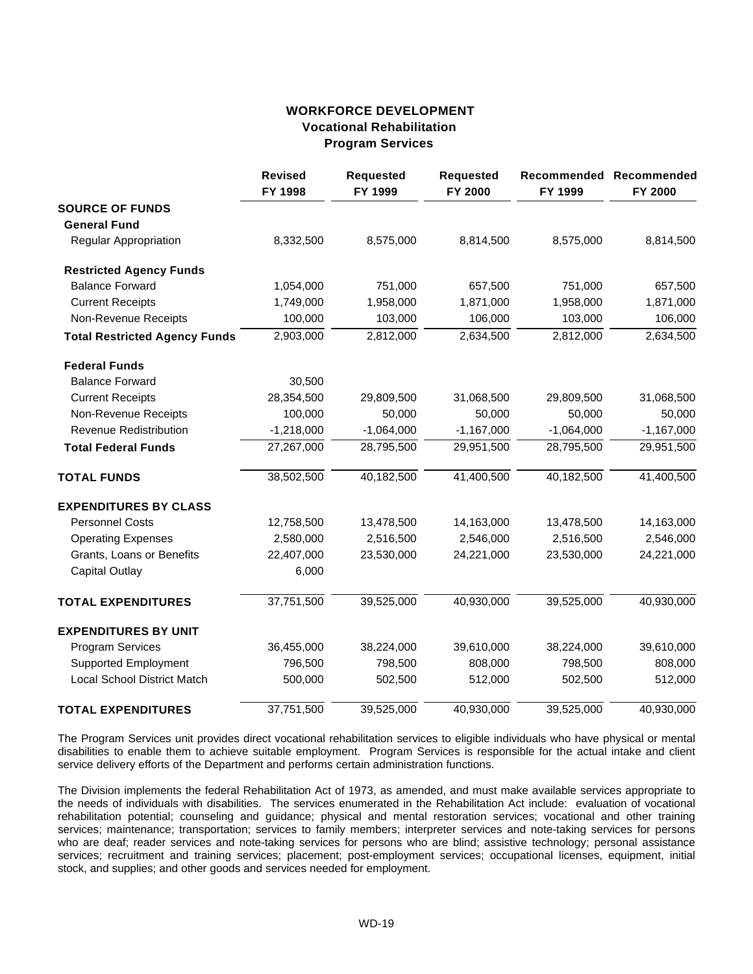# **WORKFORCE DEVELOPMENT Vocational Rehabilitation Program Services**

|                                      | <b>Revised</b><br>FY 1998 | <b>Requested</b><br>FY 1999 | <b>Requested</b><br>FY 2000 | FY 1999      | Recommended Recommended<br>FY 2000 |
|--------------------------------------|---------------------------|-----------------------------|-----------------------------|--------------|------------------------------------|
| <b>SOURCE OF FUNDS</b>               |                           |                             |                             |              |                                    |
| <b>General Fund</b>                  |                           |                             |                             |              |                                    |
| Regular Appropriation                | 8,332,500                 | 8,575,000                   | 8,814,500                   | 8,575,000    | 8,814,500                          |
| <b>Restricted Agency Funds</b>       |                           |                             |                             |              |                                    |
| <b>Balance Forward</b>               | 1,054,000                 | 751,000                     | 657,500                     | 751,000      | 657,500                            |
| <b>Current Receipts</b>              | 1,749,000                 | 1,958,000                   | 1,871,000                   | 1,958,000    | 1,871,000                          |
| Non-Revenue Receipts                 | 100,000                   | 103,000                     | 106,000                     | 103,000      | 106,000                            |
| <b>Total Restricted Agency Funds</b> | 2,903,000                 | 2,812,000                   | 2,634,500                   | 2,812,000    | 2,634,500                          |
| <b>Federal Funds</b>                 |                           |                             |                             |              |                                    |
| <b>Balance Forward</b>               | 30,500                    |                             |                             |              |                                    |
| <b>Current Receipts</b>              | 28,354,500                | 29,809,500                  | 31,068,500                  | 29,809,500   | 31,068,500                         |
| Non-Revenue Receipts                 | 100,000                   | 50,000                      | 50,000                      | 50,000       | 50,000                             |
| <b>Revenue Redistribution</b>        | $-1,218,000$              | $-1,064,000$                | $-1,167,000$                | $-1,064,000$ | $-1,167,000$                       |
| <b>Total Federal Funds</b>           | 27,267,000                | 28,795,500                  | 29,951,500                  | 28,795,500   | 29,951,500                         |
| <b>TOTAL FUNDS</b>                   | 38,502,500                | 40,182,500                  | 41,400,500                  | 40,182,500   | 41,400,500                         |
| <b>EXPENDITURES BY CLASS</b>         |                           |                             |                             |              |                                    |
| <b>Personnel Costs</b>               | 12,758,500                | 13,478,500                  | 14,163,000                  | 13,478,500   | 14,163,000                         |
| <b>Operating Expenses</b>            | 2,580,000                 | 2,516,500                   | 2,546,000                   | 2,516,500    | 2,546,000                          |
| Grants, Loans or Benefits            | 22,407,000                | 23,530,000                  | 24,221,000                  | 23,530,000   | 24,221,000                         |
| <b>Capital Outlay</b>                | 6,000                     |                             |                             |              |                                    |
| <b>TOTAL EXPENDITURES</b>            | 37,751,500                | 39,525,000                  | 40,930,000                  | 39,525,000   | 40,930,000                         |
| <b>EXPENDITURES BY UNIT</b>          |                           |                             |                             |              |                                    |
| Program Services                     | 36,455,000                | 38,224,000                  | 39,610,000                  | 38,224,000   | 39,610,000                         |
| <b>Supported Employment</b>          | 796,500                   | 798,500                     | 808,000                     | 798,500      | 808,000                            |
| <b>Local School District Match</b>   | 500,000                   | 502,500                     | 512,000                     | 502,500      | 512,000                            |
| <b>TOTAL EXPENDITURES</b>            | 37,751,500                | 39,525,000                  | 40,930,000                  | 39,525,000   | 40,930,000                         |

The Program Services unit provides direct vocational rehabilitation services to eligible individuals who have physical or mental disabilities to enable them to achieve suitable employment. Program Services is responsible for the actual intake and client service delivery efforts of the Department and performs certain administration functions.

The Division implements the federal Rehabilitation Act of 1973, as amended, and must make available services appropriate to the needs of individuals with disabilities. The services enumerated in the Rehabilitation Act include: evaluation of vocational rehabilitation potential; counseling and guidance; physical and mental restoration services; vocational and other training services; maintenance; transportation; services to family members; interpreter services and note-taking services for persons who are deaf; reader services and note-taking services for persons who are blind; assistive technology; personal assistance services; recruitment and training services; placement; post-employment services; occupational licenses, equipment, initial stock, and supplies; and other goods and services needed for employment.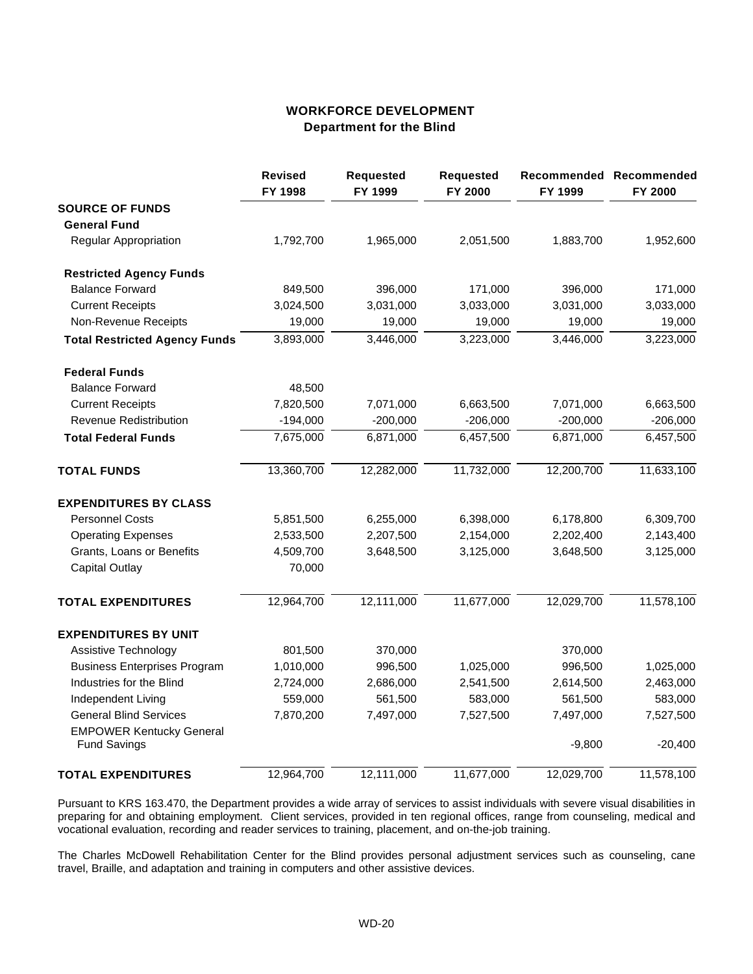## **WORKFORCE DEVELOPMENT Department for the Blind**

|                                                        | <b>Revised</b><br>FY 1998 | <b>Requested</b><br>FY 1999 | <b>Requested</b><br>FY 2000 | FY 1999    | Recommended Recommended<br>FY 2000 |
|--------------------------------------------------------|---------------------------|-----------------------------|-----------------------------|------------|------------------------------------|
| <b>SOURCE OF FUNDS</b>                                 |                           |                             |                             |            |                                    |
| <b>General Fund</b>                                    |                           |                             |                             |            |                                    |
| <b>Regular Appropriation</b>                           | 1,792,700                 | 1,965,000                   | 2,051,500                   | 1,883,700  | 1,952,600                          |
| <b>Restricted Agency Funds</b>                         |                           |                             |                             |            |                                    |
| <b>Balance Forward</b>                                 | 849,500                   | 396,000                     | 171,000                     | 396,000    | 171,000                            |
| <b>Current Receipts</b>                                | 3,024,500                 | 3,031,000                   | 3,033,000                   | 3,031,000  | 3,033,000                          |
| Non-Revenue Receipts                                   | 19,000                    | 19,000                      | 19,000                      | 19,000     | 19,000                             |
| <b>Total Restricted Agency Funds</b>                   | 3,893,000                 | 3,446,000                   | 3,223,000                   | 3,446,000  | 3,223,000                          |
| <b>Federal Funds</b>                                   |                           |                             |                             |            |                                    |
| <b>Balance Forward</b>                                 | 48,500                    |                             |                             |            |                                    |
| <b>Current Receipts</b>                                | 7,820,500                 | 7,071,000                   | 6,663,500                   | 7,071,000  | 6,663,500                          |
| <b>Revenue Redistribution</b>                          | $-194,000$                | $-200,000$                  | $-206,000$                  | $-200,000$ | $-206,000$                         |
| <b>Total Federal Funds</b>                             | 7,675,000                 | 6,871,000                   | 6,457,500                   | 6,871,000  | 6,457,500                          |
| <b>TOTAL FUNDS</b>                                     | 13,360,700                | 12,282,000                  | 11,732,000                  | 12,200,700 | 11,633,100                         |
| <b>EXPENDITURES BY CLASS</b>                           |                           |                             |                             |            |                                    |
| <b>Personnel Costs</b>                                 | 5,851,500                 | 6,255,000                   | 6,398,000                   | 6,178,800  | 6,309,700                          |
| <b>Operating Expenses</b>                              | 2,533,500                 | 2,207,500                   | 2,154,000                   | 2,202,400  | 2,143,400                          |
| Grants, Loans or Benefits                              | 4,509,700                 | 3,648,500                   | 3,125,000                   | 3,648,500  | 3,125,000                          |
| <b>Capital Outlay</b>                                  | 70,000                    |                             |                             |            |                                    |
| <b>TOTAL EXPENDITURES</b>                              | 12,964,700                | 12,111,000                  | 11,677,000                  | 12,029,700 | 11,578,100                         |
| <b>EXPENDITURES BY UNIT</b>                            |                           |                             |                             |            |                                    |
| <b>Assistive Technology</b>                            | 801,500                   | 370,000                     |                             | 370,000    |                                    |
| <b>Business Enterprises Program</b>                    | 1,010,000                 | 996,500                     | 1,025,000                   | 996,500    | 1,025,000                          |
| Industries for the Blind                               | 2,724,000                 | 2,686,000                   | 2,541,500                   | 2,614,500  | 2,463,000                          |
| Independent Living                                     | 559,000                   | 561,500                     | 583,000                     | 561,500    | 583,000                            |
| <b>General Blind Services</b>                          | 7,870,200                 | 7,497,000                   | 7,527,500                   | 7,497,000  | 7,527,500                          |
| <b>EMPOWER Kentucky General</b><br><b>Fund Savings</b> |                           |                             |                             | $-9,800$   | $-20,400$                          |
| <b>TOTAL EXPENDITURES</b>                              | 12,964,700                | 12,111,000                  | 11,677,000                  | 12,029,700 | 11,578,100                         |

Pursuant to KRS 163.470, the Department provides a wide array of services to assist individuals with severe visual disabilities in preparing for and obtaining employment. Client services, provided in ten regional offices, range from counseling, medical and vocational evaluation, recording and reader services to training, placement, and on-the-job training.

The Charles McDowell Rehabilitation Center for the Blind provides personal adjustment services such as counseling, cane travel, Braille, and adaptation and training in computers and other assistive devices.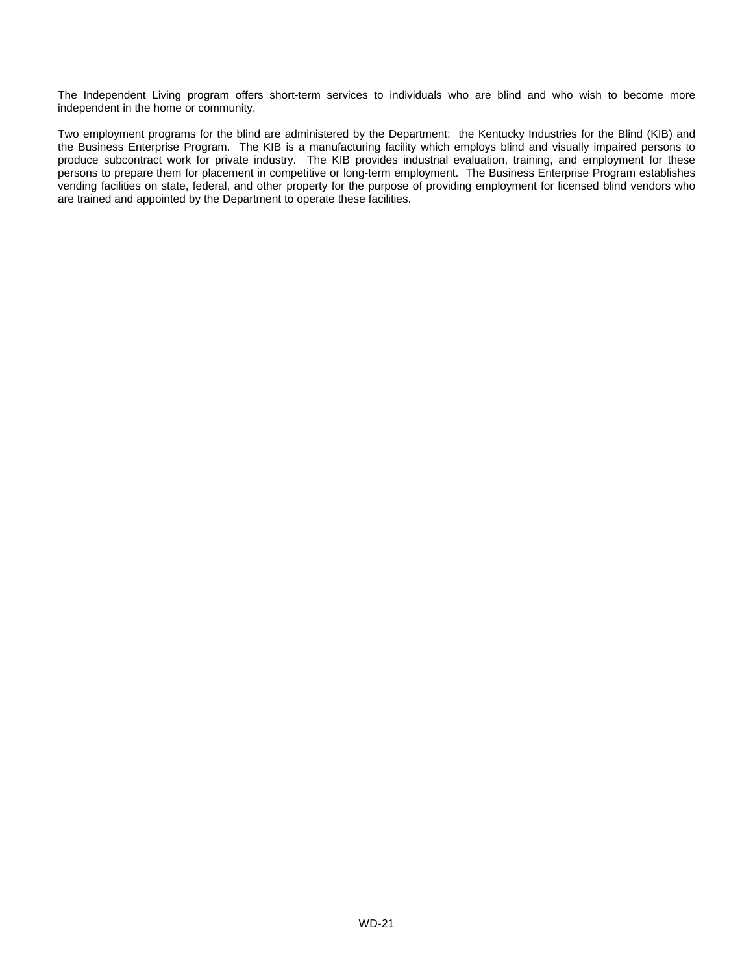The Independent Living program offers short-term services to individuals who are blind and who wish to become more independent in the home or community.

Two employment programs for the blind are administered by the Department: the Kentucky Industries for the Blind (KIB) and the Business Enterprise Program. The KIB is a manufacturing facility which employs blind and visually impaired persons to produce subcontract work for private industry. The KIB provides industrial evaluation, training, and employment for these persons to prepare them for placement in competitive or long-term employment. The Business Enterprise Program establishes vending facilities on state, federal, and other property for the purpose of providing employment for licensed blind vendors who are trained and appointed by the Department to operate these facilities.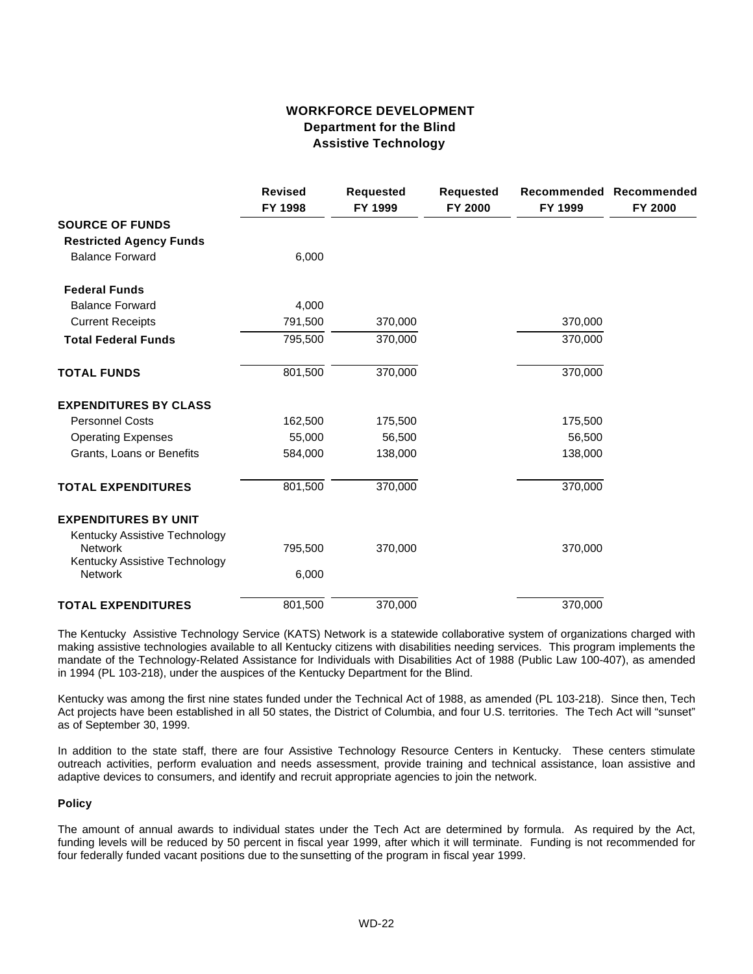### **WORKFORCE DEVELOPMENT Department for the Blind Assistive Technology**

|                                                 | <b>Revised</b><br>FY 1998 | <b>Requested</b><br>FY 1999 | <b>Requested</b><br>FY 2000 | FY 1999 | Recommended Recommended<br>FY 2000 |
|-------------------------------------------------|---------------------------|-----------------------------|-----------------------------|---------|------------------------------------|
| <b>SOURCE OF FUNDS</b>                          |                           |                             |                             |         |                                    |
| <b>Restricted Agency Funds</b>                  |                           |                             |                             |         |                                    |
| <b>Balance Forward</b>                          | 6,000                     |                             |                             |         |                                    |
| <b>Federal Funds</b>                            |                           |                             |                             |         |                                    |
| <b>Balance Forward</b>                          | 4,000                     |                             |                             |         |                                    |
| <b>Current Receipts</b>                         | 791,500                   | 370,000                     |                             | 370,000 |                                    |
| <b>Total Federal Funds</b>                      | 795,500                   | 370,000                     |                             | 370,000 |                                    |
| <b>TOTAL FUNDS</b>                              | 801,500                   | 370,000                     |                             | 370,000 |                                    |
| <b>EXPENDITURES BY CLASS</b>                    |                           |                             |                             |         |                                    |
| <b>Personnel Costs</b>                          | 162,500                   | 175,500                     |                             | 175,500 |                                    |
| <b>Operating Expenses</b>                       | 55,000                    | 56,500                      |                             | 56,500  |                                    |
| Grants, Loans or Benefits                       | 584,000                   | 138,000                     |                             | 138,000 |                                    |
| <b>TOTAL EXPENDITURES</b>                       | 801,500                   | 370,000                     |                             | 370,000 |                                    |
| <b>EXPENDITURES BY UNIT</b>                     |                           |                             |                             |         |                                    |
| Kentucky Assistive Technology                   |                           |                             |                             |         |                                    |
| <b>Network</b>                                  | 795,500                   | 370,000                     |                             | 370,000 |                                    |
| Kentucky Assistive Technology<br><b>Network</b> | 6,000                     |                             |                             |         |                                    |
| <b>TOTAL EXPENDITURES</b>                       | 801,500                   | 370,000                     |                             | 370,000 |                                    |

The Kentucky Assistive Technology Service (KATS) Network is a statewide collaborative system of organizations charged with making assistive technologies available to all Kentucky citizens with disabilities needing services. This program implements the mandate of the Technology-Related Assistance for Individuals with Disabilities Act of 1988 (Public Law 100-407), as amended in 1994 (PL 103-218), under the auspices of the Kentucky Department for the Blind.

Kentucky was among the first nine states funded under the Technical Act of 1988, as amended (PL 103-218). Since then, Tech Act projects have been established in all 50 states, the District of Columbia, and four U.S. territories. The Tech Act will "sunset" as of September 30, 1999.

In addition to the state staff, there are four Assistive Technology Resource Centers in Kentucky. These centers stimulate outreach activities, perform evaluation and needs assessment, provide training and technical assistance, loan assistive and adaptive devices to consumers, and identify and recruit appropriate agencies to join the network.

#### **Policy**

The amount of annual awards to individual states under the Tech Act are determined by formula. As required by the Act, funding levels will be reduced by 50 percent in fiscal year 1999, after which it will terminate. Funding is not recommended for four federally funded vacant positions due to the sunsetting of the program in fiscal year 1999.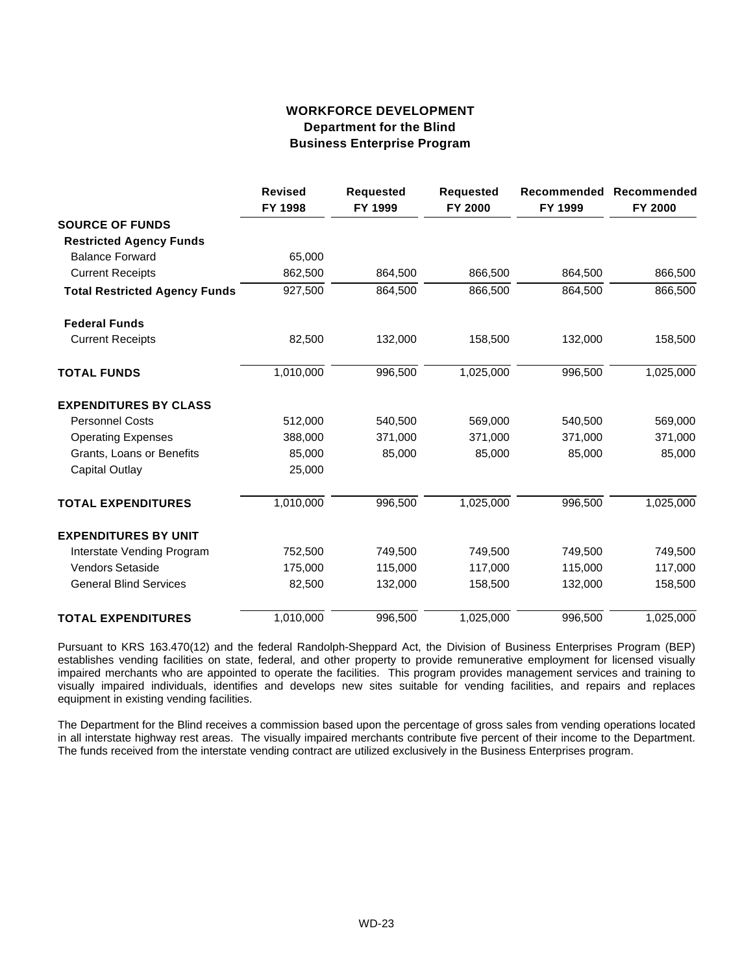## **WORKFORCE DEVELOPMENT Department for the Blind Business Enterprise Program**

|                                      | <b>Revised</b><br>FY 1998 | <b>Requested</b><br>FY 1999 | <b>Requested</b><br>FY 2000 | FY 1999 | Recommended Recommended<br>FY 2000 |
|--------------------------------------|---------------------------|-----------------------------|-----------------------------|---------|------------------------------------|
| <b>SOURCE OF FUNDS</b>               |                           |                             |                             |         |                                    |
| <b>Restricted Agency Funds</b>       |                           |                             |                             |         |                                    |
| <b>Balance Forward</b>               | 65,000                    |                             |                             |         |                                    |
| <b>Current Receipts</b>              | 862,500                   | 864,500                     | 866,500                     | 864,500 | 866,500                            |
| <b>Total Restricted Agency Funds</b> | 927,500                   | 864,500                     | 866,500                     | 864,500 | 866,500                            |
| <b>Federal Funds</b>                 |                           |                             |                             |         |                                    |
| <b>Current Receipts</b>              | 82,500                    | 132,000                     | 158,500                     | 132,000 | 158,500                            |
| <b>TOTAL FUNDS</b>                   | 1,010,000                 | 996,500                     | 1,025,000                   | 996,500 | 1,025,000                          |
| <b>EXPENDITURES BY CLASS</b>         |                           |                             |                             |         |                                    |
| <b>Personnel Costs</b>               | 512,000                   | 540,500                     | 569,000                     | 540,500 | 569,000                            |
| <b>Operating Expenses</b>            | 388,000                   | 371,000                     | 371,000                     | 371,000 | 371,000                            |
| Grants, Loans or Benefits            | 85,000                    | 85,000                      | 85,000                      | 85,000  | 85,000                             |
| <b>Capital Outlay</b>                | 25,000                    |                             |                             |         |                                    |
| <b>TOTAL EXPENDITURES</b>            | 1,010,000                 | 996,500                     | 1,025,000                   | 996,500 | 1,025,000                          |
| <b>EXPENDITURES BY UNIT</b>          |                           |                             |                             |         |                                    |
| Interstate Vending Program           | 752,500                   | 749,500                     | 749,500                     | 749,500 | 749,500                            |
| <b>Vendors Setaside</b>              | 175,000                   | 115,000                     | 117,000                     | 115,000 | 117,000                            |
| <b>General Blind Services</b>        | 82,500                    | 132,000                     | 158,500                     | 132,000 | 158,500                            |
| <b>TOTAL EXPENDITURES</b>            | 1,010,000                 | 996,500                     | 1,025,000                   | 996,500 | 1,025,000                          |

Pursuant to KRS 163.470(12) and the federal Randolph-Sheppard Act, the Division of Business Enterprises Program (BEP) establishes vending facilities on state, federal, and other property to provide remunerative employment for licensed visually impaired merchants who are appointed to operate the facilities. This program provides management services and training to visually impaired individuals, identifies and develops new sites suitable for vending facilities, and repairs and replaces equipment in existing vending facilities.

The Department for the Blind receives a commission based upon the percentage of gross sales from vending operations located in all interstate highway rest areas. The visually impaired merchants contribute five percent of their income to the Department. The funds received from the interstate vending contract are utilized exclusively in the Business Enterprises program.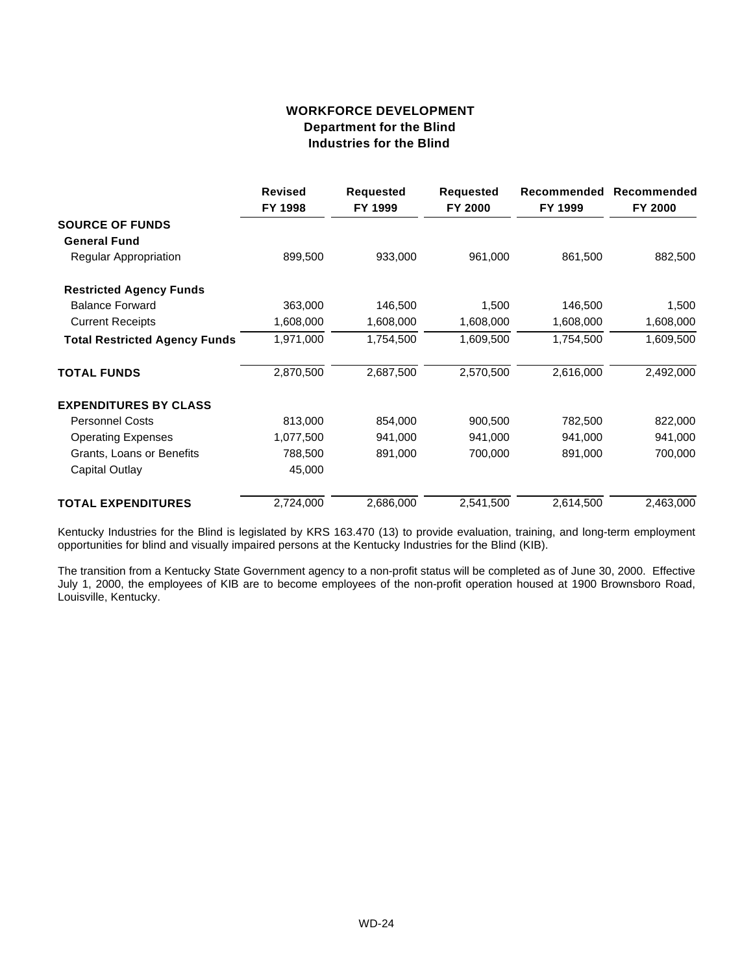## **WORKFORCE DEVELOPMENT Department for the Blind Industries for the Blind**

|                                      | <b>Revised</b><br>FY 1998 | <b>Requested</b><br>FY 1999 | <b>Requested</b><br>FY 2000 | Recommended<br>FY 1999 | Recommended<br>FY 2000 |
|--------------------------------------|---------------------------|-----------------------------|-----------------------------|------------------------|------------------------|
| <b>SOURCE OF FUNDS</b>               |                           |                             |                             |                        |                        |
| <b>General Fund</b>                  |                           |                             |                             |                        |                        |
| Regular Appropriation                | 899,500                   | 933,000                     | 961,000                     | 861,500                | 882,500                |
| <b>Restricted Agency Funds</b>       |                           |                             |                             |                        |                        |
| <b>Balance Forward</b>               | 363,000                   | 146,500                     | 1,500                       | 146,500                | 1,500                  |
| <b>Current Receipts</b>              | 1,608,000                 | 1,608,000                   | 1,608,000                   | 1,608,000              | 1,608,000              |
| <b>Total Restricted Agency Funds</b> | 1,971,000                 | 1,754,500                   | 1,609,500                   | 1,754,500              | 1,609,500              |
| <b>TOTAL FUNDS</b>                   | 2,870,500                 | 2,687,500                   | 2,570,500                   | 2,616,000              | 2,492,000              |
| <b>EXPENDITURES BY CLASS</b>         |                           |                             |                             |                        |                        |
| <b>Personnel Costs</b>               | 813,000                   | 854,000                     | 900,500                     | 782,500                | 822,000                |
| <b>Operating Expenses</b>            | 1,077,500                 | 941,000                     | 941,000                     | 941,000                | 941,000                |
| Grants, Loans or Benefits            | 788,500                   | 891,000                     | 700,000                     | 891,000                | 700,000                |
| Capital Outlay                       | 45,000                    |                             |                             |                        |                        |
| <b>TOTAL EXPENDITURES</b>            | 2,724,000                 | 2,686,000                   | 2,541,500                   | 2,614,500              | 2,463,000              |

Kentucky Industries for the Blind is legislated by KRS 163.470 (13) to provide evaluation, training, and long-term employment opportunities for blind and visually impaired persons at the Kentucky Industries for the Blind (KIB).

The transition from a Kentucky State Government agency to a non-profit status will be completed as of June 30, 2000. Effective July 1, 2000, the employees of KIB are to become employees of the non-profit operation housed at 1900 Brownsboro Road, Louisville, Kentucky.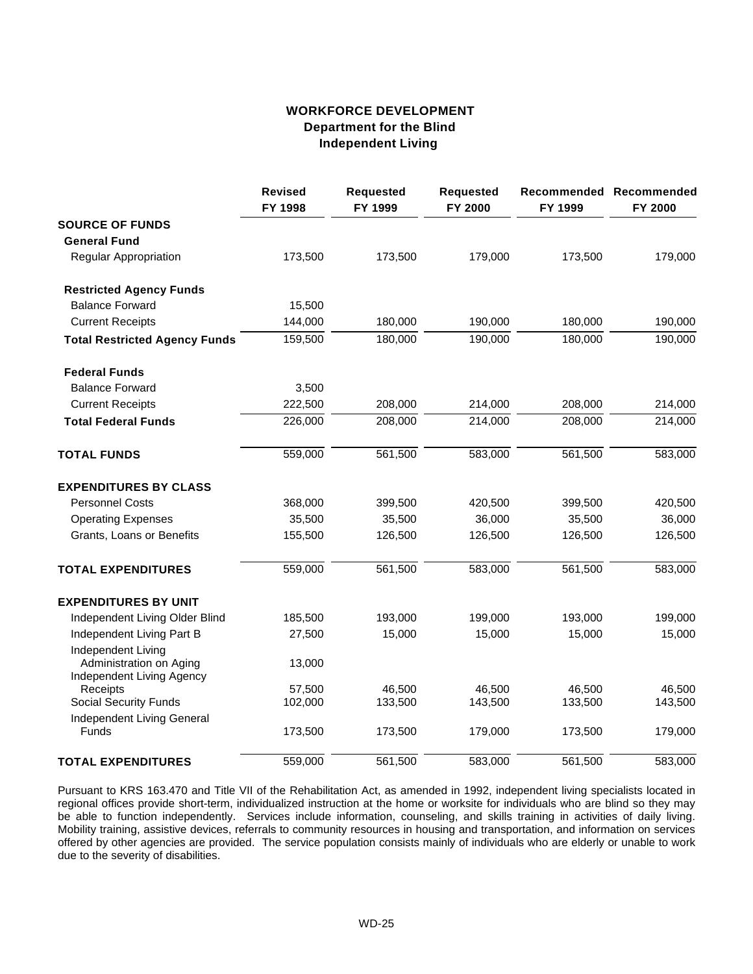### **WORKFORCE DEVELOPMENT Department for the Blind Independent Living**

|                                               | <b>Revised</b><br>FY 1998 | <b>Requested</b><br>FY 1999 | <b>Requested</b><br>FY 2000 | FY 1999 | Recommended Recommended<br>FY 2000 |
|-----------------------------------------------|---------------------------|-----------------------------|-----------------------------|---------|------------------------------------|
| <b>SOURCE OF FUNDS</b>                        |                           |                             |                             |         |                                    |
| <b>General Fund</b>                           |                           |                             |                             |         |                                    |
| Regular Appropriation                         | 173,500                   | 173,500                     | 179,000                     | 173,500 | 179,000                            |
| <b>Restricted Agency Funds</b>                |                           |                             |                             |         |                                    |
| <b>Balance Forward</b>                        | 15,500                    |                             |                             |         |                                    |
| <b>Current Receipts</b>                       | 144,000                   | 180,000                     | 190,000                     | 180,000 | 190,000                            |
| <b>Total Restricted Agency Funds</b>          | 159,500                   | 180,000                     | 190,000                     | 180,000 | 190,000                            |
| <b>Federal Funds</b>                          |                           |                             |                             |         |                                    |
| <b>Balance Forward</b>                        | 3,500                     |                             |                             |         |                                    |
| <b>Current Receipts</b>                       | 222,500                   | 208,000                     | 214,000                     | 208,000 | 214,000                            |
| <b>Total Federal Funds</b>                    | 226,000                   | 208,000                     | 214,000                     | 208,000 | 214,000                            |
| <b>TOTAL FUNDS</b>                            | 559,000                   | 561,500                     | 583,000                     | 561,500 | 583,000                            |
| <b>EXPENDITURES BY CLASS</b>                  |                           |                             |                             |         |                                    |
| <b>Personnel Costs</b>                        | 368,000                   | 399,500                     | 420,500                     | 399,500 | 420,500                            |
| <b>Operating Expenses</b>                     | 35,500                    | 35,500                      | 36,000                      | 35,500  | 36,000                             |
| Grants, Loans or Benefits                     | 155,500                   | 126,500                     | 126,500                     | 126,500 | 126,500                            |
| <b>TOTAL EXPENDITURES</b>                     | 559,000                   | 561,500                     | 583,000                     | 561,500 | 583,000                            |
| <b>EXPENDITURES BY UNIT</b>                   |                           |                             |                             |         |                                    |
| Independent Living Older Blind                | 185,500                   | 193,000                     | 199,000                     | 193,000 | 199,000                            |
| Independent Living Part B                     | 27,500                    | 15,000                      | 15,000                      | 15,000  | 15,000                             |
| Independent Living<br>Administration on Aging | 13,000                    |                             |                             |         |                                    |
| Independent Living Agency<br>Receipts         | 57,500                    | 46,500                      | 46,500                      | 46,500  | 46,500                             |
| <b>Social Security Funds</b>                  | 102,000                   | 133,500                     | 143,500                     | 133,500 | 143,500                            |
| Independent Living General                    |                           |                             |                             |         |                                    |
| Funds                                         | 173,500                   | 173,500                     | 179,000                     | 173,500 | 179,000                            |
| <b>TOTAL EXPENDITURES</b>                     | 559,000                   | 561,500                     | 583,000                     | 561,500 | 583,000                            |

Pursuant to KRS 163.470 and Title VII of the Rehabilitation Act, as amended in 1992, independent living specialists located in regional offices provide short-term, individualized instruction at the home or worksite for individuals who are blind so they may be able to function independently. Services include information, counseling, and skills training in activities of daily living. Mobility training, assistive devices, referrals to community resources in housing and transportation, and information on services offered by other agencies are provided. The service population consists mainly of individuals who are elderly or unable to work due to the severity of disabilities.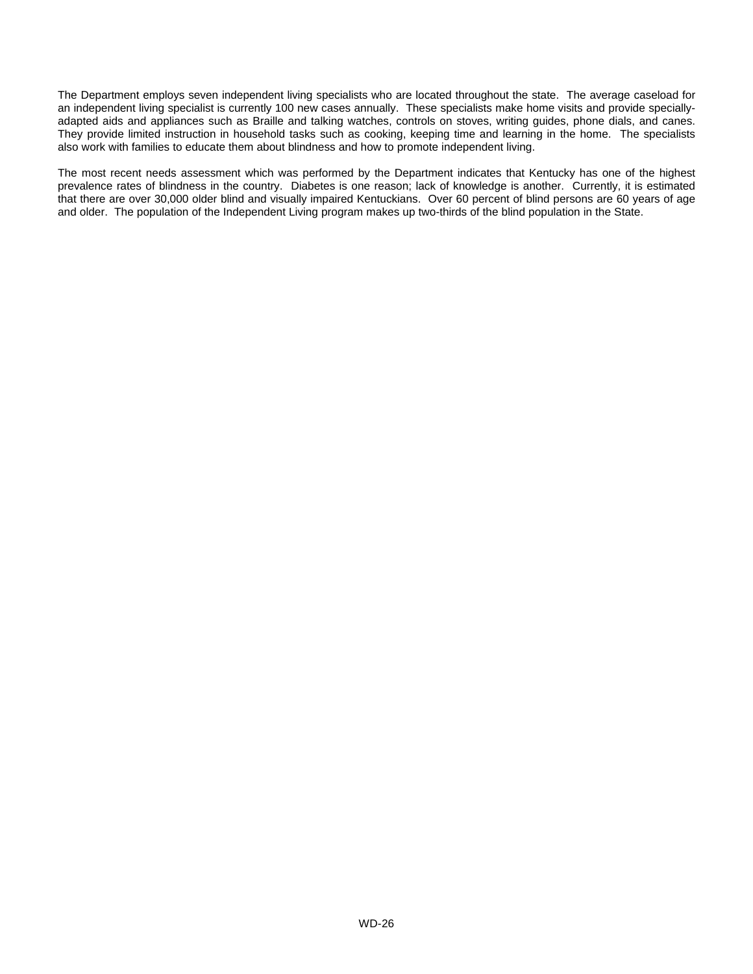The Department employs seven independent living specialists who are located throughout the state. The average caseload for an independent living specialist is currently 100 new cases annually. These specialists make home visits and provide speciallyadapted aids and appliances such as Braille and talking watches, controls on stoves, writing guides, phone dials, and canes. They provide limited instruction in household tasks such as cooking, keeping time and learning in the home. The specialists also work with families to educate them about blindness and how to promote independent living.

The most recent needs assessment which was performed by the Department indicates that Kentucky has one of the highest prevalence rates of blindness in the country. Diabetes is one reason; lack of knowledge is another. Currently, it is estimated that there are over 30,000 older blind and visually impaired Kentuckians. Over 60 percent of blind persons are 60 years of age and older. The population of the Independent Living program makes up two-thirds of the blind population in the State.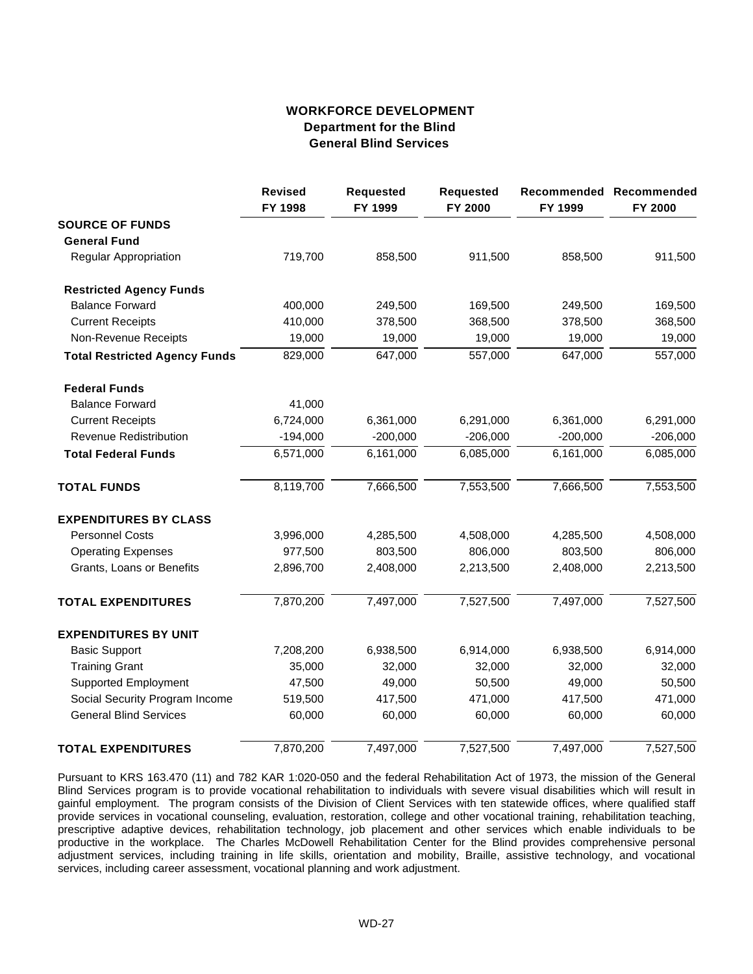## **WORKFORCE DEVELOPMENT Department for the Blind General Blind Services**

|                                      | <b>Revised</b><br>FY 1998 | <b>Requested</b><br>FY 1999 | <b>Requested</b><br>FY 2000 | FY 1999    | Recommended Recommended<br>FY 2000 |
|--------------------------------------|---------------------------|-----------------------------|-----------------------------|------------|------------------------------------|
| <b>SOURCE OF FUNDS</b>               |                           |                             |                             |            |                                    |
| <b>General Fund</b>                  |                           |                             |                             |            |                                    |
| Regular Appropriation                | 719,700                   | 858,500                     | 911,500                     | 858,500    | 911,500                            |
| <b>Restricted Agency Funds</b>       |                           |                             |                             |            |                                    |
| <b>Balance Forward</b>               | 400,000                   | 249,500                     | 169,500                     | 249,500    | 169,500                            |
| <b>Current Receipts</b>              | 410,000                   | 378,500                     | 368,500                     | 378,500    | 368,500                            |
| Non-Revenue Receipts                 | 19,000                    | 19,000                      | 19,000                      | 19,000     | 19,000                             |
| <b>Total Restricted Agency Funds</b> | 829,000                   | 647,000                     | 557,000                     | 647,000    | 557,000                            |
| <b>Federal Funds</b>                 |                           |                             |                             |            |                                    |
| <b>Balance Forward</b>               | 41,000                    |                             |                             |            |                                    |
| <b>Current Receipts</b>              | 6,724,000                 | 6,361,000                   | 6,291,000                   | 6,361,000  | 6,291,000                          |
| <b>Revenue Redistribution</b>        | $-194,000$                | $-200,000$                  | $-206,000$                  | $-200,000$ | $-206,000$                         |
| <b>Total Federal Funds</b>           | 6,571,000                 | 6,161,000                   | 6,085,000                   | 6,161,000  | 6,085,000                          |
| <b>TOTAL FUNDS</b>                   | 8,119,700                 | 7,666,500                   | 7,553,500                   | 7,666,500  | 7,553,500                          |
| <b>EXPENDITURES BY CLASS</b>         |                           |                             |                             |            |                                    |
| <b>Personnel Costs</b>               | 3,996,000                 | 4,285,500                   | 4,508,000                   | 4,285,500  | 4,508,000                          |
| <b>Operating Expenses</b>            | 977,500                   | 803,500                     | 806,000                     | 803,500    | 806,000                            |
| Grants, Loans or Benefits            | 2,896,700                 | 2,408,000                   | 2,213,500                   | 2,408,000  | 2,213,500                          |
| <b>TOTAL EXPENDITURES</b>            | 7,870,200                 | 7,497,000                   | 7,527,500                   | 7,497,000  | 7,527,500                          |
| <b>EXPENDITURES BY UNIT</b>          |                           |                             |                             |            |                                    |
| <b>Basic Support</b>                 | 7,208,200                 | 6,938,500                   | 6,914,000                   | 6,938,500  | 6,914,000                          |
| <b>Training Grant</b>                | 35,000                    | 32,000                      | 32,000                      | 32,000     | 32,000                             |
| <b>Supported Employment</b>          | 47,500                    | 49,000                      | 50,500                      | 49,000     | 50,500                             |
| Social Security Program Income       | 519,500                   | 417,500                     | 471,000                     | 417,500    | 471,000                            |
| <b>General Blind Services</b>        | 60,000                    | 60,000                      | 60,000                      | 60,000     | 60,000                             |
| <b>TOTAL EXPENDITURES</b>            | 7,870,200                 | 7,497,000                   | 7,527,500                   | 7,497,000  | 7,527,500                          |

Pursuant to KRS 163.470 (11) and 782 KAR 1:020-050 and the federal Rehabilitation Act of 1973, the mission of the General Blind Services program is to provide vocational rehabilitation to individuals with severe visual disabilities which will result in gainful employment. The program consists of the Division of Client Services with ten statewide offices, where qualified staff provide services in vocational counseling, evaluation, restoration, college and other vocational training, rehabilitation teaching, prescriptive adaptive devices, rehabilitation technology, job placement and other services which enable individuals to be productive in the workplace. The Charles McDowell Rehabilitation Center for the Blind provides comprehensive personal adjustment services, including training in life skills, orientation and mobility, Braille, assistive technology, and vocational services, including career assessment, vocational planning and work adjustment.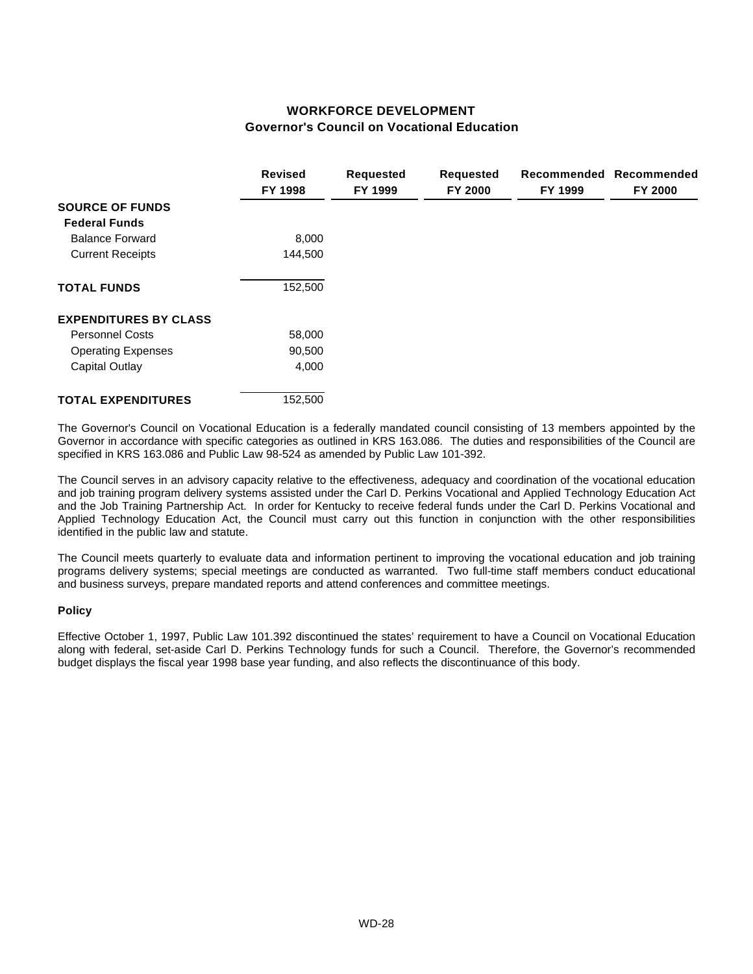### **WORKFORCE DEVELOPMENT Governor's Council on Vocational Education**

|                              | <b>Revised</b><br>FY 1998 | <b>Requested</b><br>FY 1999 | <b>Requested</b><br>FY 2000 | Recommended<br>FY 1999 | Recommended<br>FY 2000 |
|------------------------------|---------------------------|-----------------------------|-----------------------------|------------------------|------------------------|
| <b>SOURCE OF FUNDS</b>       |                           |                             |                             |                        |                        |
| <b>Federal Funds</b>         |                           |                             |                             |                        |                        |
| <b>Balance Forward</b>       | 8,000                     |                             |                             |                        |                        |
| <b>Current Receipts</b>      | 144,500                   |                             |                             |                        |                        |
| <b>TOTAL FUNDS</b>           | 152,500                   |                             |                             |                        |                        |
| <b>EXPENDITURES BY CLASS</b> |                           |                             |                             |                        |                        |
| <b>Personnel Costs</b>       | 58,000                    |                             |                             |                        |                        |
| <b>Operating Expenses</b>    | 90,500                    |                             |                             |                        |                        |
| <b>Capital Outlay</b>        | 4,000                     |                             |                             |                        |                        |
| <b>TOTAL EXPENDITURES</b>    | 152.500                   |                             |                             |                        |                        |

The Governor's Council on Vocational Education is a federally mandated council consisting of 13 members appointed by the Governor in accordance with specific categories as outlined in KRS 163.086. The duties and responsibilities of the Council are specified in KRS 163.086 and Public Law 98-524 as amended by Public Law 101-392.

The Council serves in an advisory capacity relative to the effectiveness, adequacy and coordination of the vocational education and job training program delivery systems assisted under the Carl D. Perkins Vocational and Applied Technology Education Act and the Job Training Partnership Act. In order for Kentucky to receive federal funds under the Carl D. Perkins Vocational and Applied Technology Education Act, the Council must carry out this function in conjunction with the other responsibilities identified in the public law and statute.

The Council meets quarterly to evaluate data and information pertinent to improving the vocational education and job training programs delivery systems; special meetings are conducted as warranted. Two full-time staff members conduct educational and business surveys, prepare mandated reports and attend conferences and committee meetings.

### **Policy**

Effective October 1, 1997, Public Law 101.392 discontinued the states' requirement to have a Council on Vocational Education along with federal, set-aside Carl D. Perkins Technology funds for such a Council. Therefore, the Governor's recommended budget displays the fiscal year 1998 base year funding, and also reflects the discontinuance of this body.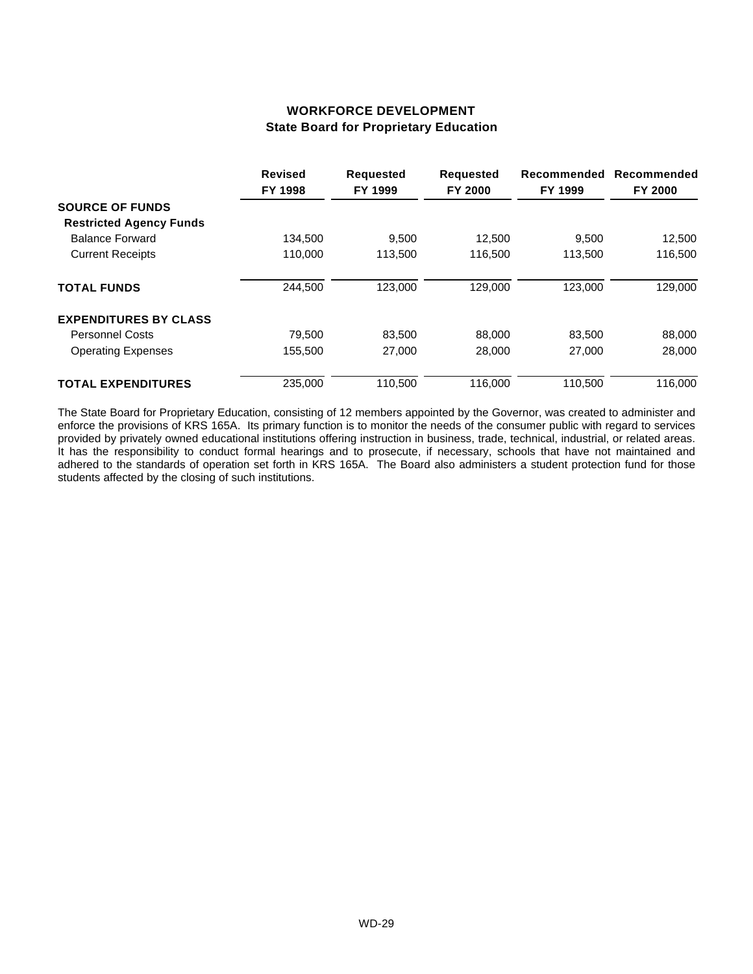## **WORKFORCE DEVELOPMENT State Board for Proprietary Education**

|                                | <b>Revised</b><br>FY 1998 | <b>Requested</b><br>FY 1999 | <b>Requested</b><br><b>FY 2000</b> | Recommended<br>FY 1999 | Recommended<br><b>FY 2000</b> |
|--------------------------------|---------------------------|-----------------------------|------------------------------------|------------------------|-------------------------------|
| <b>SOURCE OF FUNDS</b>         |                           |                             |                                    |                        |                               |
| <b>Restricted Agency Funds</b> |                           |                             |                                    |                        |                               |
| <b>Balance Forward</b>         | 134,500                   | 9,500                       | 12,500                             | 9,500                  | 12,500                        |
| <b>Current Receipts</b>        | 110,000                   | 113,500                     | 116,500                            | 113,500                | 116,500                       |
| <b>TOTAL FUNDS</b>             | 244,500                   | 123,000                     | 129,000                            | 123,000                | 129,000                       |
| <b>EXPENDITURES BY CLASS</b>   |                           |                             |                                    |                        |                               |
| <b>Personnel Costs</b>         | 79,500                    | 83,500                      | 88,000                             | 83,500                 | 88,000                        |
| <b>Operating Expenses</b>      | 155,500                   | 27,000                      | 28,000                             | 27,000                 | 28,000                        |
| <b>TOTAL EXPENDITURES</b>      | 235.000                   | 110.500                     | 116,000                            | 110.500                | 116.000                       |

The State Board for Proprietary Education, consisting of 12 members appointed by the Governor, was created to administer and enforce the provisions of KRS 165A. Its primary function is to monitor the needs of the consumer public with regard to services provided by privately owned educational institutions offering instruction in business, trade, technical, industrial, or related areas. It has the responsibility to conduct formal hearings and to prosecute, if necessary, schools that have not maintained and adhered to the standards of operation set forth in KRS 165A. The Board also administers a student protection fund for those students affected by the closing of such institutions.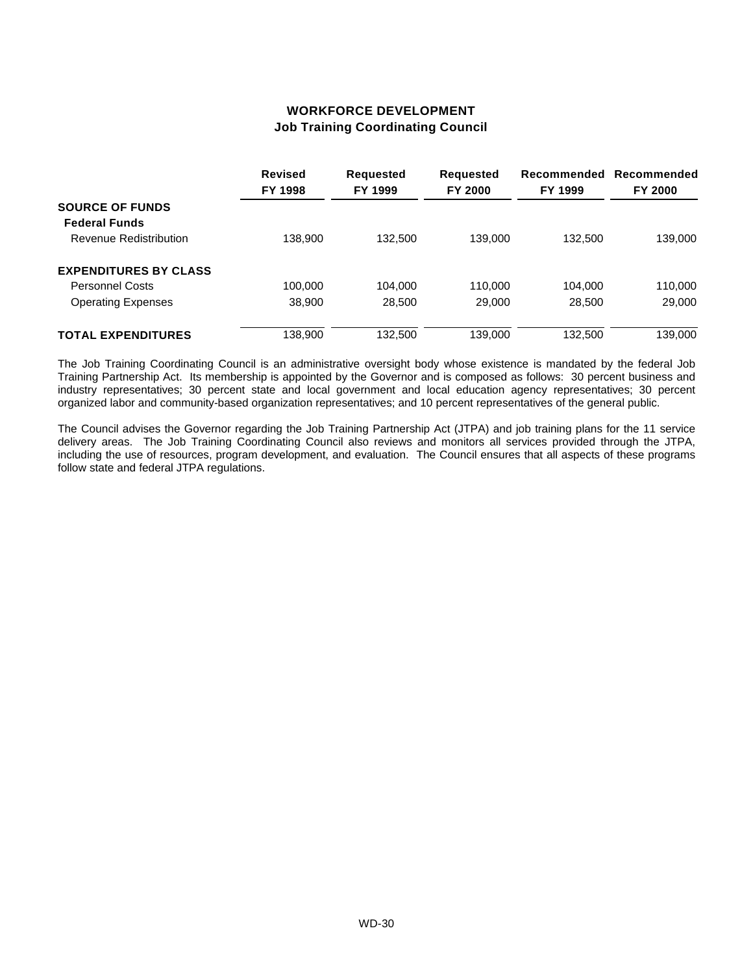### **WORKFORCE DEVELOPMENT Job Training Coordinating Council**

|                              | <b>Revised</b><br>FY 1998 | <b>Requested</b><br>FY 1999 | <b>Requested</b><br>FY 2000 | Recommended<br><b>FY 1999</b> | Recommended<br>FY 2000 |
|------------------------------|---------------------------|-----------------------------|-----------------------------|-------------------------------|------------------------|
| <b>SOURCE OF FUNDS</b>       |                           |                             |                             |                               |                        |
| <b>Federal Funds</b>         |                           |                             |                             |                               |                        |
| Revenue Redistribution       | 138,900                   | 132,500                     | 139,000                     | 132.500                       | 139,000                |
| <b>EXPENDITURES BY CLASS</b> |                           |                             |                             |                               |                        |
| <b>Personnel Costs</b>       | 100.000                   | 104,000                     | 110,000                     | 104.000                       | 110,000                |
| <b>Operating Expenses</b>    | 38,900                    | 28,500                      | 29,000                      | 28,500                        | 29,000                 |
| <b>TOTAL EXPENDITURES</b>    | 138,900                   | 132,500                     | 139,000                     | 132.500                       | 139,000                |

The Job Training Coordinating Council is an administrative oversight body whose existence is mandated by the federal Job Training Partnership Act. Its membership is appointed by the Governor and is composed as follows: 30 percent business and industry representatives; 30 percent state and local government and local education agency representatives; 30 percent organized labor and community-based organization representatives; and 10 percent representatives of the general public.

The Council advises the Governor regarding the Job Training Partnership Act (JTPA) and job training plans for the 11 service delivery areas. The Job Training Coordinating Council also reviews and monitors all services provided through the JTPA, including the use of resources, program development, and evaluation. The Council ensures that all aspects of these programs follow state and federal JTPA regulations.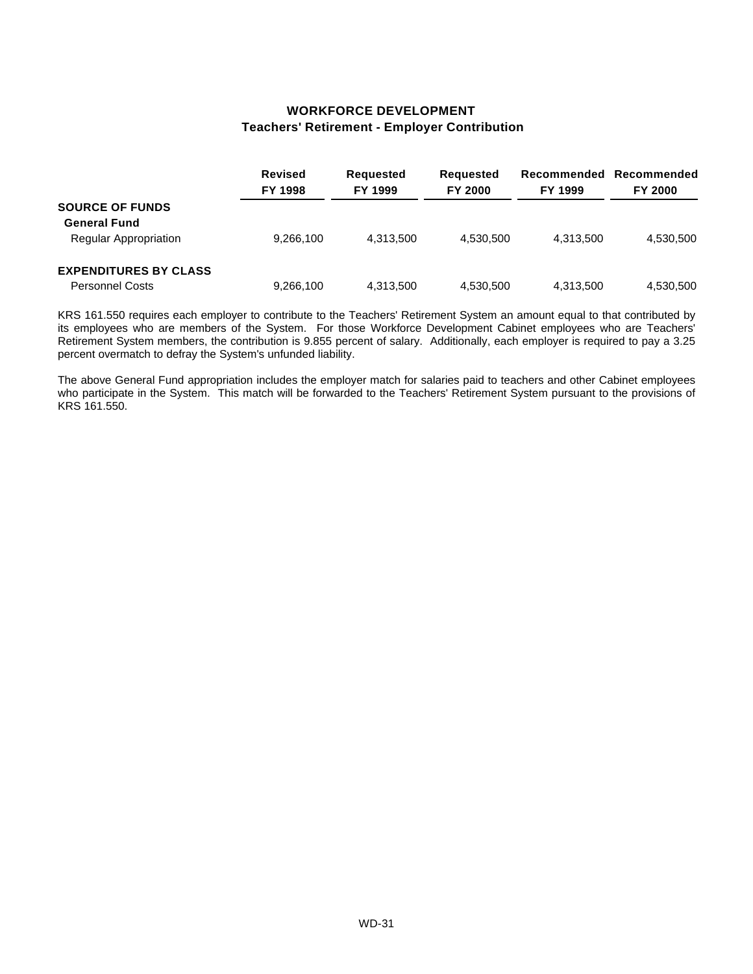### **WORKFORCE DEVELOPMENT Teachers' Retirement - Employer Contribution**

|                              | <b>Revised</b><br>FY 1998 | <b>Requested</b><br>FY 1999 | <b>Requested</b><br><b>FY 2000</b> | Recommended<br><b>FY 1999</b> | Recommended<br>FY 2000 |
|------------------------------|---------------------------|-----------------------------|------------------------------------|-------------------------------|------------------------|
| <b>SOURCE OF FUNDS</b>       |                           |                             |                                    |                               |                        |
| <b>General Fund</b>          |                           |                             |                                    |                               |                        |
| <b>Regular Appropriation</b> | 9,266,100                 | 4.313.500                   | 4.530.500                          | 4.313.500                     | 4,530,500              |
| <b>EXPENDITURES BY CLASS</b> |                           |                             |                                    |                               |                        |
| <b>Personnel Costs</b>       | 9,266,100                 | 4,313,500                   | 4,530,500                          | 4,313,500                     | 4,530,500              |

KRS 161.550 requires each employer to contribute to the Teachers' Retirement System an amount equal to that contributed by its employees who are members of the System. For those Workforce Development Cabinet employees who are Teachers' Retirement System members, the contribution is 9.855 percent of salary. Additionally, each employer is required to pay a 3.25 percent overmatch to defray the System's unfunded liability.

The above General Fund appropriation includes the employer match for salaries paid to teachers and other Cabinet employees who participate in the System. This match will be forwarded to the Teachers' Retirement System pursuant to the provisions of KRS 161.550.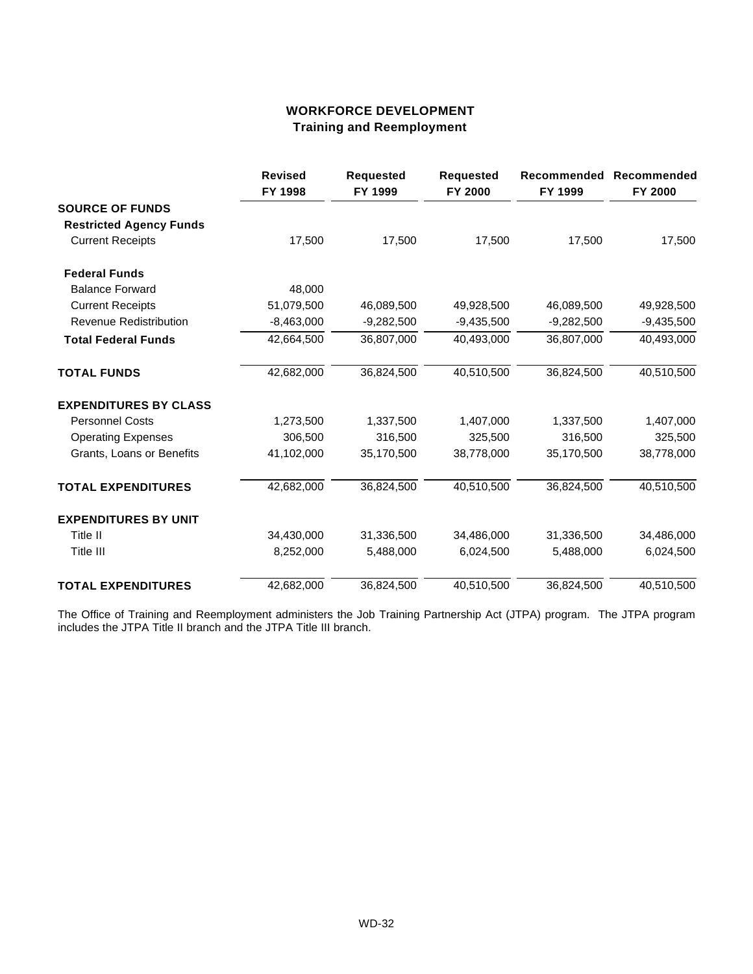# **WORKFORCE DEVELOPMENT Training and Reemployment**

|                                | <b>Revised</b><br>FY 1998 | <b>Requested</b><br>FY 1999 | <b>Requested</b><br>FY 2000 | FY 1999      | Recommended Recommended<br>FY 2000 |
|--------------------------------|---------------------------|-----------------------------|-----------------------------|--------------|------------------------------------|
| <b>SOURCE OF FUNDS</b>         |                           |                             |                             |              |                                    |
| <b>Restricted Agency Funds</b> |                           |                             |                             |              |                                    |
| <b>Current Receipts</b>        | 17,500                    | 17,500                      | 17,500                      | 17,500       | 17,500                             |
| <b>Federal Funds</b>           |                           |                             |                             |              |                                    |
| <b>Balance Forward</b>         | 48,000                    |                             |                             |              |                                    |
| <b>Current Receipts</b>        | 51,079,500                | 46,089,500                  | 49,928,500                  | 46,089,500   | 49,928,500                         |
| <b>Revenue Redistribution</b>  | $-8,463,000$              | $-9,282,500$                | $-9,435,500$                | $-9,282,500$ | $-9,435,500$                       |
| <b>Total Federal Funds</b>     | 42,664,500                | 36,807,000                  | 40,493,000                  | 36,807,000   | 40,493,000                         |
| <b>TOTAL FUNDS</b>             | 42,682,000                | 36,824,500                  | 40,510,500                  | 36,824,500   | 40,510,500                         |
| <b>EXPENDITURES BY CLASS</b>   |                           |                             |                             |              |                                    |
| <b>Personnel Costs</b>         | 1,273,500                 | 1,337,500                   | 1,407,000                   | 1,337,500    | 1,407,000                          |
| <b>Operating Expenses</b>      | 306,500                   | 316,500                     | 325,500                     | 316,500      | 325,500                            |
| Grants, Loans or Benefits      | 41,102,000                | 35,170,500                  | 38,778,000                  | 35,170,500   | 38,778,000                         |
| <b>TOTAL EXPENDITURES</b>      | 42,682,000                | 36,824,500                  | 40,510,500                  | 36,824,500   | 40,510,500                         |
| <b>EXPENDITURES BY UNIT</b>    |                           |                             |                             |              |                                    |
| Title II                       | 34,430,000                | 31,336,500                  | 34,486,000                  | 31,336,500   | 34,486,000                         |
| Title III                      | 8,252,000                 | 5,488,000                   | 6,024,500                   | 5,488,000    | 6,024,500                          |
| <b>TOTAL EXPENDITURES</b>      | 42,682,000                | 36,824,500                  | 40,510,500                  | 36,824,500   | 40,510,500                         |

The Office of Training and Reemployment administers the Job Training Partnership Act (JTPA) program. The JTPA program includes the JTPA Title II branch and the JTPA Title III branch.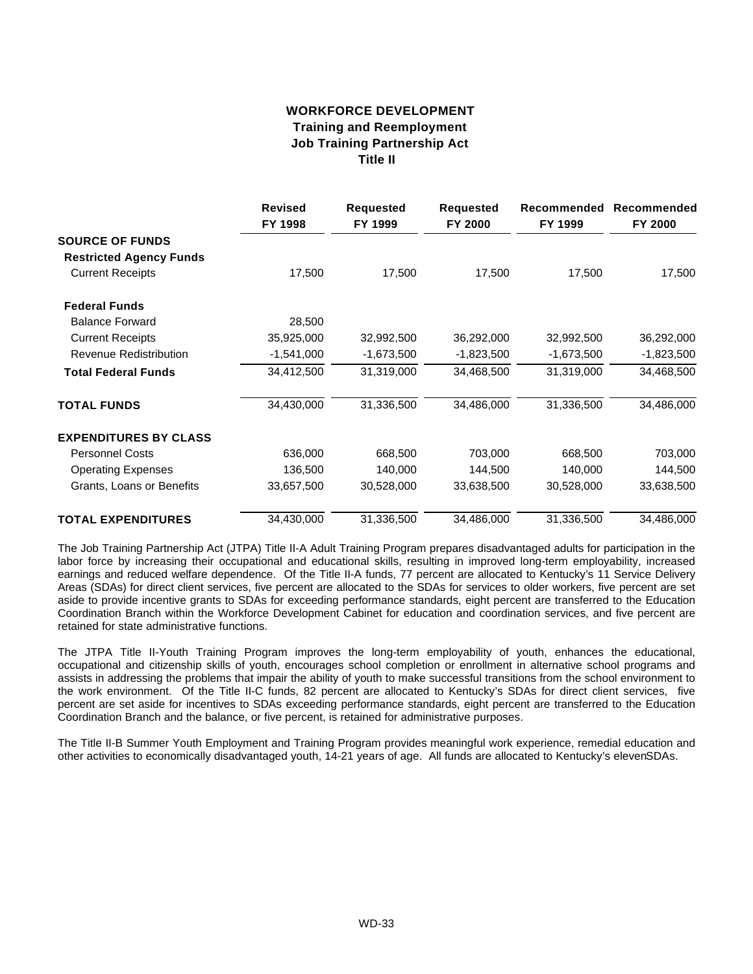### **WORKFORCE DEVELOPMENT Training and Reemployment Job Training Partnership Act Title II**

|                                | <b>Revised</b><br>FY 1998 | <b>Requested</b><br>FY 1999 | <b>Requested</b><br>FY 2000 | Recommended<br>FY 1999 | Recommended<br>FY 2000 |
|--------------------------------|---------------------------|-----------------------------|-----------------------------|------------------------|------------------------|
| <b>SOURCE OF FUNDS</b>         |                           |                             |                             |                        |                        |
| <b>Restricted Agency Funds</b> |                           |                             |                             |                        |                        |
| <b>Current Receipts</b>        | 17,500                    | 17,500                      | 17,500                      | 17,500                 | 17,500                 |
| <b>Federal Funds</b>           |                           |                             |                             |                        |                        |
| <b>Balance Forward</b>         | 28,500                    |                             |                             |                        |                        |
| <b>Current Receipts</b>        | 35,925,000                | 32,992,500                  | 36,292,000                  | 32,992,500             | 36,292,000             |
| Revenue Redistribution         | $-1,541,000$              | $-1,673,500$                | $-1,823,500$                | $-1,673,500$           | $-1,823,500$           |
| <b>Total Federal Funds</b>     | 34,412,500                | 31,319,000                  | 34,468,500                  | 31,319,000             | 34,468,500             |
| <b>TOTAL FUNDS</b>             | 34,430,000                | 31,336,500                  | 34,486,000                  | 31,336,500             | 34,486,000             |
| <b>EXPENDITURES BY CLASS</b>   |                           |                             |                             |                        |                        |
| <b>Personnel Costs</b>         | 636,000                   | 668,500                     | 703,000                     | 668,500                | 703,000                |
| <b>Operating Expenses</b>      | 136,500                   | 140,000                     | 144,500                     | 140,000                | 144,500                |
| Grants, Loans or Benefits      | 33,657,500                | 30,528,000                  | 33,638,500                  | 30,528,000             | 33,638,500             |
| <b>TOTAL EXPENDITURES</b>      | 34,430,000                | 31,336,500                  | 34,486,000                  | 31,336,500             | 34,486,000             |

The Job Training Partnership Act (JTPA) Title II-A Adult Training Program prepares disadvantaged adults for participation in the labor force by increasing their occupational and educational skills, resulting in improved long-term employability, increased earnings and reduced welfare dependence. Of the Title II-A funds, 77 percent are allocated to Kentucky's 11 Service Delivery Areas (SDAs) for direct client services, five percent are allocated to the SDAs for services to older workers, five percent are set aside to provide incentive grants to SDAs for exceeding performance standards, eight percent are transferred to the Education Coordination Branch within the Workforce Development Cabinet for education and coordination services, and five percent are retained for state administrative functions.

The JTPA Title II-Youth Training Program improves the long-term employability of youth, enhances the educational, occupational and citizenship skills of youth, encourages school completion or enrollment in alternative school programs and assists in addressing the problems that impair the ability of youth to make successful transitions from the school environment to the work environment. Of the Title II-C funds, 82 percent are allocated to Kentucky's SDAs for direct client services, five percent are set aside for incentives to SDAs exceeding performance standards, eight percent are transferred to the Education Coordination Branch and the balance, or five percent, is retained for administrative purposes.

The Title II-B Summer Youth Employment and Training Program provides meaningful work experience, remedial education and other activities to economically disadvantaged youth, 14-21 years of age. All funds are allocated to Kentucky's eleven SDAs.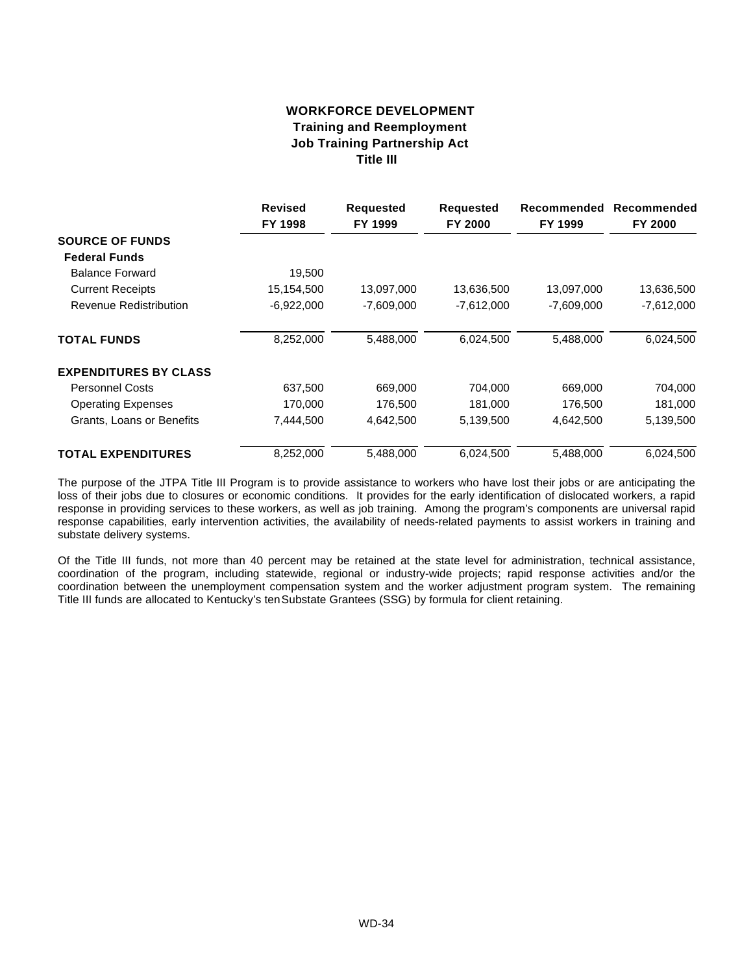### **WORKFORCE DEVELOPMENT Training and Reemployment Job Training Partnership Act Title III**

|                              | <b>Revised</b><br>FY 1998 | <b>Requested</b><br>FY 1999 | <b>Requested</b><br>FY 2000 | Recommended<br>FY 1999 | Recommended<br>FY 2000 |
|------------------------------|---------------------------|-----------------------------|-----------------------------|------------------------|------------------------|
| <b>SOURCE OF FUNDS</b>       |                           |                             |                             |                        |                        |
| <b>Federal Funds</b>         |                           |                             |                             |                        |                        |
| <b>Balance Forward</b>       | 19,500                    |                             |                             |                        |                        |
| <b>Current Receipts</b>      | 15,154,500                | 13,097,000                  | 13,636,500                  | 13,097,000             | 13,636,500             |
| Revenue Redistribution       | $-6,922,000$              | $-7,609,000$                | $-7,612,000$                | -7,609,000             | $-7,612,000$           |
| <b>TOTAL FUNDS</b>           | 8,252,000                 | 5,488,000                   | 6,024,500                   | 5,488,000              | 6,024,500              |
| <b>EXPENDITURES BY CLASS</b> |                           |                             |                             |                        |                        |
| <b>Personnel Costs</b>       | 637,500                   | 669,000                     | 704,000                     | 669,000                | 704,000                |
| <b>Operating Expenses</b>    | 170,000                   | 176,500                     | 181,000                     | 176,500                | 181,000                |
| Grants, Loans or Benefits    | 7,444,500                 | 4,642,500                   | 5,139,500                   | 4,642,500              | 5,139,500              |
| <b>TOTAL EXPENDITURES</b>    | 8,252,000                 | 5,488,000                   | 6,024,500                   | 5,488,000              | 6,024,500              |

The purpose of the JTPA Title III Program is to provide assistance to workers who have lost their jobs or are anticipating the loss of their jobs due to closures or economic conditions. It provides for the early identification of dislocated workers, a rapid response in providing services to these workers, as well as job training. Among the program's components are universal rapid response capabilities, early intervention activities, the availability of needs-related payments to assist workers in training and substate delivery systems.

Of the Title III funds, not more than 40 percent may be retained at the state level for administration, technical assistance, coordination of the program, including statewide, regional or industry-wide projects; rapid response activities and/or the coordination between the unemployment compensation system and the worker adjustment program system. The remaining Title III funds are allocated to Kentucky's ten Substate Grantees (SSG) by formula for client retaining.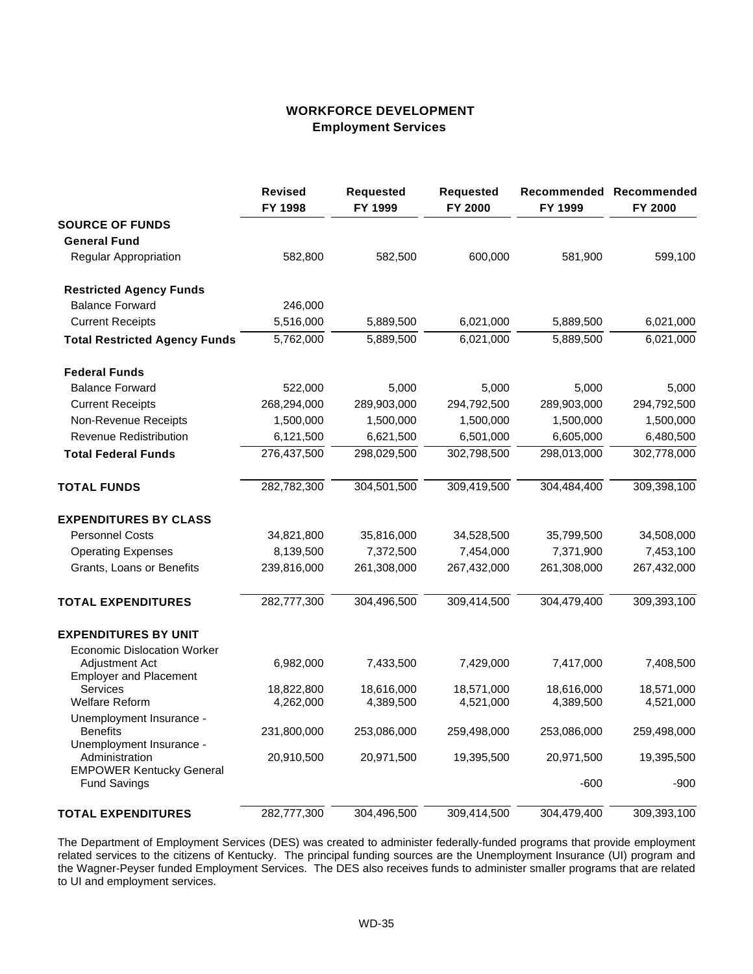### **WORKFORCE DEVELOPMENT Employment Services**

|                                                      | <b>Revised</b><br>FY 1998 | Requested<br>FY 1999 | Requested<br>FY 2000 | FY 1999     | Recommended Recommended<br>FY 2000 |
|------------------------------------------------------|---------------------------|----------------------|----------------------|-------------|------------------------------------|
| <b>SOURCE OF FUNDS</b>                               |                           |                      |                      |             |                                    |
| <b>General Fund</b>                                  |                           |                      |                      |             |                                    |
| <b>Regular Appropriation</b>                         | 582,800                   | 582,500              | 600,000              | 581,900     | 599,100                            |
| <b>Restricted Agency Funds</b>                       |                           |                      |                      |             |                                    |
| <b>Balance Forward</b>                               | 246.000                   |                      |                      |             |                                    |
| <b>Current Receipts</b>                              | 5,516,000                 | 5,889,500            | 6,021,000            | 5,889,500   | 6,021,000                          |
| <b>Total Restricted Agency Funds</b>                 | 5,762,000                 | 5,889,500            | 6,021,000            | 5,889,500   | 6,021,000                          |
| <b>Federal Funds</b>                                 |                           |                      |                      |             |                                    |
| <b>Balance Forward</b>                               | 522,000                   | 5,000                | 5,000                | 5,000       | 5,000                              |
| <b>Current Receipts</b>                              | 268,294,000               | 289,903,000          | 294,792,500          | 289,903,000 | 294,792,500                        |
| Non-Revenue Receipts                                 | 1,500,000                 | 1,500,000            | 1,500,000            | 1,500,000   | 1,500,000                          |
| Revenue Redistribution                               | 6,121,500                 | 6,621,500            | 6,501,000            | 6,605,000   | 6,480,500                          |
| <b>Total Federal Funds</b>                           | 276,437,500               | 298,029,500          | 302,798,500          | 298,013,000 | 302,778,000                        |
| <b>TOTAL FUNDS</b>                                   | 282,782,300               | 304,501,500          | 309,419,500          | 304,484,400 | 309,398,100                        |
| <b>EXPENDITURES BY CLASS</b>                         |                           |                      |                      |             |                                    |
| <b>Personnel Costs</b>                               | 34,821,800                | 35,816,000           | 34,528,500           | 35,799,500  | 34,508,000                         |
| <b>Operating Expenses</b>                            | 8,139,500                 | 7,372,500            | 7,454,000            | 7,371,900   | 7,453,100                          |
| Grants, Loans or Benefits                            | 239,816,000               | 261,308,000          | 267,432,000          | 261,308,000 | 267,432,000                        |
| <b>TOTAL EXPENDITURES</b>                            | 282,777,300               | 304,496,500          | 309,414,500          | 304,479,400 | 309,393,100                        |
| <b>EXPENDITURES BY UNIT</b>                          |                           |                      |                      |             |                                    |
| <b>Economic Dislocation Worker</b><br>Adjustment Act | 6,982,000                 | 7,433,500            | 7,429,000            | 7,417,000   | 7,408,500                          |
| <b>Employer and Placement</b><br>Services            | 18,822,800                | 18,616,000           | 18,571,000           | 18,616,000  | 18,571,000                         |
| Welfare Reform                                       | 4,262,000                 | 4,389,500            | 4,521,000            | 4,389,500   | 4,521,000                          |
| Unemployment Insurance -                             |                           |                      |                      |             |                                    |
| <b>Benefits</b>                                      | 231,800,000               | 253,086,000          | 259,498,000          | 253,086,000 | 259,498,000                        |
| Unemployment Insurance -                             |                           |                      |                      |             |                                    |
| Administration<br><b>EMPOWER Kentucky General</b>    | 20,910,500                | 20,971,500           | 19,395,500           | 20,971,500  | 19,395,500                         |
| <b>Fund Savings</b>                                  |                           |                      |                      | $-600$      | -900                               |
| <b>TOTAL EXPENDITURES</b>                            | 282,777,300               | 304,496,500          | 309,414,500          | 304,479,400 | 309,393,100                        |

The Department of Employment Services (DES) was created to administer federally-funded programs that provide employment related services to the citizens of Kentucky. The principal funding sources are the Unemployment Insurance (UI) program and the Wagner-Peyser funded Employment Services. The DES also receives funds to administer smaller programs that are related to UI and employment services.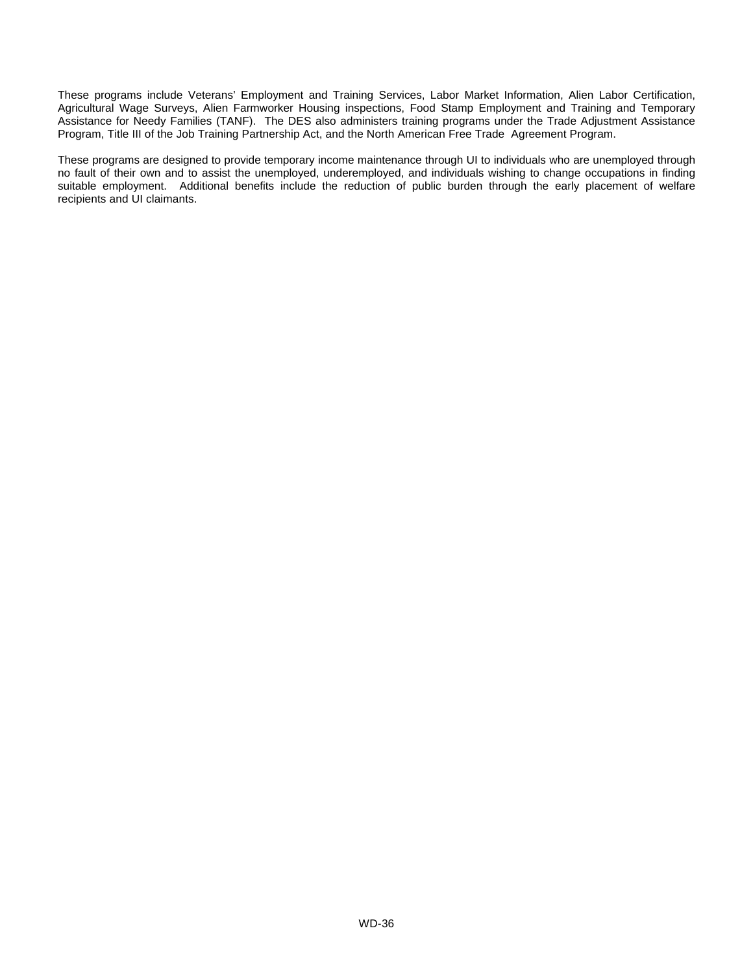These programs include Veterans' Employment and Training Services, Labor Market Information, Alien Labor Certification, Agricultural Wage Surveys, Alien Farmworker Housing inspections, Food Stamp Employment and Training and Temporary Assistance for Needy Families (TANF). The DES also administers training programs under the Trade Adjustment Assistance Program, Title III of the Job Training Partnership Act, and the North American Free Trade Agreement Program.

These programs are designed to provide temporary income maintenance through UI to individuals who are unemployed through no fault of their own and to assist the unemployed, underemployed, and individuals wishing to change occupations in finding suitable employment. Additional benefits include the reduction of public burden through the early placement of welfare recipients and UI claimants.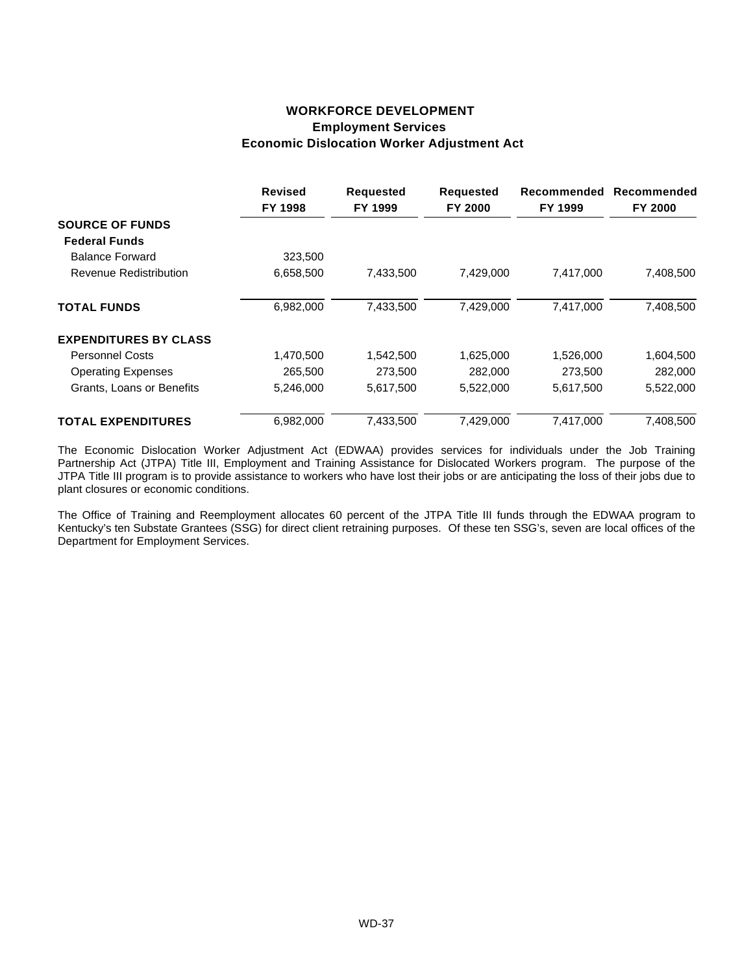### **WORKFORCE DEVELOPMENT Employment Services Economic Dislocation Worker Adjustment Act**

|                              | <b>Revised</b><br>FY 1998 | <b>Requested</b><br>FY 1999 | <b>Requested</b><br>FY 2000 | Recommended<br>FY 1999 | Recommended<br>FY 2000 |
|------------------------------|---------------------------|-----------------------------|-----------------------------|------------------------|------------------------|
| <b>SOURCE OF FUNDS</b>       |                           |                             |                             |                        |                        |
| <b>Federal Funds</b>         |                           |                             |                             |                        |                        |
| <b>Balance Forward</b>       | 323,500                   |                             |                             |                        |                        |
| Revenue Redistribution       | 6,658,500                 | 7,433,500                   | 7,429,000                   | 7,417,000              | 7,408,500              |
| <b>TOTAL FUNDS</b>           | 6,982,000                 | 7,433,500                   | 7,429,000                   | 7,417,000              | 7,408,500              |
| <b>EXPENDITURES BY CLASS</b> |                           |                             |                             |                        |                        |
| <b>Personnel Costs</b>       | 1,470,500                 | 1,542,500                   | 1,625,000                   | 1,526,000              | 1,604,500              |
| <b>Operating Expenses</b>    | 265,500                   | 273,500                     | 282,000                     | 273,500                | 282,000                |
| Grants, Loans or Benefits    | 5,246,000                 | 5,617,500                   | 5,522,000                   | 5,617,500              | 5,522,000              |
| <b>TOTAL EXPENDITURES</b>    | 6,982,000                 | 7,433,500                   | 7,429,000                   | 7.417.000              | 7,408,500              |

The Economic Dislocation Worker Adjustment Act (EDWAA) provides services for individuals under the Job Training Partnership Act (JTPA) Title III, Employment and Training Assistance for Dislocated Workers program. The purpose of the JTPA Title III program is to provide assistance to workers who have lost their jobs or are anticipating the loss of their jobs due to plant closures or economic conditions.

The Office of Training and Reemployment allocates 60 percent of the JTPA Title III funds through the EDWAA program to Kentucky's ten Substate Grantees (SSG) for direct client retraining purposes. Of these ten SSG's, seven are local offices of the Department for Employment Services.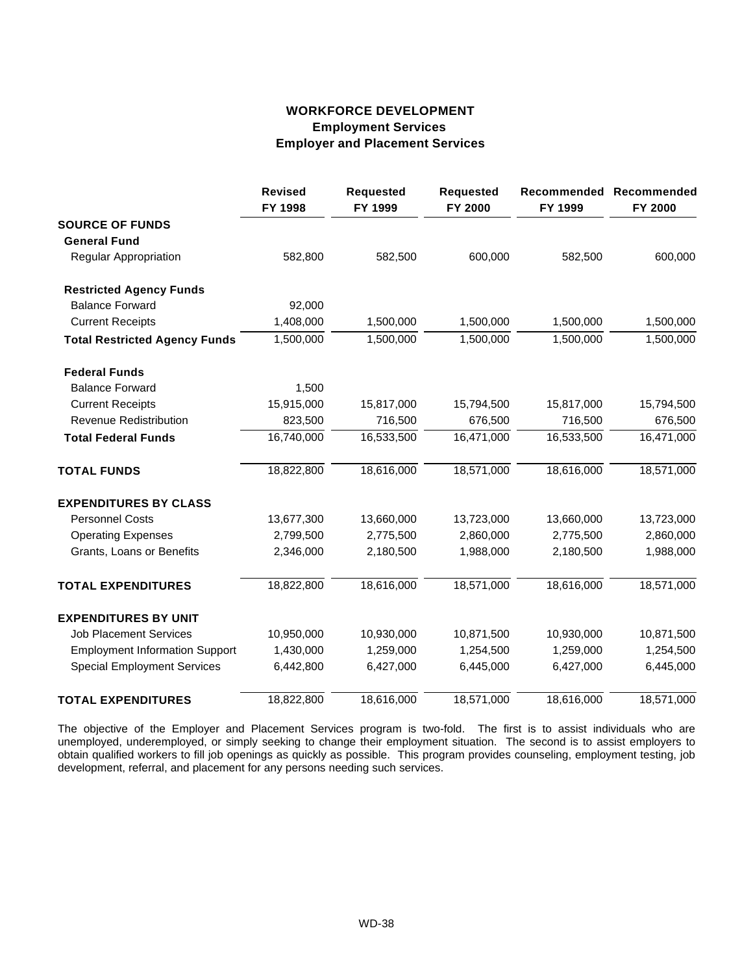### **WORKFORCE DEVELOPMENT Employment Services Employer and Placement Services**

|                                       | <b>Revised</b><br>FY 1998 | <b>Requested</b><br>FY 1999 | <b>Requested</b><br>FY 2000 | FY 1999    | Recommended Recommended<br>FY 2000 |
|---------------------------------------|---------------------------|-----------------------------|-----------------------------|------------|------------------------------------|
| <b>SOURCE OF FUNDS</b>                |                           |                             |                             |            |                                    |
| <b>General Fund</b>                   |                           |                             |                             |            |                                    |
| Regular Appropriation                 | 582,800                   | 582,500                     | 600,000                     | 582,500    | 600,000                            |
| <b>Restricted Agency Funds</b>        |                           |                             |                             |            |                                    |
| <b>Balance Forward</b>                | 92,000                    |                             |                             |            |                                    |
| <b>Current Receipts</b>               | 1,408,000                 | 1,500,000                   | 1,500,000                   | 1,500,000  | 1,500,000                          |
| <b>Total Restricted Agency Funds</b>  | 1,500,000                 | 1,500,000                   | 1,500,000                   | 1,500,000  | 1,500,000                          |
| <b>Federal Funds</b>                  |                           |                             |                             |            |                                    |
| <b>Balance Forward</b>                | 1,500                     |                             |                             |            |                                    |
| <b>Current Receipts</b>               | 15,915,000                | 15,817,000                  | 15,794,500                  | 15,817,000 | 15,794,500                         |
| <b>Revenue Redistribution</b>         | 823,500                   | 716,500                     | 676,500                     | 716,500    | 676,500                            |
| <b>Total Federal Funds</b>            | 16,740,000                | 16,533,500                  | 16,471,000                  | 16,533,500 | 16,471,000                         |
| <b>TOTAL FUNDS</b>                    | 18,822,800                | 18,616,000                  | 18,571,000                  | 18,616,000 | 18,571,000                         |
| <b>EXPENDITURES BY CLASS</b>          |                           |                             |                             |            |                                    |
| <b>Personnel Costs</b>                | 13,677,300                | 13,660,000                  | 13,723,000                  | 13,660,000 | 13,723,000                         |
| <b>Operating Expenses</b>             | 2,799,500                 | 2,775,500                   | 2,860,000                   | 2,775,500  | 2,860,000                          |
| Grants, Loans or Benefits             | 2,346,000                 | 2,180,500                   | 1,988,000                   | 2,180,500  | 1,988,000                          |
| <b>TOTAL EXPENDITURES</b>             | 18,822,800                | 18,616,000                  | 18,571,000                  | 18,616,000 | 18,571,000                         |
| <b>EXPENDITURES BY UNIT</b>           |                           |                             |                             |            |                                    |
| <b>Job Placement Services</b>         | 10,950,000                | 10,930,000                  | 10,871,500                  | 10,930,000 | 10,871,500                         |
| <b>Employment Information Support</b> | 1,430,000                 | 1,259,000                   | 1,254,500                   | 1,259,000  | 1,254,500                          |
| <b>Special Employment Services</b>    | 6,442,800                 | 6,427,000                   | 6,445,000                   | 6,427,000  | 6,445,000                          |
| <b>TOTAL EXPENDITURES</b>             | 18,822,800                | 18,616,000                  | 18,571,000                  | 18,616,000 | 18,571,000                         |

The objective of the Employer and Placement Services program is two-fold. The first is to assist individuals who are unemployed, underemployed, or simply seeking to change their employment situation. The second is to assist employers to obtain qualified workers to fill job openings as quickly as possible. This program provides counseling, employment testing, job development, referral, and placement for any persons needing such services.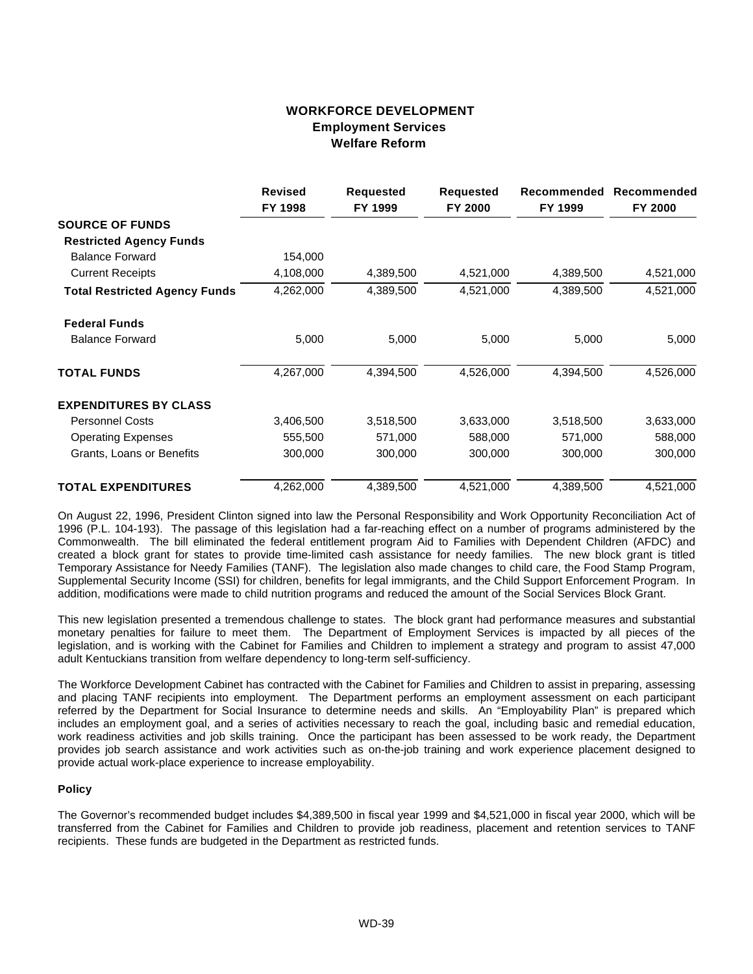### **WORKFORCE DEVELOPMENT Employment Services Welfare Reform**

|                                      | <b>Revised</b><br>FY 1998 | <b>Requested</b><br>FY 1999 | <b>Requested</b><br>FY 2000 | Recommended<br>FY 1999 | Recommended<br>FY 2000 |
|--------------------------------------|---------------------------|-----------------------------|-----------------------------|------------------------|------------------------|
| <b>SOURCE OF FUNDS</b>               |                           |                             |                             |                        |                        |
| <b>Restricted Agency Funds</b>       |                           |                             |                             |                        |                        |
| <b>Balance Forward</b>               | 154,000                   |                             |                             |                        |                        |
| <b>Current Receipts</b>              | 4,108,000                 | 4,389,500                   | 4,521,000                   | 4,389,500              | 4,521,000              |
| <b>Total Restricted Agency Funds</b> | 4,262,000                 | 4,389,500                   | 4,521,000                   | 4,389,500              | 4,521,000              |
| <b>Federal Funds</b>                 |                           |                             |                             |                        |                        |
| <b>Balance Forward</b>               | 5,000                     | 5,000                       | 5,000                       | 5,000                  | 5,000                  |
| <b>TOTAL FUNDS</b>                   | 4,267,000                 | 4,394,500                   | 4,526,000                   | 4,394,500              | 4,526,000              |
| <b>EXPENDITURES BY CLASS</b>         |                           |                             |                             |                        |                        |
| <b>Personnel Costs</b>               | 3,406,500                 | 3,518,500                   | 3,633,000                   | 3,518,500              | 3,633,000              |
| <b>Operating Expenses</b>            | 555,500                   | 571,000                     | 588,000                     | 571,000                | 588,000                |
| Grants, Loans or Benefits            | 300,000                   | 300,000                     | 300,000                     | 300,000                | 300,000                |
| <b>TOTAL EXPENDITURES</b>            | 4,262,000                 | 4,389,500                   | 4,521,000                   | 4,389,500              | 4,521,000              |

On August 22, 1996, President Clinton signed into law the Personal Responsibility and Work Opportunity Reconciliation Act of 1996 (P.L. 104-193). The passage of this legislation had a far-reaching effect on a number of programs administered by the Commonwealth. The bill eliminated the federal entitlement program Aid to Families with Dependent Children (AFDC) and created a block grant for states to provide time-limited cash assistance for needy families. The new block grant is titled Temporary Assistance for Needy Families (TANF). The legislation also made changes to child care, the Food Stamp Program, Supplemental Security Income (SSI) for children, benefits for legal immigrants, and the Child Support Enforcement Program. In addition, modifications were made to child nutrition programs and reduced the amount of the Social Services Block Grant.

This new legislation presented a tremendous challenge to states. The block grant had performance measures and substantial monetary penalties for failure to meet them. The Department of Employment Services is impacted by all pieces of the legislation, and is working with the Cabinet for Families and Children to implement a strategy and program to assist 47,000 adult Kentuckians transition from welfare dependency to long-term self-sufficiency.

The Workforce Development Cabinet has contracted with the Cabinet for Families and Children to assist in preparing, assessing and placing TANF recipients into employment. The Department performs an employment assessment on each participant referred by the Department for Social Insurance to determine needs and skills. An "Employability Plan" is prepared which includes an employment goal, and a series of activities necessary to reach the goal, including basic and remedial education, work readiness activities and job skills training. Once the participant has been assessed to be work ready, the Department provides job search assistance and work activities such as on-the-job training and work experience placement designed to provide actual work-place experience to increase employability.

### **Policy**

The Governor's recommended budget includes \$4,389,500 in fiscal year 1999 and \$4,521,000 in fiscal year 2000, which will be transferred from the Cabinet for Families and Children to provide job readiness, placement and retention services to TANF recipients. These funds are budgeted in the Department as restricted funds.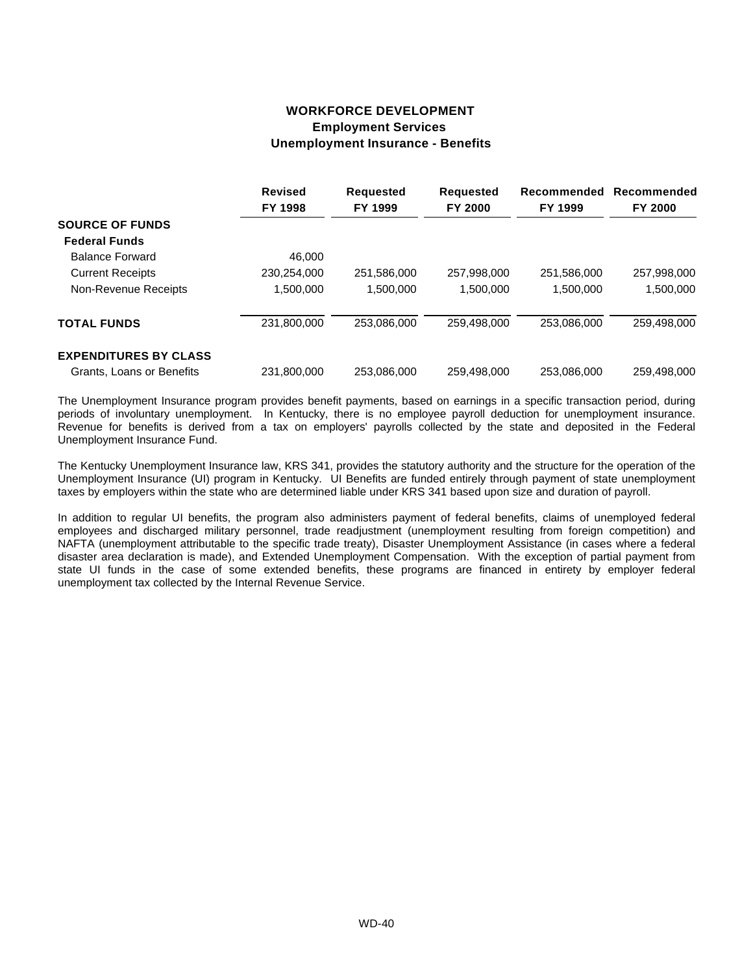### **WORKFORCE DEVELOPMENT Employment Services Unemployment Insurance - Benefits**

|                              | <b>Revised</b><br>FY 1998 | <b>Requested</b><br>FY 1999 | <b>Requested</b> | Recommended<br>FY 1999 | Recommended<br><b>FY 2000</b> |
|------------------------------|---------------------------|-----------------------------|------------------|------------------------|-------------------------------|
|                              |                           |                             | <b>FY 2000</b>   |                        |                               |
| <b>SOURCE OF FUNDS</b>       |                           |                             |                  |                        |                               |
| <b>Federal Funds</b>         |                           |                             |                  |                        |                               |
| <b>Balance Forward</b>       | 46.000                    |                             |                  |                        |                               |
| <b>Current Receipts</b>      | 230,254,000               | 251,586,000                 | 257,998,000      | 251,586,000            | 257,998,000                   |
| Non-Revenue Receipts         | 1,500,000                 | 1,500,000                   | 1,500,000        | 1,500,000              | 1,500,000                     |
| <b>TOTAL FUNDS</b>           | 231.800.000               | 253.086.000                 | 259.498.000      | 253.086.000            | 259,498,000                   |
| <b>EXPENDITURES BY CLASS</b> |                           |                             |                  |                        |                               |
| Grants, Loans or Benefits    | 231,800,000               | 253,086,000                 | 259.498.000      | 253,086,000            | 259,498,000                   |

The Unemployment Insurance program provides benefit payments, based on earnings in a specific transaction period, during periods of involuntary unemployment. In Kentucky, there is no employee payroll deduction for unemployment insurance. Revenue for benefits is derived from a tax on employers' payrolls collected by the state and deposited in the Federal Unemployment Insurance Fund.

The Kentucky Unemployment Insurance law, KRS 341, provides the statutory authority and the structure for the operation of the Unemployment Insurance (UI) program in Kentucky. UI Benefits are funded entirely through payment of state unemployment taxes by employers within the state who are determined liable under KRS 341 based upon size and duration of payroll.

In addition to regular UI benefits, the program also administers payment of federal benefits, claims of unemployed federal employees and discharged military personnel, trade readjustment (unemployment resulting from foreign competition) and NAFTA (unemployment attributable to the specific trade treaty), Disaster Unemployment Assistance (in cases where a federal disaster area declaration is made), and Extended Unemployment Compensation. With the exception of partial payment from state UI funds in the case of some extended benefits, these programs are financed in entirety by employer federal unemployment tax collected by the Internal Revenue Service.